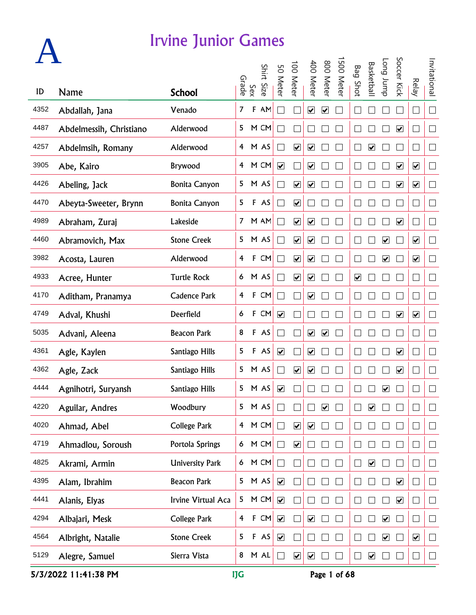|      |                         |                        | Grade                   |             | Shirt Size | 50 Meter                     | 00 Meter                        | 400 Meter                    | 800 Meter               | 500 Mete | <b>Bag Shot</b>         | <b>Basketbal</b>        | dunr buo             | Soccer Kick                  | <b>Relay</b>                 | Invitational                |
|------|-------------------------|------------------------|-------------------------|-------------|------------|------------------------------|---------------------------------|------------------------------|-------------------------|----------|-------------------------|-------------------------|----------------------|------------------------------|------------------------------|-----------------------------|
| ID   | <b>Name</b>             | <b>School</b>          |                         | Sex         |            |                              |                                 |                              |                         |          |                         |                         |                      |                              |                              |                             |
| 4352 | Abdallah, Jana          | Venado                 | $\overline{7}$          | F           | AM         |                              |                                 | $\overline{\mathbf{v}}$      | $\overline{\mathbf{v}}$ |          |                         |                         |                      |                              |                              | $\Box$                      |
| 4487 | Abdelmessih, Christiano | Alderwood              |                         |             | 5 M CM     | $\sim$                       |                                 |                              |                         |          |                         |                         |                      | $\blacktriangledown$         |                              | $\overline{\phantom{a}}$    |
| 4257 | Abdelmsih, Romany       | Alderwood              |                         |             | 4 M AS     |                              | $\blacktriangledown$            | $\blacktriangledown$         |                         |          |                         | $\overline{\mathbf{v}}$ |                      |                              |                              | $\Box$                      |
| 3905 | Abe, Kairo              | Brywood                | $\overline{4}$          |             | M CM       | $\blacktriangledown$         |                                 | $\blacktriangledown$         |                         |          |                         |                         |                      | $\overline{\mathbf{v}}$      | $\blacktriangledown$         | $\overline{\phantom{a}}$    |
| 4426 | Abeling, Jack           | <b>Bonita Canyon</b>   | 5                       |             | M AS       | $\mathcal{L}$                | $\overline{\mathbf{v}}$         | $\boxed{\blacktriangledown}$ |                         |          |                         |                         |                      | $\overline{\mathbf{v}}$      | $\overline{\mathbf{v}}$      | $\Box$                      |
| 4470 | Abeyta-Sweeter, Brynn   | <b>Bonita Canyon</b>   | 5                       |             | F AS       | Π                            | $\overline{\mathbf{v}}$         |                              |                         |          |                         |                         |                      |                              |                              | $\Box$                      |
| 4989 | Abraham, Zuraj          | Lakeside               |                         |             | 7 M AM     | T,                           | $\overline{\mathbf{v}}$         | $\boxed{\blacktriangledown}$ |                         |          |                         |                         |                      | $\overline{\mathbf{v}}$      |                              | $\Box$                      |
| 4460 | Abramovich, Max         | <b>Stone Creek</b>     |                         |             | 5 M AS     | $\mathcal{L}_{\mathcal{A}}$  | $\blacktriangledown$            | $\overline{\mathbf{v}}$      |                         |          |                         |                         | $\blacktriangledown$ |                              | $\blacktriangledown$         | $\Box$                      |
| 3982 | Acosta, Lauren          | Alderwood              | 4                       |             | F CM       | $\Box$                       | $\overline{\mathbf{v}}$         | $\overline{\mathbf{v}}$      |                         |          |                         |                         | $\blacktriangledown$ |                              | $\blacktriangledown$         | $\overline{\phantom{a}}$    |
| 4933 | Acree, Hunter           | <b>Turtle Rock</b>     | 6                       |             | M AS       | $\overline{\phantom{a}}$     | $\overline{\blacktriangledown}$ | $\boxed{\blacktriangledown}$ |                         |          | $\overline{\mathbf{v}}$ |                         |                      |                              |                              | $\Box$                      |
| 4170 | Aditham, Pranamya       | <b>Cadence Park</b>    | 4                       | $\mathsf F$ | CM         | ÷,                           |                                 | $\blacktriangledown$         |                         |          |                         |                         |                      |                              |                              | $\overline{\phantom{a}}$    |
| 4749 | Adval, Khushi           | Deerfield              | 6                       |             | F CM       | $\overline{\mathbf{v}}$      |                                 |                              |                         |          |                         |                         |                      | $\blacktriangledown$         | $\boxed{\blacktriangledown}$ | $\overline{\phantom{a}}$    |
| 5035 | Advani, Aleena          | <b>Beacon Park</b>     | 8                       |             | F AS       |                              |                                 | $\blacktriangledown$         | $\blacktriangledown$    |          |                         |                         |                      |                              |                              | $\mathbb{R}$                |
| 4361 | Agle, Kaylen            | Santiago Hills         | 5                       |             | F AS       | $\overline{\mathbf{v}}$      |                                 | $\blacktriangledown$         |                         |          |                         |                         |                      | $\overline{\mathbf{v}}$      |                              | $\Box$                      |
| 4362 | Agle, Zack              | Santiago Hills         | 5                       |             | M AS       | $\mathbb{R}^2$               | $\boxed{\blacktriangledown}$    | $\boxed{\blacktriangledown}$ |                         |          |                         |                         |                      | $\boxed{\blacktriangledown}$ |                              | $\Box$                      |
| 4444 | Agnihotri, Suryansh     | Santiago Hills         | 5                       |             | M AS       | $\boxed{\blacktriangledown}$ |                                 |                              |                         |          |                         |                         | ☑                    |                              |                              | ∟                           |
| 4220 | Aguilar, Andres         | Woodbury               | 5                       |             | M AS       |                              |                                 |                              | ☑                       |          |                         | $\overline{\mathbf{v}}$ |                      |                              |                              |                             |
| 4020 | Ahmad, Abel             | College Park           | $\overline{4}$          |             | M CM       | $\Box$                       | $\overline{\mathbf{v}}$         | $\overline{\mathbf{v}}$      |                         |          |                         |                         |                      |                              |                              | $\mathbf{L}$                |
| 4719 | Ahmadlou, Soroush       | Portola Springs        | 6                       |             | M CM       | $\Box$                       | $\overline{\mathbf{v}}$         |                              |                         |          |                         |                         |                      |                              |                              | $\vert$                     |
| 4825 | Akrami, Armin           | <b>University Park</b> | 6                       |             | M CM       | $\Box$                       |                                 |                              |                         |          |                         | $\overline{\mathbf{v}}$ |                      |                              |                              | $\Box$                      |
| 4395 | Alam, Ibrahim           | <b>Beacon Park</b>     | 5                       |             | M AS       | $\overline{\mathbf{v}}$      |                                 |                              |                         |          |                         |                         |                      | $\overline{\mathbf{v}}$      |                              | $\Box$                      |
| 4441 | Alanis, Elyas           | Irvine Virtual Aca     | 5.                      |             | M CM       | $\blacktriangledown$         |                                 |                              |                         |          |                         |                         |                      | $\blacktriangledown$         |                              | $\Box$                      |
| 4294 | Albajari, Mesk          | College Park           | $\overline{\mathbf{f}}$ |             | F CM       | $\blacktriangledown$         |                                 | $\overline{\mathbf{v}}$      |                         |          |                         |                         | $\blacktriangledown$ |                              |                              | $\Box$                      |
| 4564 | Albright, Natalie       | <b>Stone Creek</b>     | 5                       |             | F AS       | $\blacktriangledown$         |                                 |                              |                         |          |                         |                         | $\blacktriangledown$ |                              | $\blacktriangledown$         | $\mathcal{L}_{\mathcal{A}}$ |
| 5129 | Alegre, Samuel          | Sierra Vista           | 8                       |             | M AL       | $\Box$                       | $\overline{\mathbf{v}}$         | $\blacktriangledown$         |                         |          |                         | $\overline{\mathbf{v}}$ |                      |                              |                              | $\Box$                      |

5/3/2022 11:41:38 PM IJG Page 1 of 68

**A**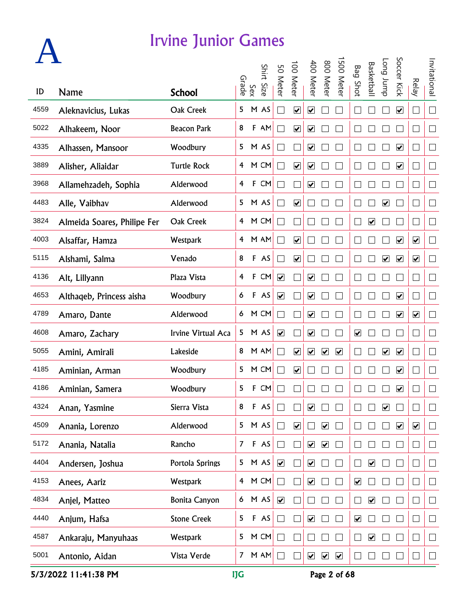|      |                             |                      |                |              | Shirt Size | 50 Meter                     | 00 Meter                | 400 Meter                    | 800 Meter               | 500 Mete             | <b>Bag Shot</b>         | <b>Basketbal</b>             | dunr buo             | Soccer Kick                  |                              | Invitational                |
|------|-----------------------------|----------------------|----------------|--------------|------------|------------------------------|-------------------------|------------------------------|-------------------------|----------------------|-------------------------|------------------------------|----------------------|------------------------------|------------------------------|-----------------------------|
| ID   | <b>Name</b>                 | <b>School</b>        | Grade          | Sex          |            |                              |                         |                              |                         |                      |                         |                              |                      |                              | <b>Relay</b>                 |                             |
| 4559 | Aleknavicius, Lukas         | Oak Creek            | 5              |              | M AS       | $\mathcal{L}_{\mathcal{A}}$  | $\overline{\mathbf{v}}$ | $\boxed{\blacktriangledown}$ |                         |                      |                         |                              |                      | $\overline{\mathbf{v}}$      |                              | $\Box$                      |
| 5022 | Alhakeem, Noor              | <b>Beacon Park</b>   | 8              |              | F AM       | T.                           | $\blacktriangledown$    | $\blacktriangledown$         |                         |                      |                         |                              |                      |                              |                              | $\overline{\phantom{a}}$    |
| 4335 | Alhassen, Mansoor           | Woodbury             |                |              | 5 M AS     | e.                           | $\vert \ \ \vert$       | $\blacktriangledown$         |                         |                      |                         |                              |                      | $\blacktriangledown$         |                              | $\Box$                      |
| 3889 | Alisher, Aliaidar           | <b>Turtle Rock</b>   | $\overline{4}$ |              | M CM       | $\mathcal{L}_{\mathcal{A}}$  | $\blacktriangledown$    | $\overline{\mathbf{v}}$      |                         |                      |                         |                              |                      | $\blacktriangledown$         |                              | $\overline{\phantom{a}}$    |
| 3968 | Allamehzadeh, Sophia        | Alderwood            | 4              |              | F CM       | $\mathcal{L}_{\mathcal{A}}$  |                         | $\overline{\mathbf{v}}$      |                         |                      |                         |                              |                      |                              | $\mathcal{A}$                | $\overline{\phantom{a}}$    |
| 4483 | Alle, Vaibhav               | Alderwood            |                |              | 5 M AS     | Π                            | $\overline{\mathbf{v}}$ |                              |                         |                      |                         |                              | $\blacktriangledown$ |                              |                              | $\Box$                      |
| 3824 | Almeida Soares, Philipe Fer | Oak Creek            |                |              | 4 M CM     | $\mathcal{L}_{\mathcal{A}}$  |                         |                              |                         |                      |                         | $\boxed{\blacktriangledown}$ |                      |                              |                              | $\Box$                      |
| 4003 | Alsaffar, Hamza             | Westpark             |                |              | 4 M AM     | $\overline{\phantom{0}}$     | $\overline{\mathbf{v}}$ |                              |                         |                      |                         |                              |                      | $\overline{\mathbf{v}}$      | $\blacktriangledown$         | $\overline{\phantom{a}}$    |
| 5115 | Alshami, Salma              | Venado               | 8              |              | F AS       | $\mathcal{L}_{\mathcal{A}}$  | $\blacktriangledown$    |                              |                         |                      |                         |                              | $\blacktriangledown$ | $\blacktriangledown$         | $\overline{\mathbf{v}}$      | $\overline{\phantom{a}}$    |
| 4136 | Alt, Lillyann               | Plaza Vista          | 4              | $\mathbf{F}$ | CM         | $\overline{\mathbf{v}}$      |                         | $\overline{\mathbf{v}}$      |                         |                      |                         |                              |                      |                              |                              | $\Box$                      |
| 4653 | Althaqeb, Princess aisha    | Woodbury             | 6              |              | F AS       | $\boxed{\blacktriangledown}$ |                         | $\blacktriangledown$         |                         |                      |                         |                              |                      | $\blacktriangledown$         |                              | $\overline{\phantom{a}}$    |
| 4789 | Amaro, Dante                | Alderwood            | 6              |              | M CM       | T.                           |                         | $\boxed{\blacktriangledown}$ |                         |                      |                         |                              |                      | $\blacktriangledown$         | $\boxed{\blacktriangledown}$ | $\overline{\phantom{a}}$    |
| 4608 | Amaro, Zachary              | Irvine Virtual Aca   |                |              | 5 M AS     | $\blacktriangledown$         |                         | $\blacktriangledown$         |                         |                      | $\blacktriangledown$    |                              |                      |                              |                              | F                           |
| 5055 | Amini, Amirali              | Lakeside             | 8              |              | M AM       | $\sim$                       | $\blacktriangledown$    | $\blacktriangledown$         | $\overline{\mathbf{v}}$ | $\blacktriangledown$ |                         |                              | $\blacktriangledown$ | $\blacktriangledown$         |                              | $\Box$                      |
| 4185 | Aminian, Arman              | Woodbury             | 5              |              | M CM       | ri i                         | $\overline{\mathbf{v}}$ |                              |                         |                      |                         |                              |                      | $\boxed{\blacktriangledown}$ |                              | $\Box$                      |
| 4186 | Aminian, Samera             | Woodbury             | 5              | F            | CM         |                              |                         |                              |                         |                      |                         |                              |                      | ☑                            |                              | $\Box$                      |
| 4324 | Anan, Yasmine               | Sierra Vista         | 8              |              | F AS       |                              |                         | ☑                            |                         |                      |                         |                              | ☑                    |                              |                              | $\vert$                     |
| 4509 | Anania, Lorenzo             | Alderwood            | 5              |              | M AS       | $\Box$                       | $\overline{\mathbf{v}}$ |                              | $\blacktriangledown$    |                      |                         |                              |                      | $\blacktriangledown$         | $\blacktriangledown$         | $\mathbb{R}^n$              |
| 5172 | Anania, Natalia             | Rancho               | $\overline{7}$ |              | F AS       | П                            |                         | $\blacktriangledown$         | $\blacktriangledown$    |                      |                         |                              |                      |                              |                              | $\Box$                      |
| 4404 | Andersen, Joshua            | Portola Springs      | 5              |              | M AS       | $\blacktriangledown$         |                         | $\overline{\mathbf{v}}$      |                         |                      |                         | $\overline{\mathbf{v}}$      |                      |                              |                              | $\Box$                      |
| 4153 | Anees, Aariz                | <b>Westpark</b>      | $\overline{4}$ |              | M CM       | П                            |                         | $\overline{\mathbf{v}}$      |                         |                      | $\overline{\mathbf{v}}$ |                              |                      |                              |                              | $\Box$                      |
| 4834 | Anjel, Matteo               | <b>Bonita Canyon</b> | 6              |              | M AS       | $\blacktriangledown$         |                         |                              |                         |                      |                         | $\overline{\mathbf{v}}$      |                      |                              |                              | $\Box$                      |
| 4440 | Anjum, Hafsa                | <b>Stone Creek</b>   | 5              |              | F AS       | $\overline{\phantom{0}}$     |                         | $\overline{\mathbf{v}}$      |                         |                      | $\blacktriangledown$    |                              |                      |                              |                              | $\Box$                      |
| 4587 | Ankaraju, Manyuhaas         | Westpark             | 5              |              | M CM       | $\mathbb{R}^n$               |                         |                              |                         |                      |                         | $\blacktriangledown$         |                      |                              |                              | $\mathcal{L}_{\mathcal{A}}$ |
| 5001 | Antonio, Aidan              | Vista Verde          | $\mathcal{I}$  |              | $M$ AM     | $\Box$                       | $\Box$                  | $\blacktriangledown$         | $\blacktriangledown$    | $\blacktriangledown$ |                         |                              |                      |                              |                              | $\Box$                      |

5/3/2022 11:41:38 PM IJG Page 2 of 68

**A**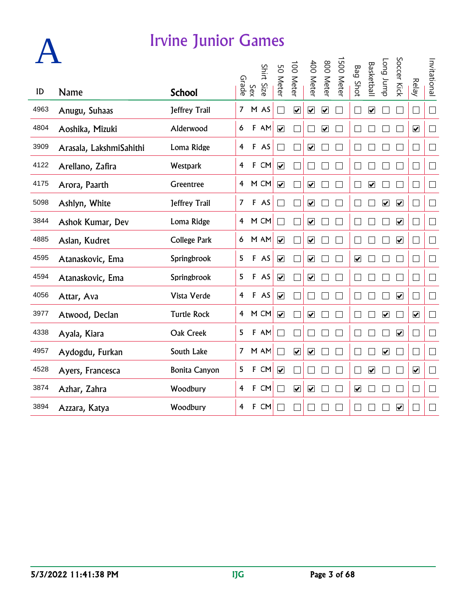| ID   | Name                    | <b>School</b>        | Grade          | Sex          | Shirt Size | 50 Meter                | 00 Meter                | 400 Meter                    | 800 Meter               | 500 Meter | <b>Bag Shot</b>         | <b>Basketbal</b>        | <b>Long</b> bupp             | Soccer Kick             | <b>Relay</b>                | Invitational |
|------|-------------------------|----------------------|----------------|--------------|------------|-------------------------|-------------------------|------------------------------|-------------------------|-----------|-------------------------|-------------------------|------------------------------|-------------------------|-----------------------------|--------------|
| 4963 | Anugu, Suhaas           | Jeffrey Trail        | $\overline{7}$ |              | M AS       |                         | $\overline{\mathbf{v}}$ | $\boxed{\blacktriangledown}$ | $\overline{\mathbf{v}}$ |           |                         | $\overline{\mathbf{v}}$ |                              |                         | $\mathcal{L}_{\mathcal{A}}$ | $\Box$       |
| 4804 | Aoshika, Mizuki         | Alderwood            | 6              | F            | AM         | $\overline{\mathbf{v}}$ |                         |                              | $\overline{\mathbf{v}}$ |           |                         |                         |                              |                         | $\blacktriangledown$        | $\Box$       |
| 3909 | Arasala, LakshmiSahithi | Loma Ridge           | 4              |              | F AS       |                         |                         | $\overline{\mathbf{v}}$      |                         |           |                         |                         |                              |                         | $\Box$                      | П            |
| 4122 | Arellano, Zafira        | Westpark             | 4              |              | F CM       | $\blacktriangledown$    |                         |                              |                         |           |                         |                         |                              |                         | $\Box$                      | $\Box$       |
| 4175 | Arora, Paarth           | Greentree            | 4              |              | M CM       | $\overline{\mathbf{v}}$ |                         | $\overline{\mathbf{v}}$      |                         |           |                         | $\overline{\mathbf{v}}$ |                              |                         | $\Box$                      | $\Box$       |
| 5098 | Ashlyn, White           | Jeffrey Trail        | $\overline{7}$ | $\mathbf{F}$ | AS         |                         |                         | $\overline{\mathbf{v}}$      |                         |           |                         |                         | $\overline{\mathbf{v}}$      | $\overline{\mathbf{v}}$ | $\mathcal{L}_{\mathcal{A}}$ | $\Box$       |
| 3844 | Ashok Kumar, Dev        | Loma Ridge           | 4              |              | M CM       |                         |                         | $\overline{\mathbf{v}}$      |                         |           |                         |                         |                              | $\blacktriangledown$    | $\Box$                      | $\Box$       |
| 4885 | Aslan, Kudret           | <b>College Park</b>  | 6              |              | M AM       | $\blacktriangledown$    |                         | $\overline{\mathbf{v}}$      |                         |           |                         |                         |                              | $\overline{\mathbf{v}}$ | $\Box$                      | $\Box$       |
| 4595 | Atanaskovic, Ema        | Springbrook          | 5              |              | F AS       | $\blacktriangledown$    |                         | $\overline{\mathbf{v}}$      |                         |           | $\overline{\mathbf{v}}$ |                         |                              |                         | $\Box$                      | П            |
| 4594 | Atanaskovic, Ema        | Springbrook          | 5              |              | F AS       | $\overline{\mathbf{v}}$ |                         | $\overline{\mathbf{v}}$      |                         |           |                         |                         |                              |                         | $\Box$                      | $\Box$       |
| 4056 | Attar, Ava              | Vista Verde          | 4              |              | F AS       | $\overline{\mathbf{v}}$ |                         |                              |                         |           |                         |                         |                              | $\overline{\mathbf{v}}$ | $\Box$                      | $\Box$       |
| 3977 | Atwood, Declan          | <b>Turtle Rock</b>   | $\overline{4}$ |              | M CM       | $\overline{\mathbf{v}}$ |                         | $\overline{\mathbf{v}}$      |                         |           |                         |                         | $\overline{\mathbf{v}}$      |                         | $\overline{\mathbf{v}}$     | $\Box$       |
| 4338 | Ayala, Kiara            | Oak Creek            | 5              |              | F AM       | $\blacksquare$          |                         |                              |                         |           |                         |                         |                              | $\overline{\mathbf{v}}$ | $\Box$                      | $\Box$       |
| 4957 | Aydogdu, Furkan         | South Lake           | $\overline{7}$ |              | M AM       |                         | $\overline{\mathbf{v}}$ | $\overline{\mathbf{v}}$      |                         |           |                         |                         | $\boxed{\blacktriangledown}$ |                         | $\Box$                      | $\Box$       |
| 4528 | Ayers, Francesca        | <b>Bonita Canyon</b> | 5              |              | F CM       | $\overline{\mathbf{v}}$ |                         |                              |                         |           |                         | $\overline{\mathbf{v}}$ |                              |                         | $\overline{\mathbf{v}}$     | $\Box$       |
| 3874 | Azhar, Zahra            | Woodbury             | 4              |              | F CM       |                         | $\overline{\mathbf{v}}$ | $\overline{\mathbf{v}}$      |                         |           | $\overline{\mathbf{v}}$ |                         |                              |                         | $\Box$                      | П            |
| 3894 | Azzara, Katya           | Woodbury             | 4              |              | F CM       |                         |                         |                              |                         |           |                         |                         |                              | $\blacktriangledown$    | ⊔                           |              |

**A**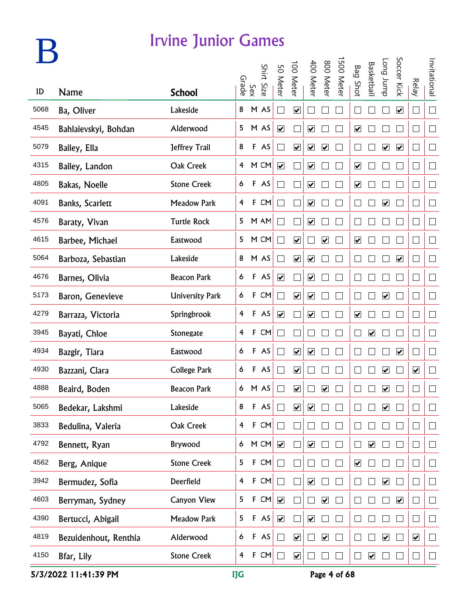## **B**

#### Irvine Junior Games

|      |                       |                        |                         |              | Shirt Size |                      | 100 Meter               | 400 Meter                    | 800 Meter               | 500 Meter |                              | <b>Basketbal</b>        | Long Jump                    | Soccer Kick             |                          | Invitational                |
|------|-----------------------|------------------------|-------------------------|--------------|------------|----------------------|-------------------------|------------------------------|-------------------------|-----------|------------------------------|-------------------------|------------------------------|-------------------------|--------------------------|-----------------------------|
| ID   | <b>Name</b>           | <b>School</b>          | Grade                   | Sex          |            | 50 Meter             |                         |                              |                         |           | <b>Bag Shot</b>              |                         |                              |                         | <b>Relay</b>             |                             |
| 5068 | Ba, Oliver            | Lakeside               | 8                       |              | M AS       |                      | $\overline{\mathbf{v}}$ |                              |                         |           |                              |                         |                              | $\overline{\mathbf{v}}$ | - 1                      | $\Box$                      |
| 4545 | Bahlaievskyi, Bohdan  | Alderwood              | 5                       |              | M AS       | $\blacktriangledown$ |                         | $\blacktriangledown$         |                         |           | $\blacktriangledown$         |                         |                              |                         | ×                        | $\Box$                      |
| 5079 | Bailey, Ella          | Jeffrey Trail          | 8                       |              | F AS       |                      | $\blacktriangledown$    | $\overline{\mathbf{v}}$      | $\blacktriangledown$    |           |                              |                         | $\overline{\mathbf{v}}$      | $\blacktriangledown$    | - 1                      | $\Box$                      |
| 4315 | Bailey, Landon        | Oak Creek              | 4                       |              | M CM       | $\blacktriangledown$ |                         | $\blacktriangledown$         |                         |           | $\boxed{\checkmark}$         |                         |                              |                         | ×                        | $\Box$                      |
| 4805 | Bakas, Noelle         | <b>Stone Creek</b>     | 6                       |              | F AS       |                      |                         | $\boxed{\blacktriangledown}$ |                         |           | $\boxed{\blacktriangledown}$ |                         |                              |                         | ×                        | $\mathcal{L}_{\mathcal{A}}$ |
| 4091 | Banks, Scarlett       | <b>Meadow Park</b>     | 4                       |              | F CM       |                      |                         | $\overline{\mathbf{v}}$      |                         |           |                              |                         | $\overline{\mathbf{v}}$      |                         | ×                        | $\Box$                      |
| 4576 | Baraty, Vivan         | <b>Turtle Rock</b>     | 5                       |              | M AM       |                      |                         | $\overline{\mathbf{v}}$      |                         |           |                              |                         |                              |                         | ×                        | $\Box$                      |
| 4615 | Barbee, Michael       | Eastwood               | 5                       |              | M CM       |                      | $\blacktriangledown$    |                              | $\blacktriangledown$    |           | $\overline{\mathbf{v}}$      |                         |                              |                         | ×                        | ┓                           |
| 5064 | Barboza, Sebastian    | Lakeside               | 8                       |              | M AS       |                      | $\overline{\mathbf{v}}$ | $\overline{\mathbf{v}}$      |                         |           |                              |                         |                              | $\blacktriangledown$    | $\overline{\phantom{0}}$ | $\Box$                      |
| 4676 | Barnes, Olivia        | <b>Beacon Park</b>     | 6                       |              | F AS       | $\blacktriangledown$ |                         | $\overline{\mathbf{v}}$      |                         |           |                              |                         |                              |                         | $\mathcal{A}$            | $\Box$                      |
| 5173 | Baron, Genevieve      | <b>University Park</b> | 6                       |              | F CM       |                      | $\overline{\mathbf{v}}$ | $\overline{\mathbf{v}}$      |                         |           |                              |                         | $\boxed{\blacktriangledown}$ |                         | $\mathcal{A}$            | $\Box$                      |
| 4279 | Barraza, Victoria     | Springbrook            | 4                       |              | F AS       | $\blacktriangledown$ |                         | $\overline{\mathbf{v}}$      |                         |           | $\boxed{\blacktriangledown}$ |                         |                              |                         |                          |                             |
| 3945 | Bayati, Chloe         | Stonegate              | 4                       |              | F CM       |                      |                         |                              |                         |           |                              | $\overline{\mathbf{v}}$ |                              |                         |                          | $\overline{\phantom{a}}$    |
| 4934 | Bazgir, Tiara         | Eastwood               | 6                       |              | F AS       |                      | $\blacktriangledown$    | $\boxed{\blacktriangledown}$ |                         |           |                              |                         |                              | $\overline{\mathbf{v}}$ |                          |                             |
| 4930 | Bazzani, Clara        | College Park           | 6                       |              | F AS       |                      | $\blacktriangledown$    |                              |                         |           |                              |                         | $\overline{\mathbf{v}}$      |                         | $\overline{\mathbf{v}}$  | $\mathcal{A}$               |
| 4888 | Beaird, Boden         | <b>Beacon Park</b>     | 6                       |              | M AS       |                      | ☑                       |                              | $\overline{\mathbf{v}}$ |           |                              |                         | $\overline{\mathbf{v}}$      |                         |                          |                             |
| 5065 | Bedekar, Lakshmi      | Lakeside               | 8                       |              | F AS       |                      | $\overline{\mathbf{v}}$ | ☑                            |                         |           |                              |                         | $\boxed{\blacktriangledown}$ |                         |                          |                             |
| 3833 | Bedulina, Valeria     | Oak Creek              | $\overline{\mathbf{4}}$ |              | F CM       |                      |                         |                              |                         |           |                              |                         |                              |                         | - 1                      | $\mathbf{I}$                |
| 4792 | Bennett, Ryan         | Brywood                | 6                       |              | $M$ CM     | $\blacktriangledown$ |                         | $\blacktriangledown$         |                         |           |                              | $\overline{\mathbf{v}}$ |                              |                         | $\blacksquare$           | $\Box$                      |
| 4562 | Berg, Anique          | <b>Stone Creek</b>     | 5                       |              | F CM       |                      |                         |                              |                         |           | $\boxed{\blacktriangledown}$ |                         |                              |                         | $\overline{\phantom{0}}$ | $\Box$                      |
| 3942 | Bermudez, Sofia       | Deerfield              | 4                       | $\mathbf{F}$ | CM         |                      |                         | $\overline{\mathbf{v}}$      |                         |           |                              |                         | $\boxed{\blacktriangledown}$ |                         | $\mathcal{A}$            | $\Box$                      |
| 4603 | Berryman, Sydney      | Canyon View            | 5                       | F            | CM         | $\blacktriangledown$ |                         |                              | $\overline{\mathbf{v}}$ |           |                              |                         |                              | $\overline{\mathbf{v}}$ | - 1                      | $\vert \ \ \vert$           |
| 4390 | Bertucci, Abigail     | <b>Meadow Park</b>     | 5                       |              | F AS       | $\blacktriangledown$ |                         | $\boxed{\blacktriangledown}$ |                         |           |                              |                         |                              |                         | $\mathcal{A}$            | $\mathbf{I}$                |
| 4819 | Bezuidenhout, Renthia | Alderwood              | 6                       |              | F AS       |                      | $\blacktriangledown$    |                              | $\overline{\mathbf{v}}$ |           |                              |                         | $\boxed{\blacktriangledown}$ |                         | $\overline{\mathbf{v}}$  | $\mathcal{L}$               |
| 4150 | Bfar, Lily            | <b>Stone Creek</b>     | $\overline{\mathbf{r}}$ | F            | CM         |                      | $\blacktriangledown$    |                              |                         |           |                              | $\overline{\mathbf{v}}$ |                              |                         | - 1                      | $\vert \ \ \vert$           |

5/3/2022 11:41:39 PM IJG Page 4 of 68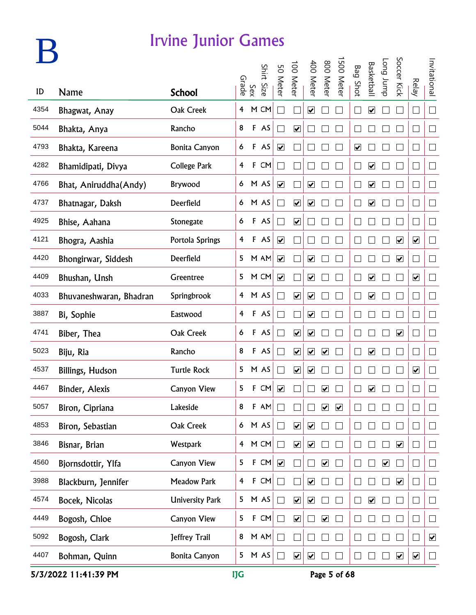

|      |                         |                        |                         |              | Shirt Size | 50 Meter                | 100 Meter               | 400 Meter                    | 008                          | 500 Meter               | <b>Bag Shot</b>      | <b>Basketbal</b>             | dunr buo                     | Soccer Kick             |                         | Invitational                |
|------|-------------------------|------------------------|-------------------------|--------------|------------|-------------------------|-------------------------|------------------------------|------------------------------|-------------------------|----------------------|------------------------------|------------------------------|-------------------------|-------------------------|-----------------------------|
| ID   | <b>Name</b>             | <b>School</b>          |                         | Sex<br>Grade |            |                         |                         |                              | <b>Meter</b>                 |                         |                      |                              |                              |                         | Relay                   |                             |
| 4354 | Bhagwat, Anay           | Oak Creek              | 4                       |              | M CM       | $\mathcal{L}$           |                         | ☑                            |                              |                         | $\mathbf{L}$         | $\boxed{\blacktriangledown}$ |                              |                         | $\Box$                  | $\Box$                      |
| 5044 | Bhakta, Anya            | Rancho                 | 8                       |              | F AS       |                         | $\overline{\mathbf{v}}$ |                              |                              |                         |                      |                              |                              |                         | $\mathbf{r}$            | $\mathbb{R}^n$              |
| 4793 | Bhakta, Kareena         | <b>Bonita Canyon</b>   | 6                       |              | F AS       | $\overline{\mathbf{v}}$ |                         |                              |                              |                         | $\blacktriangledown$ |                              |                              |                         | $\mathbb{L}$            | $\mathcal{L}_{\mathcal{A}}$ |
| 4282 | Bhamidipati, Divya      | <b>College Park</b>    | 4                       | F            | CM         |                         |                         |                              |                              |                         | L                    | $\overline{\mathbf{v}}$      |                              |                         | L                       | $\Box$                      |
| 4766 | Bhat, Aniruddha(Andy)   | <b>Brywood</b>         | 6                       |              | M AS       | $\overline{\mathbf{v}}$ |                         | $\boxed{\blacktriangledown}$ |                              |                         | $\mathbf{L}$         | $\boxed{\blacktriangledown}$ |                              |                         | $\Box$                  | $\Box$                      |
| 4737 | Bhatnagar, Daksh        | Deerfield              | 6                       |              | M AS       | $\mathcal{L}$           | $\overline{\mathbf{v}}$ | $\overline{\mathbf{v}}$      |                              |                         | L                    | $\blacktriangledown$         |                              |                         | ⊔                       | $\Box$                      |
| 4925 | Bhise, Aahana           | Stonegate              | 6                       |              | F AS       |                         | $\overline{\mathbf{v}}$ |                              |                              |                         |                      |                              |                              |                         | $\vert \ \ \vert$       | $\Box$                      |
| 4121 | Bhogra, Aashia          | Portola Springs        | 4                       |              | F AS       | $\overline{\mathbf{v}}$ |                         |                              |                              |                         |                      |                              |                              | $\blacktriangledown$    | $\overline{\mathbf{v}}$ | $\Box$                      |
| 4420 | Bhongirwar, Siddesh     | Deerfield              | 5                       |              | M AM       | $\blacktriangledown$    |                         | $\overline{\mathbf{v}}$      |                              |                         |                      |                              |                              | $\blacktriangledown$    | $\vert \ \ \vert$       | $\Box$                      |
| 4409 | Bhushan, Unsh           | Greentree              | 5                       |              | M CM       | $\overline{\mathbf{v}}$ |                         | $\overline{\mathbf{v}}$      |                              |                         | LĪ                   | $\overline{\mathbf{v}}$      |                              |                         | $\overline{\mathbf{v}}$ | $\Box$                      |
| 4033 | Bhuvaneshwaran, Bhadran | Springbrook            | 4                       |              | M AS       |                         | $\overline{\mathbf{v}}$ | $\overline{\mathbf{v}}$      |                              |                         |                      | $\overline{\mathbf{v}}$      |                              |                         | $\vert \ \ \vert$       | $\Box$                      |
| 3887 | Bi, Sophie              | Eastwood               | 4                       |              | F AS       |                         |                         | $\blacktriangledown$         |                              |                         |                      |                              |                              |                         |                         | $\Box$                      |
| 4741 | Biber, Thea             | Oak Creek              | 6                       |              | F AS       |                         | $\overline{\mathbf{v}}$ | $\blacktriangledown$         |                              |                         |                      |                              |                              | $\blacktriangledown$    | $\mathcal{A}$           | M                           |
| 5023 | Biju, Ria               | Rancho                 | 8                       |              | F AS       |                         | $\overline{\mathbf{v}}$ | $\blacktriangledown$         | $\overline{\mathbf{v}}$      |                         |                      | $\boxed{\blacktriangledown}$ |                              |                         | $\vert \ \ \vert$       | $\Box$                      |
| 4537 | Billings, Hudson        | <b>Turtle Rock</b>     | 5                       |              | M AS       |                         | $\overline{\mathbf{v}}$ | $\boxed{\blacktriangledown}$ |                              |                         |                      |                              |                              |                         | $\overline{\mathbf{v}}$ | $\Box$                      |
| 4467 | Binder, Alexis          | <b>Canyon View</b>     | 5                       | F            | CM         | $\overline{\mathbf{v}}$ |                         |                              | ☑                            |                         |                      | $\boxed{\blacktriangledown}$ |                              |                         |                         | $\Box$                      |
| 5057 | Biron, Cipriana         | Lakeside               | 8                       | $\mathsf F$  | AM         |                         |                         |                              | $\overline{\mathbf{v}}$      | $\overline{\mathbf{v}}$ |                      |                              |                              |                         |                         | $\Box$                      |
| 4853 | Biron, Sebastian        | Oak Creek              | 6                       |              | M AS       | $\Box$                  | $\blacktriangledown$    | $\blacktriangledown$         |                              |                         |                      |                              |                              |                         |                         | $\Box$                      |
| 3846 | Bisnar, Brian           | Westpark               | $\overline{4}$          |              | M CM       | $\Box$                  | $\blacktriangledown$    | $\blacktriangledown$         |                              |                         |                      |                              |                              | $\blacktriangledown$    | $\Box$                  | $\Box$                      |
| 4560 | Bjornsdottir, Ylfa      | Canyon View            | 5                       |              | F CM       | $\blacktriangledown$    |                         |                              | $\boxed{\blacktriangledown}$ |                         | $\Box$               |                              | $\boxed{\blacktriangledown}$ |                         | $\Box$                  | $\Box$                      |
| 3988 | Blackburn, Jennifer     | Meadow Park            | $\overline{\mathbf{r}}$ |              | F CM       | $\Box$                  |                         | $\boxed{\blacktriangledown}$ |                              |                         | $\Box$               |                              |                              | $\overline{\mathbf{v}}$ | $\Box$                  | $\Box$                      |
| 4574 | Bocek, Nicolas          | <b>University Park</b> | 5                       |              | M AS       | $\Box$                  | $\blacktriangledown$    | $\boxed{\blacktriangledown}$ |                              |                         | $\Box$               | $\boxed{\blacktriangledown}$ |                              |                         | $\Box$                  | $\Box$                      |
| 4449 | Bogosh, Chloe           | Canyon View            | 5                       | $\mathsf F$  | CM         | $\Box$                  | $\blacktriangledown$    |                              | $\blacktriangledown$         |                         |                      |                              |                              |                         | П                       | $\Box$                      |
| 5092 | Bogosh, Clark           | Jeffrey Trail          | 8                       |              | M AM       | $\Box$                  |                         |                              |                              |                         |                      |                              |                              |                         |                         | $\blacktriangledown$        |
| 4407 | Bohman, Quinn           | <b>Bonita Canyon</b>   | 5                       |              | M AS       | $\Box$                  | $\blacktriangledown$    | $\blacktriangledown$         |                              |                         | $\Box$               |                              |                              | $\blacktriangledown$    | $\blacktriangledown$    | $\Box$                      |

5/3/2022 11:41:39 PM IJG Page 5 of 68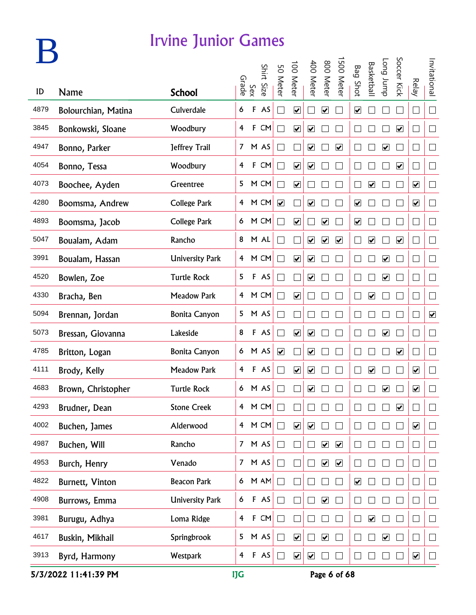## **B**

#### Irvine Junior Games

|      |                        |                        |                         |              |            |                         |                              | 400 Meter                    | 800 Meter               | 500 Meter            |                              | <b>Basketbal</b>             | dunr buo                     | Soccer Kick                  |                         | Invitational         |
|------|------------------------|------------------------|-------------------------|--------------|------------|-------------------------|------------------------------|------------------------------|-------------------------|----------------------|------------------------------|------------------------------|------------------------------|------------------------------|-------------------------|----------------------|
| ID   | <b>Name</b>            | <b>School</b>          | Grade                   | Sex          | Shirt Size | 50 Meter                | 00 Meter                     |                              |                         |                      | <b>Bag Shot</b>              |                              |                              |                              | <b>Relay</b>            |                      |
| 4879 | Bolourchian, Matina    | Culverdale             | 6                       | F            | AS         | $\blacksquare$          | $\overline{\mathbf{v}}$      |                              | $\overline{\mathbf{v}}$ |                      | $\boxed{\blacktriangledown}$ |                              |                              |                              | $\Box$                  | $\Box$               |
| 3845 | Bonkowski, Sloane      | Woodbury               | $\overline{4}$          | $\mathbf{F}$ | CM         | $\mathcal{L}$           | $\blacktriangledown$         | $\blacktriangledown$         |                         |                      |                              |                              |                              | $\blacktriangledown$         | $\Box$                  | $\Box$               |
| 4947 | Bonno, Parker          | Jeffrey Trail          |                         |              | 7 M AS     | $\blacksquare$          |                              | $\blacktriangledown$         |                         | $\blacktriangledown$ |                              |                              | $\overline{\mathbf{v}}$      |                              | $\Box$                  | $\Box$               |
| 4054 | Bonno, Tessa           | Woodbury               | 4                       |              | F CM       | $\blacksquare$          | $\blacktriangledown$         | $\blacktriangledown$         |                         |                      |                              |                              |                              | $\blacktriangledown$         | $\Box$                  | $\Box$               |
| 4073 | Boochee, Ayden         | Greentree              | 5                       |              | M CM       | ٦                       | $\overline{\mathbf{v}}$      |                              |                         |                      |                              | $\overline{\mathbf{v}}$      |                              |                              | $\overline{\mathbf{v}}$ | $\Box$               |
| 4280 | Boomsma, Andrew        | <b>College Park</b>    |                         |              | 4 M CM     | $\blacktriangledown$    |                              | $\overline{\mathbf{v}}$      |                         |                      | $\overline{\mathbf{v}}$      |                              |                              |                              | $\overline{\mathbf{v}}$ | $\Box$               |
| 4893 | Boomsma, Jacob         | <b>College Park</b>    |                         |              | 6 M CM     | ٦                       | $\overline{\mathbf{v}}$      | $\Box$                       | $\overline{\mathbf{v}}$ |                      | $\boxed{\blacktriangledown}$ |                              |                              |                              | $\Box$                  | $\Box$               |
| 5047 | Boualam, Adam          | Rancho                 |                         |              | 8 M AL     | ٦                       |                              | $\blacktriangledown$         | $\overline{\mathbf{v}}$ | $\blacktriangledown$ |                              | $\overline{\mathbf{v}}$      |                              | $\blacktriangledown$         | $\Box$                  | $\Box$               |
| 3991 | Boualam, Hassan        | <b>University Park</b> |                         |              | 4 M CM     | $\blacksquare$          | $\overline{\mathbf{v}}$      | $\blacktriangledown$         |                         |                      |                              |                              | $\overline{\mathbf{v}}$      |                              | $\Box$                  | $\Box$               |
| 4520 | Bowlen, Zoe            | <b>Turtle Rock</b>     | 5                       |              | F AS       | $\blacksquare$          |                              | $\blacktriangledown$         |                         |                      | $\mathbf{L}$                 |                              | $\boxed{\blacktriangledown}$ |                              | $\Box$                  | $\Box$               |
| 4330 | Bracha, Ben            | <b>Meadow Park</b>     |                         |              | 4 M CM     | $\blacksquare$          | $\overline{\mathbf{v}}$      |                              |                         |                      |                              | $\overline{\mathbf{v}}$      |                              |                              | $\Box$                  | $\Box$               |
| 5094 | Brennan, Jordan        | <b>Bonita Canyon</b>   | 5                       |              | M AS       |                         |                              |                              |                         |                      |                              |                              |                              |                              | $\Box$                  | $\blacktriangledown$ |
| 5073 | Bressan, Giovanna      | Lakeside               | 8                       |              | F AS       | $\mathcal{L}$           | $\overline{\mathbf{v}}$      | $\blacktriangledown$         |                         |                      |                              |                              | $\blacktriangledown$         |                              | $\Box$                  | $\Box$               |
| 4785 | Britton, Logan         | <b>Bonita Canyon</b>   | 6                       |              | M AS       | $\overline{\mathbf{v}}$ |                              | $\blacktriangledown$         |                         |                      |                              |                              |                              | $\overline{\mathbf{v}}$      | $\mathbf{L}$            | $\Box$               |
| 4111 | Brody, Kelly           | <b>Meadow Park</b>     | 4                       |              | F AS       |                         | $\overline{\mathbf{v}}$      | $\boxed{\blacktriangledown}$ |                         |                      |                              | $\boxed{\blacktriangledown}$ |                              |                              | $\blacktriangledown$    | $\Box$               |
| 4683 | Brown, Christopher     | <b>Turtle Rock</b>     |                         |              | 6 M AS     |                         |                              | ☑                            |                         |                      |                              |                              | $\boxed{\blacktriangledown}$ |                              | $\blacktriangledown$    | $\Box$               |
| 4293 | Brudner, Dean          | <b>Stone Creek</b>     | 4                       |              | M CM       |                         |                              |                              |                         |                      |                              |                              |                              | $\boxed{\blacktriangledown}$ |                         |                      |
| 4002 | Buchen, James          | Alderwood              | $\overline{4}$          |              | M CM       | П                       | $\blacktriangledown$         | $\blacktriangledown$         |                         |                      |                              |                              |                              |                              | $\overline{\mathbf{v}}$ | $\Box$               |
| 4987 | Buchen, Will           | Rancho                 |                         |              | 7 M AS     | П                       |                              | П                            | $\blacktriangledown$    | $\blacktriangledown$ |                              |                              |                              |                              | $\Box$                  | $\Box$               |
| 4953 | Burch, Henry           | Venado                 |                         |              | 7 M AS     | П                       |                              | П                            | $\overline{\mathbf{v}}$ | $\blacktriangledown$ |                              |                              |                              |                              | $\Box$                  | $\Box$               |
| 4822 | <b>Burnett, Vinton</b> | <b>Beacon Park</b>     | 6                       |              | M AM       | П                       |                              |                              |                         |                      | $\overline{\mathbf{v}}$      |                              |                              |                              | $\Box$                  | $\Box$               |
| 4908 | Burrows, Emma          | <b>University Park</b> | 6                       |              | F AS       | $\Box$                  |                              | $\Box$                       | $\overline{\mathbf{v}}$ |                      |                              |                              |                              |                              | $\Box$                  | $\Box$               |
| 3981 | Burugu, Adhya          | Loma Ridge             | $\overline{\mathbf{f}}$ | $\mathsf F$  | CM         | $\blacksquare$          |                              |                              |                         |                      |                              | $\overline{\mathbf{v}}$      |                              |                              | $\Box$                  | $\vert \ \ \vert$    |
| 4617 | Buskin, Mikhail        | Springbrook            | 5                       |              | M AS       | $\Box$                  | $\blacktriangledown$         |                              | $\overline{\mathbf{v}}$ |                      |                              |                              | $\blacktriangledown$         |                              | $\Box$                  | $\Box$               |
| 3913 | Byrd, Harmony          | Westpark               | 4                       |              | F AS       | $\vert \ \ \vert$       | $\boxed{\blacktriangledown}$ | $\blacktriangledown$         |                         |                      |                              |                              |                              |                              | $\blacktriangledown$    | $\vert \ \ \vert$    |

5/3/2022 11:41:39 PM IJG Page 6 of 68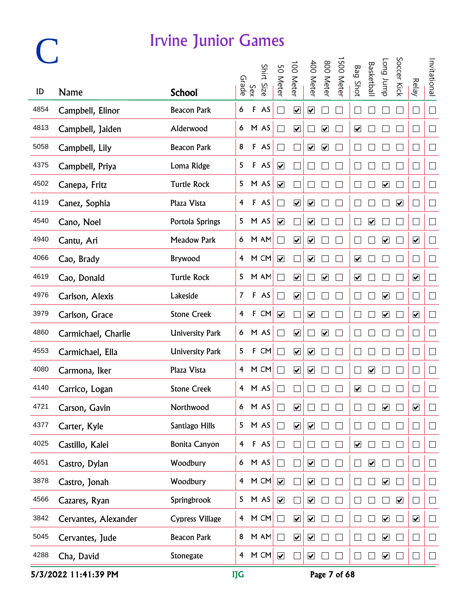|      |                      |                        |                |              | Shirt  |                              | 100 Meter                    | 400 Meter                    | 800 Meter               | 500 Mete |                              | <b>Basketbal</b>     | <b>Long</b> bunp             | Soccer Kick             |                              | Invitational   |
|------|----------------------|------------------------|----------------|--------------|--------|------------------------------|------------------------------|------------------------------|-------------------------|----------|------------------------------|----------------------|------------------------------|-------------------------|------------------------------|----------------|
| ID   | <b>Name</b>          | <b>School</b>          | Grade          | Sex          | : Size | 50 Meter                     |                              |                              |                         |          | <b>Bag Shot</b>              |                      |                              |                         | <b>Relay</b>                 |                |
| 4854 | Campbell, Elinor     | <b>Beacon Park</b>     | 6              | F            | AS     | $\mathcal{L}_{\mathcal{A}}$  | $\overline{\mathbf{v}}$      | $\overline{\mathbf{v}}$      |                         |          |                              |                      |                              |                         | $\Box$                       | $\Box$         |
| 4813 | Campbell, Jaiden     | Alderwood              |                |              | 6 M AS | $\Box$                       | $\blacktriangledown$         |                              | $\blacktriangledown$    |          | $\overline{\mathbf{v}}$      |                      |                              |                         | $\overline{\phantom{a}}$     | $\Box$         |
| 5058 | Campbell, Lily       | <b>Beacon Park</b>     | 8              |              | F AS   | $\Box$                       |                              | $\overline{\mathbf{v}}$      | $\overline{\mathbf{v}}$ |          |                              |                      |                              |                         | $\Box$                       | $\Box$         |
| 4375 | Campbell, Priya      | Loma Ridge             | 5              |              | F AS   | $\blacktriangledown$         |                              |                              |                         |          |                              |                      |                              |                         | $\Box$                       | $\Box$         |
| 4502 | Canepa, Fritz        | <b>Turtle Rock</b>     |                |              | 5 M AS | $\boxed{\blacktriangledown}$ |                              |                              |                         |          |                              |                      | $\overline{\mathbf{v}}$      |                         | $\Box$                       | $\Box$         |
| 4119 | Canez, Sophia        | Plaza Vista            | $\overline{4}$ |              | F AS   | $\mathcal{L}_{\mathcal{A}}$  | $\overline{\mathbf{v}}$      | $\overline{\mathbf{v}}$      |                         |          |                              |                      |                              | $\blacktriangledown$    | Г                            | $\Box$         |
| 4540 | Cano, Noel           | Portola Springs        |                |              | 5 M AS | $\overline{\mathbf{v}}$      |                              | $\blacktriangledown$         |                         |          | Г                            | $\blacktriangledown$ |                              |                         | П                            | $\Box$         |
| 4940 | Cantu, Ari           | <b>Meadow Park</b>     |                |              | 6 M AM | $\mathcal{L}_{\mathcal{A}}$  | $\blacktriangledown$         | $\overline{\mathbf{v}}$      |                         |          | L                            |                      | $\blacktriangledown$         |                         | $\blacktriangledown$         | $\Box$         |
| 4066 | Cao, Brady           | Brywood                |                |              | 4 M CM | $\blacktriangledown$         |                              | $\blacktriangledown$         |                         |          | $\overline{\mathbf{v}}$      |                      |                              |                         | $\Box$                       | $\Box$         |
| 4619 | Cao, Donald          | <b>Turtle Rock</b>     | 5              |              | M AM   | $\Box$                       | $\boxed{\blacktriangledown}$ |                              | $\overline{\mathbf{v}}$ |          | $\boxed{\blacktriangledown}$ |                      |                              |                         | $\boxed{\blacktriangledown}$ | $\Box$         |
| 4976 | Carlson, Alexis      | Lakeside               | $\overline{7}$ |              | F AS   | $\Box$                       | $\overline{\mathbf{v}}$      |                              |                         |          | $\Box$                       |                      | $\boxed{\blacktriangledown}$ |                         | $\Box$                       | $\Box$         |
| 3979 | Carlson, Grace       | <b>Stone Creek</b>     | $\overline{4}$ | $\mathbf{F}$ | CM     | $\overline{\mathbf{v}}$      |                              | $\blacktriangledown$         |                         |          | L                            |                      | $\boxed{\blacktriangledown}$ |                         | $\boxed{\blacktriangledown}$ | $\Box$         |
| 4860 | Carmichael, Charlie  | <b>University Park</b> |                |              | 6 M AS | $\mathcal{L}_{\mathcal{A}}$  | $\blacktriangledown$         |                              | $\overline{\mathbf{v}}$ |          |                              |                      |                              |                         |                              | $\Box$         |
| 4553 | Carmichael, Ella     | <b>University Park</b> | 5              | $\mathbf{F}$ | CM     | $\Box$                       | $\overline{\mathbf{v}}$      | $\overline{\mathbf{v}}$      |                         |          |                              |                      |                              |                         |                              | $\Box$         |
| 4080 | Carmona, Iker        | Plaza Vista            | $\overline{4}$ |              | M CM   | $\Box$                       | $\boxed{\blacktriangledown}$ | $\boxed{\blacktriangledown}$ |                         |          |                              | ☑                    |                              |                         | $\mathbf{r}$                 | $\mathbf{L}$   |
| 4140 | Carrico, Logan       | <b>Stone Creek</b>     |                |              | 4 M AS |                              |                              |                              |                         |          | $\overline{\mathbf{v}}$      |                      |                              |                         |                              | $\Box$         |
| 4721 | Carson, Gavin        | Northwood              | 6              |              | M AS   |                              | ☑                            |                              |                         |          |                              |                      | ☑                            |                         | $\overline{\mathbf{v}}$      | $\sim$         |
| 4377 | Carter, Kyle         | Santiago Hills         | 5              |              | M AS   | $\Box$                       | $\blacktriangledown$         | $\blacktriangledown$         |                         |          |                              |                      |                              |                         |                              | $\Box$         |
| 4025 | Castillo, Kalei      | <b>Bonita Canyon</b>   | $\overline{4}$ |              | F AS   | $\Box$                       |                              |                              |                         |          | $\overline{\mathbf{v}}$      |                      |                              |                         | $\mathcal{A}$                | $\Box$         |
| 4651 | Castro, Dylan        | Woodbury               | 6 <sup>1</sup> |              | M AS   | $\Box$                       |                              | $\boxed{\blacktriangledown}$ |                         |          |                              | $\blacktriangledown$ |                              |                         | $\Box$                       | $\Box$         |
| 3878 | Castro, Jonah        | Woodbury               | $\overline{4}$ |              | M CM   |                              |                              | $\blacktriangledown$         |                         |          |                              |                      | $\overline{\mathbf{v}}$      |                         | $\vert \ \ \vert$            | $\Box$         |
| 4566 | Cazares, Ryan        | Springbrook            | 5              |              | M AS   | $\blacktriangledown$         |                              | $\boxed{\blacktriangledown}$ |                         |          |                              |                      |                              | $\overline{\mathbf{v}}$ | $\vert \ \ \vert$            | $\Box$         |
| 3842 | Cervantes, Alexander | <b>Cypress Village</b> | $\overline{4}$ |              | M CM   | $\Box$                       | $\blacktriangledown$         | $\overline{\mathbf{v}}$      |                         |          |                              |                      | $\overline{\mathbf{v}}$      |                         | $\blacktriangledown$         | $\mathbb{R}^n$ |
| 5045 | Cervantes, Jude      | <b>Beacon Park</b>     | 8              |              | M AM   | $\Box$                       | $\blacktriangledown$         | $\overline{\mathbf{v}}$      |                         |          |                              |                      | $\overline{\mathbf{v}}$      |                         | $\Box$                       | $\Box$         |
| 4288 | Cha, David           | Stonegate              | 4              |              | M CM   |                              | $\Box$                       | $\blacktriangledown$         |                         |          |                              |                      | $\blacktriangledown$         |                         | ⊔                            | $\Box$         |

5/3/2022 11:41:39 PM IJG Page 7 of 68

 $\bigcap$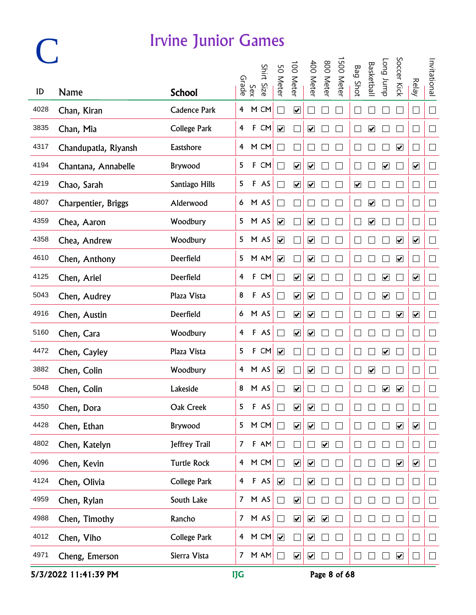|      |                      |                     |                |              | Shirt Size | 50 Meter                    | 100 Meter                    | 400 Meter                    | 800 Meter            | 500 Meter | <b>Bag Shot</b>              | <b>Basketbal</b>             | <b>Long</b> bunp             | Soccer Kick             |                              | Invitational |
|------|----------------------|---------------------|----------------|--------------|------------|-----------------------------|------------------------------|------------------------------|----------------------|-----------|------------------------------|------------------------------|------------------------------|-------------------------|------------------------------|--------------|
| ID   | <b>Name</b>          | <b>School</b>       |                | Sex<br>Grade |            |                             |                              |                              |                      |           |                              |                              |                              |                         | <b>Relay</b>                 |              |
| 4028 | Chan, Kiran          | <b>Cadence Park</b> | 4              |              | M CM       | $\mathbb{R}^2$              | $\overline{\mathbf{v}}$      |                              |                      |           |                              |                              |                              |                         | $\Box$                       | $\Box$       |
| 3835 | Chan, Mia            | <b>College Park</b> | 4              | $\mathsf F$  | CM         | $\blacktriangledown$        |                              | $\blacktriangledown$         |                      |           |                              | $\blacktriangledown$         |                              |                         | $\vert \ \ \vert$            | $\Box$       |
| 4317 | Chandupatla, Riyansh | Eastshore           | 4              |              | M CM       |                             |                              |                              |                      |           |                              |                              |                              | $\blacktriangledown$    | $\Box$                       | $\Box$       |
| 4194 | Chantana, Annabelle  | Brywood             | 5              | $\mathsf F$  | CM         |                             | $\boxed{\blacktriangledown}$ | $\blacktriangledown$         |                      |           |                              |                              | $\overline{\mathbf{v}}$      |                         | $\blacktriangledown$         | $\Box$       |
| 4219 | Chao, Sarah          | Santiago Hills      | 5              |              | F AS       |                             | $\overline{\mathbf{v}}$      | $\overline{\mathbf{v}}$      |                      |           | $\boxed{\blacktriangledown}$ |                              |                              |                         | $\Box$                       | $\Box$       |
| 4807 | Charpentier, Briggs  | Alderwood           | 6              |              | M AS       |                             |                              |                              |                      |           |                              | $\blacktriangledown$         |                              |                         | $\Box$                       | $\Box$       |
| 4359 | Chea, Aaron          | Woodbury            | 5              |              | M AS       | $\overline{\mathbf{v}}$     |                              | $\blacktriangledown$         |                      |           |                              | $\overline{\mathbf{v}}$      |                              |                         | $\mathbb{R}^n$               | $\Box$       |
| 4358 | Chea, Andrew         | Woodbury            | 5              |              | M AS       | $\blacktriangledown$        |                              | $\blacktriangledown$         |                      |           |                              |                              |                              | $\blacktriangledown$    | $\blacktriangledown$         | $\Box$       |
| 4610 | Chen, Anthony        | Deerfield           | 5              |              | M AM       | $\blacktriangledown$        |                              | $\blacktriangledown$         |                      |           |                              |                              |                              | $\blacktriangledown$    | $\Box$                       | $\Box$       |
| 4125 | Chen, Ariel          | Deerfield           | 4              | $\mathsf F$  | CM         | $\Box$                      | $\overline{\mathbf{v}}$      | $\boxed{\blacktriangledown}$ |                      |           |                              |                              | $\boxed{\blacktriangledown}$ |                         | $\boxed{\blacktriangledown}$ | $\Box$       |
| 5043 | Chen, Audrey         | Plaza Vista         | 8              |              | F AS       | $\mathcal{L}_{\mathcal{A}}$ | $\overline{\mathbf{v}}$      | $\overline{\mathbf{v}}$      |                      |           |                              |                              | $\boxed{\blacktriangledown}$ |                         | $\mathcal{L}_{\mathcal{A}}$  | $\Box$       |
| 4916 | Chen, Austin         | Deerfield           |                |              | 6 M AS     | $\Box$                      | $\overline{\mathbf{v}}$      | $\boxed{\blacktriangledown}$ |                      |           |                              |                              |                              | $\blacktriangledown$    | $\blacktriangledown$         | $\Box$       |
| 5160 | Chen, Cara           | Woodbury            | 4              |              | F AS       | $\Box$                      | $\blacktriangledown$         | $\blacktriangledown$         |                      |           |                              |                              |                              |                         | $\Box$                       | $\Box$       |
| 4472 | Chen, Cayley         | Plaza Vista         | 5              |              | F CM       | $\blacktriangledown$        |                              |                              |                      |           |                              |                              | $\blacktriangledown$         |                         | $\Box$                       | $\Box$       |
| 3882 | Chen, Colin          | Woodbury            |                |              | 4 M AS     | $\overline{\mathbf{v}}$     |                              | $\overline{\mathbf{v}}$      |                      |           | $\Box$                       | $\boxed{\blacktriangledown}$ |                              |                         | $\Box$                       | $\Box$       |
| 5048 | Chen, Colin          | Lakeside            |                |              | 8 M AS     |                             | $\overline{\mathbf{v}}$      |                              |                      |           |                              |                              | $\overline{\mathbf{v}}$      | $\overline{\mathbf{v}}$ | L                            | $\Box$       |
| 4350 | Chen, Dora           | Oak Creek           | 5              |              | $F$ AS     |                             | $\overline{\mathbf{v}}$      | $\boxed{\blacktriangledown}$ |                      |           |                              |                              |                              |                         |                              | $\vert$      |
| 4428 | Chen, Ethan          | Brywood             | 5              |              | M CM       | $\Box$                      | $\blacktriangledown$         | $\blacktriangledown$         |                      |           |                              |                              |                              | $\blacktriangledown$    | $\blacktriangledown$         | $\Box$       |
| 4802 | Chen, Katelyn        | Jeffrey Trail       | $\overline{7}$ |              | $F$ AM     | $\Box$                      |                              |                              | $\blacktriangledown$ |           |                              |                              |                              |                         |                              | $\Box$       |
| 4096 | Chen, Kevin          | <b>Turtle Rock</b>  | $\overline{4}$ |              | M CM       | $\Box$                      | $\blacktriangledown$         | $\boxed{\blacktriangledown}$ |                      |           |                              |                              |                              | $\overline{\mathbf{v}}$ | $\overline{\mathbf{v}}$      | $\Box$       |
| 4124 | Chen, Olivia         | College Park        | $\overline{4}$ |              | $F$ AS     | $\blacktriangledown$        |                              | $\boxed{\blacktriangledown}$ |                      |           |                              |                              |                              |                         | Г                            | $\Box$       |
| 4959 | Chen, Rylan          | South Lake          | 7 <sup>7</sup> |              | M AS       | $\Box$                      | $\overline{\mathbf{v}}$      |                              |                      |           |                              |                              |                              |                         | $\Box$                       | $\Box$       |
| 4988 | Chen, Timothy        | Rancho              | 7 <sup>7</sup> |              | M AS       | $\Box$                      | $\blacktriangledown$         | $\blacktriangledown$         | $\blacktriangledown$ |           |                              |                              |                              |                         |                              | $\Box$       |
| 4012 | Chen, Viho           | College Park        | $\overline{4}$ |              | M CM       |                             |                              | $\blacktriangledown$         |                      |           |                              |                              |                              |                         |                              | $\Box$       |
| 4971 | Cheng, Emerson       | Sierra Vista        | 7 <sup>7</sup> |              | M AM       | $\Box$                      | $\overline{\mathbf{v}}$      | $\blacktriangledown$         |                      |           |                              |                              |                              | $\blacktriangledown$    |                              | $\Box$       |

5/3/2022 11:41:39 PM IJG Page 8 of 68

**C**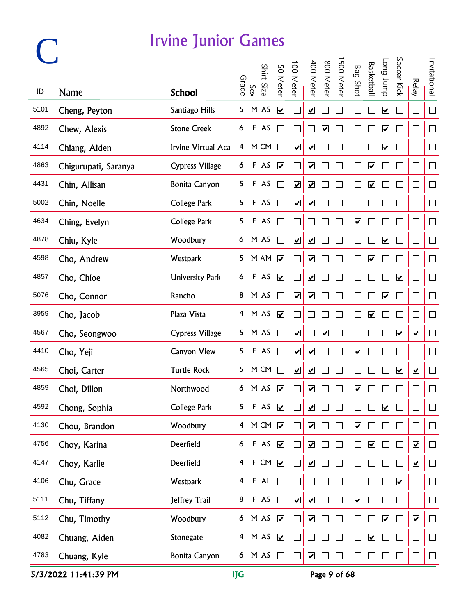|      |                      |                        |                |              | Shirt Size | 50 Meter                     | 100 Meter                    | 400 Meter                    | 800 Meter            | 500 Meter | <b>Bag Shot</b>              | <b>Basketball</b>       | <b>Long</b> bunp             | Soccer Kick             |                              | Invitational |
|------|----------------------|------------------------|----------------|--------------|------------|------------------------------|------------------------------|------------------------------|----------------------|-----------|------------------------------|-------------------------|------------------------------|-------------------------|------------------------------|--------------|
| ID   | Name                 | <b>School</b>          |                | Sex<br>Grade |            |                              |                              |                              |                      |           |                              |                         |                              |                         | <b>Relay</b>                 |              |
| 5101 | Cheng, Peyton        | Santiago Hills         | 5              |              | M AS       | $\overline{\mathbf{v}}$      |                              | $\overline{\mathbf{v}}$      |                      |           |                              |                         | $\overline{\mathbf{v}}$      |                         | $\Box$                       | $\Box$       |
| 4892 | Chew, Alexis         | <b>Stone Creek</b>     | 6              |              | F AS       |                              |                              |                              | $\blacktriangledown$ |           |                              |                         | $\blacktriangledown$         |                         | $\vert \ \ \vert$            | $\Box$       |
| 4114 | Chiang, Aiden        | Irvine Virtual Aca     | $\overline{4}$ |              | M CM       |                              | $\blacktriangledown$         | $\blacktriangledown$         |                      |           |                              |                         | $\overline{\mathbf{v}}$      |                         | $\Box$                       | $\Box$       |
| 4863 | Chigurupati, Saranya | <b>Cypress Village</b> | 6              |              | F AS       | $\blacktriangledown$         |                              | $\blacktriangledown$         |                      |           |                              | $\blacktriangledown$    |                              |                         | $\Box$                       | $\Box$       |
| 4431 | Chin, Allisan        | <b>Bonita Canyon</b>   | 5              |              | F AS       |                              | $\overline{\mathbf{v}}$      | $\boxed{\blacktriangledown}$ |                      |           |                              | ☑                       |                              |                         | $\Box$                       | $\Box$       |
| 5002 | Chin, Noelle         | <b>College Park</b>    | 5              |              | F AS       |                              | $\boxed{\blacktriangledown}$ | $\boxed{\blacktriangledown}$ |                      |           |                              |                         |                              |                         | $\Box$                       | $\Box$       |
| 4634 | Ching, Evelyn        | <b>College Park</b>    | 5              |              | F AS       | $\mathcal{L}_{\mathcal{A}}$  |                              |                              |                      |           | $\overline{\mathbf{v}}$      |                         |                              |                         | $\mathcal{L}_{\mathcal{A}}$  | $\Box$       |
| 4878 | Chiu, Kyle           | Woodbury               | 6              |              | M AS       | $\Box$                       | $\blacktriangledown$         | $\blacktriangledown$         |                      |           |                              |                         | $\blacktriangledown$         |                         | $\mathcal{L}_{\mathcal{A}}$  | $\Box$       |
| 4598 | Cho, Andrew          | <b>Westpark</b>        | 5              |              | M AM       | $\blacktriangledown$         |                              | $\blacktriangledown$         |                      |           | $\Box$                       | $\overline{\mathbf{v}}$ |                              |                         | $\Box$                       | $\Box$       |
| 4857 | Cho, Chloe           | <b>University Park</b> | 6              |              | F AS       | $\boxed{\blacktriangledown}$ |                              | $\blacktriangledown$         |                      |           |                              |                         |                              | $\blacktriangledown$    | $\Box$                       | $\Box$       |
| 5076 | Cho, Connor          | Rancho                 | 8              |              | M AS       |                              | $\overline{\mathbf{v}}$      | $\overline{\mathbf{v}}$      |                      |           |                              |                         | $\boxed{\blacktriangledown}$ |                         | $\Box$                       | $\Box$       |
| 3959 | Cho, Jacob           | Plaza Vista            |                |              | 4 M AS     | $\blacktriangledown$         |                              |                              |                      |           |                              | $\blacktriangledown$    |                              |                         | $\overline{\phantom{a}}$     | $\Box$       |
| 4567 | Cho, Seongwoo        | <b>Cypress Village</b> |                |              | 5 M AS     | $\Box$                       | $\blacktriangledown$         |                              | $\blacktriangledown$ |           |                              |                         |                              | $\blacktriangledown$    | $\blacktriangledown$         | $\Box$       |
| 4410 | Cho, Yeji            | <b>Canyon View</b>     | 5              |              | F AS       | $\Box$                       | $\blacktriangledown$         | $\blacktriangledown$         |                      |           | $\blacktriangledown$         |                         |                              |                         | $\Box$                       | $\Box$       |
| 4565 | Choi, Carter         | <b>Turtle Rock</b>     | 5              |              | M CM       | $\Box$                       | $\overline{\mathbf{v}}$      | $\boxed{\blacktriangledown}$ |                      |           | $\Box$                       |                         |                              | $\overline{\mathbf{v}}$ | $\boxed{\blacktriangledown}$ | $\Box$       |
| 4859 | Choi, Dillon         | Northwood              |                |              | 6 M AS     | $\boxed{\blacktriangledown}$ |                              | $\overline{\mathbf{v}}$      |                      |           | $\boxed{\blacktriangledown}$ |                         |                              |                         | $\Box$                       | $\Box$       |
| 4592 | Chong, Sophia        | <b>College Park</b>    | 5              |              | $F$ AS     | $\overline{\mathbf{v}}$      |                              | $\boxed{\blacktriangledown}$ |                      |           |                              |                         | $\overline{\mathbf{v}}$      |                         |                              |              |
| 4130 | Chou, Brandon        | Woodbury               | $\overline{4}$ |              | M CM       | $\blacktriangledown$         |                              | $\blacktriangledown$         |                      |           | $\blacktriangledown$         |                         |                              |                         | Г                            | $\Box$       |
| 4756 | Choy, Karina         | Deerfield              | 6              |              | F AS       | $\blacktriangledown$         |                              | $\blacktriangledown$         |                      |           |                              | $\blacktriangledown$    |                              |                         | $\blacktriangledown$         | $\Box$       |
| 4147 | Choy, Karlie         | Deerfield              | 4              |              | F CM       | $\blacktriangledown$         |                              | $\overline{\mathbf{v}}$      |                      |           |                              |                         |                              |                         | $\overline{\mathbf{v}}$      | $\Box$       |
| 4106 | Chu, Grace           | Westpark               | $\overline{4}$ |              | F A L      | $\Box$                       |                              |                              |                      |           |                              |                         |                              | $\overline{\mathbf{v}}$ | $\Box$                       | $\Box$       |
| 5111 | Chu, Tiffany         | Jeffrey Trail          | 8              |              | F AS       | $\Box$                       | $\overline{\mathbf{v}}$      | $\boxed{\blacktriangledown}$ |                      |           | $\overline{\mathbf{v}}$      |                         |                              |                         | $\mathbf{r}$                 | $\Box$       |
| 5112 | Chu, Timothy         | Woodbury               | 6              |              | M AS       | $\blacktriangledown$         |                              | $\blacktriangledown$         |                      |           |                              |                         | $\blacktriangledown$         |                         | $\blacktriangledown$         | $\Box$       |
| 4082 | Chuang, Aiden        | Stonegate              | $\overline{4}$ |              | M AS       | $\blacktriangledown$         |                              |                              |                      |           |                              | $\blacktriangledown$    |                              |                         | I.                           | $\Box$       |
| 4783 | Chuang, Kyle         | Bonita Canyon          |                |              | $6$ M AS   | $\Box$                       |                              | $\blacktriangledown$         |                      |           |                              |                         |                              |                         |                              | $\Box$       |

5/3/2022 11:41:39 PM IJG Page 9 of 68

**C**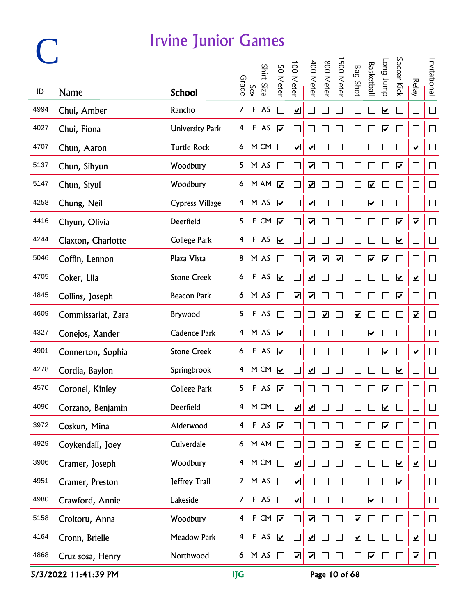## **C**

#### Irvine Junior Games

|      |                    |                        |                         |              | Shirt Size | 50 Meter                     | 100 Meter               | 400 Meter                    | 800 Meter            | 500 Meter            | <b>Bag Shot</b>              | <b>Basketbal</b>                | <b>Long</b> bunp        | Soccer Kick             |                              | Invitational |
|------|--------------------|------------------------|-------------------------|--------------|------------|------------------------------|-------------------------|------------------------------|----------------------|----------------------|------------------------------|---------------------------------|-------------------------|-------------------------|------------------------------|--------------|
| ID   | <b>Name</b>        | <b>School</b>          |                         | Sex<br>Grade |            |                              |                         |                              |                      |                      |                              |                                 |                         |                         | <b>Relay</b>                 |              |
| 4994 | Chui, Amber        | Rancho                 | $\overline{7}$          | $\mathsf F$  | AS         | $\mathcal{L}_{\mathcal{A}}$  | $\overline{\mathbf{v}}$ |                              |                      |                      |                              |                                 | $\overline{\mathbf{v}}$ |                         | $\Box$                       | $\Box$       |
| 4027 | Chui, Fiona        | <b>University Park</b> | 4                       |              | F AS       | $\blacktriangledown$         |                         |                              |                      |                      |                              |                                 | $\blacktriangledown$    |                         | O                            | $\Box$       |
| 4707 | Chun, Aaron        | <b>Turtle Rock</b>     | 6                       |              | M CM       |                              | $\overline{\mathbf{v}}$ | $\blacktriangledown$         |                      |                      |                              |                                 |                         |                         | $\blacktriangledown$         | $\Box$       |
| 5137 | Chun, Sihyun       | Woodbury               | 5                       |              | M AS       |                              |                         | $\blacktriangledown$         |                      |                      |                              |                                 |                         | $\blacktriangledown$    | $\Box$                       | $\Box$       |
| 5147 | Chun, Siyul        | Woodbury               | 6                       |              | M AM       | $\overline{\mathbf{v}}$      |                         | $\overline{\mathbf{v}}$      |                      |                      |                              | $\overline{\blacktriangledown}$ |                         |                         | $\Box$                       | $\Box$       |
| 4258 | Chung, Neil        | <b>Cypress Village</b> | 4                       |              | M AS       | $\blacktriangledown$         |                         | $\blacktriangledown$         |                      |                      |                              | $\overline{\mathbf{v}}$         |                         |                         | $\vert \ \ \vert$            | $\Box$       |
| 4416 | Chyun, Olivia      | Deerfield              | 5                       |              | F CM       | $\blacktriangledown$         |                         | $\blacktriangledown$         |                      |                      |                              |                                 |                         | $\blacktriangledown$    | $\overline{\mathbf{v}}$      | $\Box$       |
| 4244 | Claxton, Charlotte | <b>College Park</b>    | $\overline{\mathbf{f}}$ |              | F AS       | $\overline{\mathbf{v}}$      |                         |                              |                      |                      |                              |                                 |                         | $\blacktriangledown$    | $\mathcal{L}_{\mathcal{A}}$  | $\Box$       |
| 5046 | Coffin, Lennon     | Plaza Vista            | 8                       |              | M AS       | $\mathbb{Z}$                 |                         | $\blacktriangledown$         | $\blacktriangledown$ | $\blacktriangledown$ |                              | $\blacktriangledown$            | $\blacktriangledown$    |                         | $\Box$                       | $\Box$       |
| 4705 | Coker, Lila        | <b>Stone Creek</b>     | 6                       |              | F AS       | $\boxed{\blacktriangledown}$ |                         | $\overline{\mathbf{v}}$      |                      |                      |                              |                                 |                         | $\overline{\mathbf{v}}$ | $\boxed{\blacktriangledown}$ | $\Box$       |
| 4845 | Collins, Joseph    | <b>Beacon Park</b>     | 6 <sup>1</sup>          |              | M AS       |                              | $\overline{\mathbf{v}}$ | $\overline{\mathbf{v}}$      |                      |                      |                              |                                 |                         | $\blacktriangledown$    | $\mathcal{L}_{\mathcal{A}}$  | $\Box$       |
| 4609 | Commissariat, Zara | Brywood                | 5                       |              | F AS       | $\Box$                       |                         |                              | $\blacktriangledown$ |                      | $\boxed{\blacktriangledown}$ |                                 |                         |                         | $\boxed{\blacktriangledown}$ | $\Box$       |
| 4327 | Conejos, Xander    | <b>Cadence Park</b>    |                         |              | 4 M AS     | $\blacktriangledown$         |                         |                              |                      |                      |                              | $\blacktriangledown$            |                         |                         | Г                            | $\Box$       |
| 4901 | Connerton, Sophia  | <b>Stone Creek</b>     | 6                       |              | F AS       | $\blacktriangledown$         |                         |                              |                      |                      |                              |                                 | $\blacktriangledown$    |                         | $\blacktriangledown$         | $\Box$       |
| 4278 | Cordia, Baylon     | Springbrook            | $\overline{4}$          |              | M CM       | $\overline{\mathbf{v}}$      |                         | $\overline{\mathbf{v}}$      |                      |                      |                              |                                 |                         | $\overline{\mathbf{v}}$ | $\Box$                       | $\Box$       |
| 4570 | Coronel, Kinley    | <b>College Park</b>    | 5                       |              | F AS       | $\boxed{\blacktriangledown}$ |                         |                              |                      |                      |                              |                                 | $\overline{\mathbf{v}}$ |                         | $\Box$                       | $\Box$       |
| 4090 | Corzano, Benjamin  | Deerfield              | 4                       |              | M CM       |                              | $\overline{\mathbf{v}}$ | $\boxed{\blacktriangledown}$ |                      |                      |                              |                                 | $\overline{\mathbf{v}}$ |                         |                              |              |
| 3972 | Coskun, Mina       | Alderwood              | $\overline{4}$          |              | F AS       | $\blacktriangledown$         |                         |                              |                      |                      |                              |                                 | $\blacktriangledown$    |                         | $\Box$                       | $\Box$       |
| 4929 | Coykendall, Joey   | Culverdale             | 6                       |              | M AM       | $\Box$                       |                         |                              |                      |                      | $\overline{\mathbf{v}}$      |                                 |                         |                         |                              | $\Box$       |
| 3906 | Cramer, Joseph     | Woodbury               | $\overline{4}$          |              | M CM       | $\Box$                       | $\overline{\mathbf{v}}$ |                              |                      |                      |                              |                                 |                         | $\overline{\mathbf{v}}$ | $\overline{\mathbf{v}}$      | $\Box$       |
| 4951 | Cramer, Preston    | Jeffrey Trail          | 7 <sup>7</sup>          |              | M AS       | $\Box$                       | $\overline{\mathbf{v}}$ |                              |                      |                      |                              |                                 |                         | $\overline{\mathbf{v}}$ | Г                            | $\Box$       |
| 4980 | Crawford, Annie    | Lakeside               | $\overline{7}$          |              | F AS       | $\Box$                       | $\overline{\mathbf{v}}$ |                              |                      |                      |                              | $\overline{\mathbf{v}}$         |                         |                         | П                            | $\Box$       |
| 5158 | Croitoru, Anna     | Woodbury               | 4                       | $\mathsf F$  | CM         | $\blacktriangledown$         |                         | $\blacktriangledown$         |                      |                      | $\blacktriangledown$         |                                 |                         |                         |                              | $\Box$       |
| 4164 | Cronn, Brielle     | Meadow Park            | $\overline{4}$          |              | F AS       | $\blacktriangledown$         |                         | $\blacktriangledown$         |                      |                      | $\overline{\mathbf{v}}$      |                                 |                         |                         | $\blacktriangledown$         | $\Box$       |
| 4868 | Cruz sosa, Henry   | Northwood              |                         |              | 6 M AS     | $\Box$                       | $\overline{\mathbf{v}}$ | $\blacktriangledown$         |                      |                      | $\Box$                       | $\blacktriangledown$            |                         |                         | $\overline{\mathbf{v}}$      | $\Box$       |

5/3/2022 11:41:39 PM IJG Page 10 of 68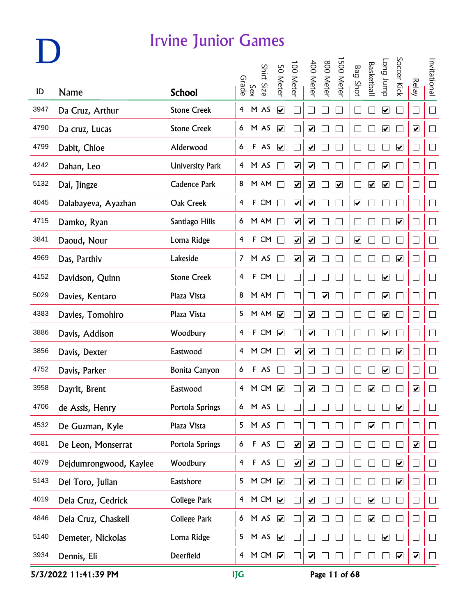|      |                        |                        | Grade          |     | Shirt Size | 50 Meter                    | 100 Meter                       | 400 Meter                    | 800 Meter               | 500 Meter               | <b>Bag Shot</b>         | <b>Basketbal</b>             | dunr buo                     | Soccer Kick             | <b>Relay</b>                | Invitational             |
|------|------------------------|------------------------|----------------|-----|------------|-----------------------------|---------------------------------|------------------------------|-------------------------|-------------------------|-------------------------|------------------------------|------------------------------|-------------------------|-----------------------------|--------------------------|
| ID   | <b>Name</b>            | <b>School</b>          |                | Sex |            |                             |                                 |                              |                         |                         |                         |                              |                              |                         |                             |                          |
| 3947 | Da Cruz, Arthur        | <b>Stone Creek</b>     | $\overline{4}$ |     | M AS       | $\overline{\mathbf{v}}$     |                                 |                              |                         |                         |                         |                              | $\boxed{\blacktriangledown}$ |                         | $\mathcal{L}_{\mathcal{A}}$ | $\Box$                   |
| 4790 | Da cruz, Lucas         | <b>Stone Creek</b>     |                |     | 6 M AS     | $\blacktriangledown$        |                                 | $\blacktriangledown$         |                         |                         | $\Box$                  |                              | $\overline{\mathbf{v}}$      |                         | $\blacktriangledown$        | $\Box$                   |
| 4799 | Dabit, Chloe           | Alderwood              | 6              |     | F AS       | $\blacktriangledown$        |                                 | $\blacktriangledown$         |                         |                         |                         |                              |                              | $\blacktriangledown$    | L                           | $\Box$                   |
| 4242 | Dahan, Leo             | <b>University Park</b> |                |     | 4 M AS     | $\Box$                      | $\blacktriangledown$            | $\overline{\mathbf{v}}$      |                         |                         |                         |                              | $\overline{\mathbf{v}}$      |                         | $\Box$                      | $\Box$                   |
| 5132 | Dai, Jingze            | Cadence Park           | 8              |     | M AM       | $\Box$                      | $\overline{\mathbf{v}}$         | $\boxed{\blacktriangledown}$ |                         | $\overline{\mathbf{v}}$ | $\Box$                  | $\overline{\mathbf{v}}$      | $\blacktriangledown$         |                         | $\Box$                      | $\Box$                   |
| 4045 | Dalabayeva, Ayazhan    | Oak Creek              | $\overline{4}$ |     | $F$ CM     | $\Box$                      | $\overline{\mathbf{v}}$         | $\boxed{\blacktriangledown}$ |                         |                         | $\overline{\mathbf{v}}$ |                              |                              |                         | $\Box$                      | $\Box$                   |
| 4715 | Damko, Ryan            | Santiago Hills         | 6              |     | M AM       | $\mathcal{L}_{\mathcal{A}}$ | $\overline{\mathbf{v}}$         | $\overline{\mathbf{v}}$      |                         |                         |                         |                              |                              | $\blacktriangledown$    | $\Box$                      | $\Box$                   |
| 3841 | Daoud, Nour            | Loma Ridge             | 4              |     | $F$ CM     |                             | $\blacktriangledown$            | $\overline{\mathbf{v}}$      |                         |                         | $\overline{\mathbf{v}}$ |                              |                              |                         | I.                          | $\Box$                   |
| 4969 | Das, Parthiv           | Lakeside               |                |     | 7 M AS     | $\Box$                      | $\overline{\mathbf{v}}$         | $\blacktriangledown$         |                         |                         |                         |                              |                              | $\blacktriangledown$    | $\mathbf{r}$                | $\Box$                   |
| 4152 | Davidson, Quinn        | <b>Stone Creek</b>     | 4              |     | $F$ CM     | $\Box$                      |                                 |                              |                         |                         | L                       |                              | $\overline{\mathbf{v}}$      |                         | $\Box$                      | $\Box$                   |
| 5029 | Davies, Kentaro        | Plaza Vista            | 8              |     | M AM       | $\Box$                      |                                 |                              | $\overline{\mathbf{v}}$ |                         | L                       |                              | $\boxed{\blacktriangledown}$ |                         | ⊏                           | $\Box$                   |
| 4383 | Davies, Tomohiro       | Plaza Vista            | 5              |     | M AM       | $\blacktriangledown$        |                                 | $\blacktriangledown$         |                         |                         |                         |                              | $\boxed{\blacktriangledown}$ |                         | $\mathbf{r}$                | $\Box$                   |
| 3886 | Davis, Addison         | Woodbury               | 4              |     | F CM       | $\blacktriangledown$        |                                 | $\blacktriangledown$         |                         |                         |                         |                              | $\blacktriangledown$         |                         |                             | $\Box$                   |
| 3856 | Davis, Dexter          | Eastwood               | 4              |     | M CM       | $\sim$                      | $\blacktriangledown$            | $\overline{\mathbf{v}}$      |                         |                         |                         |                              |                              | $\blacktriangledown$    |                             | $\Box$                   |
| 4752 | Davis, Parker          | <b>Bonita Canyon</b>   | 6              |     | F AS       |                             |                                 |                              |                         |                         |                         |                              | $\overline{\mathbf{v}}$      |                         |                             | $\Box$                   |
| 3958 | Dayrit, Brent          | Eastwood               | 4              |     | M CM       | $\overline{\mathbf{v}}$     |                                 | ☑                            |                         |                         |                         | ☑                            |                              |                         | ☑                           | $\Box$                   |
| 4706 | de Assis, Henry        | Portola Springs        | 6              |     | M AS       |                             |                                 |                              |                         |                         |                         |                              |                              | $\blacktriangleright$   |                             |                          |
| 4532 | De Guzman, Kyle        | Plaza Vista            | 5              |     | M AS       |                             |                                 |                              |                         |                         |                         | $\blacktriangledown$         |                              |                         | $\mathbf{r}$                | $\Box$                   |
| 4681 | De Leon, Monserrat     | Portola Springs        | 6              |     | F AS       | $\Box$                      | $\blacktriangledown$            | $\overline{\mathbf{v}}$      |                         |                         |                         |                              |                              |                         | $\blacktriangledown$        | $\Box$                   |
| 4079 | Dejdumrongwood, Kaylee | Woodbury               | $\overline{4}$ |     | F AS       | $\Box$                      | $\overline{\blacktriangledown}$ | $\boxed{\blacktriangledown}$ |                         |                         |                         |                              |                              | $\overline{\mathbf{v}}$ | $\vert \ \ \vert$           | $\Box$                   |
| 5143 | Del Toro, Julian       | Eastshore              | 5              |     | M CM       |                             |                                 | $\blacktriangledown$         |                         |                         |                         |                              |                              | $\overline{\mathbf{v}}$ | $\vert \ \ \vert$           | $\Box$                   |
| 4019 | Dela Cruz, Cedrick     | College Park           | $\overline{4}$ |     | M CM       | $\blacktriangledown$        |                                 | $\boxed{\blacktriangledown}$ |                         |                         |                         | $\boxed{\blacktriangledown}$ |                              |                         | $\Box$                      | $\overline{\phantom{a}}$ |
| 4846 | Dela Cruz, Chaskell    | College Park           | 6              |     | M AS       | $\blacktriangledown$        |                                 | $\blacktriangledown$         |                         |                         |                         | $\blacktriangleright$        |                              |                         | $\vert \ \ \vert$           | $\Box$                   |
| 5140 | Demeter, Nickolas      | Loma Ridge             | 5              |     | M AS       | $\blacktriangledown$        |                                 |                              |                         |                         |                         |                              | $\blacktriangledown$         |                         | $\mathbf{r}$                | $\Box$                   |
| 3934 | Dennis, Eli            | Deerfield              | $\overline{4}$ |     | M CM       |                             |                                 | $\blacktriangledown$         |                         |                         |                         |                              |                              | $\overline{\mathbf{v}}$ | $\overline{\mathbf{v}}$     | $\Box$                   |

5/3/2022 11:41:39 PM IJG Page 11 of 68

**D**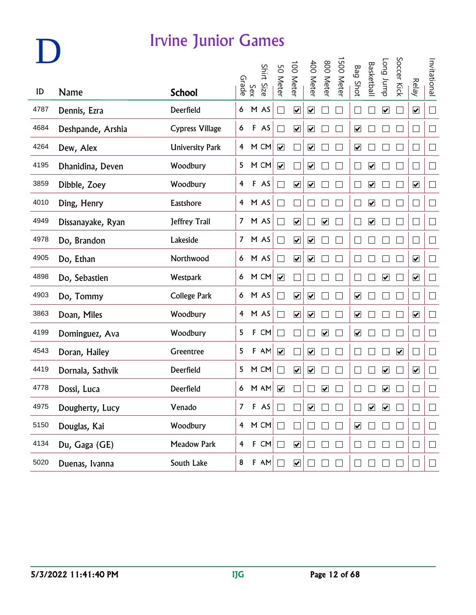| ID   |                   |                        |                | Sex<br>Grade | Shirt Size    | 50 Meter                    | 100 Meter               | 400 Meter                    | 800 Meter               | 500 Meter | <b>Bag Shot</b>              | <b>Basketbal</b>        | <b>Long</b> bunp        | Soccer Kick          | <b>Relay</b>                 | Invitational |
|------|-------------------|------------------------|----------------|--------------|---------------|-----------------------------|-------------------------|------------------------------|-------------------------|-----------|------------------------------|-------------------------|-------------------------|----------------------|------------------------------|--------------|
|      | <b>Name</b>       | <b>School</b>          |                |              |               |                             |                         |                              |                         |           |                              |                         |                         |                      |                              |              |
| 4787 | Dennis, Ezra      | Deerfield              | 6              |              | M AS          | $\mathbb{R}^2$              | $\overline{\mathbf{v}}$ | $\overline{\mathbf{v}}$      |                         |           |                              |                         | $\overline{\mathbf{v}}$ |                      | $\overline{\mathbf{v}}$      | $\Box$       |
| 4684 | Deshpande, Arshia | <b>Cypress Village</b> | 6              |              | F AS          |                             | $\blacktriangledown$    | $\overline{\mathbf{v}}$      |                         |           | $\overline{\mathbf{v}}$      |                         |                         |                      | $\vert \ \ \vert$            | $\Box$       |
| 4264 | Dew, Alex         | <b>University Park</b> | 4              |              | M CM          | $\blacktriangledown$        |                         | $\blacktriangledown$         |                         |           | $\blacktriangledown$         |                         |                         |                      | $\Box$                       | $\Box$       |
| 4195 | Dhanidina, Deven  | Woodbury               | 5              |              | M CM          | $\blacktriangledown$        |                         | $\blacktriangledown$         |                         |           |                              | $\blacktriangledown$    |                         |                      | $\Box$                       | $\Box$       |
| 3859 | Dibble, Zoey      | Woodbury               | 4              |              | F AS          |                             | $\overline{\mathbf{v}}$ | $\overline{\mathbf{v}}$      |                         |           |                              | $\overline{\mathbf{v}}$ |                         |                      | $\overline{\mathbf{v}}$      | $\Box$       |
| 4010 | Ding, Henry       | Eastshore              | $\overline{4}$ |              | M AS          | $\sim$                      |                         |                              |                         |           |                              | $\blacktriangledown$    |                         |                      | $\Box$                       | $\Box$       |
| 4949 | Dissanayake, Ryan | Jeffrey Trail          | 7 <sup>7</sup> |              | M AS          |                             | $\overline{\mathbf{v}}$ |                              | $\blacktriangledown$    |           |                              | $\overline{\mathbf{v}}$ |                         |                      | $\mathcal{L}_{\mathcal{A}}$  | $\Box$       |
| 4978 | Do, Brandon       | Lakeside               | 7 <sup>7</sup> |              | M AS          | $\mathcal{L}_{\mathcal{A}}$ | $\overline{\mathbf{v}}$ | $\overline{\mathbf{v}}$      |                         |           |                              |                         |                         |                      | $\mathcal{L}_{\mathcal{A}}$  | $\Box$       |
| 4905 | Do, Ethan         | Northwood              | 6              |              | M AS          | $\Box$                      | $\overline{\mathbf{v}}$ | $\boxed{\blacktriangledown}$ |                         |           |                              |                         |                         |                      | $\overline{\mathbf{v}}$      | $\Box$       |
| 4898 | Do, Sebastien     | Westpark               | 6              |              | M CM          | $\overline{\mathbf{v}}$     |                         |                              |                         |           | $\Box$                       |                         | $\overline{\mathbf{v}}$ |                      | $\boxed{\blacktriangledown}$ | $\Box$       |
| 4903 | Do, Tommy         | <b>College Park</b>    | 6 <sup>1</sup> |              | M AS          |                             | $\overline{\mathbf{v}}$ | $\overline{\mathbf{v}}$      |                         |           | $\overline{\mathbf{v}}$      |                         |                         |                      | $\mathcal{L}_{\mathcal{A}}$  | $\Box$       |
| 3863 | Doan, Miles       | Woodbury               |                |              | 4 M AS        | $\Box$                      | $\blacktriangledown$    | $\boxed{\blacktriangledown}$ |                         |           | $\boxed{\blacktriangledown}$ |                         |                         |                      | $\overline{\mathbf{v}}$      | $\Box$       |
| 4199 | Dominguez, Ava    | Woodbury               | 5              | $\mathsf F$  | CM            | $\Box$                      |                         |                              | $\overline{\mathbf{v}}$ |           | $\blacktriangledown$         |                         |                         |                      | L                            | $\Box$       |
| 4543 | Doran, Hailey     | Greentree              | 5              |              | $F$ AM        | $\blacktriangledown$        |                         | $\blacktriangledown$         |                         |           |                              |                         |                         | $\blacktriangledown$ | Г                            | $\Box$       |
| 4419 | Dornala, Sathvik  | Deerfield              | 5              |              | M CM          | $\Box$                      | $\overline{\mathbf{v}}$ | $\overline{\mathbf{v}}$      |                         |           |                              |                         | $\overline{\mathbf{v}}$ |                      | $\overline{\mathbf{v}}$      | $\Box$       |
| 4778 | Dossi, Luca       | Deerfield              |                |              | 6 M AM        | $\overline{\mathbf{v}}$     |                         |                              | $\overline{\mathbf{v}}$ |           |                              |                         | $\overline{\mathbf{v}}$ |                      | $\Box$                       | $\Box$       |
| 4975 | Dougherty, Lucy   | Venado                 | 7              |              | $F$ AS        |                             |                         | $\overline{\mathbf{v}}$      |                         |           |                              | $\blacktriangledown$    | $\blacktriangledown$    |                      |                              |              |
| 5150 | Douglas, Kai      | Woodbury               |                |              | 4 M CM $\Box$ |                             |                         |                              |                         |           | $\overline{\mathbf{v}}$      |                         |                         |                      | $\Box$                       | $\Box$       |
| 4134 | Du, Gaga (GE)     | Meadow Park            | $\overline{4}$ |              | F CM          | $\Box$                      | $\blacktriangledown$    |                              |                         |           |                              |                         |                         |                      | $\Box$                       | $\Box$       |
| 5020 | Duenas, Ivanna    | South Lake             | $\bf 8$        |              | $F$ AM        |                             | $\blacktriangledown$    |                              |                         |           |                              |                         |                         |                      | $\Box$                       | $\Box$       |

**D**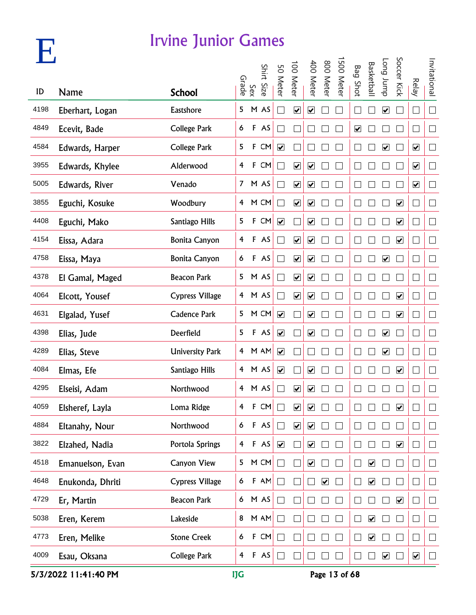

| $\mathbf{V}_{\mathbf{z}}$ |                  |                        |                  | Sex<br>Grade | Shirt Size | 50 Meter                | 100 Meter                    | 400 Meter                    | 008<br><b>Meter</b>          | 500 Meter | <b>Bag Shot</b>      | <b>Basketbal</b>             | Long Jump               | Soccer Kick             |                              | Invitational   |
|---------------------------|------------------|------------------------|------------------|--------------|------------|-------------------------|------------------------------|------------------------------|------------------------------|-----------|----------------------|------------------------------|-------------------------|-------------------------|------------------------------|----------------|
| ID                        | Name             | <b>School</b>          |                  |              |            |                         |                              |                              |                              |           |                      |                              |                         |                         | Relay                        |                |
| 4198                      | Eberhart, Logan  | Eastshore              | 5                |              | M AS       | $\sim$                  | $\overline{\mathbf{v}}$      | ☑                            |                              |           |                      |                              | $\overline{\mathbf{v}}$ |                         | ⊔                            | $\Box$         |
| 4849                      | Ecevit, Bade     | <b>College Park</b>    | 6                |              | F AS       |                         |                              |                              |                              |           | $\blacktriangledown$ |                              |                         |                         | L                            | $\Box$         |
| 4584                      | Edwards, Harper  | <b>College Park</b>    | 5                | F            | CM         | $\blacktriangledown$    |                              |                              |                              |           |                      |                              | $\overline{\mathbf{v}}$ |                         | $\blacktriangledown$         | $\Box$         |
| 3955                      | Edwards, Khylee  | Alderwood              | 4                | F            | CM         |                         | $\boxed{\blacktriangledown}$ | $\boxed{\blacktriangledown}$ |                              |           |                      |                              |                         |                         | $\overline{\mathbf{v}}$      | $\Box$         |
| 5005                      | Edwards, River   | Venado                 | $\mathcal{I}$    |              | M AS       | $\sim$                  | ☑                            | $\boxed{\blacktriangledown}$ |                              |           |                      |                              |                         |                         | $\overline{\mathbf{v}}$      | $\Box$         |
| 3855                      | Eguchi, Kosuke   | Woodbury               | 4                |              | M CM       | $\mathcal{L}$           | $\overline{\mathbf{v}}$      | $\overline{\mathbf{v}}$      |                              |           |                      |                              |                         | $\overline{\mathbf{v}}$ | ⊔                            | $\Box$         |
| 4408                      | Eguchi, Mako     | Santiago Hills         | 5                | F            | CM         | $\overline{\mathbf{v}}$ |                              | $\overline{\mathbf{v}}$      |                              |           |                      |                              |                         | $\blacktriangledown$    | $\mathcal{L}_{\mathcal{A}}$  | $\Box$         |
| 4154                      | Eissa, Adara     | <b>Bonita Canyon</b>   | 4                |              | F AS       |                         | $\blacktriangledown$         | $\blacktriangledown$         |                              |           |                      |                              |                         | $\blacktriangledown$    | $\mathcal{L}_{\mathcal{A}}$  | $\Box$         |
| 4758                      | Eissa, Maya      | <b>Bonita Canyon</b>   | 6                |              | F AS       |                         | $\overline{\mathbf{v}}$      | $\blacktriangledown$         |                              |           | $\mathbf{L}$         |                              | $\overline{\mathbf{v}}$ |                         | $\Box$                       | $\Box$         |
| 4378                      | El Gamal, Maged  | <b>Beacon Park</b>     | 5                |              | M AS       |                         | $\overline{\mathbf{v}}$      | $\boxed{\blacktriangledown}$ |                              |           |                      |                              |                         |                         | $\vert \ \ \vert$            | $\Box$         |
| 4064                      | Elcott, Yousef   | <b>Cypress Village</b> | 4                |              | M AS       |                         | $\overline{\mathbf{v}}$      | $\overline{\mathbf{v}}$      |                              |           |                      |                              |                         | $\overline{\mathbf{v}}$ | $\vert \ \ \vert$            | $\Box$         |
| 4631                      | Elgalad, Yusef   | <b>Cadence Park</b>    | 5                |              | M CM       | $\overline{\mathbf{v}}$ |                              | $\blacktriangledown$         |                              |           |                      |                              |                         | $\blacktriangledown$    | $\vert \ \ \vert$            | $\mathbb{R}^n$ |
| 4398                      | Elias, Jude      | Deerfield              | 5                |              | F AS       | $\blacktriangledown$    |                              | $\blacktriangledown$         |                              |           |                      |                              | $\blacktriangledown$    |                         | $\vert \ \ \vert$            | $\mathbb{R}^n$ |
| 4289                      | Elias, Steve     | <b>University Park</b> | 4                |              | M AM       | $\blacktriangledown$    |                              |                              |                              |           |                      |                              | $\overline{\mathbf{v}}$ |                         | $\vert \ \ \vert$            | $\Box$         |
| 4084                      | Elmas, Efe       | Santiago Hills         | 4                |              | M AS       | $\overline{\mathbf{v}}$ |                              | $\boxed{\blacktriangledown}$ |                              |           |                      |                              |                         | $\overline{\mathbf{v}}$ | $\Box$                       | $\sqcup$       |
| 4295                      | Elseisi, Adam    | Northwood              | 4                |              | M AS       |                         | ☑                            | $\boxed{\blacktriangledown}$ |                              |           |                      |                              |                         |                         |                              | $\Box$         |
| 4059                      | Elsheref, Layla  | Loma Ridge             | 4                | $\mathsf F$  | CM         |                         | $\overline{\mathbf{v}}$      | $\overline{\mathbf{v}}$      |                              |           |                      |                              |                         | $\blacktriangledown$    |                              | $\Box$         |
| 4884                      | Eltanahy, Nour   | Northwood              | 6                |              | F AS       | $\Box$                  | $\blacktriangledown$         | $\blacktriangledown$         |                              |           |                      |                              |                         |                         |                              | $\Box$         |
| 3822                      | Elzahed, Nadia   | Portola Springs        | $\overline{4}$   |              | F AS       | $\blacktriangledown$    |                              | $\blacktriangledown$         |                              |           |                      |                              |                         | $\blacktriangledown$    |                              | $\Box$         |
| 4518                      | Emanuelson, Evan | <b>Canyon View</b>     | 5                |              | M CM       | $\Box$                  |                              | $\boxed{\blacktriangledown}$ |                              |           | $\Box$               | $\boxed{\blacktriangledown}$ |                         |                         | $\Box$                       | $\Box$         |
| 4648                      | Enukonda, Dhriti | <b>Cypress Village</b> | 6                |              | $F$ AM     | $\Box$                  |                              |                              | $\boxed{\blacktriangledown}$ |           | $\Box$               | $\boxed{\blacktriangledown}$ |                         |                         | $\Box$                       | $\Box$         |
| 4729                      | Er, Martin       | <b>Beacon Park</b>     | $\boldsymbol{6}$ |              | M AS       | $\Box$                  |                              |                              |                              |           |                      |                              |                         | $\overline{\mathbf{v}}$ | $\mathcal{L}_{\mathcal{A}}$  | $\Box$         |
| 5038                      | Eren, Kerem      | Lakeside               | 8                |              | $M$ AM     | $\Box$                  |                              |                              |                              |           | $\Box$               | $\blacktriangledown$         |                         |                         | $\mathbb{R}^n$               | $\Box$         |
| 4773                      | Eren, Melike     | <b>Stone Creek</b>     | 6                | $\mathsf F$  | CM         | $\Box$                  |                              |                              |                              |           | $\Box$               | $\blacktriangledown$         |                         |                         | Г                            | $\Box$         |
| 4009                      | Esau, Oksana     | College Park           | $\overline{4}$   |              | $F$ AS     | $\Box$                  |                              | $\Box$                       |                              |           | $\Box$               |                              | $\blacktriangledown$    |                         | $\boxed{\blacktriangledown}$ | $\Box$         |

5/3/2022 11:41:40 PM IJG Page 13 of 68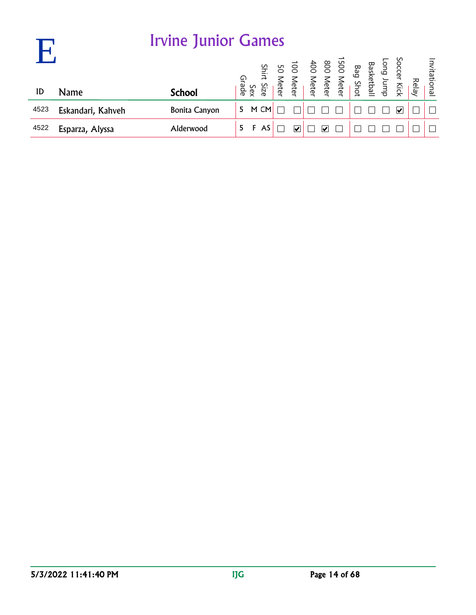|      |                   | <b>Irvine Junior Games</b> |       |     |               |      |                                                                                                      |                          |  |  |                       |       |              |
|------|-------------------|----------------------------|-------|-----|---------------|------|------------------------------------------------------------------------------------------------------|--------------------------|--|--|-----------------------|-------|--------------|
| ID   | <b>Name</b>       | <b>School</b>              | Grade | Sex | Shirt<br>Size |      | Soccer Kick<br>Basketball<br>Bag Shot<br>Boo Meter<br>400 Meter<br>100 Meter<br>50 Meter<br>50 Meter |                          |  |  |                       | Relay | Invitational |
|      |                   |                            |       |     |               |      |                                                                                                      |                          |  |  |                       |       |              |
| 4523 | Eskandari, Kahveh | <b>Bonita Canyon</b>       | 5.    |     | M CM          |      |                                                                                                      |                          |  |  | $\blacktriangleright$ |       |              |
| 4522 | Esparza, Alyssa   | Alderwood                  | 5.    | F   | AS            | امما |                                                                                                      | $\overline{\mathsf{v}'}$ |  |  |                       |       |              |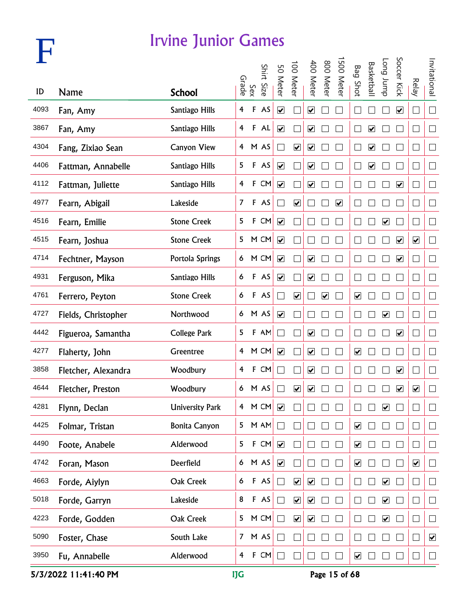

|      |                     |                        |                         |              | Shirt Size | 50 Meter                     | 00 Meter                     | 400 Meter                    | 800 Meter               | 500 Meter               | <b>Bag Shot</b>              | <b>Basketbal</b>        | Long Jump               | Soccer Kick                  |                         | Invitational         |
|------|---------------------|------------------------|-------------------------|--------------|------------|------------------------------|------------------------------|------------------------------|-------------------------|-------------------------|------------------------------|-------------------------|-------------------------|------------------------------|-------------------------|----------------------|
| ID   | <b>Name</b>         | <b>School</b>          | Grade                   | Sex          |            |                              |                              |                              |                         |                         |                              |                         |                         |                              | <b>Relay</b>            |                      |
| 4093 | Fan, Amy            | Santiago Hills         | $\overline{\mathbf{4}}$ | $\mathsf F$  | AS         | $\overline{\mathbf{v}}$      |                              | $\boxed{\blacktriangledown}$ |                         |                         |                              |                         |                         | $\boxed{\blacktriangledown}$ | $\Box$                  | $\Box$               |
| 3867 | Fan, Amy            | Santiago Hills         | $\overline{4}$          |              | F AL       | $\overline{\mathbf{v}}$      |                              | $\blacktriangledown$         |                         |                         |                              | $\overline{\mathbf{v}}$ |                         |                              | $\Box$                  | $\Box$               |
| 4304 | Fang, Zixiao Sean   | <b>Canyon View</b>     |                         |              | 4 M AS     | $\overline{\phantom{0}}$     | $\blacktriangledown$         | $\blacktriangledown$         |                         |                         |                              | $\overline{\mathbf{v}}$ |                         |                              | $\Box$                  | $\Box$               |
| 4406 | Fattman, Annabelle  | Santiago Hills         | 5                       |              | F AS       | $\blacktriangledown$         |                              | $\blacktriangledown$         |                         |                         |                              | $\blacktriangledown$    |                         |                              | $\Box$                  | $\Box$               |
| 4112 | Fattman, Juliette   | Santiago Hills         | $\overline{4}$          | $\mathbf{F}$ | CM         | $\blacktriangledown$         |                              | $\overline{\mathbf{v}}$      |                         |                         |                              |                         |                         | $\boxed{\blacktriangledown}$ | $\Box$                  | $\Box$               |
| 4977 | Fearn, Abigail      | Lakeside               | $\overline{7}$          |              | F AS       | ┓                            | $\overline{\mathbf{v}}$      |                              |                         | $\overline{\mathbf{v}}$ |                              |                         |                         |                              | $\Box$                  | $\Box$               |
| 4516 | Fearn, Emilie       | <b>Stone Creek</b>     | 5                       |              | F CM       | $\overline{\mathbf{v}}$      |                              | $\mathcal{L}_{\mathcal{A}}$  |                         |                         | $\mathbf{L}$                 |                         | $\overline{\mathbf{v}}$ |                              | $\Box$                  | $\Box$               |
| 4515 | Fearn, Joshua       | <b>Stone Creek</b>     |                         |              | 5 M CM     | $\blacktriangledown$         |                              | $\mathcal{L}_{\mathcal{A}}$  |                         |                         |                              |                         |                         | $\overline{\mathbf{v}}$      | $\blacktriangledown$    | $\Box$               |
| 4714 | Fechtner, Mayson    | Portola Springs        | 6                       |              | M CM       | $\blacktriangledown$         |                              | $\overline{\mathbf{v}}$      |                         |                         | L                            |                         |                         | $\blacktriangledown$         | $\Box$                  | $\Box$               |
| 4931 | Ferguson, Mika      | Santiago Hills         | 6                       |              | F AS       | $\boxed{\blacktriangledown}$ |                              | $\blacktriangledown$         |                         |                         |                              |                         |                         |                              | $\Box$                  | $\Box$               |
| 4761 | Ferrero, Peyton     | <b>Stone Creek</b>     | 6                       |              | F AS       |                              | $\overline{\mathbf{v}}$      |                              | $\overline{\mathbf{v}}$ |                         | $\boxed{\blacktriangledown}$ |                         |                         |                              | $\Box$                  | $\Box$               |
| 4727 | Fields, Christopher | Northwood              | 6                       |              | M AS       | $\overline{\mathbf{v}}$      |                              |                              |                         |                         |                              |                         | $\blacktriangledown$    |                              | $\Box$                  | $\Box$               |
| 4442 | Figueroa, Samantha  | <b>College Park</b>    | 5                       |              | F AM       | $\blacksquare$               |                              | $\overline{\mathbf{v}}$      |                         |                         |                              |                         |                         | $\blacktriangledown$         | $\mathbb{R}^n$          | $\Box$               |
| 4277 | Flaherty, John      | Greentree              |                         |              | 4 M CM     | $\blacktriangledown$         |                              | $\blacktriangledown$         |                         |                         | $\overline{\mathbf{v}}$      |                         |                         |                              | $\Box$                  | $\Box$               |
| 3858 | Fletcher, Alexandra | Woodbury               | 4                       | $\mathbf{F}$ | CM         |                              |                              | $\boxed{\blacktriangledown}$ |                         |                         |                              |                         |                         | ☑                            | $\mathbf{L}$            | $\Box$               |
| 4644 | Fletcher, Preston   | Woodbury               |                         |              | 6 M AS     |                              | $\overline{\mathbf{v}}$      | ☑                            |                         |                         |                              |                         |                         | $\boxed{\blacktriangledown}$ | $\blacktriangledown$    | $\Box$               |
| 4281 | Flynn, Declan       | <b>University Park</b> | $\overline{\mathbf{f}}$ |              | M CM       | $\blacktriangledown$         |                              |                              |                         |                         |                              |                         | ☑                       |                              |                         |                      |
| 4425 | Folmar, Tristan     | <b>Bonita Canyon</b>   | 5                       |              | M AM       |                              |                              |                              |                         |                         | $\overline{\mathbf{v}}$      |                         |                         |                              | $\Box$                  | $\Box$               |
| 4490 | Foote, Anabele      | Alderwood              | 5                       | $\mathbf{F}$ | CM         | $\overline{\mathbf{v}}$      |                              |                              |                         |                         | $\overline{\mathbf{v}}$      |                         |                         |                              | $\Box$                  | $\Box$               |
| 4742 | Foran, Mason        | Deerfield              | 6                       |              | M AS       | $\blacktriangledown$         |                              |                              |                         |                         | $\overline{\mathbf{v}}$      |                         |                         |                              | $\overline{\mathbf{v}}$ | $\Box$               |
| 4663 | Forde, Aiylyn       | Oak Creek              | 6                       |              | F AS       | $\Box$                       | $\boxed{\blacktriangledown}$ | $\overline{\mathbf{v}}$      |                         |                         |                              |                         | $\blacktriangledown$    |                              | $\Box$                  | $\Box$               |
| 5018 | Forde, Garryn       | Lakeside               | 8                       |              | F AS       | П                            | $\overline{\mathbf{v}}$      | $\blacktriangledown$         |                         |                         |                              |                         | $\overline{\mathbf{v}}$ |                              | $\Box$                  | $\Box$               |
| 4223 | Forde, Godden       | Oak Creek              | 5                       |              | M CM       | П                            | $\overline{\mathbf{v}}$      | $\blacktriangledown$         |                         |                         |                              |                         | $\blacktriangledown$    |                              | $\Box$                  | $\Box$               |
| 5090 | Foster, Chase       | South Lake             | 7 <sup>7</sup>          |              | M AS       |                              |                              |                              |                         |                         |                              |                         |                         |                              | $\Box$                  | $\blacktriangledown$ |
| 3950 | Fu, Annabelle       | Alderwood              | 4                       | $\mathsf F$  | CM         |                              |                              |                              |                         |                         | $\boxed{\blacktriangledown}$ |                         |                         |                              | $\Box$                  | $\Box$               |

5/3/2022 11:41:40 PM IJG Page 15 of 68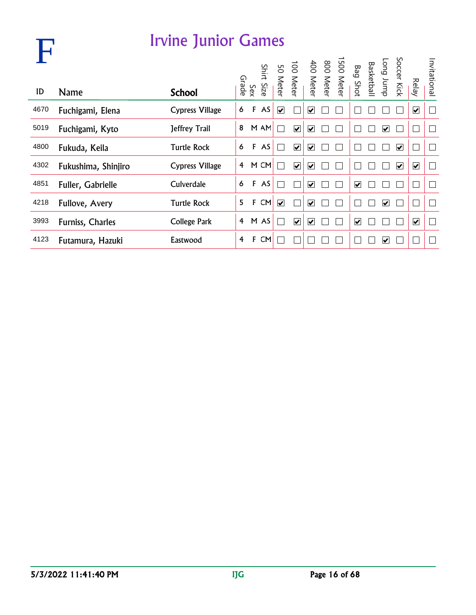|      |                     | Irvine Junior Games    |                |              |            |                         |                         |                              |                                                               |                         |                         |                         |                         |              |
|------|---------------------|------------------------|----------------|--------------|------------|-------------------------|-------------------------|------------------------------|---------------------------------------------------------------|-------------------------|-------------------------|-------------------------|-------------------------|--------------|
| ID   | Name                | <b>School</b>          |                | Sex<br>Grade | Shirt Size |                         |                         |                              | 1500 Meter<br>800 Meter<br>400 Meter<br>100 Meter<br>50 Meter | Bag Shot                | Long Jump<br>Basketball | Soccer Kick             | <b>Relay</b>            | Invitational |
| 4670 | Fuchigami, Elena    | <b>Cypress Village</b> | 6              | F            | AS         | $\blacktriangledown$    |                         | $\overline{\mathbf{v}}$      |                                                               |                         |                         |                         | $\overline{\mathbf{v}}$ | Ē            |
| 5019 | Fuchigami, Kyto     | Jeffrey Trail          | 8              |              | M AM       | <b>I</b>                | $\blacktriangleright$   | $\blacktriangledown$         |                                                               |                         | ⊻                       |                         |                         | $\mathbf{L}$ |
| 4800 | Fukuda, Keila       | <b>Turtle Rock</b>     | 6              | $\mathsf F$  | AS         | Г                       | $\blacktriangledown$    | $\blacktriangledown$         |                                                               |                         |                         | $\blacktriangledown$    |                         | Г            |
| 4302 | Fukushima, Shinjiro | <b>Cypress Village</b> | 4              |              | M CM       |                         | $\overline{\mathbf{v}}$ | $\overline{\mathbf{v}}$      |                                                               |                         |                         | $\overline{\mathbf{v}}$ | $\blacktriangledown$    | Г            |
| 4851 | Fuller, Gabrielle   | Culverdale             | 6              | F            | AS         |                         |                         | $\overline{\mathbf{v}}$      |                                                               | $\overline{\mathbf{v}}$ |                         |                         |                         | $\mathbf{L}$ |
| 4218 | Fullove, Avery      | <b>Turtle Rock</b>     | 5              | F            | CM         | $\overline{\mathbf{v}}$ |                         | $\overline{\mathbf{v}}$      |                                                               |                         | $\overline{\mathbf{v}}$ |                         |                         |              |
| 3993 | Furniss, Charles    | College Park           | $\overline{4}$ |              | M AS       | $\mathbf{I}$            | $\overline{\mathbf{v}}$ | $\boxed{\blacktriangledown}$ |                                                               | $\overline{\mathbf{v}}$ |                         |                         | $\blacktriangledown$    | $\mathbb{R}$ |
| 4123 | Futamura, Hazuki    | Eastwood               | 4              | F            | <b>CM</b>  |                         |                         |                              |                                                               |                         | $\vert \checkmark$      |                         |                         |              |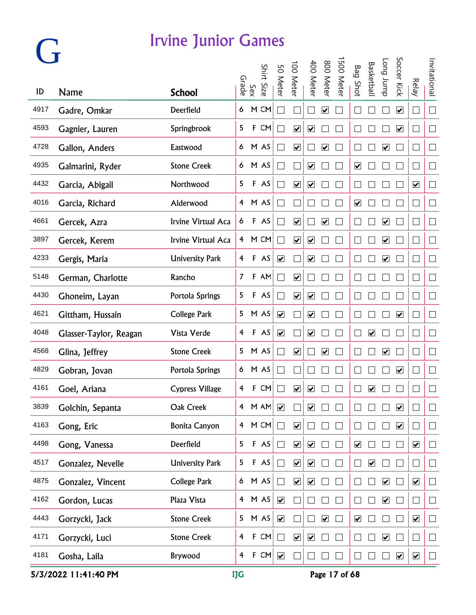# **G**

#### Irvine Junior Games

|      |                        |                        |                |             | Shirt |                              | 100 Meter                    | 400 Meter                    | 008                          | 500 Meter |                         | <b>Basketbal</b>                | dunr buo                     | Soccer Kick             |                              | Invitational |
|------|------------------------|------------------------|----------------|-------------|-------|------------------------------|------------------------------|------------------------------|------------------------------|-----------|-------------------------|---------------------------------|------------------------------|-------------------------|------------------------------|--------------|
| ID   | Name                   | <b>School</b>          | Grade          | Sex         | Size  | 50 Meter                     |                              |                              | Meter                        |           | <b>Bag Shot</b>         |                                 |                              |                         | <b>Relay</b>                 |              |
| 4917 | Gadre, Omkar           | Deerfield              | 6              |             | M CM  |                              |                              |                              | ☑                            |           |                         |                                 |                              | $\overline{\mathbf{v}}$ | $\Box$                       | $\Box$       |
| 4593 | Gagnier, Lauren        | Springbrook            | 5              | F           | CM    |                              | $\overline{\mathbf{v}}$      | $\boxed{\blacktriangledown}$ |                              |           |                         |                                 |                              | $\blacktriangledown$    | $\Box$                       | $\Box$       |
| 4728 | Gallon, Anders         | Eastwood               | 6              |             | M AS  |                              | $\blacktriangledown$         |                              | $\blacktriangledown$         |           |                         |                                 | $\overline{\mathbf{v}}$      |                         | $\Box$                       | $\Box$       |
| 4935 | Galmarini, Ryder       | <b>Stone Creek</b>     | 6              |             | M AS  |                              |                              | $\boxed{\blacktriangledown}$ |                              |           | $\blacktriangledown$    |                                 |                              |                         | $\mathbb{R}^n$               | $\Box$       |
| 4432 | Garcia, Abigail        | Northwood              | 5              |             | F AS  |                              | $\boxed{\blacktriangledown}$ | ☑                            |                              |           |                         |                                 |                              |                         | $\overline{\mathbf{v}}$      | $\sqcup$     |
| 4016 | Garcia, Richard        | Alderwood              | 4              |             | M AS  | $\sim$                       |                              |                              |                              |           | $\overline{\mathbf{v}}$ |                                 |                              |                         | $\Box$                       | $\Box$       |
| 4661 | Gercek, Azra           | Irvine Virtual Aca     | 6              | F           | AS    |                              | $\blacktriangledown$         |                              | $\boxed{\blacktriangledown}$ |           |                         |                                 | $\blacktriangledown$         |                         | $\Box$                       | $\Box$       |
| 3897 | Gercek, Kerem          | Irvine Virtual Aca     | 4              |             | M CM  |                              | $\blacktriangledown$         | $\blacktriangledown$         |                              |           |                         |                                 | $\blacktriangledown$         |                         | $\Box$                       | $\Box$       |
| 4233 | Gergis, Maria          | <b>University Park</b> | 4              | $\mathsf F$ | AS    | $\blacktriangledown$         |                              | $\overline{\mathbf{v}}$      |                              |           |                         |                                 | $\blacktriangledown$         |                         | $\Box$                       | $\Box$       |
| 5148 | German, Charlotte      | Rancho                 | 7              | F           | AM    |                              | $\overline{\mathbf{v}}$      |                              |                              |           |                         |                                 |                              |                         | $\Box$                       | $\Box$       |
| 4430 | Ghoneim, Layan         | Portola Springs        | 5              | F           | AS    |                              | $\boxed{\blacktriangledown}$ | $\overline{\mathbf{v}}$      |                              |           |                         |                                 |                              |                         | $\Box$                       | $\Box$       |
| 4621 | Gittham, Hussain       | <b>College Park</b>    | 5              |             | M AS  | $\blacktriangledown$         |                              | $\boxed{\blacktriangledown}$ |                              |           |                         |                                 |                              | $\overline{\mathbf{v}}$ | $\Box$                       | $\Box$       |
| 4048 | Glasser-Taylor, Reagan | Vista Verde            | 4              |             | F AS  | $\blacktriangledown$         |                              | $\blacktriangledown$         |                              |           |                         | $\blacktriangledown$            |                              |                         | $\Box$                       | $\Box$       |
| 4568 | Glina, Jeffrey         | <b>Stone Creek</b>     | 5              |             | M AS  |                              | $\blacktriangledown$         |                              | $\boxed{\checkmark}$         |           |                         |                                 | $\overline{\mathbf{v}}$      |                         | $\Box$                       | $\Box$       |
| 4829 | Gobran, Jovan          | Portola Springs        | 6              |             | M AS  |                              |                              |                              |                              |           |                         |                                 |                              | $\overline{\mathbf{v}}$ | $\Box$                       | $\Box$       |
| 4161 | Goel, Ariana           | <b>Cypress Village</b> | 4              | F           | CM    |                              | ☑                            | $\boxed{\blacktriangledown}$ |                              |           |                         | $\overline{\blacktriangledown}$ |                              |                         | $\Box$                       | $\Box$       |
| 3839 | Golchin, Sepanta       | Oak Creek              | 4              |             | M AM  | $\boxed{\blacktriangledown}$ |                              | $\overline{\mathbf{v}}$      |                              |           |                         |                                 |                              | $\blacktriangledown$    |                              | $\Box$       |
| 4163 | Gong, Eric             | <b>Bonita Canyon</b>   | $\overline{4}$ |             | M CM  | П                            | $\blacktriangledown$         |                              |                              |           |                         |                                 |                              | $\blacktriangledown$    | $\Box$                       | $\Box$       |
| 4498 | Gong, Vanessa          | Deerfield              | 5              |             | F AS  | $\Box$                       | $\blacktriangledown$         | $\blacktriangledown$         |                              |           | $\blacktriangledown$    |                                 |                              |                         | $\blacktriangledown$         | $\Box$       |
| 4517 | Gonzalez, Nevelle      | <b>University Park</b> | 5              |             | F AS  | $\Box$                       | $\boxed{\blacktriangledown}$ | $\boxed{\blacktriangledown}$ |                              | $\Box$    | $\Box$                  | $\boxed{\blacktriangledown}$    |                              |                         | $\Box$                       | $\Box$       |
| 4875 | Gonzalez, Vincent      | <b>College Park</b>    | 6              |             | M AS  | П                            | $\overline{\mathbf{v}}$      | $\boxed{\blacktriangledown}$ |                              | $\Box$    |                         |                                 | $\boxed{\blacktriangledown}$ |                         | $\boxed{\blacktriangledown}$ | $\Box$       |
| 4162 | Gordon, Lucas          | Plaza Vista            | $\overline{4}$ |             | M AS  | $\boxed{\blacktriangledown}$ |                              |                              |                              |           |                         |                                 | $\boxed{\blacktriangledown}$ |                         | $\overline{\phantom{a}}$     | $\Box$       |
| 4443 | Gorzycki, Jack         | <b>Stone Creek</b>     | 5              |             | M AS  | $\blacktriangledown$         |                              |                              | $\blacktriangledown$         |           | $\blacktriangledown$    |                                 |                              |                         | $\overline{\mathbf{v}}$      | $\Box$       |
| 4171 | Gorzycki, Luci         | <b>Stone Creek</b>     | $\overline{4}$ |             | F CM  | $\Box$                       | $\blacktriangledown$         | $\blacktriangledown$         |                              | П         |                         |                                 | $\blacktriangledown$         |                         | $\Box$                       | $\Box$       |
| 4181 | Gosha, Laila           | Brywood                | $\overline{4}$ |             | F CM  | $\blacktriangledown$         |                              | $\Box$                       |                              | П         |                         |                                 |                              | $\blacktriangledown$    | $\blacktriangledown$         | $\Box$       |

5/3/2022 11:41:40 PM IJG Page 17 of 68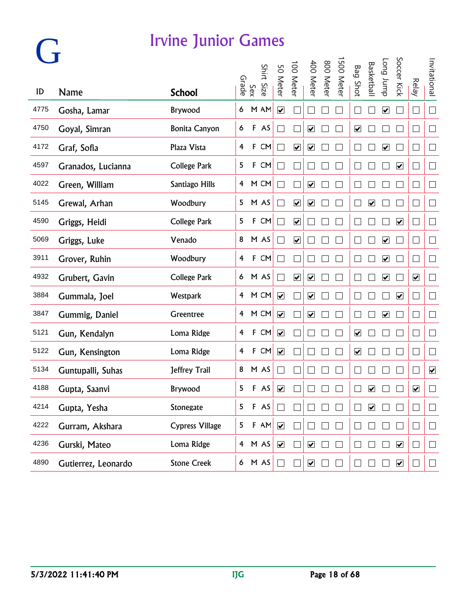| ID   | <b>Name</b>         | <b>School</b>          | Grade          | Sex         | Shirt<br>Size | 50 Meter                    | 100 Meter                    | 400 Meter                    | 800 Meter | 500 Mete | <b>Bag Shot</b>              | <b>Basketbal</b>     | dunr buo                     | Soccer Kick             | <b>Relay</b>                 | Invitational             |
|------|---------------------|------------------------|----------------|-------------|---------------|-----------------------------|------------------------------|------------------------------|-----------|----------|------------------------------|----------------------|------------------------------|-------------------------|------------------------------|--------------------------|
| 4775 | Gosha, Lamar        | Brywood                | 6              |             | M AM          | $\overline{\mathbf{v}}$     |                              |                              |           |          |                              |                      | $\boxed{\blacktriangledown}$ |                         | $\Box$                       | $\Box$                   |
| 4750 | Goyal, Simran       | <b>Bonita Canyon</b>   | 6              |             | F AS          | $\Box$                      |                              | $\blacktriangledown$         |           |          | $\overline{\mathbf{v}}$      |                      |                              |                         | $\overline{\phantom{a}}$     | $\Box$                   |
| 4172 | Graf, Sofia         | Plaza Vista            | 4              | $\mathsf F$ | CM            | $\Box$                      | $\blacktriangledown$         | $\blacktriangledown$         |           |          |                              |                      | $\overline{\mathbf{v}}$      |                         | $\Box$                       | $\Box$                   |
| 4597 | Granados, Lucianna  | <b>College Park</b>    | 5              | $\mathsf F$ | CM            | $\Box$                      |                              |                              |           |          |                              |                      |                              | $\blacktriangledown$    | ∟                            | $\Box$                   |
| 4022 | Green, William      | Santiago Hills         | $\overline{4}$ |             | M CM          | $\Box$                      |                              | $\overline{\mathbf{v}}$      |           |          |                              |                      |                              |                         | $\Box$                       | $\Box$                   |
| 5145 | Grewal, Arhan       | Woodbury               | 5              |             | M AS          | $\mathcal{L}_{\mathcal{A}}$ | $\overline{\mathbf{v}}$      | $\overline{\mathbf{v}}$      |           |          | $\Box$                       | $\blacktriangledown$ |                              |                         | $\Box$                       | $\Box$                   |
| 4590 | Griggs, Heidi       | <b>College Park</b>    | 5              |             | F CM          | $\Box$                      | $\blacktriangledown$         |                              |           |          |                              |                      |                              | $\blacktriangledown$    | I.                           | $\Box$                   |
| 5069 | Griggs, Luke        | Venado                 |                |             | 8 M AS        | $\Box$                      | $\blacktriangledown$         |                              |           |          | L                            |                      | $\blacktriangledown$         |                         |                              | $\Box$                   |
| 3911 | Grover, Ruhin       | Woodbury               | $\overline{4}$ |             | F CM          | $\Box$                      |                              |                              |           |          | L                            |                      | $\overline{\mathbf{v}}$      |                         | I.                           | $\Box$                   |
| 4932 | Grubert, Gavin      | <b>College Park</b>    |                |             | 6 M AS        | $\mathcal{L}_{\mathcal{A}}$ | $\boxed{\blacktriangledown}$ | $\boxed{\blacktriangledown}$ |           |          | $\Box$                       |                      | $\boxed{\blacktriangledown}$ |                         | $\boxed{\blacktriangledown}$ | $\Box$                   |
| 3884 | Gummala, Joel       | Westpark               |                |             | 4 M CM        | $\overline{\mathbf{v}}$     |                              | $\blacktriangledown$         |           |          | L                            |                      |                              | $\overline{\mathbf{v}}$ | Г                            | $\Box$                   |
| 3847 | Gummig, Daniel      | Greentree              | 4              |             | M CM          | $\blacktriangledown$        |                              | $\blacktriangledown$         |           |          |                              |                      | $\boxed{\blacktriangledown}$ |                         | $\mathbf{r}$                 | $\Box$                   |
| 5121 | Gun, Kendalyn       | Loma Ridge             | 4              |             | F CM          | $\blacktriangledown$        |                              |                              |           |          | $\boxed{\blacktriangledown}$ |                      |                              |                         |                              | $\Box$                   |
| 5122 | Gun, Kensington     | Loma Ridge             | 4              |             | F CM          | $\blacktriangledown$        |                              |                              |           |          | $\boxed{\checkmark}$         |                      |                              |                         |                              | $\Box$                   |
| 5134 | Guntupalli, Suhas   | Jeffrey Trail          | 8              |             | M AS          |                             |                              |                              |           |          |                              |                      |                              |                         |                              | $\blacktriangledown$     |
| 4188 | Gupta, Saanvi       | Brywood                | 5              |             | F AS          | $\overline{\mathbf{v}}$     |                              |                              |           |          |                              | ☑                    |                              |                         | ☑                            | $\Box$                   |
| 4214 | Gupta, Yesha        | Stonegate              | 5              |             | F AS          |                             |                              |                              |           |          |                              | ☑                    |                              |                         |                              |                          |
| 4222 | Gurram, Akshara     | <b>Cypress Village</b> | 5              |             | F AM          |                             |                              |                              |           |          |                              |                      |                              |                         | $\vert \ \ \vert$            | $\overline{\phantom{a}}$ |
| 4236 | Gurski, Mateo       | Loma Ridge             |                |             | 4 M AS        | $\blacktriangledown$        |                              | $\blacktriangledown$         |           |          |                              |                      |                              | $\blacktriangledown$    | $\overline{\phantom{a}}$     | $\Box$                   |
| 4890 | Gutierrez, Leonardo | <b>Stone Creek</b>     |                |             | 6 M AS        | $\Box$                      |                              | $\blacktriangledown$         |           |          |                              |                      |                              | $\blacktriangledown$    |                              | $\Box$                   |

**G**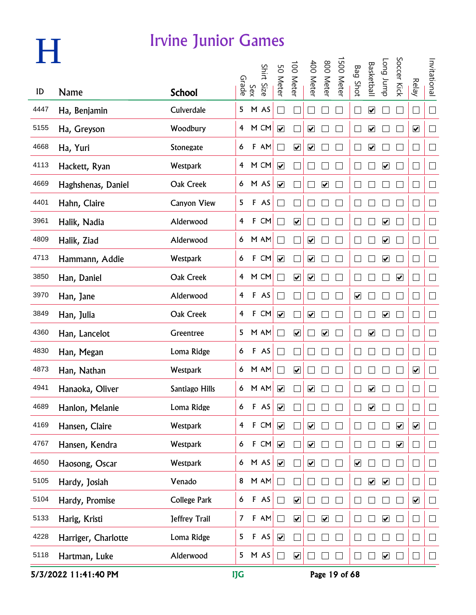|      |                     |                    |                |              | Shirt Size | 50 Meter                 | 100 Meter                       | 400 Meter                    | 800 Meter               | 500 Meter | <b>Bag Shot</b>              | <b>Basketbal</b>        | dunr buo                     | Soccer Kick             |                          | Invitational |
|------|---------------------|--------------------|----------------|--------------|------------|--------------------------|---------------------------------|------------------------------|-------------------------|-----------|------------------------------|-------------------------|------------------------------|-------------------------|--------------------------|--------------|
| ID   | Name                | <b>School</b>      | Grade          | Sex          |            |                          |                                 |                              |                         |           |                              |                         |                              |                         | <b>Relay</b>             |              |
| 4447 | Ha, Benjamin        | Culverdale         | 5              |              | M AS       | ri i                     |                                 |                              |                         |           | ⊏                            | $\blacktriangledown$    |                              |                         | $\Box$                   | $\Box$       |
| 5155 | Ha, Greyson         | Woodbury           | $\overline{4}$ |              | M CM       | $\blacktriangledown$     |                                 | $\blacktriangledown$         |                         |           |                              | $\blacktriangledown$    |                              |                         | $\blacktriangledown$     | $\Box$       |
| 4668 | Ha, Yuri            | Stonegate          | 6              |              | F AM       | $\Box$                   | $\blacktriangledown$            | $\blacktriangledown$         |                         |           |                              | $\blacktriangledown$    |                              |                         | $\Box$                   | $\Box$       |
| 4113 | Hackett, Ryan       | Westpark           | $\overline{4}$ |              | M CM       | $\blacktriangledown$     |                                 |                              |                         |           |                              |                         | $\blacktriangledown$         |                         | $\Box$                   | $\Box$       |
| 4669 | Haghshenas, Daniel  | Oak Creek          |                |              | 6 M AS     | $\overline{\mathbf{v}}$  |                                 |                              | $\overline{\mathbf{v}}$ |           |                              |                         |                              |                         | $\Box$                   | $\Box$       |
| 4401 | Hahn, Claire        | <b>Canyon View</b> | 5              |              | F AS       | $\sim$                   |                                 |                              |                         |           |                              |                         |                              |                         | ⊏                        | $\Box$       |
| 3961 | Halik, Nadia        | Alderwood          | 4              | $\mathsf F$  | CM         | $\overline{\phantom{0}}$ | $\overline{\mathbf{v}}$         |                              |                         |           |                              |                         | $\overline{\mathbf{v}}$      |                         | $\Box$                   | $\Box$       |
| 4809 | Halik, Ziad         | Alderwood          | 6              |              | M AM       | T.                       | ٦                               | $\blacktriangledown$         |                         |           |                              |                         | $\overline{\mathbf{v}}$      |                         |                          | $\Box$       |
| 4713 | Hammann, Addie      | Westpark           | 6              |              | F CM       | $\blacktriangledown$     |                                 | $\blacktriangledown$         |                         |           | L                            |                         | $\overline{\mathbf{v}}$      |                         | L                        | $\Box$       |
| 3850 | Han, Daniel         | Oak Creek          | $\overline{4}$ |              | M CM       | $\overline{\mathcal{L}}$ | $\overline{\blacktriangledown}$ | $\boxed{\blacktriangledown}$ |                         |           | L                            |                         |                              | $\overline{\mathbf{v}}$ | $\Box$                   | $\Box$       |
| 3970 | Han, Jane           | Alderwood          | 4              |              | F AS       | $\Box$                   |                                 |                              |                         |           | $\boxed{\blacktriangledown}$ |                         |                              |                         | ⊏                        | $\Box$       |
| 3849 | Han, Julia          | Oak Creek          | 4              | $\mathbf{F}$ | CM         | $\blacktriangledown$     |                                 | $\blacktriangledown$         |                         |           |                              |                         | $\boxed{\blacktriangledown}$ |                         | L                        | $\Box$       |
| 4360 | Han, Lancelot       | Greentree          | 5              |              | M AM       |                          | $\blacktriangledown$            |                              | $\overline{\mathbf{v}}$ |           | L                            | $\blacktriangledown$    |                              |                         |                          | $\Box$       |
| 4830 | Han, Megan          | Loma Ridge         | 6              |              | F AS       |                          |                                 |                              |                         |           |                              |                         |                              |                         |                          | $\Box$       |
| 4873 | Han, Nathan         | <b>Westpark</b>    | 6              |              | M AM       |                          | $\overline{\mathbf{v}}$         |                              |                         |           |                              |                         |                              |                         | $\overline{\mathbf{v}}$  | $\Box$       |
| 4941 | Hanaoka, Oliver     | Santiago Hills     | 6              |              | M AM       | $\overline{\mathbf{v}}$  |                                 | ☑                            |                         |           |                              | ☑                       |                              |                         |                          | $\Box$       |
| 4689 | Hanlon, Melanie     | Loma Ridge         | 6              |              | F AS       | $\blacktriangledown$     |                                 |                              |                         |           |                              | $\blacktriangledown$    |                              |                         |                          | $\sim$       |
| 4169 | Hansen, Claire      | Westpark           | $\overline{4}$ |              | F CM       | $\blacktriangledown$     |                                 | $\blacktriangledown$         |                         |           |                              |                         |                              | $\blacktriangledown$    | $\blacktriangledown$     | $\Box$       |
| 4767 | Hansen, Kendra      | Westpark           | 6              |              | F CM       | $\blacktriangledown$     |                                 | $\blacktriangledown$         |                         |           |                              |                         |                              | $\blacktriangledown$    | $\overline{\phantom{a}}$ | $\Box$       |
| 4650 | Haosong, Oscar      | Westpark           | 6 <sup>1</sup> |              | M AS       | $\blacktriangledown$     |                                 | $\boxed{\blacktriangledown}$ |                         |           | $\boxed{\blacktriangledown}$ |                         |                              |                         | ⊔                        | $\Box$       |
| 5105 | Hardy, Josiah       | Venado             | 8              |              | M AM       | $\Box$                   |                                 |                              |                         |           | $\mathbf{L}$                 | $\overline{\mathbf{v}}$ | $\blacktriangledown$         |                         | $\vert \ \ \vert$        | $\Box$       |
| 5104 | Hardy, Promise      | College Park       | 6              |              | F AS       | $\Box$                   | $\overline{\mathbf{v}}$         |                              |                         |           |                              |                         |                              |                         | $\overline{\mathbf{v}}$  | $\Box$       |
| 5133 | Harig, Kristi       | Jeffrey Trail      | $\overline{7}$ |              | $F$ AM     | $\Box$                   | $\blacktriangledown$            |                              | $\overline{\mathbf{v}}$ |           |                              |                         | $\blacktriangledown$         |                         | $\vert \ \ \vert$        | $\Box$       |
| 4228 | Harriger, Charlotte | Loma Ridge         | 5              |              | F AS       | $\blacktriangledown$     |                                 |                              |                         |           |                              |                         |                              |                         | $\Box$                   | $\Box$       |
| 5118 | Hartman, Luke       | Alderwood          | 5              |              | M AS       | $\Box$                   | $\overline{\mathbf{v}}$         |                              |                         |           |                              |                         | $\blacktriangledown$         |                         | ⊔                        | $\Box$       |

5/3/2022 11:41:40 PM IJG Page 19 of 68

**H**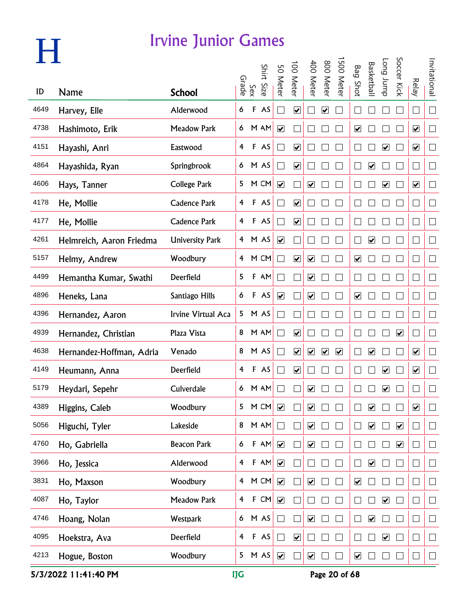|      |                          |                        | Grade                   |             | Shirt Size | 50 Meter                     | 00 Meter                | 400 Meter                    | 800 Meter               | 500 Meter            | <b>Bag Shot</b>              | <b>Basketbal</b>             | <b>Long</b> bupp             | Soccer Kick          |                         | Invitational             |
|------|--------------------------|------------------------|-------------------------|-------------|------------|------------------------------|-------------------------|------------------------------|-------------------------|----------------------|------------------------------|------------------------------|------------------------------|----------------------|-------------------------|--------------------------|
| ID   | <b>Name</b>              | <b>School</b>          |                         | Sex         |            |                              |                         |                              |                         |                      |                              |                              |                              |                      | Relay                   |                          |
| 4649 | Harvey, Elle             | Alderwood              | 6                       | F           | AS         |                              | $\overline{\mathbf{v}}$ |                              | $\overline{\mathbf{v}}$ |                      |                              |                              |                              |                      |                         | $\Box$                   |
| 4738 | Hashimoto, Erik          | <b>Meadow Park</b>     | 6                       |             | M AM       | $\blacktriangledown$         |                         |                              |                         |                      | $\blacktriangledown$         |                              |                              |                      | $\blacktriangledown$    | $\overline{\phantom{a}}$ |
| 4151 | Hayashi, Anri            | Eastwood               | $\overline{4}$          |             | F AS       |                              | $\overline{\mathbf{v}}$ |                              |                         |                      |                              |                              | $\blacktriangledown$         |                      | $\blacktriangledown$    | $\Box$                   |
| 4864 | Hayashida, Ryan          | Springbrook            |                         |             | 6 M AS     |                              | $\overline{\mathbf{v}}$ |                              |                         |                      |                              | $\overline{\mathbf{v}}$      |                              |                      |                         | $\Box$                   |
| 4606 | Hays, Tanner             | College Park           | 5                       |             | M CM       | $\blacktriangledown$         |                         | $\boxed{\blacktriangledown}$ |                         |                      |                              |                              | $\overline{\mathbf{v}}$      |                      | $\overline{\mathbf{v}}$ | $\Box$                   |
| 4178 | He, Mollie               | <b>Cadence Park</b>    | 4                       |             | F AS       |                              | $\overline{\mathbf{v}}$ |                              |                         |                      |                              |                              |                              |                      |                         | $\Box$                   |
| 4177 | He, Mollie               | <b>Cadence Park</b>    | $\overline{4}$          |             | F AS       |                              | $\overline{\mathbf{v}}$ |                              |                         |                      |                              |                              |                              |                      |                         | $\Box$                   |
| 4261 | Helmreich, Aaron Friedma | <b>University Park</b> |                         |             | 4 M AS     | $\overline{\mathbf{v}}$      |                         |                              |                         |                      |                              | $\blacktriangledown$         |                              |                      |                         | $\Box$                   |
| 5157 | Helmy, Andrew            | Woodbury               |                         |             | 4 M CM     |                              | $\overline{\mathbf{v}}$ | $\blacktriangledown$         |                         |                      | $\overline{\mathbf{v}}$      |                              |                              |                      |                         | $\Box$                   |
| 4499 | Hemantha Kumar, Swathi   | Deerfield              | 5                       |             | F AM       |                              |                         | $\boxed{\blacktriangledown}$ |                         |                      |                              |                              |                              |                      |                         | $\Box$                   |
| 4896 | Heneks, Lana             | Santiago Hills         | 6                       |             | F AS       | $\boxed{\blacktriangledown}$ |                         | $\overline{\mathbf{v}}$      |                         |                      | $\overline{\mathbf{v}}$      |                              |                              |                      |                         | $\Box$                   |
| 4396 | Hernandez, Aaron         | Irvine Virtual Aca     | 5                       |             | M AS       |                              |                         |                              |                         |                      |                              |                              |                              |                      |                         | $\Box$                   |
| 4939 | Hernandez, Christian     | Plaza Vista            | 8                       |             | M AM       |                              | $\overline{\mathbf{v}}$ |                              |                         |                      |                              |                              |                              | $\blacktriangledown$ |                         | $\mathbb{R}^n$           |
| 4638 | Hernandez-Hoffman, Adria | Venado                 | 8                       |             | M AS       |                              | $\overline{\mathbf{v}}$ | $\blacktriangledown$         | $\blacktriangledown$    | $\blacktriangledown$ |                              | $\overline{\mathbf{v}}$      |                              |                      | $\blacktriangledown$    | $\Box$                   |
| 4149 | Heumann, Anna            | Deerfield              | 4                       |             | F AS       |                              | $\overline{\mathbf{v}}$ |                              |                         |                      |                              |                              | $\boxed{\blacktriangledown}$ |                      | ☑                       | ∟                        |
| 5179 | Heydari, Sepehr          | Culverdale             | 6                       |             | M AM       |                              |                         | ☑                            |                         |                      |                              |                              | ☑                            |                      |                         |                          |
| 4389 | Higgins, Caleb           | Woodbury               | 5                       |             | M CM       | $\blacktriangledown$         |                         | ☑                            |                         |                      |                              | $\blacktriangledown$         |                              |                      | $\blacktriangledown$    |                          |
| 5056 | Higuchi, Tyler           | Lakeside               | 8                       |             | M AM       |                              |                         | $\overline{\mathbf{v}}$      |                         |                      |                              | $\blacktriangledown$         |                              | $\blacktriangledown$ |                         | $\mathbb{R}^n$           |
| 4760 | Ho, Gabriella            | <b>Beacon Park</b>     | 6                       |             | F AM       | $\blacktriangledown$         |                         | $\overline{\mathbf{v}}$      |                         |                      |                              |                              |                              | $\blacktriangledown$ |                         | $\Box$                   |
| 3966 | Ho, Jessica              | Alderwood              | $\overline{4}$          |             | F AM       | $\blacktriangledown$         |                         |                              |                         |                      |                              | $\boxed{\blacktriangledown}$ |                              |                      |                         | $\Box$                   |
| 3831 | Ho, Maxson               | Woodbury               | $\overline{4}$          |             | M CM       | $\boxed{\blacktriangledown}$ |                         | $\boxed{\blacktriangledown}$ |                         |                      | $\overline{\mathbf{v}}$      |                              |                              |                      |                         | $\Box$                   |
| 4087 | Ho, Taylor               | <b>Meadow Park</b>     | $\overline{\mathbf{f}}$ |             | F CM       | $\blacktriangledown$         |                         |                              |                         |                      |                              |                              | $\blacktriangledown$         |                      |                         | $\Box$                   |
| 4746 | Hoang, Nolan             | Westpark               | 6                       |             | M AS       |                              |                         | $\overline{\mathbf{v}}$      |                         |                      |                              | $\overline{\mathbf{v}}$      |                              |                      |                         | $\Box$                   |
| 4095 | Hoekstra, Ava            | Deerfield              | 4                       | $\mathsf F$ | AS         |                              | $\blacktriangledown$    |                              |                         |                      |                              |                              | $\overline{\mathbf{v}}$      |                      |                         | $\Box$                   |
| 4213 | Hogue, Boston            | Woodbury               | 5                       |             | M AS       | $\blacktriangledown$         |                         | $\blacktriangledown$         |                         |                      | $\boxed{\blacktriangledown}$ |                              |                              |                      |                         | $\Box$                   |

5/3/2022 11:41:40 PM **IJG** Page 20 of 68

**H**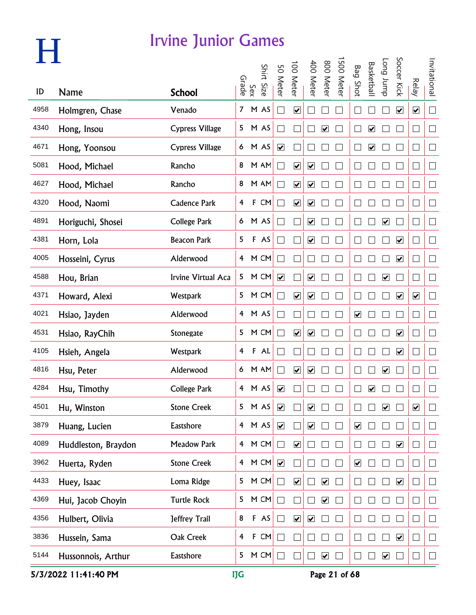|      |                     | <b>Irvine Junior Games</b> |                         |              |            |                         |                         |                              |                              |           |                              |                              |                         |                              |                         |                          |
|------|---------------------|----------------------------|-------------------------|--------------|------------|-------------------------|-------------------------|------------------------------|------------------------------|-----------|------------------------------|------------------------------|-------------------------|------------------------------|-------------------------|--------------------------|
|      |                     |                            |                         | Sex<br>Grade | Shirt Size | 50 Meter                | 100 Meter               | 400 Meter                    | 800 Meter                    | 500 Meter | <b>Bag Shot</b>              | <b>Basketbal</b>             | dunr buo                | Soccer Kick                  | <b>Relay</b>            | Invitational             |
| ID   | Name                | <b>School</b>              |                         |              |            |                         |                         |                              |                              |           |                              |                              |                         |                              |                         |                          |
| 4958 | Holmgren, Chase     | Venado                     |                         |              | 7 M AS     |                         | $\overline{\mathbf{v}}$ |                              |                              |           |                              |                              |                         | $\boxed{\blacktriangledown}$ | $\overline{\mathbf{v}}$ | $\Box$                   |
| 4340 | Hong, Insou         | <b>Cypress Village</b>     |                         |              | 5 M AS     |                         |                         |                              | $\blacktriangledown$         |           |                              | $\boxed{\blacktriangledown}$ |                         |                              |                         | $\Box$                   |
| 4671 | Hong, Yoonsou       | <b>Cypress Village</b>     |                         |              | 6 M AS     | $\blacktriangledown$    |                         |                              |                              |           |                              | $\blacktriangledown$         |                         |                              |                         |                          |
| 5081 | Hood, Michael       | Rancho                     | 8                       |              | M AM       |                         | $\overline{\mathbf{v}}$ | $\blacktriangledown$         |                              |           |                              |                              |                         |                              |                         | ∟                        |
| 4627 | Hood, Michael       | Rancho                     | 8                       |              | M AM       |                         | $\overline{\mathbf{v}}$ | $\overline{\mathbf{v}}$      |                              |           |                              |                              |                         |                              |                         | $\Box$                   |
| 4320 | Hood, Naomi         | <b>Cadence Park</b>        | $\overline{4}$          |              | F CM       |                         | $\overline{\mathbf{v}}$ | $\blacktriangledown$         |                              |           |                              |                              |                         |                              |                         | $\Box$                   |
| 4891 | Horiguchi, Shosei   | College Park               |                         |              | 6 M AS     |                         |                         | $\overline{\mathbf{v}}$      |                              |           |                              |                              | $\overline{\mathbf{v}}$ |                              |                         | $\Box$                   |
| 4381 | Horn, Lola          | <b>Beacon Park</b>         | 5                       |              | F AS       |                         |                         | $\blacktriangledown$         |                              |           |                              |                              |                         | $\blacktriangledown$         |                         | $\Box$                   |
| 4005 | Hosseini, Cyrus     | Alderwood                  |                         |              | 4 M CM     |                         |                         |                              |                              |           |                              |                              |                         | $\blacktriangledown$         |                         | $\Box$                   |
| 4588 | Hou, Brian          | Irvine Virtual Aca         | 5                       |              | M CM       | $\overline{\mathbf{v}}$ |                         | $\boxed{\blacktriangledown}$ |                              |           |                              |                              | $\overline{\mathbf{v}}$ |                              |                         | $\Box$                   |
| 4371 | Howard, Alexi       | Westpark                   | 5                       |              | M CM       |                         | $\overline{\mathbf{v}}$ | $\blacktriangledown$         |                              |           |                              |                              |                         | $\blacktriangledown$         | $\overline{\mathbf{v}}$ | $\Box$                   |
| 4021 | Hsiao, Jayden       | Alderwood                  | $\overline{4}$          |              | M AS       |                         |                         |                              |                              |           | $\blacktriangledown$         |                              |                         |                              |                         | $\Box$                   |
| 4531 | Hsiao, RayChih      | Stonegate                  | 5                       |              | M CM       |                         | $\overline{\mathbf{v}}$ | $\blacktriangledown$         |                              |           |                              |                              |                         | $\blacktriangledown$         |                         | $\overline{\phantom{a}}$ |
| 4105 | Hsieh, Angela       | Westpark                   | $\overline{4}$          |              | F AL       |                         |                         |                              |                              |           |                              |                              |                         | $\blacktriangledown$         |                         | $\Box$                   |
| 4816 | Hsu, Peter          | Alderwood                  | 6                       |              | M AM       |                         | $\blacktriangledown$    | $\overline{\mathbf{v}}$      |                              |           |                              |                              | ☑                       |                              |                         | $\Box$                   |
| 4284 | Hsu, Timothy        | <b>College Park</b>        | $\overline{\mathbf{4}}$ |              | M AS       | $\blacktriangledown$    |                         |                              |                              |           |                              | $\overline{\mathbf{v}}$      |                         |                              |                         | $\overline{\phantom{a}}$ |
| 4501 | Hu, Winston         | <b>Stone Creek</b>         | 5                       |              | M AS       | $\overline{\mathbf{v}}$ |                         | $\boxed{\blacktriangledown}$ |                              |           |                              |                              | $\overline{\mathbf{v}}$ |                              | $\blacktriangledown$    | $\mathbf{L}$             |
| 3879 | Huang, Lucien       | Eastshore                  | $\overline{4}$          |              | M AS       | $\blacktriangledown$    |                         | $\overline{\mathbf{v}}$      |                              |           | ☑                            |                              |                         |                              |                         | $\vert$                  |
| 4089 | Huddleston, Braydon | <b>Meadow Park</b>         | $\overline{4}$          |              | M CM       |                         | $\blacktriangledown$    |                              |                              |           |                              |                              |                         | $\blacktriangledown$         |                         | $\Box$                   |
| 3962 | Huerta, Ryden       | <b>Stone Creek</b>         | 4                       |              | M CM       | $\blacktriangledown$    |                         |                              |                              |           | $\boxed{\blacktriangledown}$ |                              |                         |                              |                         | $\Box$                   |
| 4433 | Huey, Isaac         | Loma Ridge                 | 5                       |              | M CM       |                         | $\overline{\mathbf{v}}$ |                              | $\overline{\mathbf{v}}$      |           |                              |                              |                         | $\overline{\mathbf{v}}$      |                         | $\Box$                   |
| 4369 | Hui, Jacob Choyin   | <b>Turtle Rock</b>         | 5                       |              | M CM       |                         |                         |                              | $\overline{\mathbf{v}}$      |           |                              |                              |                         |                              |                         | $\Box$                   |
| 4356 | Hulbert, Olivia     | Jeffrey Trail              | 8                       |              | F AS       |                         | $\blacktriangledown$    | $\overline{\mathbf{v}}$      |                              |           |                              |                              |                         |                              |                         | $\mathbf{L}$             |
| 3836 | Hussein, Sama       | Oak Creek                  | 4                       | F            | CM         |                         |                         |                              |                              |           |                              |                              |                         | $\blacktriangledown$         |                         | H                        |
| 5144 | Hussonnois, Arthur  | Eastshore                  | 5                       |              | M CM       |                         |                         |                              | $\boxed{\blacktriangledown}$ |           |                              |                              | $\blacktriangledown$    |                              |                         |                          |

5/3/2022 11:41:40 PM **IJG** Page 21 of 68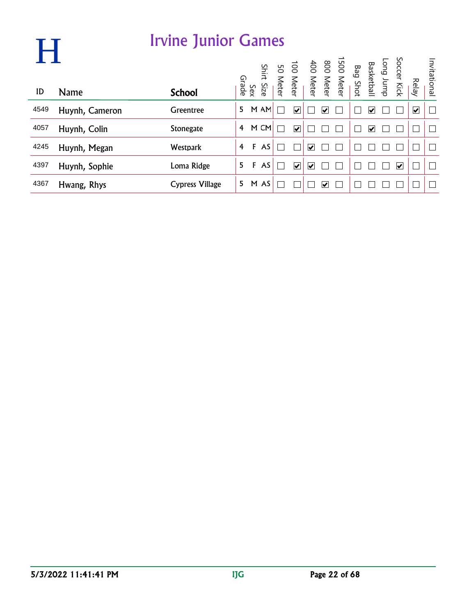| Н    |                | <b>Irvine Junior Games</b> |                |              |       |                         |                      |   |                                                                                                  |   |                      |       |              |
|------|----------------|----------------------------|----------------|--------------|-------|-------------------------|----------------------|---|--------------------------------------------------------------------------------------------------|---|----------------------|-------|--------------|
|      |                |                            |                |              | Shirt |                         |                      |   | Long Jump<br>Basketball<br>Bag Shot<br>Bag Shot<br>SO Meter<br>100 Meter<br>SO Meter<br>SO Meter |   | Soccer Kick          |       | Invitational |
| ID   | <b>Name</b>    | <b>School</b>              |                | Sex<br>Grade | Size  |                         |                      |   |                                                                                                  |   |                      | Relay |              |
| 4549 | Huynh, Cameron | Greentree                  | 5              |              | M AM  | $\overline{\mathbf{v}}$ |                      | ⊽ |                                                                                                  | V |                      | ✔     |              |
| 4057 | Huynh, Colin   | <b>Stonegate</b>           | 4              |              | M CM  | $\overline{\mathbf{v}}$ |                      |   |                                                                                                  | V |                      |       |              |
| 4245 | Huynh, Megan   | <b>Westpark</b>            | $\overline{4}$ | F            | AS    |                         | $\blacktriangledown$ |   |                                                                                                  |   |                      |       |              |
| 4397 | Huynh, Sophie  | Loma Ridge                 | 5              | F            | AS    | $\overline{\mathbf{v}}$ | ⊻                    |   |                                                                                                  |   | $\blacktriangledown$ |       |              |
| 4367 | Hwang, Rhys    | <b>Cypress Village</b>     | 5.             | M            | AS    |                         |                      | V |                                                                                                  |   |                      |       |              |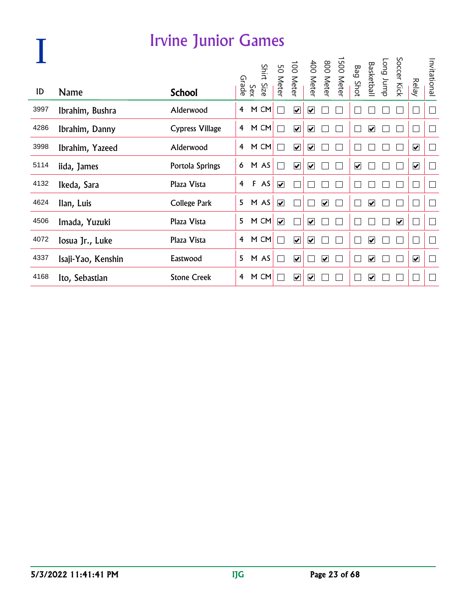|      |                    | <b>Irvine Junior Games</b> |   |              |            |                         |                              |                              |                         |                                                               |                         |                         |                      |                             |                |
|------|--------------------|----------------------------|---|--------------|------------|-------------------------|------------------------------|------------------------------|-------------------------|---------------------------------------------------------------|-------------------------|-------------------------|----------------------|-----------------------------|----------------|
| ID   | Name               | <b>School</b>              |   | Sex<br>Grade | Shirt Size |                         |                              |                              |                         | 1500 Meter<br>800 Meter<br>400 Meter<br>100 Meter<br>50 Meter | <b>Bag Shot</b>         | Long Jump<br>Basketball | Soccer Kick          | <b>Relay</b>                | Invitational   |
| 3997 | Ibrahim, Bushra    | Alderwood                  | 4 |              | M CM       |                         | $\overline{\mathbf{v}}$      | $\overline{\mathbf{v}}$      |                         |                                                               |                         |                         |                      | $\mathcal{L}_{\mathcal{A}}$ | $\Box$         |
|      |                    |                            |   |              |            |                         |                              |                              |                         |                                                               |                         |                         |                      |                             |                |
| 4286 | Ibrahim, Danny     | <b>Cypress Village</b>     | 4 |              | M CM       |                         | $\overline{\mathbf{v}}$      | $\overline{\mathbf{v}}$      |                         |                                                               |                         | $\blacktriangledown$    |                      | $\mathbf{L}$                | I.             |
| 3998 | Ibrahim, Yazeed    | Alderwood                  | 4 |              | M CM       |                         | $\overline{\mathbf{v}}$      | $\overline{\mathbf{v}}$      |                         |                                                               |                         |                         |                      | $\blacktriangledown$        | $\mathbb{R}$   |
| 5114 | iida, James        | Portola Springs            | 6 |              | M AS       |                         | $\overline{\mathbf{v}}$      | $\boxed{\blacktriangledown}$ |                         |                                                               | $\overline{\mathbf{v}}$ |                         |                      | $\blacktriangledown$        | $\Box$         |
| 4132 | Ikeda, Sara        | Plaza Vista                | 4 |              | F AS       | $\overline{\mathbf{v}}$ |                              |                              |                         |                                                               |                         |                         |                      | $\sqcup$                    | $\mathbf{L}$   |
| 4624 | Ilan, Luis         | College Park               | 5 |              | M AS       | $\overline{\mathbf{v}}$ |                              |                              | $\overline{\mathbf{v}}$ |                                                               |                         | $\blacktriangledown$    |                      | $\mathbf{L}$                | Г              |
| 4506 | Imada, Yuzuki      | Plaza Vista                | 5 |              | M CM       | $\overline{\mathbf{v}}$ |                              | $\overline{\mathbf{v}}$      |                         |                                                               |                         |                         | $\blacktriangledown$ | $\mathcal{L}_{\mathcal{A}}$ | $\Box$         |
| 4072 | losua Jr., Luke    | Plaza Vista                | 4 |              | M CM       |                         | $\overline{\mathbf{v}}$      | ⊻                            |                         |                                                               |                         | ☑                       |                      | $\mathbf{L}$                | $\mathbb{R}^n$ |
| 4337 | Isaji-Yao, Kenshin | Eastwood                   | 5 |              | M AS       |                         | $\overline{\mathbf{v}}$      |                              | $\overline{\mathbf{v}}$ |                                                               |                         | $\overline{\mathbf{v}}$ |                      | $\blacktriangledown$        | └              |
| 4168 | Ito, Sebastian     | <b>Stone Creek</b>         | 4 |              | M CM       |                         | $\boxed{\blacktriangledown}$ | ☑                            |                         |                                                               |                         | ☑                       |                      | τŪ                          |                |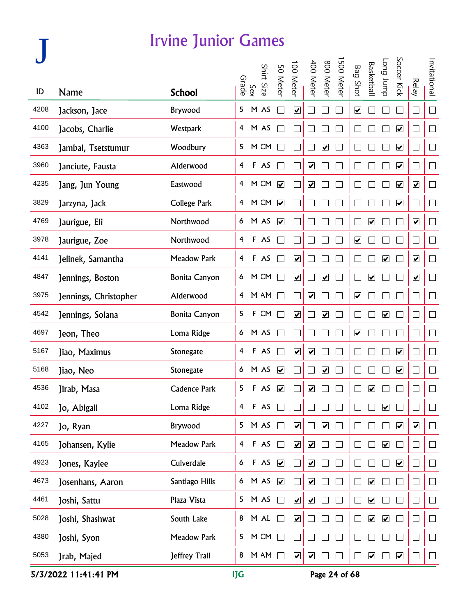|      |                       |                      |                         |             |            |                              | 100 Meter                    | 400 Meter               | 800 Meter                    | 500 Meter |                              | <b>Basketbal</b>        | <b>Long</b> bunp        | Soccer Kick             |                              | Invitational             |
|------|-----------------------|----------------------|-------------------------|-------------|------------|------------------------------|------------------------------|-------------------------|------------------------------|-----------|------------------------------|-------------------------|-------------------------|-------------------------|------------------------------|--------------------------|
| ID   | <b>Name</b>           | <b>School</b>        | Grade                   | Sex         | Shirt Size | 50 Meter                     |                              |                         |                              |           | <b>Bag Shot</b>              |                         |                         |                         | <b>Relay</b>                 |                          |
| 4208 | Jackson, Jace         | Brywood              | 5                       |             | M AS       | $\mathcal{L}$                | $\overline{\mathbf{v}}$      |                         |                              |           | $\overline{\mathbf{v}}$      |                         |                         |                         | $\mathbf{L}$                 | $\Box$                   |
| 4100 | Jacobs, Charlie       | Westpark             | $\overline{4}$          |             | M AS       | $\mathcal{L}_{\mathcal{A}}$  |                              |                         |                              |           |                              |                         |                         | $\blacktriangledown$    |                              | $\Box$                   |
| 4363 | Jambal, Tsetstumur    | Woodbury             | 5                       |             | M CM       | M                            |                              |                         | $\blacktriangledown$         |           |                              |                         |                         | $\blacktriangledown$    | L                            | $\Box$                   |
| 3960 | Janciute, Fausta      | Alderwood            | 4                       |             | F AS       | $\Box$                       |                              | $\blacktriangledown$    |                              |           |                              |                         |                         | $\blacktriangledown$    | ∟                            | $\Box$                   |
| 4235 | Jang, Jun Young       | Eastwood             | $\overline{4}$          |             | M CM       | $\overline{\mathbf{v}}$      |                              | $\overline{\mathbf{v}}$ |                              |           |                              |                         |                         | $\overline{\mathbf{v}}$ | $\blacktriangledown$         | $\Box$                   |
| 3829 | Jarzyna, Jack         | <b>College Park</b>  | 4 <sup>1</sup>          |             | M CM       | $\overline{\mathbf{v}}$      |                              |                         |                              |           |                              |                         |                         | $\overline{\mathbf{v}}$ | $\Box$                       | $\Box$                   |
| 4769 | Jaurigue, Eli         | Northwood            |                         |             | 6 M AS     | $\boxed{\blacktriangledown}$ |                              |                         |                              |           |                              | $\blacktriangledown$    |                         |                         | $\overline{\mathbf{v}}$      | $\Box$                   |
| 3978 | Jaurigue, Zoe         | Northwood            | 4                       |             | F AS       | $\mathcal{L}$                |                              |                         |                              |           | $\blacktriangleright$        |                         |                         |                         |                              | $\Box$                   |
| 4141 | Jelinek, Samantha     | <b>Meadow Park</b>   | 4                       |             | F AS       | $\mathbb{Z}$                 | $\overline{\mathbf{v}}$      |                         |                              |           |                              |                         | $\blacktriangledown$    |                         | $\overline{\mathbf{v}}$      | $\Box$                   |
| 4847 | Jennings, Boston      | <b>Bonita Canyon</b> | 6                       |             | M CM       | $\sim$                       | $\boxed{\blacktriangledown}$ |                         | $\boxed{\blacktriangledown}$ |           | $\Box$                       | $\overline{\mathbf{v}}$ |                         |                         | $\boxed{\blacktriangledown}$ | $\Box$                   |
| 3975 | Jennings, Christopher | Alderwood            | $\overline{4}$          |             | M AM       | $\sim$                       |                              | $\overline{\mathbf{v}}$ |                              |           | $\boxed{\blacktriangledown}$ |                         |                         |                         | ⊏                            | $\Box$                   |
| 4542 | Jennings, Solana      | <b>Bonita Canyon</b> | 5                       | $\mathsf F$ | CM         | $\sim$                       | $\overline{\mathbf{v}}$      |                         | $\blacktriangledown$         |           |                              |                         | $\overline{\mathbf{v}}$ |                         | $\mathbf{L}$                 | $\Box$                   |
| 4697 | Jeon, Theo            | Loma Ridge           | 6                       |             | M AS       | $\mathcal{L}$                |                              |                         |                              |           | $\boxed{\checkmark}$         |                         |                         |                         |                              | $\mathbb{R}^n$           |
| 5167 | Jiao, Maximus         | Stonegate            | 4                       |             | F AS       | $\sim$                       | $\blacktriangledown$         | $\overline{\mathbf{v}}$ |                              |           |                              |                         |                         | $\blacktriangledown$    |                              | $\Box$                   |
| 5168 | Jiao, Neo             | Stonegate            | 6                       |             | M AS       | $\overline{\mathbf{v}}$      |                              |                         | $\boxed{\blacktriangledown}$ |           |                              |                         |                         | ☑                       |                              | $\Box$                   |
| 4536 | Jirab, Masa           | <b>Cadence Park</b>  | 5                       | F           | AS         | $\overline{\mathbf{v}}$      |                              | ☑                       |                              |           |                              | ☑                       |                         |                         |                              | $\Box$                   |
| 4102 | Jo, Abigail           | Loma Ridge           | 4                       |             | F AS       |                              |                              |                         |                              |           |                              |                         | ☑                       |                         |                              | $\overline{\phantom{a}}$ |
| 4227 | Jo, Ryan              | Brywood              | 5                       |             | M AS       | $\Box$                       | $\blacktriangledown$         |                         | $\overline{\mathbf{v}}$      |           |                              |                         |                         | $\blacktriangledown$    | $\blacktriangledown$         | $\Box$                   |
| 4165 | Johansen, Kylie       | <b>Meadow Park</b>   | $\overline{\mathbf{4}}$ |             | F AS       | $\Box$                       | $\blacktriangledown$         | $\blacktriangledown$    |                              |           |                              |                         | $\blacktriangledown$    |                         | $\Box$                       | $\Box$                   |
| 4923 | Jones, Kaylee         | Culverdale           | 6                       |             | F AS       | $\blacktriangledown$         |                              | $\blacktriangledown$    |                              |           |                              |                         |                         | $\blacktriangledown$    | $\Box$                       | $\Box$                   |
| 4673 | Josenhans, Aaron      | Santiago Hills       | 6 <sup>1</sup>          |             | M AS       | $\boxed{\blacktriangledown}$ |                              | $\blacktriangledown$    |                              |           | $\mathbf{L}$                 | ☑                       |                         |                         | ⊔                            | $\Box$                   |
| 4461 | Joshi, Sattu          | Plaza Vista          | 5                       |             | M AS       | $\Box$                       | $\overline{\mathbf{v}}$      | $\overline{\mathbf{v}}$ |                              |           | $\Box$                       | ☑                       |                         |                         | $\Box$                       | $\Box$                   |
| 5028 | Joshi, Shashwat       | South Lake           | 8                       |             | M AL       | $\Box$                       | $\blacktriangledown$         |                         |                              |           | $\mathbf{L}$                 | $\blacktriangledown$    | $\blacktriangledown$    |                         | $\vert \ \ \vert$            | $\Box$                   |
| 4380 | Joshi, Syon           | <b>Meadow Park</b>   | 5                       |             | M CM       | $\Box$                       |                              |                         |                              |           |                              |                         |                         |                         | $\Box$                       | $\Box$                   |
| 5053 | Jrab, Majed           | Jeffrey Trail        | 8                       |             | M AM       | $\Box$                       | $\blacktriangledown$         | $\blacktriangledown$    |                              |           | ∟                            | $\overline{\mathbf{v}}$ |                         | $\overline{\mathbf{v}}$ | $\Box$                       | $\Box$                   |

5/3/2022 11:41:41 PM IJG Page 24 of 68

**J**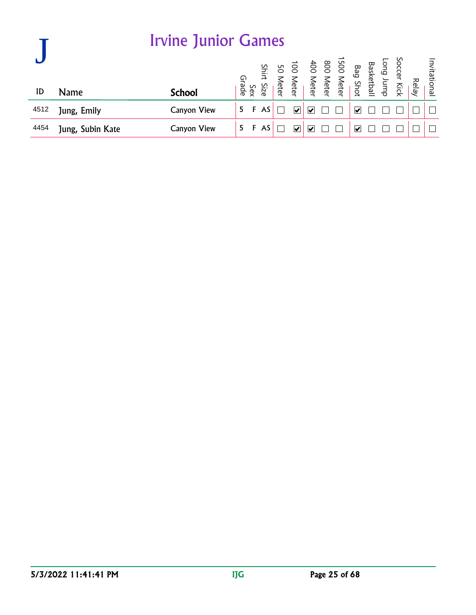|      |                  | <b>Irvine Junior Games</b> |       |     |            |               |                                                                                                                                 |  |                         |  |       |              |
|------|------------------|----------------------------|-------|-----|------------|---------------|---------------------------------------------------------------------------------------------------------------------------------|--|-------------------------|--|-------|--------------|
|      |                  |                            | Grade |     | Shirt Size |               | Soccer Kick<br>Basketball<br>Bag Shot<br>Basketball<br>Basketball<br>Bor Meter<br>400 Meter<br>50 Meter<br>50 Meter<br>50 Meter |  |                         |  |       | Invitational |
| ID   | Name             | <b>School</b>              |       | Sex |            |               |                                                                                                                                 |  |                         |  | Relay |              |
| 4512 | Jung, Emily      | <b>Canyon View</b>         | 5.    |     | AS         | V             | ∣✔                                                                                                                              |  | $\overline{\mathbf{v}}$ |  |       |              |
| 4454 | Jung, Subin Kate | <b>Canyon View</b>         | 5.    | F   | AS         | $\mathbf{v}'$ | ∣✔                                                                                                                              |  | ₩                       |  |       |              |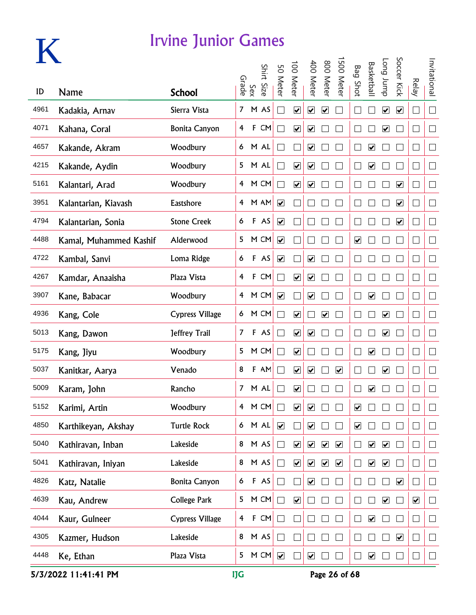

|      |                        |                        |                |              | Shirt  |                              | 100 Meter                    | 400 Meter                    | 800 Meter                    | 500 Meter               |                         | <b>Basketbal</b>        | dunr buo                | Soccer Kick             |                          | Invitational             |
|------|------------------------|------------------------|----------------|--------------|--------|------------------------------|------------------------------|------------------------------|------------------------------|-------------------------|-------------------------|-------------------------|-------------------------|-------------------------|--------------------------|--------------------------|
| ID   | <b>Name</b>            | <b>School</b>          |                | Sex<br>Grade | Size   | 50 Meter                     |                              |                              |                              |                         | <b>Bag Shot</b>         |                         |                         |                         | <b>Relay</b>             |                          |
| 4961 | Kadakia, Arnav         | Sierra Vista           | 7 <sup>7</sup> |              | M AS   | $\sim$                       | $\boxed{\blacktriangledown}$ | $\overline{\mathbf{v}}$      | $\boxed{\blacktriangledown}$ |                         |                         |                         | $\blacktriangledown$    | $\overline{\mathbf{v}}$ | $\Box$                   | $\Box$                   |
| 4071 | Kahana, Coral          | <b>Bonita Canyon</b>   | 4              |              | F CM   |                              | $\blacktriangledown$         | $\blacktriangledown$         |                              |                         |                         |                         | $\blacktriangledown$    |                         | $\Box$                   |                          |
| 4657 | Kakande, Akram         | Woodbury               | 6              |              | M AL   |                              |                              | $\blacktriangledown$         |                              |                         |                         | $\blacktriangledown$    |                         |                         | $\Box$                   |                          |
| 4215 | Kakande, Aydin         | Woodbury               | 5              |              | M AL   |                              | $\blacktriangledown$         | $\blacktriangledown$         |                              |                         |                         | $\blacktriangledown$    |                         |                         | $\Box$                   |                          |
| 5161 | Kalantari, Arad        | Woodbury               | $\overline{4}$ |              | M CM   |                              | $\overline{\mathbf{v}}$      | $\boxed{\blacktriangledown}$ |                              |                         |                         |                         |                         | $\overline{\mathbf{v}}$ | $\Box$                   |                          |
| 3951 | Kalantarian, Kiavash   | Eastshore              | $\overline{4}$ |              | M AM   | $\overline{\mathbf{v}}$      |                              |                              |                              |                         |                         |                         |                         | $\overline{\mathbf{v}}$ | $\Box$                   |                          |
| 4794 | Kalantarian, Sonia     | <b>Stone Creek</b>     | 6              |              | F AS   | $\overline{\mathbf{v}}$      |                              |                              |                              |                         |                         |                         |                         | $\overline{\mathbf{v}}$ | $\overline{\phantom{a}}$ |                          |
| 4488 | Kamal, Muhammed Kashif | Alderwood              | 5              |              | M CM   | $\overline{\mathbf{v}}$      |                              |                              |                              |                         | $\overline{\mathbf{v}}$ |                         |                         |                         | $\Box$                   |                          |
| 4722 | Kambal, Sanvi          | Loma Ridge             | 6              |              | F AS   | $\blacktriangledown$         |                              | $\overline{\mathbf{v}}$      |                              |                         |                         |                         |                         |                         | $\Box$                   | П                        |
| 4267 | Kamdar, Anaaisha       | Plaza Vista            | $\overline{4}$ |              | F CM   |                              | $\overline{\mathbf{v}}$      | $\boxed{\blacktriangledown}$ |                              |                         |                         |                         |                         | $\vert \ \ \vert$       | $\Box$                   |                          |
| 3907 | Kane, Babacar          | Woodbury               |                |              | 4 M CM | $\boxed{\blacktriangledown}$ |                              | $\overline{\mathbf{v}}$      |                              |                         |                         | $\overline{\mathbf{v}}$ |                         | $\vert \ \ \vert$       | $\Box$                   |                          |
| 4936 | Kang, Cole             | <b>Cypress Village</b> | 6              |              | M CM   |                              | $\blacktriangledown$         |                              | $\overline{\mathbf{v}}$      |                         |                         |                         | $\blacktriangledown$    | $\vert \ \ \vert$       | $\Box$                   |                          |
| 5013 | Kang, Dawon            | Jeffrey Trail          | $\overline{7}$ |              | F AS   | s.                           | $\blacktriangledown$         | $\blacktriangledown$         |                              |                         |                         |                         | $\blacktriangledown$    | $\vert \ \ \vert$       | $\Box$                   |                          |
| 5175 | Kang, Jiyu             | Woodbury               | 5              |              | M CM   | Г                            | $\blacktriangledown$         |                              |                              |                         |                         | $\blacktriangledown$    |                         | I.                      | $\Box$                   |                          |
| 5037 | Kanitkar, Aarya        | Venado                 | 8              |              | F AM   |                              | $\overline{\mathbf{v}}$      | $\boxed{\blacktriangledown}$ |                              | $\overline{\mathbf{v}}$ |                         |                         | $\blacktriangledown$    | $\mathbf{L}$            | $\Box$                   |                          |
| 5009 | Karam, John            | Rancho                 |                |              | 7 M AL | Г                            | ☑                            |                              |                              |                         |                         | ☑                       |                         |                         | $\Box$                   |                          |
| 5152 | Karimi, Artin          | Woodbury               | $\overline{4}$ |              | M CM   | $\Box$                       | $\blacktriangledown$         | $\boxed{\blacktriangledown}$ |                              |                         | ☑                       |                         |                         |                         |                          |                          |
| 4850 | Karthikeyan, Akshay    | <b>Turtle Rock</b>     | 6 <sup>1</sup> |              | M AL   | $\blacktriangledown$         |                              | $\blacktriangledown$         |                              |                         | $\blacktriangledown$    |                         |                         |                         | $\Box$                   | ┓                        |
| 5040 | Kathiravan, Inban      | Lakeside               | 8              |              | M AS   | $\Box$                       | $\blacktriangledown$         | $\overline{\mathbf{v}}$      | $\blacktriangledown$         | $\blacktriangledown$    |                         | $\blacktriangledown$    | $\blacktriangledown$    |                         | $\Box$                   | $\blacksquare$           |
| 5041 | Kathiravan, Iniyan     | Lakeside               | 8              |              | M AS   | $\Box$                       | $\overline{\mathbf{v}}$      | $\boxed{\blacktriangledown}$ | $\overline{\mathbf{v}}$      | $\overline{\mathbf{v}}$ |                         | $\blacktriangledown$    | $\blacktriangledown$    | П                       | $\Box$                   | $\overline{\phantom{a}}$ |
| 4826 | Katz, Natalie          | <b>Bonita Canyon</b>   | 6              |              | F AS   | $\Box$                       |                              | $\boxed{\blacktriangledown}$ |                              |                         |                         |                         |                         | $\overline{\mathbf{v}}$ | $\Box$                   | ┐                        |
| 4639 | Kau, Andrew            | College Park           | 5 <sup>1</sup> |              | M CM   | $\Box$                       | $\overline{\mathbf{v}}$      |                              |                              |                         |                         |                         | $\overline{\mathbf{v}}$ |                         | $\overline{\mathbf{v}}$  | ┓                        |
| 4044 | Kaur, Gulneer          | <b>Cypress Village</b> | $\overline{4}$ |              | F CM   | $\Box$                       |                              |                              |                              |                         |                         | $\blacktriangledown$    |                         |                         | $\overline{\phantom{a}}$ |                          |
| 4305 | Kazmer, Hudson         | Lakeside               | 8              |              | M AS   | $\Box$                       |                              |                              |                              |                         |                         |                         |                         | $\blacktriangledown$    | $\Box$                   |                          |
| 4448 | Ke, Ethan              | Plaza Vista            |                |              | 5 M CM | $\blacktriangledown$         |                              | $\blacktriangledown$         |                              |                         |                         | $\blacktriangledown$    |                         |                         | $\Box$                   |                          |

5/3/2022 11:41:41 PM **IJG** Page 26 of 68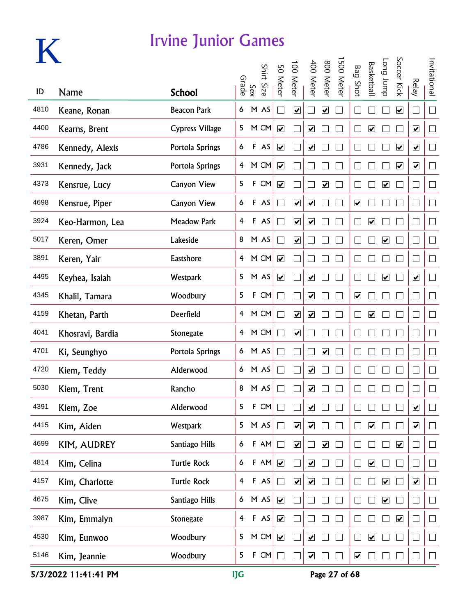

|      |                  |                        |                |              |            |                              |                              |                              |                              |           |                              |                              |                              | Soccer Kick                  |                             |                |
|------|------------------|------------------------|----------------|--------------|------------|------------------------------|------------------------------|------------------------------|------------------------------|-----------|------------------------------|------------------------------|------------------------------|------------------------------|-----------------------------|----------------|
| ID   | Name             | <b>School</b>          |                | Sex<br>Grade | Shirt Size | 50 Meter                     | 100 Meter                    | 400 Meter                    | 800 Meter                    | 500 Meter | <b>Bag Shot</b>              | <b>Basketbal</b>             | dunr buo                     |                              | Relay                       | Invitational   |
| 4810 | Keane, Ronan     | <b>Beacon Park</b>     | 6              |              | M AS       | $\blacksquare$               | $\boxed{\blacktriangledown}$ |                              | ☑                            |           |                              |                              |                              | $\boxed{\blacktriangledown}$ | $\Box$                      | $\Box$         |
| 4400 | Kearns, Brent    | <b>Cypress Village</b> | 5              |              | M CM       | $\blacktriangledown$         |                              | $\boxed{\checkmark}$         |                              |           |                              | $\boxed{\blacktriangledown}$ |                              |                              | $\blacktriangleright$       | $\Box$         |
| 4786 | Kennedy, Alexis  | Portola Springs        | 6              |              | F AS       | $\blacktriangledown$         |                              | $\blacktriangledown$         |                              |           |                              |                              |                              | $\overline{\mathbf{v}}$      | $\blacktriangledown$        | $\Box$         |
| 3931 | Kennedy, Jack    | Portola Springs        | 4              |              | M CM       | $\blacktriangledown$         |                              |                              |                              |           |                              |                              |                              | $\overline{\mathbf{v}}$      | $\overline{\mathbf{v}}$     | $\Box$         |
| 4373 | Kensrue, Lucy    | <b>Canyon View</b>     | 5              | F            | CM         | $\overline{\mathbf{v}}$      |                              | H                            | $\boxed{\blacktriangledown}$ |           |                              |                              | $\boxed{\blacktriangledown}$ |                              | $\Box$                      | $\Box$         |
| 4698 | Kensrue, Piper   | <b>Canyon View</b>     | 6              |              | F AS       | $\blacksquare$               | $\boxed{\blacktriangledown}$ | $\boxed{\blacktriangledown}$ |                              |           | $\overline{\mathbf{v}}$      |                              |                              |                              | $\Box$                      | $\Box$         |
| 3924 | Keo-Harmon, Lea  | <b>Meadow Park</b>     | 4              |              | F AS       | $\blacksquare$               | $\boxed{\blacktriangledown}$ | $\blacktriangledown$         |                              |           |                              | $\boxed{\blacktriangledown}$ |                              |                              | $\Box$                      | $\mathbb{R}^n$ |
| 5017 | Keren, Omer      | Lakeside               | 8              |              | M AS       | $\blacksquare$               | $\blacktriangledown$         |                              |                              |           |                              |                              | $\blacktriangledown$         |                              | $\Box$                      | $\mathcal{L}$  |
| 3891 | Keren, Yair      | Eastshore              | $\overline{4}$ |              | M CM       | $\overline{\mathbf{v}}$      |                              |                              |                              |           |                              |                              |                              |                              | $\Box$                      | $\Box$         |
| 4495 | Keyhea, Isaiah   | <b>Westpark</b>        | 5              |              | M AS       | $\boxed{\blacktriangledown}$ |                              | $\overline{\mathbf{v}}$      |                              |           | L                            |                              | $\boxed{\blacktriangledown}$ |                              | $\overline{\mathbf{v}}$     | $\Box$         |
| 4345 | Khalil, Tamara   | Woodbury               | 5              | $\mathsf F$  | CM         | $\blacksquare$               |                              | $\overline{\mathbf{v}}$      |                              |           | $\boxed{\blacktriangledown}$ |                              |                              |                              | $\Box$                      | $\Box$         |
| 4159 | Khetan, Parth    | Deerfield              | 4              |              | M CM       |                              | $\boxed{\blacktriangledown}$ | $\boxed{\blacktriangledown}$ |                              |           |                              | $\boxed{\blacktriangledown}$ |                              |                              | $\Box$                      | $\Box$         |
| 4041 | Khosravi, Bardia | Stonegate              | 4              |              | M CM       |                              | $\boxed{\blacktriangledown}$ |                              |                              |           |                              |                              |                              |                              | $\Box$                      | $\Box$         |
| 4701 | Ki, Seunghyo     | Portola Springs        | 6              |              | M AS       |                              |                              |                              | $\boxed{\blacktriangledown}$ |           |                              |                              |                              |                              | $\Box$                      | $\Box$         |
| 4720 | Kiem, Teddy      | Alderwood              | 6              |              | M AS       |                              |                              | $\boxed{\blacktriangledown}$ |                              |           |                              |                              |                              |                              | $\Box$                      | $\sqcup$       |
| 5030 | Kiem, Trent      | Rancho                 | 8              |              | M AS       |                              |                              | ☑                            |                              |           |                              |                              |                              |                              | $\mathcal{L}_{\mathcal{A}}$ | $\Box$         |
| 4391 | Kiem, Zoe        | Alderwood              | 5              | F            | CM         |                              |                              | $\boxed{\blacktriangledown}$ |                              |           |                              |                              |                              |                              | $\blacktriangledown$        |                |
| 4415 | Kim, Aiden       | <b>Westpark</b>        | 5              |              | M AS       | $\Box$                       | $\overline{\mathbf{v}}$      | $\blacktriangledown$         |                              |           |                              | $\blacktriangledown$         |                              |                              | $\overline{\mathbf{v}}$     | $\Box$         |
| 4699 | KIM, AUDREY      | Santiago Hills         | 6              |              | F AM       | ᄀ                            | $\overline{\mathbf{v}}$      |                              | $\blacktriangledown$         |           |                              |                              |                              | $\blacktriangledown$         | $\Box$                      | $\Box$         |
| 4814 | Kim, Celina      | <b>Turtle Rock</b>     | 6              |              | F AM       | $\overline{\mathbf{v}}$      |                              | $\blacktriangledown$         |                              |           | $\Box$                       | $\boxed{\blacktriangledown}$ |                              |                              | $\Box$                      | $\Box$         |
| 4157 | Kim, Charlotte   | <b>Turtle Rock</b>     | $\overline{4}$ |              | F AS       | $\Box$                       | $\boxed{\blacktriangledown}$ | $\boxed{\blacktriangledown}$ |                              |           |                              |                              | $\boxed{\blacktriangledown}$ |                              | $\overline{\mathbf{v}}$     | $\Box$         |
| 4675 | Kim, Clive       | Santiago Hills         | $\epsilon$     |              | M AS       | $\blacktriangledown$         |                              |                              |                              |           |                              |                              | $\boxed{\blacktriangledown}$ |                              | $\Box$                      | $\Box$         |
| 3987 | Kim, Emmalyn     | Stonegate              | $\overline{4}$ |              | F AS       | $\blacktriangledown$         |                              |                              |                              |           |                              |                              |                              | $\blacktriangledown$         | $\Box$                      | $\Box$         |
| 4530 | Kim, Eunwoo      | Woodbury               | 5              |              | M CM       | $\blacktriangledown$         |                              | $\blacktriangledown$         |                              |           |                              | $\overline{\mathbf{v}}$      |                              |                              | $\Box$                      | $\Box$         |
| 5146 | Kim, Jeannie     | Woodbury               | 5              |              | F CM       | П                            |                              | $\blacktriangledown$         |                              |           | $\blacktriangledown$         |                              |                              |                              | $\Box$                      | $\Box$         |

5/3/2022 11:41:41 PM IJG Page 27 of 68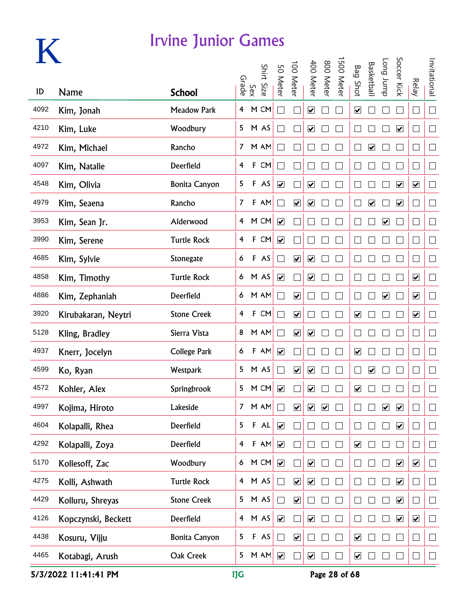

|      |                     |                      |                |              |            |                              | 100 Meter                    | 400 Meter                    | 800 Meter            | 500 Mete |                              | <b>Basketbal</b>             | Long Jump               | Soccer Kick             |                              | Invitational |
|------|---------------------|----------------------|----------------|--------------|------------|------------------------------|------------------------------|------------------------------|----------------------|----------|------------------------------|------------------------------|-------------------------|-------------------------|------------------------------|--------------|
| ID   | <b>Name</b>         | <b>School</b>        |                | Sex<br>Grade | Shirt Size | 50 Meter                     |                              |                              |                      |          | <b>Bag Shot</b>              |                              |                         |                         | <b>Relay</b>                 |              |
| 4092 | Kim, Jonah          | <b>Meadow Park</b>   | $\overline{4}$ |              | M CM       |                              |                              | $\overline{\mathbf{v}}$      |                      |          | $\boxed{\blacktriangledown}$ |                              |                         |                         | $\mathcal{L}_{\mathcal{A}}$  | $\Box$       |
| 4210 | Kim, Luke           | Woodbury             | 5              |              | M AS       |                              |                              | $\blacktriangledown$         |                      |          |                              |                              |                         | $\blacktriangledown$    | $\overline{\phantom{a}}$     | $\Box$       |
| 4972 | Kim, Michael        | Rancho               | $\overline{7}$ |              | M AM       |                              |                              |                              |                      |          |                              | $\blacktriangledown$         |                         |                         | $\Box$                       | $\Box$       |
| 4097 | Kim, Natalie        | Deerfield            | 4              | $\mathsf F$  | CM         |                              |                              |                              |                      |          |                              |                              |                         |                         | $\mathbf{r}$                 | $\Box$       |
| 4548 | Kim, Olivia         | <b>Bonita Canyon</b> | 5              |              | F AS       | $\overline{\mathbf{v}}$      |                              | $\overline{\mathbf{v}}$      |                      |          |                              |                              |                         | $\overline{\mathbf{v}}$ | $\overline{\mathbf{v}}$      | $\Box$       |
| 4979 | Kim, Seaena         | Rancho               | $\overline{7}$ |              | F AM       |                              | $\boxed{\blacktriangledown}$ | $\overline{\mathbf{v}}$      |                      |          |                              | $\blacktriangledown$         |                         | $\overline{\mathbf{v}}$ | $\vert \ \ \vert$            | $\Box$       |
| 3953 | Kim, Sean Jr.       | Alderwood            | $\overline{4}$ |              | M CM       | $\blacktriangledown$         |                              |                              |                      |          |                              |                              | $\overline{\mathbf{v}}$ |                         | $\mathcal{L}_{\mathcal{A}}$  | $\Box$       |
| 3990 | Kim, Serene         | <b>Turtle Rock</b>   | 4              | $\mathsf F$  | CM         | $\overline{\mathbf{v}}$      |                              |                              |                      |          |                              |                              |                         |                         | $\mathcal{L}_{\mathcal{A}}$  | $\Box$       |
| 4685 | Kim, Sylvie         | Stonegate            | 6              |              | F AS       |                              | $\overline{\mathbf{v}}$      | $\overline{\mathbf{v}}$      |                      |          |                              |                              |                         |                         | $\Box$                       | $\Box$       |
| 4858 | Kim, Timothy        | <b>Turtle Rock</b>   | 6              |              | M AS       | $\boxed{\blacktriangledown}$ |                              | $\overline{\mathbf{v}}$      |                      |          |                              |                              |                         |                         | $\boxed{\blacktriangledown}$ | $\Box$       |
| 4886 | Kim, Zephaniah      | Deerfield            | 6              |              | M AM       |                              | $\overline{\mathbf{v}}$      |                              |                      |          |                              |                              | $\overline{\mathbf{v}}$ |                         | $\overline{\mathbf{v}}$      | $\Box$       |
| 3920 | Kirubakaran, Neytri | <b>Stone Creek</b>   | 4              | $\mathsf F$  | CM         | Г                            | $\overline{\mathbf{v}}$      |                              |                      |          | $\boxed{\blacktriangledown}$ |                              |                         |                         | $\blacktriangledown$         | $\Box$       |
| 5128 | Kling, Bradley      | Sierra Vista         | 8              |              | M AM       | $\Box$                       | $\overline{\mathbf{v}}$      | $\blacktriangledown$         |                      |          |                              |                              |                         |                         | $\Box$                       | $\Box$       |
| 4937 | Knerr, Jocelyn      | <b>College Park</b>  | 6              |              | $F$ AM     | $\blacktriangledown$         |                              |                              |                      |          | $\boxed{\blacktriangledown}$ |                              |                         |                         | $\Box$                       | $\Box$       |
| 4599 | Ko, Ryan            | Westpark             | 5              |              | M AS       | $\Box$                       | $\blacktriangledown$         | $\blacktriangledown$         |                      |          | $\Box$                       | $\boxed{\blacktriangledown}$ |                         |                         | $\Box$                       | $\Box$       |
| 4572 | Kohler, Alex        | Springbrook          | 5              |              | M CM       | $\overline{\mathbf{v}}$      |                              | $\overline{\mathbf{v}}$      |                      |          | $\blacktriangledown$         |                              |                         |                         |                              | $\Box$       |
| 4997 | Kojima, Hiroto      | Lakeside             | 7              |              | M AM       |                              | $\overline{\mathbf{v}}$      | $\overline{\mathbf{v}}$      | $\boxed{\checkmark}$ |          |                              |                              | $\overline{\mathbf{v}}$ | $\overline{\mathbf{v}}$ |                              |              |
| 4604 | Kolapalli, Rhea     | Deerfield            | 5              |              | F A L      | $\blacktriangledown$         |                              |                              |                      |          |                              |                              |                         | $\blacktriangledown$    |                              | $\Box$       |
| 4292 | Kolapalli, Zoya     | Deerfield            | 4              |              | $F$ AM     | $\overline{\mathbf{v}}$      |                              |                              |                      |          | $\overline{\mathbf{v}}$      |                              |                         |                         |                              | $\Box$       |
| 5170 | Kollesoff, Zac      | Woodbury             | 6              |              | M CM       | $\overline{\mathbf{v}}$      |                              | $\boxed{\blacktriangledown}$ |                      |          |                              |                              |                         | $\overline{\mathbf{v}}$ | $\boxed{\blacktriangledown}$ | $\Box$       |
| 4275 | Kolli, Ashwath      | <b>Turtle Rock</b>   | $\overline{4}$ |              | M AS       | $\Box$                       | $\overline{\mathbf{v}}$      | $\boxed{\blacktriangledown}$ |                      |          |                              |                              |                         | $\overline{\mathbf{v}}$ | Г                            | $\Box$       |
| 4429 | Kolluru, Shreyas    | <b>Stone Creek</b>   | 5              |              | M AS       | $\Box$                       | $\overline{\mathbf{v}}$      |                              |                      |          |                              |                              |                         | $\overline{\mathbf{v}}$ |                              | $\Box$       |
| 4126 | Kopczynski, Beckett | Deerfield            | $\overline{4}$ |              | M AS       | $\blacktriangledown$         |                              | $\blacktriangledown$         |                      |          |                              |                              |                         | $\blacktriangledown$    | $\blacktriangledown$         | $\Box$       |
| 4438 | Kosuru, Vijju       | <b>Bonita Canyon</b> | 5              |              | F AS       | $\Box$                       | $\blacktriangledown$         |                              |                      |          | $\overline{\mathbf{v}}$      |                              |                         |                         |                              | $\Box$       |
| 4465 | Kotabagi, Arush     | Oak Creek            | 5              |              | M AN       | $\blacktriangledown$         |                              | $\blacktriangledown$         |                      |          | $\overline{\mathbf{v}}$      |                              |                         |                         |                              | $\Box$       |

5/3/2022 11:41:41 PM IJG Page 28 of 68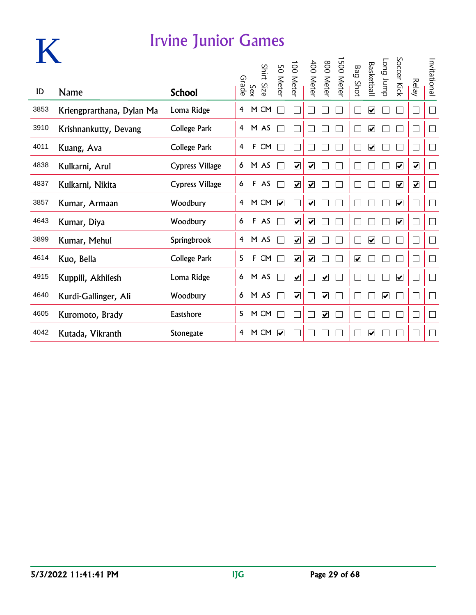

|      |                           |                     | Grade |     | Shirt Size | SO<br><b>Meter</b>      | $\overline{0}0$<br><b>Meter</b> | 400<br><b>Meter</b>     | 008<br><b>Meter</b>     | 005<br><b>Meter</b> | Bag                  | <b>Basketbal</b>        | dunr buo             | Soccer Kick                  | <b>Relay</b>                | Invitational                |
|------|---------------------------|---------------------|-------|-----|------------|-------------------------|---------------------------------|-------------------------|-------------------------|---------------------|----------------------|-------------------------|----------------------|------------------------------|-----------------------------|-----------------------------|
| ID   | Name                      | <b>School</b>       |       | Sex |            |                         |                                 |                         |                         |                     | Shot                 |                         |                      |                              |                             |                             |
| 3853 | Kriengprarthana, Dylan Ma | Loma Ridge          | 4     |     | M CM       |                         |                                 |                         |                         |                     |                      | ☑                       |                      |                              | $\overline{\phantom{a}}$    | $\Box$                      |
| 3910 | Krishnankutty, Devang     | <b>College Park</b> | 4     |     | M AS       |                         |                                 |                         |                         |                     |                      | $\overline{\mathbf{v}}$ |                      |                              | $\overline{\phantom{a}}$    | $\Box$                      |
| 4011 | Kuang, Ava                | <b>College Park</b> | 4     | F   | <b>CM</b>  |                         |                                 |                         |                         |                     |                      | $\overline{\mathbf{v}}$ |                      |                              | $\mathbf{r}$                | $\mathbb{R}^n$              |
| 4838 | Kulkarni, Arul            | Cypress Village     | 6     |     | M AS       |                         | $\overline{\mathbf{v}}$         | $\overline{\mathbf{v}}$ |                         |                     |                      |                         |                      | $\overline{\mathbf{v}}$      | $\overline{\mathbf{v}}$     | П                           |
| 4837 | Kulkarni, Nikita          | Cypress Village     | 6     |     | F AS       |                         | $\overline{\mathbf{v}}$         | ☑                       |                         |                     |                      |                         |                      | $\overline{\mathbf{v}}$      | $\overline{\mathbf{v}}$     | $\mathcal{L}_{\mathcal{A}}$ |
| 3857 | Kumar, Armaan             | Woodbury            | 4     |     | M CM       | $\overline{\mathbf{v}}$ |                                 | $\overline{\mathbf{v}}$ |                         |                     |                      |                         |                      | $\blacktriangledown$         | П                           | $\Box$                      |
| 4643 | Kumar, Diya               | Woodbury            | 6     | F   | AS         |                         | $\overline{\mathbf{v}}$         | $\boxed{\checkmark}$    |                         |                     |                      |                         |                      | $\blacktriangleright$        | $\Box$                      | Г                           |
| 3899 | Kumar, Mehul              | Springbrook         | 4     |     | M AS       |                         | $\overline{\mathbf{v}}$         | $\overline{\mathbf{v}}$ |                         |                     |                      | $\overline{\mathbf{v}}$ |                      |                              | $\mathbf{L}$                | $\Box$                      |
| 4614 | Kuo, Bella                | College Park        | 5     | F   | <b>CM</b>  |                         | $\overline{\mathbf{v}}$         | $\overline{\mathbf{v}}$ |                         |                     | $\blacktriangledown$ |                         |                      |                              | $\mathbf{r}$                | $\Box$                      |
| 4915 | Kuppili, Akhilesh         | Loma Ridge          | 6     |     | M AS       |                         | $\overline{\mathbf{v}}$         |                         | $\overline{\mathbf{v}}$ |                     |                      |                         |                      | $\boxed{\blacktriangledown}$ | $\Box$                      | $\mathcal{L}_{\mathcal{A}}$ |
| 4640 | Kurdi-Gallinger, Ali      | Woodbury            | 6     |     | M AS       |                         | $\overline{\mathbf{v}}$         |                         | $\overline{\mathbf{v}}$ |                     |                      |                         | $\blacktriangledown$ |                              | $\Box$                      | $\Box$                      |
| 4605 | Kuromoto, Brady           | Eastshore           | 5     |     | M CM       |                         |                                 |                         | $\overline{\mathbf{v}}$ |                     |                      |                         |                      |                              | $\mathcal{L}_{\mathcal{A}}$ | П                           |
| 4042 | Kutada, Vikranth          | <b>Stonegate</b>    | 4     |     | M CM       | $\overline{\mathbf{v}}$ |                                 |                         |                         |                     |                      | V                       |                      |                              |                             |                             |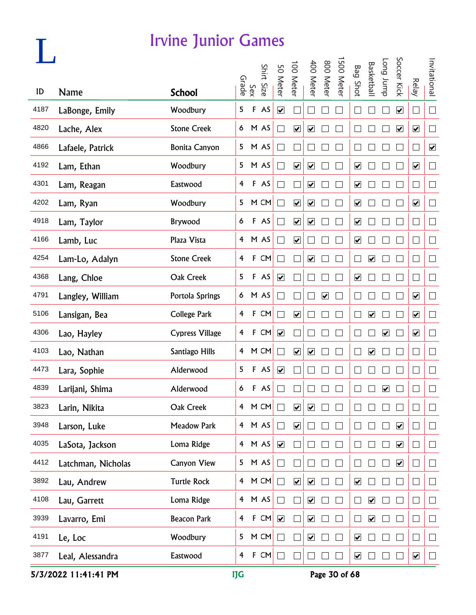|      |                    | <b>Irvine Junior Games</b> |                         |              |            |                             |                         |                              |                              |            |                              |                         |                      |                         |                             |                      |
|------|--------------------|----------------------------|-------------------------|--------------|------------|-----------------------------|-------------------------|------------------------------|------------------------------|------------|------------------------------|-------------------------|----------------------|-------------------------|-----------------------------|----------------------|
|      |                    |                            |                         | Sex<br>Srade | Shirt Size | 50 Meter                    | 100 Meter               | 400 Meter                    | 800 Meter                    | 1500 Meter | <b>Bag Shot</b>              | Basketbal               | Tong Jump            | Soccer Kick             | <b>Relay</b>                | Invitational         |
| ID   | <b>Name</b>        | <b>School</b>              |                         |              |            |                             |                         |                              |                              |            |                              |                         |                      |                         |                             |                      |
| 4187 | LaBonge, Emily     | Woodbury                   | 5                       | $\mathsf F$  | AS         | $\overline{\mathbf{v}}$     |                         |                              |                              |            |                              |                         |                      | $\overline{\mathbf{v}}$ | $\vert \ \ \vert$           | $\Box$               |
| 4820 | Lache, Alex        | <b>Stone Creek</b>         |                         |              | 6 M AS     | $\sim$                      | $\overline{\mathbf{v}}$ | $\blacktriangledown$         |                              |            |                              |                         |                      | $\blacktriangledown$    | $\blacktriangledown$        | $\Box$               |
| 4866 | Lafaele, Patrick   | <b>Bonita Canyon</b>       | 5                       |              | M AS       |                             |                         |                              |                              |            |                              |                         |                      |                         | $\overline{\phantom{a}}$    | $\blacktriangledown$ |
| 4192 | Lam, Ethan         | Woodbury                   | 5                       |              | M AS       | $\Box$                      | $\blacktriangledown$    | $\blacktriangledown$         |                              |            | $\blacktriangledown$         |                         |                      |                         | $\blacktriangledown$        | $\Box$               |
| 4301 | Lam, Reagan        | Eastwood                   | 4                       |              | F AS       | $\Box$                      |                         | $\overline{\mathbf{v}}$      |                              |            | $\boxed{\blacktriangledown}$ |                         |                      |                         | ∟                           | $\Box$               |
| 4202 | Lam, Ryan          | Woodbury                   | 5                       |              | M CM       | $\Box$                      | $\overline{\mathbf{v}}$ | $\overline{\mathbf{v}}$      |                              |            | $\boxed{\blacktriangledown}$ |                         |                      |                         | $\overline{\mathbf{v}}$     | $\Box$               |
| 4918 | Lam, Taylor        | Brywood                    | 6                       | $\mathsf F$  | AS         | $\sim$                      | $\overline{\mathbf{v}}$ | $\overline{\mathbf{v}}$      |                              |            | $\boxed{\blacktriangledown}$ |                         |                      |                         | $\Box$                      | $\Box$               |
| 4166 | Lamb, Luc          | Plaza Vista                | $\overline{4}$          |              | M AS       | $\Box$                      | $\blacktriangledown$    |                              |                              |            | $\blacktriangledown$         |                         |                      |                         | ⊔                           | $\Box$               |
| 4254 | Lam-Lo, Adalyn     | <b>Stone Creek</b>         | 4                       | F            | CM         | $\mathcal{L}_{\mathcal{A}}$ | $\Box$                  | $\blacktriangledown$         |                              |            | $\Box$                       | $\blacktriangledown$    |                      |                         | $\Box$                      | $\Box$               |
| 4368 | Lang, Chloe        | Oak Creek                  | 5                       |              | F AS       | $\overline{\mathbf{v}}$     |                         |                              |                              |            | $\boxed{\blacktriangledown}$ |                         |                      |                         | $\Box$                      | $\Box$               |
| 4791 | Langley, William   | Portola Springs            | 6                       |              | M AS       |                             |                         |                              | $\boxed{\blacktriangledown}$ |            |                              |                         |                      |                         | $\overline{\mathbf{v}}$     | $\Box$               |
| 5106 | Lansigan, Bea      | <b>College Park</b>        | $\overline{\mathbf{f}}$ |              | F CM       |                             | $\overline{\mathbf{v}}$ |                              |                              |            |                              | $\overline{\mathbf{v}}$ |                      |                         | $\overline{\mathbf{v}}$     | $\Box$               |
| 4306 | Lao, Hayley        | <b>Cypress Village</b>     | $\overline{4}$          |              | F CM       | $\blacktriangledown$        |                         |                              |                              |            |                              |                         | $\blacktriangledown$ |                         | $\blacktriangledown$        | $\Box$               |
| 4103 | Lao, Nathan        | Santiago Hills             | $\overline{4}$          |              | M CM       |                             | $\blacktriangledown$    | $\blacktriangledown$         |                              |            |                              | ☑                       |                      |                         | $\Box$                      | $\Box$               |
| 4473 | Lara, Sophie       | Alderwood                  | 5                       |              | F AS       | $\overline{\mathbf{v}}$     |                         |                              |                              |            |                              |                         |                      |                         |                             | $\Box$               |
| 4839 | Larijani, Shima    | Alderwood                  | 6                       |              | F AS       |                             |                         |                              |                              |            |                              |                         | ☑                    |                         |                             |                      |
| 3823 | Larin, Nikita      | Oak Creek                  | $\overline{4}$          |              | M CM       | $\Box$                      | $\overline{\mathbf{v}}$ | $\boxed{\blacktriangledown}$ |                              |            |                              |                         |                      |                         | $\Box$                      | $\Box$               |
| 3948 | Larson, Luke       | <b>Meadow Park</b>         | $\overline{4}$          |              | M AS       | $\Box$                      | $\blacktriangledown$    |                              |                              |            |                              |                         |                      | $\blacktriangledown$    | $\mathcal{L}_{\mathcal{A}}$ | $\Box$               |
| 4035 | LaSota, Jackson    | Loma Ridge                 | $\overline{4}$          |              | M AS       | $\blacktriangledown$        |                         |                              |                              |            |                              |                         |                      | $\blacktriangledown$    | $\Box$                      | $\Box$               |
| 4412 | Latchman, Nicholas | Canyon View                | 5                       |              | M AS       | $\Box$                      |                         |                              |                              |            |                              |                         |                      | $\blacktriangledown$    | $\Box$                      | $\Box$               |
| 3892 | Lau, Andrew        | <b>Turtle Rock</b>         | $\overline{4}$          |              | M CM       | $\Box$                      | $\overline{\mathbf{v}}$ | $\boxed{\blacktriangledown}$ |                              |            | $\overline{\mathbf{v}}$      |                         |                      |                         | $\Box$                      | $\Box$               |
| 4108 | Lau, Garrett       | Loma Ridge                 | 4                       |              | M AS       | П                           | $\Box$                  | $\blacktriangledown$         |                              |            | $\Box$                       | $\overline{\mathbf{v}}$ |                      |                         | $\Box$                      | $\Box$               |
| 3939 | Lavarro, Emi       | <b>Beacon Park</b>         | 4                       | $\mathsf F$  | CM         | $\blacktriangledown$        | П                       | $\blacktriangledown$         |                              |            | $\Box$                       | $\blacktriangledown$    |                      |                         | $\Box$                      | $\Box$               |
| 4191 | Le, Loc            | Woodbury                   | 5                       |              | M CM       | П                           | $\Box$                  | $\blacktriangledown$         |                              |            | $\blacktriangledown$         |                         |                      |                         | $\Box$                      | $\Box$               |
| 3877 | Leal, Alessandra   | Eastwood                   | 4                       | $\mathsf F$  | CM         |                             |                         |                              |                              |            | $\overline{\mathbf{v}}$      |                         |                      |                         | $\blacktriangledown$        | $\Box$               |

5/3/2022 11:41:41 PM IJG Page 30 of 68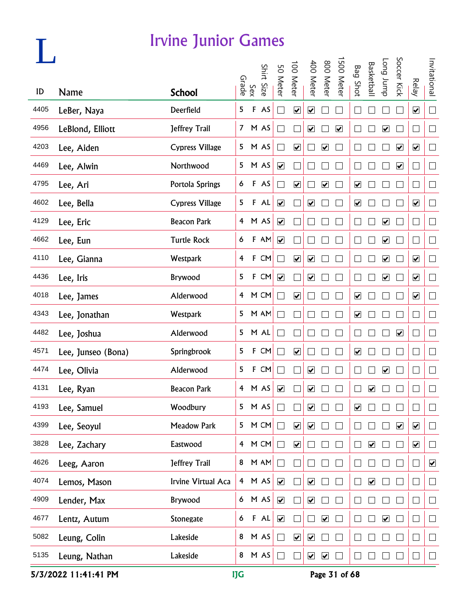|      |                    | <b>Irvine Junior Games</b> |                         |              |            |                         |                         |                              |                         |                      |                              |                         |                         |                      |                         |                             |
|------|--------------------|----------------------------|-------------------------|--------------|------------|-------------------------|-------------------------|------------------------------|-------------------------|----------------------|------------------------------|-------------------------|-------------------------|----------------------|-------------------------|-----------------------------|
|      |                    |                            |                         | Sex<br>Grade | Shirt Size | 50 Meter                | 100 Meter               | 400 Meter                    | 800 Meter               | 1500 Meter           | <b>Bag Shot</b>              | Basketbal               | dunr buo                | Soccer Kick          | <b>Relay</b>            | Invitational                |
| ID   | Name               | <b>School</b>              |                         |              |            |                         |                         |                              |                         |                      |                              |                         |                         |                      |                         |                             |
| 4405 | LeBer, Naya        | Deerfield                  | 5                       | $\mathsf F$  | AS         | $\sim$                  | $\overline{\mathbf{v}}$ | $\boxed{\blacktriangledown}$ |                         |                      |                              |                         |                         |                      | $\overline{\mathbf{v}}$ | $\Box$                      |
| 4956 | LeBlond, Elliott   | Jeffrey Trail              |                         |              | 7 M AS     |                         |                         | $\blacktriangledown$         |                         | $\blacktriangledown$ |                              |                         | $\overline{\mathbf{v}}$ |                      |                         | $\Box$                      |
| 4203 | Lee, Aiden         | <b>Cypress Village</b>     | 5                       |              | M AS       | M                       | $\blacktriangledown$    |                              | $\blacktriangledown$    |                      |                              |                         |                         | $\blacktriangledown$ | $\blacktriangledown$    | $\Box$                      |
| 4469 | Lee, Alwin         | Northwood                  | 5                       |              | M AS       | $\overline{\mathbf{v}}$ |                         |                              |                         |                      |                              |                         |                         | $\blacktriangledown$ | $\Box$                  | $\Box$                      |
| 4795 | Lee, Ari           | Portola Springs            | 6                       |              | F AS       | $\mathbf{L}$            | $\overline{\mathbf{v}}$ |                              | $\overline{\mathbf{v}}$ |                      | $\boxed{\blacktriangledown}$ |                         |                         |                      | $\sqcup$                | $\Box$                      |
| 4602 | Lee, Bella         | <b>Cypress Village</b>     | 5                       |              | F AL       | $\overline{\mathbf{v}}$ |                         | $\overline{\mathbf{v}}$      |                         |                      | $\boxed{\blacktriangledown}$ |                         |                         |                      | $\overline{\mathbf{v}}$ | $\Box$                      |
| 4129 | Lee, Eric          | <b>Beacon Park</b>         | $\overline{4}$          |              | M AS       | $\blacktriangledown$    |                         |                              |                         |                      |                              |                         | $\overline{\mathbf{v}}$ |                      | $\Box$                  | $\Box$                      |
| 4662 | Lee, Eun           | <b>Turtle Rock</b>         | 6                       | F            | AN         | $\blacktriangledown$    |                         |                              |                         |                      |                              |                         | $\overline{\mathbf{v}}$ |                      | $\Box$                  | $\Box$                      |
| 4110 | Lee, Gianna        | Westpark                   | $\overline{4}$          | F            | ${\sf CM}$ | $\Box$                  | $\blacktriangledown$    | $\blacktriangledown$         |                         |                      | $\Box$                       |                         | $\overline{\mathbf{v}}$ |                      | $\overline{\mathbf{v}}$ | $\Box$                      |
| 4436 | Lee, Iris          | Brywood                    | 5                       | $\mathsf F$  | CM         | $\overline{\mathbf{v}}$ | $\Box$                  | $\blacktriangledown$         |                         |                      | $\Box$                       |                         | $\overline{\mathbf{v}}$ |                      | $\overline{\mathbf{v}}$ | $\Box$                      |
| 4018 | Lee, James         | Alderwood                  | 4                       |              | M CM       | $\sqcup$                | $\overline{\mathbf{v}}$ |                              |                         |                      | $\boxed{\blacktriangledown}$ |                         |                         |                      | $\overline{\mathbf{v}}$ | $\Box$                      |
| 4343 | Lee, Jonathan      | Westpark                   | 5                       |              | M AM       |                         |                         |                              |                         |                      | $\boxed{\blacktriangledown}$ |                         |                         |                      |                         | $\Box$                      |
| 4482 | Lee, Joshua        | Alderwood                  | 5                       |              | M AL       |                         |                         |                              |                         |                      |                              |                         |                         | $\blacktriangledown$ |                         | $\mathcal{L}_{\mathcal{A}}$ |
| 4571 | Lee, Junseo (Bona) | Springbrook                | 5                       |              | F CM       |                         | $\blacktriangledown$    |                              |                         |                      | $\blacktriangledown$         |                         |                         |                      | ⊔                       | $\Box$                      |
| 4474 | Lee, Olivia        | Alderwood                  | 5                       |              | F CM       |                         |                         | $\boxed{\blacktriangledown}$ |                         |                      |                              |                         | $\blacktriangledown$    |                      |                         | $\Box$                      |
| 4131 | Lee, Ryan          | <b>Beacon Park</b>         | $\overline{\mathbf{4}}$ |              | M AS       | $\overline{\mathbf{v}}$ |                         | ☑                            |                         |                      |                              | ☑                       |                         |                      |                         |                             |
| 4193 | Lee, Samuel        | Woodbury                   | 5                       |              | M AS       | П                       |                         | $\blacktriangledown$         |                         |                      | $\blacktriangledown$         |                         |                         |                      | $\Box$                  | $\Box$                      |
| 4399 | Lee, Seoyul        | <b>Meadow Park</b>         | 5                       |              | M CM       | $\Box$                  | $\blacktriangledown$    | $\blacktriangledown$         |                         |                      |                              |                         |                         | $\blacktriangledown$ | $\blacktriangledown$    | $\Box$                      |
| 3828 | Lee, Zachary       | Eastwood                   | $\overline{4}$          |              | M CM       | $\Box$                  | $\blacktriangledown$    |                              |                         |                      | $\Box$                       | $\blacktriangledown$    |                         |                      | $\blacktriangledown$    | $\Box$                      |
| 4626 | Leeg, Aaron        | <b>Jeffrey Trail</b>       | 8                       |              | M AM       | $\Box$                  |                         |                              |                         |                      |                              |                         |                         |                      | $\Box$                  | $\blacktriangledown$        |
| 4074 | Lemos, Mason       | Irvine Virtual Aca         | $\overline{4}$          |              | M AS       | $\blacktriangledown$    | $\Box$                  | $\blacktriangledown$         |                         |                      | $\Box$                       | $\overline{\mathbf{v}}$ |                         |                      | $\Box$                  | $\Box$                      |
| 4909 | Lender, Max        | Brywood                    | 6                       |              | M AS       | $\blacktriangledown$    | П                       | $\blacktriangledown$         |                         |                      |                              |                         |                         |                      | $\Box$                  | $\Box$                      |
| 4677 | Lentz, Autum       | Stonegate                  | 6                       |              | F A L      | $\blacktriangledown$    |                         | П                            | $\blacktriangledown$    |                      |                              |                         | $\blacktriangledown$    |                      | $\Box$                  | $\Box$                      |
| 5082 | Leung, Colin       | Lakeside                   | 8                       |              | M AS       | $\Box$                  | $\blacktriangledown$    | $\blacktriangledown$         |                         |                      |                              |                         |                         |                      | $\Box$                  | $\Box$                      |
| 5135 | Leung, Nathan      | Lakeside                   | 8                       |              | M AS       |                         | $\Box$                  | $\blacktriangledown$         | $\overline{\mathbf{v}}$ |                      |                              |                         |                         |                      | $\Box$                  | $\Box$                      |

5/3/2022 11:41:41 PM IJG Page 31 of 68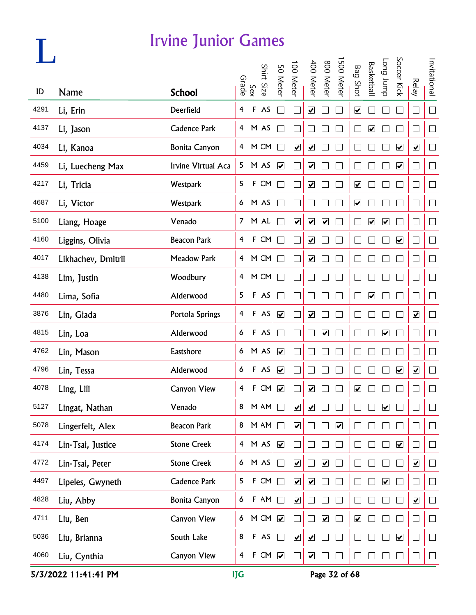### **L**

#### Irvine Junior Games

|      |                    |                      |                |             | Shirt Size | 50 Meter                | 100 Meter                    | 400 Meter                    | 800 Meter                    | 500 Meter               | <b>Bag Shot</b>              | <b>Basketbal</b>        | Long Jump                    | Soccer Kick             |                          | Invitational                |
|------|--------------------|----------------------|----------------|-------------|------------|-------------------------|------------------------------|------------------------------|------------------------------|-------------------------|------------------------------|-------------------------|------------------------------|-------------------------|--------------------------|-----------------------------|
| ID   | <b>Name</b>        | <b>School</b>        | Grade          | Sex         |            |                         |                              |                              |                              |                         |                              |                         |                              |                         | <b>Relay</b>             |                             |
| 4291 | Li, Erin           | Deerfield            | $\overline{4}$ |             | F AS       |                         |                              | $\blacktriangledown$         |                              |                         | $\overline{\mathbf{v}}$      |                         |                              |                         | $\Box$                   | $\Box$                      |
| 4137 | Li, Jason          | Cadence Park         |                |             | 4 M AS     |                         |                              |                              |                              |                         | ×                            | $\blacktriangledown$    |                              |                         | - 1                      | $\Box$                      |
| 4034 | Li, Kanoa          | <b>Bonita Canyon</b> |                |             | 4 M CM     |                         | $\blacktriangledown$         | $\blacktriangledown$         |                              |                         | Ξ                            |                         |                              | $\blacktriangledown$    | $\blacktriangledown$     | $\Box$                      |
| 4459 | Li, Luecheng Max   | Irvine Virtual Aca   | 5 <sub>1</sub> |             | M AS       | $\blacktriangledown$    |                              | $\blacktriangledown$         |                              |                         | ×                            |                         |                              | $\blacktriangledown$    | $\overline{\phantom{0}}$ | $\Box$                      |
| 4217 | Li, Tricia         | Westpark             | 5              |             | F CM       |                         |                              | $\blacktriangledown$         |                              |                         | $\overline{\mathbf{v}}$      |                         |                              |                         | $\Box$                   | $\Box$                      |
| 4687 | Li, Victor         | Westpark             |                |             | 6 M AS     |                         |                              |                              |                              |                         | $\boxed{\blacktriangledown}$ |                         |                              |                         | ×                        | $\Box$                      |
| 5100 | Liang, Hoage       | Venado               | 7 <sup>7</sup> |             | M AL       |                         | $\boxed{\blacktriangledown}$ | $\blacktriangledown$         | $\blacktriangledown$         |                         | ٦                            | $\blacktriangledown$    | $\blacktriangledown$         |                         | $\overline{\phantom{0}}$ | $\Box$                      |
| 4160 | Liggins, Olivia    | <b>Beacon Park</b>   | $\overline{4}$ |             | F CM       |                         |                              | $\blacktriangledown$         |                              |                         |                              |                         |                              | $\blacktriangledown$    |                          | $\Box$                      |
| 4017 | Likhachev, Dmitrii | <b>Meadow Park</b>   | $\overline{4}$ |             | M CM       |                         |                              | $\blacktriangledown$         |                              |                         | ×                            |                         |                              |                         | ┘                        | $\Box$                      |
| 4138 | Lim, Justin        | Woodbury             | $\overline{4}$ |             | M CM       | $\sim$                  |                              |                              |                              |                         | ×                            |                         |                              |                         | $\overline{\phantom{0}}$ | $\Box$                      |
| 4480 | Lima, Sofia        | Alderwood            | 5              |             | F AS       |                         |                              |                              |                              |                         | ×                            | $\overline{\mathbf{v}}$ |                              |                         | $\overline{\phantom{0}}$ | $\Box$                      |
| 3876 | Lin, Giada         | Portola Springs      | $\overline{4}$ |             | F AS       | $\blacktriangledown$    |                              | $\blacktriangledown$         |                              |                         |                              |                         |                              |                         | $\blacktriangledown$     | $\Box$                      |
| 4815 | Lin, Loa           | Alderwood            | 6              |             | F AS       |                         |                              |                              | $\blacktriangledown$         |                         |                              |                         | $\blacktriangledown$         |                         | ×                        | $\mathcal{L}_{\mathcal{A}}$ |
| 4762 | Lin, Mason         | Eastshore            | 6              |             | M AS       | $\blacktriangledown$    |                              |                              |                              |                         |                              |                         |                              |                         | ×                        | $\Box$                      |
| 4796 | Lin, Tessa         | Alderwood            | 6              |             | F AS       | $\blacktriangledown$    |                              |                              |                              |                         |                              |                         |                              | $\overline{\mathbf{v}}$ | $\overline{\mathbf{v}}$  | $\Box$                      |
| 4078 | Ling, Lili         | <b>Canyon View</b>   | 4              |             | F CM       | $\blacktriangledown$    |                              | ☑                            |                              |                         | ☑                            |                         |                              |                         |                          | $\Box$                      |
| 5127 | Lingat, Nathan     | Venado               | 8              |             | M AM       |                         | $\boxed{\blacktriangledown}$ | ☑                            |                              |                         |                              |                         | $\overline{\mathbf{v}}$      |                         |                          |                             |
| 5078 | Lingerfelt, Alex   | <b>Beacon Park</b>   | 8              |             | M AN       |                         | $\overline{\mathbf{v}}$      |                              |                              | $\overline{\mathbf{v}}$ |                              |                         |                              |                         |                          | $\mathcal{L}_{\mathcal{A}}$ |
| 4174 | Lin-Tsai, Justice  | <b>Stone Creek</b>   |                |             | 4 M AS     | $\blacktriangledown$    |                              |                              |                              |                         |                              |                         |                              | $\blacktriangledown$    |                          | $\Box$                      |
| 4772 | Lin-Tsai, Peter    | <b>Stone Creek</b>   | 6              |             | M AS       |                         | $\boxed{\blacktriangledown}$ |                              | $\boxed{\blacktriangledown}$ |                         |                              |                         |                              |                         | $\blacktriangledown$     | $\Box$                      |
| 4497 | Lipeles, Gwyneth   | <b>Cadence Park</b>  | 5              | $\mathsf F$ | CM         | $\Box$                  | $\boxed{\blacktriangledown}$ | $\boxed{\blacktriangledown}$ |                              |                         |                              |                         | $\boxed{\blacktriangledown}$ |                         | $\overline{\phantom{0}}$ | $\Box$                      |
| 4828 | Liu, Abby          | Bonita Canyon        | 6              |             | $F$ AM     | $\Box$                  | $\boxed{\blacktriangledown}$ |                              |                              |                         |                              |                         |                              |                         | $\blacktriangledown$     | $\vert \ \ \vert$           |
| 4711 | Liu, Ben           | Canyon View          | 6              |             | M CM       | $\blacktriangledown$    |                              |                              | $\overline{\mathbf{v}}$      |                         | $\overline{\mathbf{v}}$      |                         |                              |                         | - 1                      | $\vert \ \ \vert$           |
| 5036 | Liu, Brianna       | South Lake           | 8              |             | F AS       |                         | $\blacktriangledown$         | $\blacktriangledown$         |                              |                         |                              |                         |                              | $\blacktriangledown$    | - 1                      | Ш                           |
| 4060 | Liu, Cynthia       | Canyon View          | $\overline{4}$ | $\mathsf F$ | CM         | $\overline{\mathbf{v}}$ |                              | $\blacktriangledown$         |                              |                         |                              |                         |                              |                         | $\overline{\phantom{a}}$ | $\Box$                      |

5/3/2022 11:41:41 PM IJG Page 32 of 68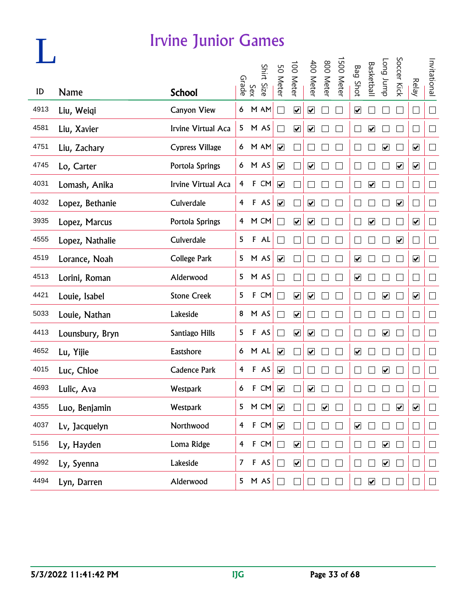|      |                 | <b>Irvine Junior Games</b> |                |              |            |                         |                         |                              |                         |           |                         |                              |                         |                              |                              |                             |
|------|-----------------|----------------------------|----------------|--------------|------------|-------------------------|-------------------------|------------------------------|-------------------------|-----------|-------------------------|------------------------------|-------------------------|------------------------------|------------------------------|-----------------------------|
| ID   | <b>Name</b>     | <b>School</b>              |                | Sex<br>Srade | Shirt Size | 50 Meter                | 100 Meter               | 400 Meter                    | 800 Meter               | 500 Meter | <b>Bag Shot</b>         | Basketball                   | dunr buo                | Soccer Kick                  | <b>Relay</b>                 | Invitational                |
| 4913 | Liu, Weiqi      | Canyon View                | 6              |              | M AM       |                         | $\overline{\mathbf{v}}$ | $\boxed{\blacktriangledown}$ |                         |           | $\overline{\mathbf{v}}$ |                              |                         |                              | $\Box$                       | $\overline{\phantom{a}}$    |
| 4581 | Liu, Xavier     | Irvine Virtual Aca         | 5              |              | M AS       |                         | $\overline{\mathbf{v}}$ | $\blacktriangledown$         |                         |           |                         | $\boxed{\checkmark}$         |                         |                              |                              | $\mathcal{A}$               |
| 4751 | Liu, Zachary    | <b>Cypress Village</b>     | 6              |              | M AM       | $\blacktriangledown$    |                         |                              |                         |           |                         |                              | $\overline{\mathbf{v}}$ |                              | $\blacktriangledown$         | $\overline{\phantom{0}}$    |
| 4745 | Lo, Carter      | Portola Springs            | 6              |              | M AS       | $\blacktriangledown$    |                         | $\boxed{\blacktriangledown}$ |                         |           |                         |                              |                         | $\overline{\mathbf{v}}$      | $\blacktriangledown$         | $\Box$                      |
| 4031 | Lomash, Anika   | Irvine Virtual Aca         | $\overline{4}$ | $\mathbf{F}$ | CM         | $\blacktriangledown$    |                         |                              |                         |           |                         | $\boxed{\blacktriangledown}$ |                         |                              |                              | $\mathcal{A}$               |
| 4032 | Lopez, Bethanie | Culverdale                 | $\overline{4}$ |              | F AS       | $\blacktriangledown$    |                         | $\overline{\mathbf{v}}$      |                         |           |                         |                              |                         | $\boxed{\blacktriangledown}$ |                              | ┘                           |
| 3935 | Lopez, Marcus   | Portola Springs            | $\overline{4}$ |              | M CM       |                         | $\blacktriangledown$    | $\blacktriangledown$         |                         |           |                         | $\boxed{\blacktriangledown}$ |                         |                              | $\overline{\mathbf{v}}$      | $\overline{\phantom{0}}$    |
| 4555 | Lopez, Nathalie | Culverdale                 | 5              |              | F AL       |                         |                         |                              |                         |           |                         |                              |                         | $\blacktriangledown$         |                              | $\overline{\phantom{0}}$    |
| 4519 | Lorance, Noah   | <b>College Park</b>        | 5              |              | M AS       | $\blacktriangledown$    |                         |                              |                         |           | $\blacktriangledown$    |                              |                         |                              | $\overline{\mathbf{v}}$      | ┘                           |
| 4513 | Lorini, Roman   | Alderwood                  | 5              |              | M AS       |                         |                         |                              |                         |           | $\overline{\mathbf{v}}$ |                              |                         |                              | $\Box$                       | $\mathcal{L}_{\mathcal{A}}$ |
| 4421 | Louie, Isabel   | <b>Stone Creek</b>         | 5              | F            | CM         |                         | $\overline{\mathbf{v}}$ | $\overline{\mathbf{v}}$      |                         |           |                         |                              | $\overline{\mathbf{v}}$ |                              | $\boxed{\blacktriangledown}$ |                             |
| 5033 | Louie, Nathan   | Lakeside                   | 8              |              | M AS       |                         | $\blacktriangledown$    |                              |                         |           |                         |                              |                         |                              |                              |                             |
| 4413 | Lounsbury, Bryn | Santiago Hills             | 5              |              | F AS       |                         | $\blacktriangledown$    | $\blacktriangledown$         |                         |           |                         |                              | $\blacktriangledown$    |                              |                              |                             |
| 4652 | Lu, Yijie       | Eastshore                  | 6              |              | M AL       | $\blacktriangledown$    |                         | $\blacktriangledown$         |                         |           | $\blacktriangledown$    |                              |                         |                              |                              |                             |
| 4015 | Luc, Chloe      | <b>Cadence Park</b>        | 4              |              | F AS       | $\blacktriangledown$    |                         |                              |                         |           |                         |                              | ☑                       |                              |                              |                             |
| 4693 | Lulic, Ava      | Westpark                   | 6              |              | F CM       | $\overline{\mathbf{v}}$ |                         | $\overline{\mathbf{v}}$      |                         |           |                         |                              |                         |                              |                              |                             |
| 4355 | Luo, Benjamin   | Westpark                   | 5              |              | M CM       | $\blacktriangledown$    |                         |                              | $\overline{\mathbf{v}}$ |           |                         |                              |                         | $\blacktriangledown$         | $\overline{\mathbf{v}}$      | $\Box$                      |
| 4037 | Lv, Jacquelyn   | Northwood                  | $\overline{4}$ |              | F CM       | $\blacktriangledown$    |                         |                              |                         | П         | $\blacktriangledown$    |                              |                         |                              |                              | $\Box$                      |
| 5156 | Ly, Hayden      | Loma Ridge                 | $\overline{4}$ |              | F CM       |                         | $\blacktriangledown$    |                              |                         |           |                         |                              | $\blacktriangledown$    |                              | $\Box$                       | $\Box$                      |
| 4992 | Ly, Syenna      | Lakeside                   | $\overline{7}$ |              | $F$ AS     |                         | $\blacktriangledown$    |                              |                         |           |                         |                              | $\blacktriangledown$    |                              | $\Box$                       | $\Box$                      |
| 4494 | Lyn, Darren     | Alderwood                  | 5              |              | M AS       |                         |                         |                              |                         |           |                         | $\boxed{\blacktriangledown}$ |                         |                              |                              | $\Box$                      |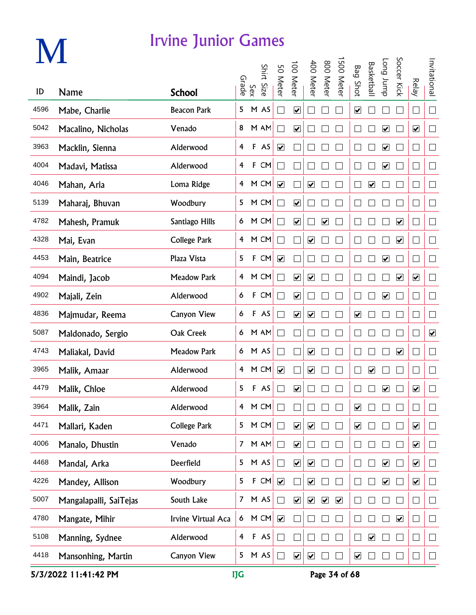# **M**

#### Irvine Junior Games

|      |                        |                     |                |             | Shirt  |                              |                              |                              |                              | 500 Meter            |                              |                         | dunr buo                     | Soccer Kick             |                          |                          |
|------|------------------------|---------------------|----------------|-------------|--------|------------------------------|------------------------------|------------------------------|------------------------------|----------------------|------------------------------|-------------------------|------------------------------|-------------------------|--------------------------|--------------------------|
| ID   | <b>Name</b>            | <b>School</b>       | Grade          | Sex         | Size   | 50 Meter                     | 00 Meter                     | 400 Meter                    | 800 Meter                    |                      | <b>Bag Shot</b>              | <b>Basketbal</b>        |                              |                         | <b>Relay</b>             | Invitational             |
| 4596 | Mabe, Charlie          | <b>Beacon Park</b>  | 5              |             | M AS   | $\mathcal{L}$                | $\boxed{\blacktriangledown}$ |                              |                              |                      | $\boxed{\blacktriangledown}$ |                         |                              |                         | $\Box$                   | $\Box$                   |
| 5042 | Macalino, Nicholas     | Venado              | 8              |             | M AM   |                              | $\blacktriangledown$         |                              |                              |                      |                              |                         | $\blacktriangledown$         |                         | $\blacktriangledown$     | $\Box$                   |
| 3963 | Macklin, Sienna        | Alderwood           | $\overline{4}$ |             | F AS   | $\overline{\mathbf{v}}$      |                              |                              |                              |                      |                              |                         | $\overline{\mathbf{v}}$      |                         | $\Box$                   | $\Box$                   |
| 4004 | Madavi, Matissa        | Alderwood           | 4              |             | F CM   |                              |                              |                              |                              |                      |                              |                         | $\blacktriangledown$         |                         | $\overline{\phantom{a}}$ | $\Box$                   |
| 4046 | Mahan, Aria            | Loma Ridge          | $\overline{4}$ |             | M CM   | $\overline{\mathbf{v}}$      |                              | $\overline{\mathbf{v}}$      |                              |                      |                              | $\overline{\mathbf{v}}$ |                              |                         | $\Box$                   | $\Box$                   |
| 5139 | Maharaj, Bhuvan        | Woodbury            | 5              |             | M CM   | T.                           | $\boxed{\blacktriangledown}$ |                              |                              |                      |                              |                         |                              |                         | $\Box$                   | $\Box$                   |
| 4782 | Mahesh, Pramuk         | Santiago Hills      |                |             | 6 M CM | T.                           | $\blacktriangledown$         |                              | $\boxed{\blacktriangledown}$ |                      |                              |                         |                              | $\overline{\mathbf{v}}$ | $\Box$                   | $\Box$                   |
| 4328 | Mai, Evan              | <b>College Park</b> | $\overline{4}$ |             | M CM   | $\mathcal{L}$                |                              | $\overline{\mathbf{v}}$      |                              |                      |                              |                         |                              | $\blacktriangledown$    | $\Box$                   | $\Box$                   |
| 4453 | Main, Beatrice         | Plaza Vista         | 5              |             | F CM   | $\blacktriangledown$         |                              |                              |                              | $\mathcal{L}$        |                              |                         | $\blacktriangledown$         |                         | $\Box$                   | $\Box$                   |
| 4094 | Maindi, Jacob          | <b>Meadow Park</b>  | 4              |             | M CM   | $\sim$                       | $\overline{\mathbf{v}}$      | $\overline{\mathbf{v}}$      |                              |                      |                              |                         |                              | $\overline{\mathbf{v}}$ | $\overline{\mathbf{v}}$  | $\Box$                   |
| 4902 | Majali, Zein           | Alderwood           | 6              |             | F CM   | $\Box$                       | $\overline{\mathbf{v}}$      |                              |                              | L                    |                              |                         | $\overline{\mathbf{v}}$      |                         | $\Box$                   | $\Box$                   |
| 4836 | Majmudar, Reema        | <b>Canyon View</b>  | 6              |             | F AS   |                              | $\blacktriangledown$         | $\overline{\mathbf{v}}$      |                              |                      | $\boxed{\blacktriangledown}$ |                         |                              |                         | $\Box$                   | $\Box$                   |
| 5087 | Maldonado, Sergio      | Oak Creek           | 6              |             | M AM   |                              |                              |                              |                              |                      |                              |                         |                              |                         | $\Box$                   | $\blacktriangledown$     |
| 4743 | Maliakal, David        | Meadow Park         | 6              |             | M AS   |                              |                              | $\blacktriangledown$         |                              |                      |                              |                         |                              | $\blacktriangledown$    | $\Box$                   | $\Box$                   |
| 3965 | Malik, Amaar           | Alderwood           | $\overline{4}$ |             | M CM   | $\boxed{\blacktriangledown}$ |                              | ☑                            |                              |                      |                              | ☑                       |                              |                         | $\Box$                   | $\overline{\phantom{a}}$ |
| 4479 | Malik, Chloe           | Alderwood           | 5              | $\mathsf F$ | AS     |                              | ☑                            |                              |                              |                      |                              |                         | $\overline{\mathbf{v}}$      |                         | $\overline{\mathbf{v}}$  | $\Box$                   |
| 3964 | Malik, Zain            | Alderwood           | 4              |             | M CM   |                              |                              |                              |                              |                      | ☑                            |                         |                              |                         |                          | $\mathbf{L}$             |
| 4471 | Mallari, Kaden         | <b>College Park</b> | 5              |             | M CM   | П                            | $\overline{\mathbf{v}}$      | $\overline{\mathbf{v}}$      |                              |                      | $\overline{\mathbf{v}}$      |                         |                              |                         | $\overline{\mathbf{v}}$  | $\Box$                   |
| 4006 | Manalo, Dhustin        | Venado              | $\mathcal{I}$  |             | M AM   | $\Box$                       | $\overline{\mathbf{v}}$      |                              |                              |                      |                              |                         |                              |                         | $\overline{\mathbf{v}}$  | $\Box$                   |
| 4468 | Mandal, Arka           | Deerfield           | 5              |             | M AS   | $\Box$                       | $\overline{\mathbf{v}}$      | $\overline{\mathbf{v}}$      |                              |                      |                              |                         | $\boxed{\blacktriangledown}$ |                         | $\overline{\mathbf{v}}$  | $\Box$                   |
| 4226 | Mandey, Allison        | Woodbury            | 5              | F           | CM     | $\overline{\mathbf{v}}$      |                              | $\boxed{\blacktriangledown}$ |                              |                      |                              |                         | $\overline{\mathbf{v}}$      |                         | $\overline{\mathbf{v}}$  | $\Box$                   |
| 5007 | Mangalapalli, SaiTejas | South Lake          | 7 <sup>7</sup> |             | M AS   | $\Box$                       | $\blacktriangledown$         | $\overline{\mathbf{v}}$      | $\blacktriangledown$         | $\blacktriangledown$ |                              |                         |                              |                         | ∟                        | $\Box$                   |
| 4780 | Mangate, Mihir         | Irvine Virtual Aca  | 6              |             | M CM   | $\blacktriangledown$         |                              |                              |                              |                      |                              |                         |                              | $\blacktriangledown$    | $\mathbf{L}$             | $\Box$                   |
| 5108 | Manning, Sydnee        | Alderwood           | $\overline{4}$ |             | F AS   | $\mathcal{L}_{\mathcal{A}}$  |                              |                              |                              |                      |                              | $\blacktriangledown$    |                              |                         | $\Box$                   | $\Box$                   |
| 4418 | Mansonhing, Martin     | Canyon View         | 5              |             | M AS   | $\Box$                       | $\blacktriangledown$         | $\boxed{\blacktriangledown}$ |                              |                      | ☑                            |                         |                              |                         | $\Box$                   | $\Box$                   |

5/3/2022 11:41:42 PM IJG Page 34 of 68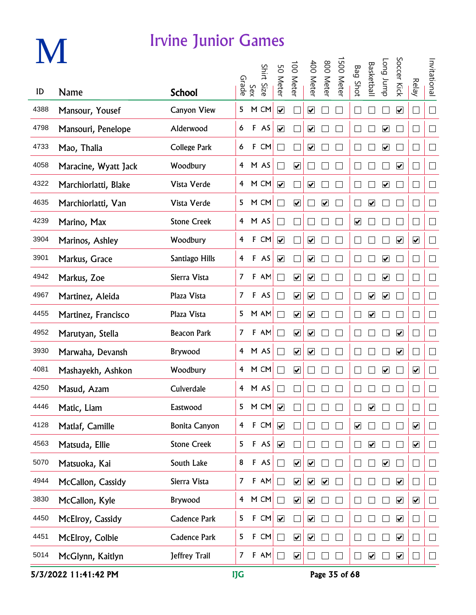|      |                      | Irvine Junior Games  |                |             |            |                             |                              |                              |                         |          |                              |                              |                              |                         |                          |              |
|------|----------------------|----------------------|----------------|-------------|------------|-----------------------------|------------------------------|------------------------------|-------------------------|----------|------------------------------|------------------------------|------------------------------|-------------------------|--------------------------|--------------|
| ID   | Name                 | <b>School</b>        | Grade          | Sex         | Shirt Size | 50 Meter                    | 100 Meter                    | 400 Meter                    | 800 Meter               | 500 Mete | <b>Bag Shot</b>              | Basketbal                    | dunr buo                     | Soccer Kick             | <b>Relay</b>             | Invitational |
| 4388 |                      |                      | 5              |             |            |                             |                              |                              |                         |          |                              |                              |                              |                         |                          | $\Box$       |
|      | Mansour, Yousef      | <b>Canyon View</b>   |                |             | M CM       | $\overline{\mathbf{v}}$     |                              | $\overline{\mathbf{v}}$      |                         |          |                              |                              |                              | $\blacktriangledown$    |                          |              |
| 4798 | Mansouri, Penelope   | Alderwood            | 6              | $\mathsf F$ | AS         | $\blacktriangledown$        |                              | $\blacktriangledown$         |                         |          |                              |                              | $\boxed{\blacktriangledown}$ |                         |                          | $\Box$       |
| 4733 | Mao, Thalia          | <b>College Park</b>  | 6              | $\mathsf F$ | CM         | Ξ                           |                              | $\overline{\mathbf{v}}$      |                         |          |                              |                              | $\overline{\mathbf{v}}$      |                         | ×.                       | $\Box$       |
| 4058 | Maracine, Wyatt Jack | Woodbury             | $\overline{4}$ |             | M AS       | $\mathcal{L}$               | $\blacktriangledown$         |                              |                         |          |                              |                              |                              | $\blacktriangledown$    | $\Box$                   | $\Box$       |
| 4322 | Marchiorlatti, Blake | Vista Verde          | 4              |             | M CM       | $\overline{\mathbf{v}}$     |                              | $\boxed{\blacktriangledown}$ |                         |          |                              |                              | $\overline{\mathbf{v}}$      |                         | $\Box$                   | $\Box$       |
| 4635 | Marchiorlatti, Van   | Vista Verde          | 5              |             | M CM       | Π                           | $\overline{\mathbf{v}}$      |                              | $\overline{\mathbf{v}}$ |          |                              | $\boxed{\blacktriangledown}$ |                              |                         | ×                        | П            |
| 4239 | Marino, Max          | <b>Stone Creek</b>   | 4              |             | M AS       | $\mathcal{L}_{\mathcal{A}}$ |                              |                              |                         |          | $\boxed{\blacktriangledown}$ |                              |                              |                         |                          | П            |
| 3904 | Marinos, Ashley      | Woodbury             | 4              | $\mathsf F$ | CM         | $\blacktriangledown$        |                              | $\overline{\mathbf{v}}$      |                         |          |                              |                              |                              | $\blacktriangledown$    | $\blacktriangledown$     | $\Box$       |
| 3901 | Markus, Grace        | Santiago Hills       | 4              | $\mathsf F$ | AS         | $\overline{\mathbf{v}}$     |                              | $\blacktriangledown$         |                         |          |                              |                              | $\overline{\mathbf{v}}$      |                         | П                        | $\Box$       |
| 4942 | Markus, Zoe          | Sierra Vista         | $\overline{7}$ | F           | AM         | $\Box$                      | $\boxed{\blacktriangledown}$ | $\blacktriangledown$         |                         |          |                              |                              | $\overline{\mathbf{v}}$      |                         | $\Box$                   | $\Box$       |
| 4967 | Martinez, Aleida     | Plaza Vista          | $\overline{7}$ | F           | AS         | $\Box$                      | $\overline{\mathbf{v}}$      | $\blacktriangledown$         |                         |          |                              | $\blacktriangleright$        | $\blacktriangledown$         |                         | П                        | $\Box$       |
| 4455 | Martinez, Francisco  | Plaza Vista          | 5              |             | M AM       | $\sim$                      | $\overline{\mathbf{v}}$      | $\blacktriangledown$         |                         |          |                              | $\blacktriangledown$         |                              |                         |                          | $\Box$       |
| 4952 | Marutyan, Stella     | <b>Beacon Park</b>   | $\overline{7}$ | F           | AM         |                             | $\overline{\mathbf{v}}$      | $\blacktriangledown$         |                         |          |                              |                              |                              | $\blacktriangledown$    |                          | $\Box$       |
| 3930 | Marwaha, Devansh     | Brywood              | 4              |             | M AS       |                             | $\blacktriangledown$         | $\blacktriangledown$         |                         |          |                              |                              |                              | $\blacktriangledown$    |                          | $\Box$       |
| 4081 | Mashayekh, Ashkon    | Woodbury             | 4              |             | M CM       |                             | $\overline{\mathbf{v}}$      |                              |                         |          |                              |                              | $\overline{\mathbf{v}}$      |                         | $\blacktriangledown$     | П            |
| 4250 | Masud, Azam          | Culverdale           |                |             | 4 M AS     | $\Box$                      | $\overline{\phantom{0}}$     |                              |                         |          |                              |                              |                              |                         |                          | $\Box$       |
| 4446 | Matic, Liam          | Eastwood             | 5              |             | M CM       | $\overline{\mathbf{v}}$     |                              |                              |                         |          | $\mathbf{I}$                 | $\blacktriangledown$         |                              |                         | $\overline{\phantom{a}}$ | $\Box$       |
| 4128 | Matlaf, Camille      | <b>Bonita Canyon</b> | 4              |             | F CM       | $\blacktriangledown$        |                              |                              |                         |          | $\boxed{\checkmark}$         |                              |                              |                         | $\blacktriangledown$     | $\Box$       |
| 4563 | Matsuda, Ellie       | <b>Stone Creek</b>   | 5              |             | F AS       | $\blacktriangledown$        |                              |                              |                         |          | H                            | $\blacktriangledown$         |                              |                         | $\blacktriangledown$     | $\Box$       |
| 5070 | Matsuoka, Kai        | South Lake           | 8              |             | F AS       | $\Box$                      | $\boxed{\blacktriangledown}$ | $\blacktriangledown$         |                         | $\Box$   |                              | $\Box$                       | $\blacktriangledown$         |                         | $\vert \ \ \vert$        | $\Box$       |
| 4944 | McCallon, Cassidy    | Sierra Vista         | $\overline{7}$ |             | $F$ AM     | $\Box$                      | $\boxed{\blacktriangledown}$ | $\blacktriangledown$         | $\overline{\mathbf{v}}$ | $\perp$  |                              |                              | $\overline{\phantom{a}}$     | $\overline{\mathbf{v}}$ | $\overline{\phantom{0}}$ | $\Box$       |
| 3830 | McCallon, Kyle       | Brywood              | $\overline{4}$ |             | M CM       | $\Box$                      | $\boxed{\blacktriangledown}$ | $\blacktriangledown$         |                         | $\Box$   |                              |                              | $\mathcal{A}$                | $\blacktriangledown$    | $\blacktriangledown$     | $\Box$       |
| 4450 | McElroy, Cassidy     | <b>Cadence Park</b>  | 5              |             | F CM       | $\overline{\mathbf{v}}$     |                              | $\blacktriangledown$         |                         |          |                              |                              |                              | $\blacktriangledown$    | $\vert \ \ \vert$        | $\Box$       |
| 4451 | McElroy, Colbie      | <b>Cadence Park</b>  | 5              |             | F CM       | $\Box$                      | $\overline{\mathbf{v}}$      | $\blacktriangledown$         |                         |          | $\mathbf{L}$                 |                              |                              | $\blacktriangledown$    | $\Box$                   | $\Box$       |
| 5014 | McGlynn, Kaitlyn     | Jeffrey Trail        | 7              | F           | AM         | $\Box$                      | $\blacktriangledown$         |                              |                         |          | $\Box$                       | $\blacktriangledown$         | $\Box$                       | $\blacktriangledown$    | $\mathcal{A}$            | $\Box$       |

5/3/2022 11:41:42 PM IJG Page 35 of 68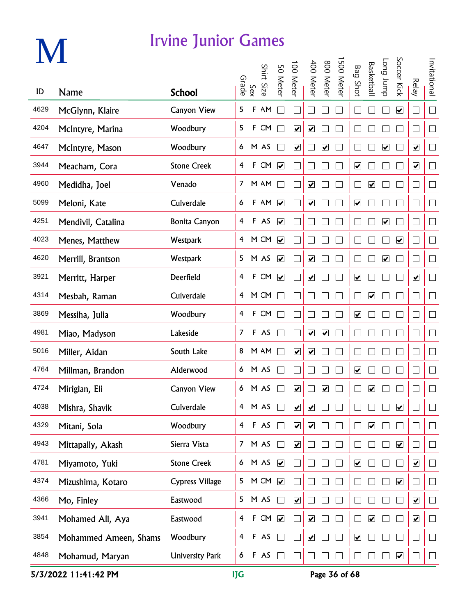# **M**

#### Irvine Junior Games

|      |                       |                        | Grade          |              | Shirt  | 50 Meter                     | 00 Meter                     | 400 Meter               | 800 Meter               | 500 Meter | <b>Bag Shot</b>              | <b>Basketbal</b>        | Long Jump               | Soccer Kick                  | <b>Relay</b>             | Invitational             |
|------|-----------------------|------------------------|----------------|--------------|--------|------------------------------|------------------------------|-------------------------|-------------------------|-----------|------------------------------|-------------------------|-------------------------|------------------------------|--------------------------|--------------------------|
| ID   | Name                  | <b>School</b>          |                | Sex          | Size.  |                              |                              |                         |                         |           |                              |                         |                         |                              |                          |                          |
| 4629 | McGlynn, Klaire       | <b>Canyon View</b>     | 5              | F            | AM     | $\blacksquare$               |                              |                         |                         |           |                              |                         |                         | $\boxed{\blacktriangledown}$ | $\Box$                   | $\Box$                   |
| 4204 | McIntyre, Marina      | Woodbury               | 5              | $\mathbf{F}$ | CM     | $\mathcal{L}_{\mathcal{A}}$  | $\blacktriangledown$         | $\blacktriangledown$    |                         |           |                              |                         |                         |                              | $\mathcal{A}$            | $\Box$                   |
| 4647 | McIntyre, Mason       | Woodbury               |                |              | 6 M AS | $\Box$                       | $\blacktriangledown$         |                         | $\blacktriangledown$    |           |                              |                         | $\overline{\mathbf{v}}$ |                              | $\blacktriangledown$     | $\Box$                   |
| 3944 | Meacham, Cora         | <b>Stone Creek</b>     | $\overline{4}$ |              | F CM   | $\blacktriangledown$         |                              |                         |                         |           | $\overline{\mathbf{v}}$      |                         |                         |                              | $\blacktriangledown$     | $\Box$                   |
| 4960 | Medidha, Joel         | Venado                 |                |              | 7 M AM | $\mathcal{L}_{\mathcal{A}}$  |                              | $\overline{\mathbf{v}}$ |                         |           |                              | $\overline{\mathbf{v}}$ |                         |                              | $\Box$                   | $\Box$                   |
| 5099 | Meloni, Kate          | Culverdale             | 6              |              | F AM   | $\overline{\mathbf{v}}$      |                              | $\blacktriangledown$    |                         |           | $\overline{\mathbf{v}}$      |                         |                         |                              | ×                        | $\Box$                   |
| 4251 | Mendivil, Catalina    | <b>Bonita Canyon</b>   | $\overline{4}$ |              | F AS   | $\blacktriangledown$         |                              | $\Box$                  |                         |           |                              |                         | $\blacktriangledown$    |                              | $\overline{\phantom{0}}$ | $\Box$                   |
| 4023 | Menes, Matthew        | Westpark               |                |              | 4 M CM | $\overline{\mathbf{v}}$      |                              | $\mathcal{L}$           |                         |           |                              |                         |                         | $\blacktriangledown$         | ٦                        | $\Box$                   |
| 4620 | Merrill, Brantson     | Westpark               |                |              | 5 M AS | $\overline{\mathbf{v}}$      |                              | $\blacktriangledown$    |                         |           |                              |                         | $\blacktriangledown$    |                              | $\overline{\phantom{0}}$ | $\Box$                   |
| 3921 | Merritt, Harper       | Deerfield              | 4              | $\mathbf{F}$ | CM     | $\overline{\mathbf{v}}$      |                              | $\blacktriangleright$   |                         |           | $\overline{\mathbf{v}}$      |                         |                         |                              | $\blacktriangledown$     | $\Box$                   |
| 4314 | Mesbah, Raman         | Culverdale             |                |              | 4 M CM | $\Box$                       |                              |                         |                         |           |                              | $\blacktriangledown$    |                         |                              | - 1                      | $\Box$                   |
| 3869 | Messiha, Julia        | Woodbury               | 4              | $\mathbf{F}$ | CM     | $\sim$                       |                              |                         |                         |           | $\boxed{\blacktriangledown}$ |                         |                         |                              | ×                        | $\Box$                   |
| 4981 | Miao, Madyson         | Lakeside               | $\overline{7}$ |              | F AS   |                              |                              | $\blacktriangledown$    | $\overline{\mathbf{v}}$ |           |                              |                         |                         |                              |                          | $\mathcal{L}$            |
| 5016 | Miller, Aidan         | South Lake             | 8              |              | M AM   | $\mathbb{R}^2$               | $\overline{\mathbf{v}}$      | $\blacktriangledown$    |                         |           |                              |                         |                         |                              |                          | $\Box$                   |
| 4764 | Millman, Brandon      | Alderwood              |                |              | 6 M AS | $\mathcal{L}$                |                              |                         |                         |           | $\boxed{\blacktriangledown}$ |                         |                         |                              |                          | $\Box$                   |
| 4724 | Mirigian, Eli         | <b>Canyon View</b>     |                |              | 6 M AS |                              | $\overline{\mathbf{v}}$      |                         | $\overline{\mathbf{v}}$ |           |                              | ☑                       |                         |                              |                          | $\Box$                   |
| 4038 | Mishra, Shavik        | Culverdale             | 4              |              | M AS   | $\sim$                       | $\boxed{\blacktriangledown}$ | ☑                       |                         |           |                              |                         |                         | $\blacktriangleright$        |                          | $\overline{\phantom{a}}$ |
| 4329 | Mitani, Sola          | Woodbury               | $\overline{4}$ |              | F AS   | $\Box$                       | $\overline{\mathbf{v}}$      | $\blacktriangledown$    |                         |           |                              | $\blacktriangledown$    |                         |                              |                          | $\overline{\phantom{a}}$ |
| 4943 | Mittapally, Akash     | Sierra Vista           |                |              | 7 M AS | $\Box$                       | $\overline{\mathbf{v}}$      |                         |                         |           |                              |                         |                         | $\blacktriangledown$         | - 1                      | $\Box$                   |
| 4781 | Miyamoto, Yuki        | <b>Stone Creek</b>     |                |              | 6 M AS | $\overline{\mathbf{v}}$      |                              |                         |                         |           | $\overline{\mathbf{v}}$      |                         |                         |                              | $\blacktriangledown$     | $\Box$                   |
| 4374 | Mizushima, Kotaro     | <b>Cypress Village</b> | 5              |              | M CM   | $\boxed{\blacktriangledown}$ |                              |                         |                         |           |                              |                         |                         | $\overline{\mathbf{v}}$      | $\mathcal{A}$            | $\Box$                   |
| 4366 | Mo, Finley            | Eastwood               | $5 -$          |              | M AS   | $\Box$                       | $\boxed{\blacktriangledown}$ |                         |                         |           |                              |                         |                         |                              | $\overline{\mathbf{v}}$  | $\Box$                   |
| 3941 | Mohamed Ali, Aya      | Eastwood               | $\overline{4}$ | $\mathbf{F}$ | CM     | $\blacktriangledown$         |                              | $\blacktriangledown$    |                         |           |                              | $\overline{\mathbf{v}}$ |                         |                              | $\blacktriangledown$     | $\Box$                   |
| 3854 | Mohammed Ameen, Shams | Woodbury               | $\overline{4}$ | $\mathsf F$  | AS     | $\vert \ \ \vert$            |                              | $\blacktriangledown$    |                         |           | $\overline{\mathbf{v}}$      |                         |                         |                              | - 1                      | $\Box$                   |
| 4848 | Mohamud, Maryan       | <b>University Park</b> | 6              |              | F AS   | $\perp$                      |                              |                         |                         |           |                              |                         |                         | $\blacktriangledown$         | $\sim$                   | $\Box$                   |

5/3/2022 11:41:42 PM IJG Page 36 of 68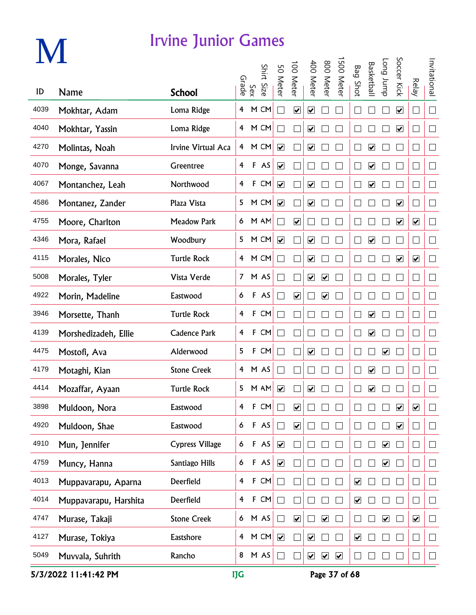# **M**

#### Irvine Junior Games

|      |                       |                        |                         | Sex<br>Grade | Shirt Size | 50 Meter                     | 100 Meter                    | 400 Meter                    | 800 Meter                    | 500 Meter               | <b>Bag Shot</b>              | <b>Basketbal</b>             | dunr buo                     | Soccer Kick             | Relay                    | Invitational |
|------|-----------------------|------------------------|-------------------------|--------------|------------|------------------------------|------------------------------|------------------------------|------------------------------|-------------------------|------------------------------|------------------------------|------------------------------|-------------------------|--------------------------|--------------|
| ID   | <b>Name</b>           | <b>School</b>          |                         |              |            |                              |                              |                              |                              |                         |                              |                              |                              |                         |                          |              |
| 4039 | Mokhtar, Adam         | Loma Ridge             | 4                       |              | M CM       | $\Box$                       | $\boxed{\blacktriangledown}$ | ☑                            |                              |                         |                              |                              |                              | $\blacktriangledown$    | $\overline{\phantom{0}}$ | $\Box$       |
| 4040 | Mokhtar, Yassin       | Loma Ridge             | $\overline{4}$          |              | M CM       | $\Box$                       |                              | $\boxed{\blacktriangledown}$ |                              |                         |                              |                              |                              | $\blacktriangledown$    | $\mathcal{A}$            | $\Box$       |
| 4270 | Molintas, Noah        | Irvine Virtual Aca     | 4                       |              | M CM       | $\blacktriangledown$         |                              | $\overline{\mathbf{v}}$      |                              |                         |                              | $\overline{\mathbf{v}}$      |                              |                         | $\mathcal{A}$            | $\Box$       |
| 4070 | Monge, Savanna        | Greentree              | $\overline{4}$          |              | F AS       | $\blacktriangledown$         |                              |                              |                              |                         |                              | $\overline{\mathbf{v}}$      |                              |                         | $\Box$                   | $\Box$       |
| 4067 | Montanchez, Leah      | Northwood              | 4                       | $\mathsf F$  | CM         | $\overline{\mathbf{v}}$      |                              | $\boxed{\blacktriangledown}$ |                              |                         |                              | ☑                            |                              |                         | $\Box$                   | $\Box$       |
| 4586 | Montanez, Zander      | Plaza Vista            | 5                       |              | M CM       | $\overline{\mathbf{v}}$      |                              | $\overline{\mathbf{v}}$      |                              |                         |                              |                              |                              | $\overline{\mathbf{v}}$ | $\overline{\phantom{a}}$ | $\Box$       |
| 4755 | Moore, Charlton       | <b>Meadow Park</b>     | 6                       |              | M AM       | $\Box$                       | $\boxed{\blacktriangledown}$ |                              |                              |                         |                              |                              |                              | $\blacktriangledown$    | $\blacktriangledown$     | $\Box$       |
| 4346 | Mora, Rafael          | Woodbury               | 5                       |              | M CM       | $\blacktriangledown$         |                              | $\overline{\mathbf{v}}$      |                              |                         |                              | $\blacktriangledown$         |                              |                         | - 1                      | $\Box$       |
| 4115 | Morales, Nico         | <b>Turtle Rock</b>     | $\overline{4}$          |              | M CM       | $\vert \ \ \vert$            |                              | $\boxed{\blacktriangledown}$ |                              |                         |                              |                              |                              | $\blacktriangledown$    | $\overline{\mathbf{v}}$  | $\Box$       |
| 5008 | Morales, Tyler        | Vista Verde            | 7 <sup>7</sup>          |              | M AS       | $\Box$                       |                              | $\blacktriangledown$         | $\boxed{\blacktriangledown}$ |                         |                              |                              |                              |                         | $\mathcal{A}$            | $\Box$       |
| 4922 | Morin, Madeline       | Eastwood               | 6                       |              | F AS       | П                            | $\boxed{\blacktriangledown}$ |                              | $\overline{\mathbf{v}}$      |                         |                              |                              |                              |                         | $\overline{\phantom{0}}$ | $\Box$       |
| 3946 | Morsette, Thanh       | <b>Turtle Rock</b>     | 4                       | $\mathsf F$  | CM         | $\Box$                       |                              |                              |                              |                         |                              | $\boxed{\blacktriangledown}$ |                              |                         | - 1                      | $\Box$       |
| 4139 | Morshedizadeh, Ellie  | <b>Cadence Park</b>    | 4                       | F            | CM         | $\mathcal{L}$                |                              |                              |                              |                         |                              | $\overline{\mathbf{v}}$      |                              |                         |                          | $\Box$       |
| 4475 | Mostofi, Ava          | Alderwood              | 5                       | F            | CM         | $\blacksquare$               |                              | $\overline{\mathbf{v}}$      |                              |                         |                              |                              | $\overline{\mathbf{v}}$      |                         | - 1                      | $\Box$       |
| 4179 | Motaghi, Kian         | <b>Stone Creek</b>     | 4                       |              | M AS       | $\Box$                       |                              |                              |                              |                         |                              | $\boxed{\blacktriangledown}$ |                              |                         | - 1                      | $\Box$       |
| 4414 | Mozaffar, Ayaan       | <b>Turtle Rock</b>     | 5                       |              | M AM       | $\overline{\mathbf{v}}$      |                              | $\boxed{\blacktriangledown}$ |                              |                         |                              | $\overline{\mathbf{v}}$      |                              |                         |                          | $\Box$       |
| 3898 | Muldoon, Nora         | Eastwood               | $\overline{\mathbf{4}}$ | F            | CM         |                              | $\boxed{\blacktriangledown}$ |                              |                              |                         |                              |                              |                              | $\blacktriangleright$   | $\overline{\mathbf{v}}$  | $\Box$       |
| 4920 | Muldoon, Shae         | Eastwood               | 6                       |              | F AS       | $\Box$                       | $\blacktriangledown$         |                              |                              |                         |                              |                              |                              | $\blacktriangledown$    |                          | $\Box$       |
| 4910 | Mun, Jennifer         | <b>Cypress Village</b> | 6                       |              | F AS       | $\blacktriangledown$         |                              |                              |                              |                         |                              |                              | $\blacktriangledown$         |                         |                          | $\Box$       |
| 4759 | Muncy, Hanna          | Santiago Hills         | 6                       |              | F AS       | $\boxed{\blacktriangledown}$ |                              |                              |                              |                         |                              |                              | $\boxed{\blacktriangledown}$ |                         | $\Box$                   | $\Box$       |
| 4013 | Muppavarapu, Aparna   | Deerfield              | $\overline{4}$          | $\mathsf F$  | CM         | $\Box$                       |                              |                              |                              |                         | $\boxed{\blacktriangledown}$ |                              |                              |                         | $\Box$                   | $\Box$       |
| 4014 | Muppavarapu, Harshita | Deerfield              | $\overline{4}$          | $\mathsf F$  | ${\sf CM}$ | $\Box$                       |                              |                              |                              |                         | $\overline{\mathbf{v}}$      |                              |                              |                         |                          | $\Box$       |
| 4747 | Murase, Takaji        | <b>Stone Creek</b>     | 6                       |              | M AS       | $\Box$                       | $\blacktriangledown$         |                              | $\overline{\mathbf{v}}$      |                         |                              |                              | $\blacktriangledown$         |                         | $\blacktriangledown$     | $\Box$       |
| 4127 | Murase, Tokiya        | Eastshore              | $\overline{4}$          |              | M CM       | $\blacktriangledown$         |                              | $\blacktriangledown$         |                              |                         | $\blacktriangledown$         |                              |                              |                         | $\sim$                   | $\Box$       |
| 5049 | Muvvala, Suhrith      | Rancho                 | 8                       |              | M AS       | $\Box$                       |                              | $\blacktriangledown$         | $\blacktriangledown$         | $\overline{\mathbf{v}}$ |                              |                              |                              |                         |                          | $\Box$       |

5/3/2022 11:41:42 PM IJG Page 37 of 68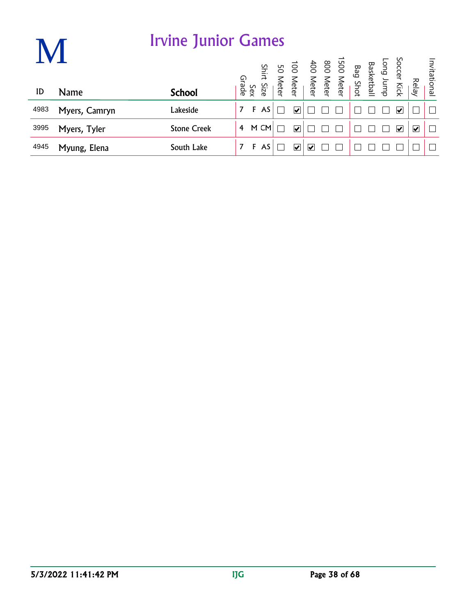|      |               | <b>Irvine Junior Games</b> |       |     |       |          |   |                                                                            |  |  |                            |                         |              |
|------|---------------|----------------------------|-------|-----|-------|----------|---|----------------------------------------------------------------------------|--|--|----------------------------|-------------------------|--------------|
|      |               |                            | Grade |     | Shirt | 50 Meter |   | Long Jump<br>Basketball<br>Bag Shot<br>100 Meter<br>400 Meter<br>100 Meter |  |  | Soccer Kick<br>Soccer Kick | <b>Relay</b>            | Invitational |
| ID   | <b>Name</b>   | <b>School</b>              |       | Sex | Size  |          |   |                                                                            |  |  |                            |                         |              |
| 4983 | Myers, Camryn | Lakeside                   | 7     | F   | AS    |          | V |                                                                            |  |  | $\blacktriangledown'$      |                         |              |
| 3995 | Myers, Tyler  | <b>Stone Creek</b>         | 4     |     | M CM  |          | M |                                                                            |  |  | $\overline{\mathbf{v}}$    | $\overline{\mathbf{v}}$ |              |
| 4945 | Myung, Elena  | South Lake                 | 7     | F   | AS    |          | V | V                                                                          |  |  |                            |                         |              |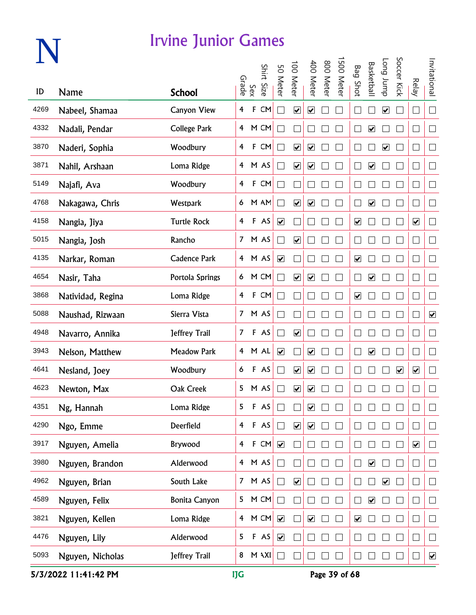|      |                   | <b>Irvine Junior Games</b> |                |              |            |                      |                              |                          |           |            |                              |                              |                         |                         |                              |                      |
|------|-------------------|----------------------------|----------------|--------------|------------|----------------------|------------------------------|--------------------------|-----------|------------|------------------------------|------------------------------|-------------------------|-------------------------|------------------------------|----------------------|
|      |                   |                            |                | Sex<br>Grade | Shirt Size | 50 Meter             | 100 Meter                    | 400 Meter                | 800 Meter | 1500 Meter | <b>Bag Shot</b>              | Basketball                   | dunr buo                | Soccer Kick             | <b>Relay</b>                 | Invitational         |
| ID   | Name              | <b>School</b>              |                |              |            |                      |                              |                          |           |            |                              |                              |                         |                         |                              |                      |
| 4269 | Nabeel, Shamaa    | <b>Canyon View</b>         | 4              | $\mathsf F$  | CM         | $\Box$               | $\boxed{\blacktriangledown}$ | $\overline{\mathbf{v}}$  |           |            |                              |                              | $\blacktriangledown$    |                         | □                            | $\Box$               |
| 4332 | Nadali, Pendar    | <b>College Park</b>        |                |              | 4 M CM     | $\Box$               |                              |                          |           |            |                              | $\blacktriangledown$         |                         |                         |                              | $\Box$               |
| 3870 | Naderi, Sophia    | Woodbury                   | 4              |              | F CM       | $\Box$               | $\blacktriangledown$         | $\blacktriangledown$     |           |            |                              |                              | $\blacktriangledown$    |                         |                              | $\Box$               |
| 3871 | Nahil, Arshaan    | Loma Ridge                 |                |              | 4 M AS     | $\vert \ \ \vert$    | $\blacktriangledown$         | $\blacktriangledown$     |           |            |                              | $\blacktriangledown$         |                         |                         |                              | $\Box$               |
| 5149 | Najafi, Ava       | Woodbury                   | $\overline{4}$ |              | F CM       | $\vert \ \ \vert$    |                              |                          |           |            |                              |                              |                         |                         |                              | $\Box$               |
| 4768 | Nakagawa, Chris   | Westpark                   |                |              | 6 M AM     | $\Box$               | $\overline{\mathbf{v}}$      | $\blacktriangledown$     |           |            |                              | $\boxed{\blacktriangledown}$ |                         |                         |                              | $\Box$               |
| 4158 | Nangia, Jiya      | <b>Turtle Rock</b>         | $\overline{4}$ |              | F AS       | $\blacktriangledown$ |                              | $\mathcal{L}$            |           |            | $\overline{\mathbf{v}}$      |                              |                         |                         | $\boxed{\blacktriangledown}$ | $\Box$               |
| 5015 | Nangia, Josh      | Rancho                     |                |              | 7 M AS     | $\Box$               | $\blacktriangledown$         |                          |           |            |                              |                              |                         |                         | - 1                          | $\Box$               |
| 4135 | Narkar, Roman     | <b>Cadence Park</b>        |                |              | 4 M AS     | $\blacktriangledown$ |                              | $\overline{\phantom{a}}$ |           |            | $\overline{\mathbf{v}}$      |                              |                         |                         | - 1                          | $\Box$               |
| 4654 | Nasir, Taha       | Portola Springs            |                |              | 6 M CM     | $\Box$               | $\boxed{\blacktriangledown}$ | $\blacktriangledown$     |           |            | $\mathbf{I}$                 | $\blacktriangledown$         |                         |                         | $\Box$                       | $\Box$               |
| 3868 | Natividad, Regina | Loma Ridge                 | $\overline{4}$ |              | F CM       | $\vert \ \ \vert$    |                              |                          |           |            | $\overline{\mathbf{v}}$      |                              |                         |                         | - 1                          | $\Box$               |
| 5088 | Naushad, Rizwaan  | Sierra Vista               | 7 <sup>7</sup> |              | M AS       | $\vert \ \ \vert$    |                              |                          |           |            |                              |                              |                         |                         |                              | $\blacktriangledown$ |
| 4948 | Navarro, Annika   | Jeffrey Trail              | 7 <sup>7</sup> |              | F AS       | $\Box$               | $\blacktriangledown$         |                          |           |            |                              |                              |                         |                         |                              | $\Box$               |
| 3943 | Nelson, Matthew   | <b>Meadow Park</b>         |                |              | 4 M AL     | $\blacktriangledown$ |                              | $\blacktriangledown$     |           |            |                              | $\overline{\mathbf{v}}$      |                         |                         | $\sim$                       | $\Box$               |
| 4641 | Nesland, Joey     | Woodbury                   | 6              |              | F AS       | M                    | $\overline{\mathbf{v}}$      | ☑                        |           |            |                              |                              |                         | $\overline{\mathbf{v}}$ | $\overline{\mathbf{v}}$      | $\Box$               |
| 4623 | Newton, Max       | Oak Creek                  | 5              |              | M AS       |                      | ☑                            | ☑                        |           |            |                              |                              |                         |                         |                              | $\mathbb{R}^n$       |
| 4351 | Ng, Hannah        | Loma Ridge                 | 5              |              | F AS       | $\vert \ \ \vert$    |                              | $\blacktriangleright$    |           |            |                              |                              |                         |                         | $\mathcal{A}$                | $\Box$               |
| 4290 | Ngo, Emme         | Deerfield                  | $\overline{4}$ | $\mathsf F$  | AS         | П                    | $\blacktriangledown$         | $\overline{\mathbf{v}}$  |           |            |                              |                              |                         |                         | - 1                          | $\Box$               |
| 3917 | Nguyen, Amelia    | Brywood                    | $\overline{4}$ | $\mathsf F$  | CM         | $\blacktriangledown$ |                              |                          |           |            |                              |                              |                         |                         | $\overline{\mathbf{v}}$      | $\Box$               |
| 3980 | Nguyen, Brandon   | Alderwood                  | $\overline{4}$ |              | M AS       | $\Box$               |                              |                          |           |            |                              | $\boxed{\blacktriangledown}$ |                         |                         | $\overline{\phantom{0}}$     | $\Box$               |
| 4962 | Nguyen, Brian     | South Lake                 | 7 <sup>7</sup> |              | M AS       | $\Box$               | $\boxed{\blacktriangledown}$ |                          |           |            |                              |                              | $\overline{\mathbf{v}}$ |                         | $\overline{\phantom{0}}$     | $\Box$               |
| 4589 | Nguyen, Felix     | <b>Bonita Canyon</b>       | 5              |              | M CM       | П                    |                              |                          |           |            |                              | $\boxed{\blacktriangledown}$ |                         |                         | $\overline{\phantom{0}}$     | $\Box$               |
| 3821 | Nguyen, Kellen    | Loma Ridge                 | $\overline{4}$ |              | M CM       | $\blacktriangledown$ |                              | $\blacktriangledown$     |           |            | $\boxed{\blacktriangledown}$ |                              |                         |                         |                              | $\Box$               |
| 4476 | Nguyen, Lily      | Alderwood                  | 5              |              | F AS       | $\blacktriangledown$ |                              |                          |           |            |                              |                              |                         |                         |                              | $\Box$               |
| 5093 | Nguyen, Nicholas  | Jeffrey Trail              | 8              |              | M \XI      |                      |                              |                          |           |            |                              |                              |                         |                         |                              | $\blacktriangledown$ |

5/3/2022 11:41:42 PM IJG Page 39 of 68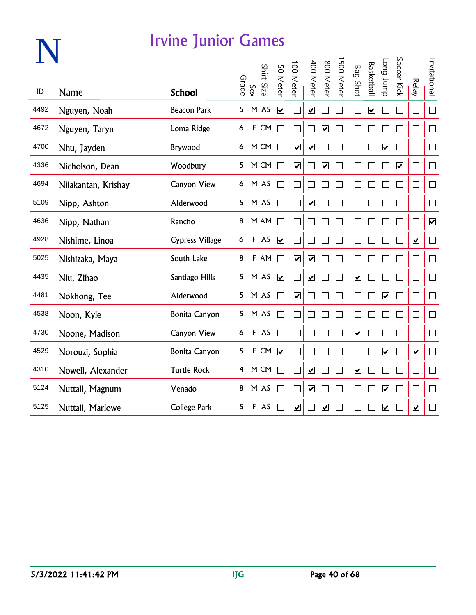|      |                     | <u>Irvine Junior Games</u> |       |     |            |                              |                              |                              |                         |           |                              |                         |                              |                         |                             |                         |
|------|---------------------|----------------------------|-------|-----|------------|------------------------------|------------------------------|------------------------------|-------------------------|-----------|------------------------------|-------------------------|------------------------------|-------------------------|-----------------------------|-------------------------|
| ID   | <b>Name</b>         | <b>School</b>              | Grade | Sex | Shirt Size | 50 Meter                     | 100 Meter                    | 400 Meter                    | 800 Meter               | 500 Meter | <b>Bag Shot</b>              | Basketbal               | dwnr buo                     | Soccer Kick             | <b>Relay</b>                | Invitational            |
| 4492 | Nguyen, Noah        | <b>Beacon Park</b>         | 5     |     | M AS       | $\overline{\mathbf{v}}$      |                              | $\boxed{\blacktriangledown}$ |                         |           |                              | $\overline{\mathbf{v}}$ |                              |                         | □                           | $\Box$                  |
| 4672 | Nguyen, Taryn       | Loma Ridge                 | 6     |     | F CM       |                              |                              |                              | $\overline{\mathbf{v}}$ |           |                              |                         |                              |                         | $\Box$                      | $\Box$                  |
| 4700 | Nhu, Jayden         | Brywood                    | 6     |     | M CM       |                              | $\blacktriangledown$         | $\blacktriangledown$         |                         |           |                              |                         | $\overline{\mathbf{v}}$      |                         | $\Box$                      | $\Box$                  |
| 4336 | Nicholson, Dean     | Woodbury                   | 5     |     | M CM       |                              | $\overline{\mathbf{v}}$      |                              | $\overline{\mathbf{v}}$ |           |                              |                         |                              | $\overline{\mathbf{v}}$ | $\vert \ \ \vert$           | $\vert \ \ \vert$       |
| 4694 | Nilakantan, Krishay | <b>Canyon View</b>         | 6     |     | M AS       |                              |                              |                              |                         |           |                              |                         |                              |                         | ⊔                           | $\vert$                 |
| 5109 | Nipp, Ashton        | Alderwood                  | 5     |     | M AS       |                              |                              | $\overline{\mathbf{v}}$      |                         |           |                              |                         |                              |                         | $\mathcal{L}_{\mathcal{A}}$ | $\Box$                  |
| 4636 | Nipp, Nathan        | Rancho                     | 8     |     | M AM       |                              |                              |                              |                         |           |                              |                         |                              |                         | $\Box$                      | $\overline{\mathbf{v}}$ |
| 4928 | Nishime, Linoa      | <b>Cypress Village</b>     | 6     |     | F AS       | $\blacktriangledown$         |                              |                              |                         |           |                              |                         |                              |                         | $\overline{\mathbf{v}}$     | $\Box$                  |
| 5025 | Nishizaka, Maya     | South Lake                 | 8     |     | F AM       | ┑                            | $\overline{\mathbf{v}}$      | $\overline{\mathbf{v}}$      |                         |           |                              |                         |                              |                         | $\Box$                      | $\Box$                  |
| 4435 | Niu, Zihao          | Santiago Hills             | 5     |     | M AS       | $\boxed{\blacktriangledown}$ |                              | $\boxed{\blacktriangledown}$ |                         |           | $\boxed{\blacktriangledown}$ |                         |                              |                         |                             |                         |
| 4481 | Nokhong, Tee        | Alderwood                  | 5     |     | M AS       |                              | $\overline{\mathbf{v}}$      |                              |                         |           |                              |                         | $\overline{\mathbf{v}}$      |                         | $\Box$                      | $\Box$                  |
| 4538 | Noon, Kyle          | <b>Bonita Canyon</b>       | 5     |     | M AS       |                              |                              |                              |                         |           |                              |                         |                              |                         | $\Box$                      | $\Box$                  |
| 4730 | Noone, Madison      | <b>Canyon View</b>         | 6     |     | F AS       |                              |                              |                              |                         |           | $\boxed{\blacktriangledown}$ |                         |                              |                         | $\Box$                      | $\Box$                  |
| 4529 | Norouzi, Sophia     | <b>Bonita Canyon</b>       | 5     |     | F CM       | $\overline{\mathbf{v}}$      |                              |                              |                         |           |                              |                         | $\boxed{\blacktriangledown}$ |                         | $\blacktriangledown$        | $\Box$                  |
| 4310 | Nowell, Alexander   | <b>Turtle Rock</b>         | 4     |     | M CM       |                              |                              | $\overline{\mathbf{v}}$      |                         |           | $\overline{\mathbf{v}}$      |                         |                              |                         | $\Box$                      | $\Box$                  |
| 5124 | Nuttall, Magnum     | Venado                     | 8     |     | M AS       |                              |                              | ☑                            |                         |           |                              |                         | $\overline{\mathbf{v}}$      |                         | $\Box$                      | $\vert \ \ \vert$       |
| 5125 | Nuttall, Marlowe    | <b>College Park</b>        | 5     |     | F AS       |                              | $\boxed{\blacktriangledown}$ |                              | $\overline{\mathbf{v}}$ |           |                              |                         | $\boxed{\blacktriangledown}$ |                         | $\blacktriangledown$        | $\sim$                  |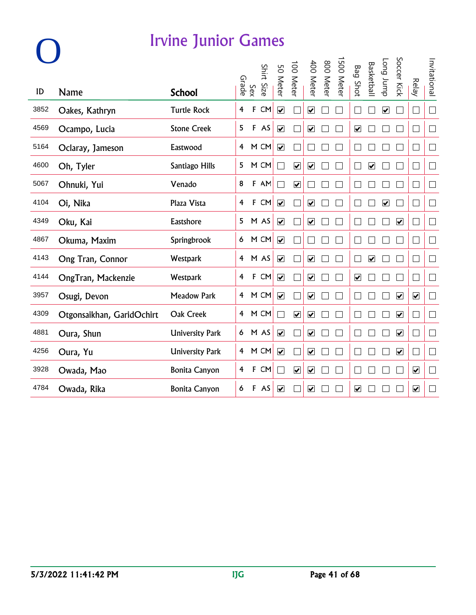|      |                           |                        | Grade | Sex | Shirt Size | 50 Meter                     | 100 Meter               | 400 Meter                    | 800 Meter | 500 Meter | Bag<br>Shot                  | <b>Basketbal</b>        | dunr buo                | Soccer Kick                  | <b>Relay</b>                    | Invitational                |
|------|---------------------------|------------------------|-------|-----|------------|------------------------------|-------------------------|------------------------------|-----------|-----------|------------------------------|-------------------------|-------------------------|------------------------------|---------------------------------|-----------------------------|
| ID   | <b>Name</b>               | <b>School</b>          |       |     |            |                              |                         |                              |           |           |                              |                         |                         |                              |                                 |                             |
| 3852 | Oakes, Kathryn            | <b>Turtle Rock</b>     | 4     | F   | CM         | $\overline{\mathbf{v}}$      |                         | $\overline{\mathbf{v}}$      |           |           |                              |                         | $\overline{\mathbf{v}}$ |                              | П                               | $\Box$                      |
| 4569 | Ocampo, Lucia             | <b>Stone Creek</b>     | 5     |     | F AS       | $\blacktriangledown$         |                         | $\overline{\mathbf{v}}$      |           |           | $\boxed{\blacktriangledown}$ |                         |                         |                              | $\overline{\phantom{a}}$        |                             |
| 5164 | Oclaray, Jameson          | Eastwood               | 4     |     | M CM       | $\blacktriangledown$         |                         |                              |           |           |                              |                         |                         |                              | $\Box$                          | $\Box$                      |
| 4600 | Oh, Tyler                 | Santiago Hills         | 5     |     | M CM       | - 1                          | $\overline{\mathbf{v}}$ | $\overline{\mathbf{v}}$      |           |           |                              | ☑                       |                         |                              | $\mathbb{R}^n$                  | $\Box$                      |
| 5067 | Ohnuki, Yui               | Venado                 | 8     |     | F AM       | $\overline{\phantom{a}}$     | $\overline{\mathbf{v}}$ |                              |           |           |                              |                         |                         |                              | $\mathbf{L}$                    | ⊔                           |
| 4104 | Oi, Nika                  | Plaza Vista            | 4     |     | F CM       | $\overline{\mathbf{v}}$      |                         | $\boxed{\blacktriangledown}$ |           |           |                              |                         | $\overline{\mathbf{v}}$ |                              | $\Box$                          | $\mathcal{L}_{\mathcal{A}}$ |
| 4349 | Oku, Kai                  | Eastshore              | 5     |     | M AS       | $\blacktriangledown$         |                         | $\overline{\mathbf{v}}$      |           |           |                              |                         |                         | $\blacktriangledown$         | $\mathcal{L}_{\mathcal{A}}$     | $\Box$                      |
| 4867 | Okuma, Maxim              | Springbrook            | 6     |     | M CM       | $\blacktriangledown$         |                         |                              |           |           |                              |                         |                         |                              | <b>I</b>                        | $\Box$                      |
| 4143 | Ong Tran, Connor          | <b>Westpark</b>        | 4     |     | M AS       | $\overline{\mathbf{v}}$      |                         | $\overline{\mathbf{v}}$      |           |           |                              | $\overline{\mathbf{v}}$ |                         |                              | $\vert \ \ \vert$               | $\Box$                      |
| 4144 | OngTran, Mackenzie        | Westpark               | 4     |     | F CM       | $\boxed{\blacktriangledown}$ |                         | $\overline{\mathbf{v}}$      |           |           | $\overline{\mathbf{v}}$      |                         |                         |                              | $\vert \ \ \vert$               | $\Box$                      |
| 3957 | Osugi, Devon              | <b>Meadow Park</b>     | 4     |     | M CM       | $\overline{\mathbf{v}}$      |                         | $\boxed{\blacktriangledown}$ |           |           |                              |                         |                         | $\overline{\mathbf{v}}$      | $\blacktriangledown$            | П                           |
| 4309 | Otgonsaikhan, GaridOchirt | Oak Creek              | 4     |     | M CM       |                              | $\overline{\mathbf{v}}$ | $\overline{\mathbf{v}}$      |           |           |                              |                         |                         | $\boxed{\blacktriangledown}$ | $\Box$                          | П                           |
| 4881 | Oura, Shun                | <b>University Park</b> | 6     |     | M AS       | $\blacktriangledown$         |                         | $\overline{\mathbf{v}}$      |           |           |                              |                         |                         | $\overline{\mathbf{v}}$      | $\Box$                          | $\Box$                      |
| 4256 | Oura, Yu                  | <b>University Park</b> | 4     |     | M CM       | $\blacktriangledown$         |                         | $\overline{\mathbf{v}}$      |           |           |                              |                         |                         | $\overline{\mathbf{v}}$      | $\vert \ \ \vert$               | $\Box$                      |
| 3928 | Owada, Mao                | <b>Bonita Canyon</b>   | 4     | F   | CM         | - 1                          | $\overline{\mathbf{v}}$ | $\overline{\mathbf{v}}$      |           |           |                              |                         |                         |                              | $\overline{\mathbf{v}}$         | $\mathbf{L}$                |
| 4784 | Owada, Rika               | <b>Bonita Canyon</b>   | 6     | F   | AS         | $\boxed{\blacktriangledown}$ |                         | $\overline{\mathbf{v}}$      |           |           | $\overline{\mathbf{v}}$      |                         |                         |                              | $\overline{\blacktriangledown}$ | $\mathbb{R}$                |

**O**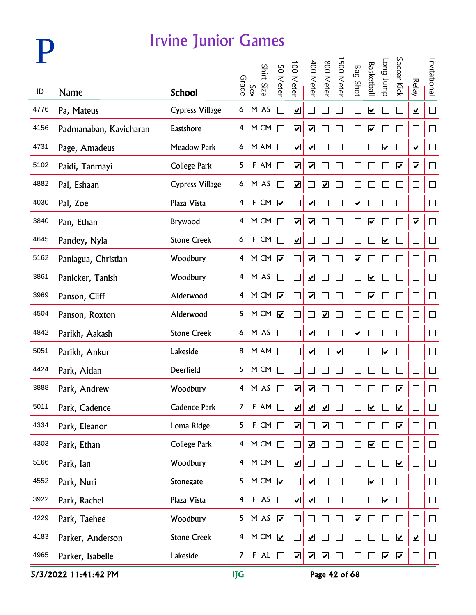

|      |                        |                        |                         | Sex<br>Grade | Shirt Size | 50 Meter                 | 100 Meter               | 400 Meter                    | 800 Meter                    | 500 Meter            | <b>Bag Shot</b>              | <b>Basketbal</b>             | <b>Long</b> bunp             | Soccer Kick             | <b>Relay</b>                | Invitational |
|------|------------------------|------------------------|-------------------------|--------------|------------|--------------------------|-------------------------|------------------------------|------------------------------|----------------------|------------------------------|------------------------------|------------------------------|-------------------------|-----------------------------|--------------|
| ID   | <b>Name</b>            | <b>School</b>          |                         |              |            |                          |                         |                              |                              |                      |                              |                              |                              |                         |                             |              |
| 4776 | Pa, Mateus             | <b>Cypress Village</b> | 6                       |              | M AS       | $\mathcal{L}$            | $\overline{\mathbf{v}}$ |                              |                              |                      | $\Box$                       | $\blacktriangledown$         |                              |                         | $\overline{\mathbf{v}}$     | $\Box$       |
| 4156 | Padmanaban, Kavicharan | Eastshore              | $\overline{4}$          |              | M CM       |                          | $\overline{\mathbf{v}}$ | $\blacktriangledown$         |                              |                      |                              | $\blacktriangledown$         |                              |                         | $\vert \ \ \vert$           | $\Box$       |
| 4731 | Page, Amadeus          | <b>Meadow Park</b>     | 6                       |              | M AM       |                          | $\blacktriangledown$    | $\blacktriangledown$         |                              |                      |                              |                              | $\overline{\mathbf{v}}$      |                         | $\blacktriangledown$        | $\Box$       |
| 5102 | Paidi, Tanmayi         | <b>College Park</b>    | 5                       |              | F AM       |                          | $\overline{\mathbf{v}}$ | $\overline{\mathbf{v}}$      |                              |                      |                              |                              |                              | $\blacktriangledown$    | $\blacktriangledown$        | $\Box$       |
| 4882 | Pal, Eshaan            | <b>Cypress Village</b> | 6                       |              | M AS       |                          | $\overline{\mathbf{v}}$ |                              | $\boxed{\blacktriangledown}$ |                      |                              |                              |                              |                         | ⊔                           | $\Box$       |
| 4030 | Pal, Zoe               | Plaza Vista            | $\overline{\mathbf{f}}$ |              | F CM       | $\overline{\mathbf{v}}$  |                         | $\blacktriangledown$         |                              |                      | $\boxed{\blacktriangledown}$ |                              |                              |                         | $\Box$                      | $\Box$       |
| 3840 | Pan, Ethan             | Brywood                | 4                       |              | M CM       | $\Box$                   | $\blacktriangledown$    | $\boxed{\blacktriangledown}$ |                              |                      |                              | $\overline{\mathbf{v}}$      |                              |                         | $\overline{\mathbf{v}}$     | $\Box$       |
| 4645 | Pandey, Nyla           | <b>Stone Creek</b>     | 6                       |              | F CM       | $\Box$                   | $\blacktriangledown$    |                              |                              |                      |                              |                              | $\blacktriangledown$         |                         | $\mathcal{L}_{\mathcal{A}}$ | $\Box$       |
| 5162 | Paniagua, Christian    | Woodbury               | $\overline{4}$          |              | M CM       | $\blacktriangledown$     |                         | $\blacktriangledown$         |                              |                      | $\boxed{\blacktriangledown}$ |                              |                              |                         | $\Box$                      | $\Box$       |
| 3861 | Panicker, Tanish       | Woodbury               |                         |              | 4 M AS     | $\Box$                   |                         | $\boxed{\blacktriangledown}$ |                              |                      | $\Box$                       | $\overline{\mathbf{v}}$      |                              |                         | $\Box$                      | $\Box$       |
| 3969 | Panson, Cliff          | Alderwood              | $\overline{4}$          |              | M CM       | $\overline{\mathbf{v}}$  |                         | $\blacktriangledown$         |                              |                      |                              | $\blacktriangledown$         |                              |                         | $\Box$                      | $\Box$       |
| 4504 | Panson, Roxton         | Alderwood              | 5                       |              | M CM       | $\overline{\mathbf{v}}$  |                         |                              | $\blacktriangledown$         |                      |                              |                              |                              |                         | $\overline{\phantom{a}}$    | $\Box$       |
| 4842 | Parikh, Aakash         | <b>Stone Creek</b>     |                         |              | 6 M AS     | Г                        |                         | $\blacktriangledown$         |                              |                      | $\blacktriangledown$         |                              |                              |                         | $\Box$                      | $\Box$       |
| 5051 | Parikh, Ankur          | Lakeside               | 8                       |              | M AM       | Г                        |                         | $\blacktriangledown$         |                              | $\blacktriangledown$ |                              |                              | $\overline{\mathbf{v}}$      |                         | $\Box$                      | $\Box$       |
| 4424 | Park, Aidan            | Deerfield              | 5                       |              | M CM       | $\Box$                   |                         |                              |                              |                      |                              |                              |                              |                         | $\Box$                      | $\Box$       |
| 3888 | Park, Andrew           | Woodbury               |                         |              | 4 M AS     |                          | $\overline{\mathbf{v}}$ | $\overline{\mathbf{v}}$      |                              |                      |                              |                              |                              | $\overline{\mathbf{v}}$ | $\Box$                      | $\Box$       |
| 5011 | Park, Cadence          | <b>Cadence Park</b>    | 7                       | F            | AM         |                          | $\overline{\mathbf{v}}$ | $\overline{\mathbf{v}}$      | $\overline{\mathbf{v}}$      |                      |                              | $\boxed{\blacktriangledown}$ |                              | $\blacktriangledown$    |                             |              |
| 4334 | Park, Eleanor          | Loma Ridge             | 5                       | $\mathsf F$  | CM         | $\overline{\phantom{a}}$ | $\blacktriangledown$    |                              | $\blacktriangledown$         |                      |                              |                              |                              | $\blacktriangledown$    |                             | $\Box$       |
| 4303 | Park, Ethan            | <b>College Park</b>    | $\overline{4}$          |              | M CM       | $\Box$                   |                         | $\blacktriangledown$         |                              |                      |                              | $\blacktriangledown$         |                              |                         |                             | $\Box$       |
| 5166 | Park, Ian              | Woodbury               | $\overline{4}$          |              | M CM       | $\Box$                   | $\blacktriangledown$    |                              |                              |                      |                              |                              |                              | $\overline{\mathbf{v}}$ | $\Box$                      | $\Box$       |
| 4552 | Park, Nuri             | Stonegate              | 5                       |              | M CM       |                          |                         | $\boxed{\blacktriangledown}$ |                              |                      |                              | $\overline{\mathbf{v}}$      |                              |                         | Г                           | $\Box$       |
| 3922 | Park, Rachel           | Plaza Vista            | $\overline{\mathbf{4}}$ |              | F AS       | $\Box$                   | $\overline{\mathbf{v}}$ | $\boxed{\blacktriangledown}$ |                              |                      |                              |                              | $\boxed{\blacktriangledown}$ |                         |                             | $\Box$       |
| 4229 | Park, Taehee           | Woodbury               | 5                       |              | M AS       | $\blacktriangledown$     |                         |                              |                              |                      | $\blacktriangledown$         |                              |                              |                         |                             | $\Box$       |
| 4183 | Parker, Anderson       | <b>Stone Creek</b>     | $\overline{4}$          |              | M CM       |                          |                         | $\blacktriangledown$         |                              |                      |                              |                              |                              | $\blacktriangledown$    | $\blacktriangledown$        | $\Box$       |
| 4965 | Parker, Isabelle       | Lakeside               | $\mathcal{I}$           |              | F AL       | $\Box$                   | $\blacktriangledown$    | $\blacktriangledown$         | $\blacktriangledown$         |                      |                              |                              | $\blacktriangledown$         | $\blacktriangledown$    |                             | $\Box$       |

5/3/2022 11:41:42 PM IJG Page 42 of 68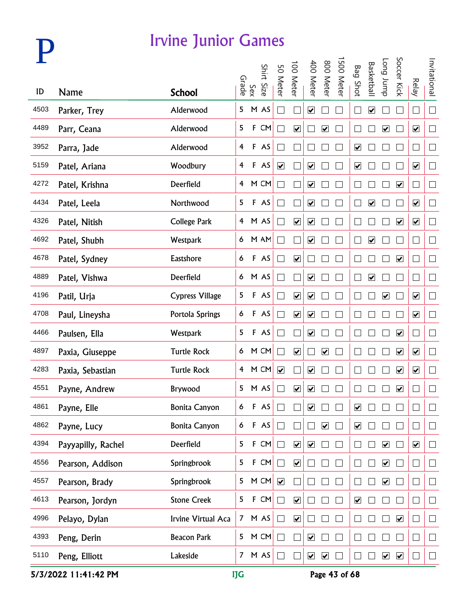

| ID   | <b>Name</b>        |                            |                | Sex<br>Grade | Shirt Size | 50 Meter                    | 100 Meter               | 400 Meter                    | 800 Meter            | 500 Meter | <b>Bag Shot</b>              | <b>Basketbal</b>        | <b>Long</b> bunp             | Soccer Kick             | <b>Relay</b>                | Invitational |
|------|--------------------|----------------------------|----------------|--------------|------------|-----------------------------|-------------------------|------------------------------|----------------------|-----------|------------------------------|-------------------------|------------------------------|-------------------------|-----------------------------|--------------|
| 4503 | Parker, Trey       | <b>School</b><br>Alderwood | 5              |              | M AS       | $\mathbb{R}^2$              |                         | $\overline{\mathbf{v}}$      |                      |           | $\Box$                       | $\blacktriangledown$    |                              |                         | $\Box$                      | $\Box$       |
| 4489 | Parr, Ceana        | Alderwood                  | 5              | $\mathsf F$  | CM         |                             | $\blacktriangledown$    |                              | $\blacktriangledown$ |           |                              |                         | $\blacktriangledown$         |                         | $\blacktriangledown$        | $\Box$       |
| 3952 | Parra, Jade        | Alderwood                  | 4              |              | F AS       |                             |                         |                              |                      |           | $\blacktriangledown$         |                         |                              |                         | $\Box$                      | $\Box$       |
| 5159 | Patel, Ariana      | Woodbury                   | 4              |              | F AS       | $\blacktriangledown$        |                         | $\blacktriangledown$         |                      |           | $\boxed{\blacktriangledown}$ |                         |                              |                         | $\blacktriangledown$        | $\Box$       |
| 4272 | Patel, Krishna     | Deerfield                  | 4              |              | M CM       |                             |                         | $\overline{\mathbf{v}}$      |                      |           |                              |                         |                              | $\overline{\mathbf{v}}$ | $\Box$                      | $\Box$       |
| 4434 | Patel, Leela       | Northwood                  | 5              |              | F AS       |                             |                         | $\blacktriangledown$         |                      |           |                              | $\overline{\mathbf{v}}$ |                              |                         | $\overline{\mathbf{v}}$     | $\Box$       |
| 4326 | Patel, Nitish      | <b>College Park</b>        | $\overline{4}$ |              | M AS       |                             | $\blacktriangledown$    | $\overline{\mathbf{v}}$      |                      |           |                              |                         |                              | $\blacktriangledown$    | $\overline{\mathbf{v}}$     | $\Box$       |
| 4692 | Patel, Shubh       | Westpark                   | 6              |              | M AM       | $\mathcal{L}_{\mathcal{A}}$ |                         | $\blacktriangledown$         |                      |           | $\Box$                       | $\overline{\mathbf{v}}$ |                              |                         | $\mathcal{L}_{\mathcal{A}}$ | $\Box$       |
| 4678 | Patel, Sydney      | Eastshore                  | 6              |              | F AS       | $\Box$                      | $\blacktriangledown$    |                              |                      |           |                              |                         |                              | $\blacktriangledown$    | $\Box$                      | $\Box$       |
| 4889 | Patel, Vishwa      | Deerfield                  | 6 <sup>1</sup> |              | M AS       | $\Box$                      |                         | $\blacktriangledown$         |                      |           | L                            | $\overline{\mathbf{v}}$ |                              |                         | $\Box$                      | $\Box$       |
| 4196 | Patil, Urja        | <b>Cypress Village</b>     | 5              |              | F AS       | $\sim$                      | $\overline{\mathbf{v}}$ | $\overline{\mathbf{v}}$      |                      |           |                              |                         | $\overline{\mathbf{v}}$      |                         | $\overline{\mathbf{v}}$     | $\Box$       |
| 4708 | Paul, Lineysha     | Portola Springs            | 6              |              | F AS       | $\sim$                      | $\blacktriangledown$    | $\boxed{\blacktriangledown}$ |                      |           |                              |                         |                              |                         | $\blacktriangledown$        | $\Box$       |
| 4466 | Paulsen, Ella      | Westpark                   | 5              |              | F AS       | $\Box$                      |                         | $\blacktriangledown$         |                      |           |                              |                         |                              | $\blacktriangledown$    | $\mathbf{r}$                | $\Box$       |
| 4897 | Paxia, Giuseppe    | <b>Turtle Rock</b>         | 6              |              | M CM       | П                           | $\blacktriangledown$    |                              | $\blacktriangledown$ |           |                              |                         |                              | $\blacktriangledown$    | $\blacktriangledown$        | $\Box$       |
| 4283 | Paxia, Sebastian   | <b>Turtle Rock</b>         | $\overline{4}$ |              | M CM       | $\overline{\mathbf{v}}$     |                         | $\overline{\mathbf{v}}$      |                      |           |                              |                         |                              | $\overline{\mathbf{v}}$ | $\overline{\mathbf{v}}$     | $\Box$       |
| 4551 | Payne, Andrew      | Brywood                    |                |              | 5 M AS     |                             | $\overline{\mathbf{v}}$ | $\overline{\mathbf{v}}$      |                      |           |                              |                         |                              | $\overline{\mathbf{v}}$ | L                           | $\Box$       |
| 4861 | Payne, Elle        | <b>Bonita Canyon</b>       | 6              | F            | AS         |                             |                         | $\boxed{\blacktriangledown}$ |                      |           | $\overline{\mathbf{v}}$      |                         |                              |                         |                             |              |
| 4862 | Payne, Lucy        | <b>Bonita Canyon</b>       | 6              |              | $F$ AS     | $\Box$                      |                         |                              | $\blacktriangledown$ |           | $\blacktriangledown$         |                         |                              |                         |                             | $\Box$       |
| 4394 | Payyapilly, Rachel | Deerfield                  | 5              | F            | CM         | $\Box$                      | $\blacktriangledown$    | $\blacktriangledown$         |                      |           |                              |                         | $\blacktriangledown$         |                         | $\blacktriangledown$        | $\Box$       |
| 4556 | Pearson, Addison   | Springbrook                | 5              | F            | CM         | $\Box$                      | $\blacktriangledown$    |                              |                      |           |                              |                         | $\boxed{\blacktriangledown}$ |                         | Г                           | $\Box$       |
| 4557 | Pearson, Brady     | Springbrook                | 5              |              | M CM       |                             |                         |                              |                      |           |                              |                         | $\boxed{\blacktriangledown}$ |                         | Г                           | $\Box$       |
| 4613 | Pearson, Jordyn    | <b>Stone Creek</b>         | 5              |              | F CM       | $\Box$                      | $\overline{\mathbf{v}}$ |                              |                      |           | $\overline{\mathbf{v}}$      |                         |                              |                         |                             | $\Box$       |
| 4996 | Pelayo, Dylan      | Irvine Virtual Aca         | 7 <sup>7</sup> |              | M AS       | $\Box$                      | $\blacktriangledown$    |                              |                      |           |                              |                         |                              | $\blacktriangledown$    |                             | $\Box$       |
| 4393 | Peng, Derin        | <b>Beacon Park</b>         | 5              |              | M CM       |                             |                         | $\blacktriangledown$         |                      |           |                              |                         |                              |                         |                             | $\Box$       |
| 5110 | Peng, Elliott      | Lakeside                   | 7 <sup>7</sup> |              | M AS       |                             |                         | $\blacktriangledown$         | $\blacktriangledown$ |           |                              |                         | $\blacktriangledown$         | $\blacktriangledown$    |                             | $\mathbf{L}$ |

5/3/2022 11:41:42 PM IJG Page 43 of 68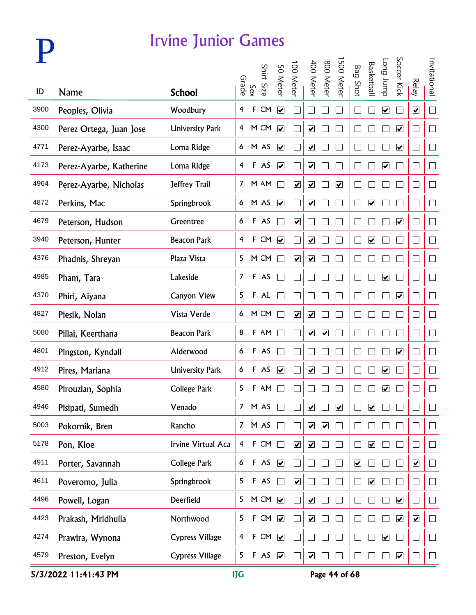

|      |                         |                        |                |              |            |                              | 00 Meter                     | 400 Mete                     | 800 Meter               | 500 Meter                    |                         | <b>Basketbal</b>             | dunr buo                     | Soccer Kick                  |                          | Invitational      |
|------|-------------------------|------------------------|----------------|--------------|------------|------------------------------|------------------------------|------------------------------|-------------------------|------------------------------|-------------------------|------------------------------|------------------------------|------------------------------|--------------------------|-------------------|
| ID   | <b>Name</b>             | <b>School</b>          | Grade          | Sex          | Shirt Size | 50 Meter                     |                              |                              |                         |                              | <b>Bag Shot</b>         |                              |                              |                              | <b>Relay</b>             |                   |
| 3900 | Peoples, Olivia         | Woodbury               | $\overline{4}$ | $\mathsf F$  | CM         | $\overline{\mathbf{v}}$      |                              |                              |                         |                              |                         |                              | $\boxed{\blacktriangledown}$ |                              | $\overline{\mathbf{v}}$  | $\Box$            |
| 4300 | Perez Ortega, Juan Jose | <b>University Park</b> |                |              | 4 M CM     | $\blacktriangledown$         |                              | $\blacktriangledown$         |                         |                              |                         |                              |                              | $\overline{\mathbf{v}}$      | $\Box$                   | $\Box$            |
| 4771 | Perez-Ayarbe, Isaac     | Loma Ridge             |                |              | 6 M AS     | $\overline{\mathbf{v}}$      |                              | $\overline{\mathbf{v}}$      |                         |                              |                         |                              |                              | $\blacktriangledown$         | $\Box$                   | $\Box$            |
| 4173 | Perez-Ayarbe, Katherine | Loma Ridge             | $\overline{4}$ |              | F AS       | $\overline{\mathbf{v}}$      |                              | $\overline{\mathbf{v}}$      |                         |                              |                         |                              | $\overline{\mathbf{v}}$      |                              | $\overline{\phantom{a}}$ | $\Box$            |
| 4964 | Perez-Ayarbe, Nicholas  | Jeffrey Trail          | 7 <sup>7</sup> |              | M AM       | $\mathcal{L}$                | $\overline{\mathbf{v}}$      | $\overline{\mathbf{v}}$      |                         | $\overline{\mathbf{v}}$      |                         |                              |                              |                              | $\Box$                   | $\Box$            |
| 4872 | Perkins, Mac            | Springbrook            |                |              | 6 M AS     | $\overline{\mathbf{v}}$      |                              | $\overline{\mathbf{v}}$      |                         |                              |                         | $\overline{\mathbf{v}}$      |                              |                              | $\overline{\phantom{a}}$ | $\Box$            |
| 4679 | Peterson, Hudson        | Greentree              | 6              |              | F AS       | $\overline{\phantom{a}}$     | $\overline{\mathbf{v}}$      | $\mathcal{L}$                |                         |                              |                         |                              |                              | $\boxed{\blacktriangledown}$ | $\Box$                   | $\Box$            |
| 3940 | Peterson, Hunter        | <b>Beacon Park</b>     | 4              | $\mathbf{F}$ | CM         | $\overline{\mathbf{v}}$      |                              | $\overline{\mathbf{v}}$      |                         |                              |                         | $\overline{\mathbf{v}}$      |                              |                              | $\Box$                   | $\Box$            |
| 4376 | Phadnis, Shreyan        | Plaza Vista            | 5              |              | M CM       | $\blacksquare$               | $\overline{\mathbf{v}}$      | $\overline{\mathbf{v}}$      |                         |                              |                         |                              |                              |                              | $\Box$                   | $\Box$            |
| 4985 | Pham, Tara              | Lakeside               | $\overline{7}$ |              | F AS       | $\blacksquare$               |                              |                              |                         |                              |                         |                              | $\boxed{\blacktriangledown}$ |                              | $\Box$                   | $\Box$            |
| 4370 | Phiri, Aiyana           | <b>Canyon View</b>     | 5              |              | F A L      |                              |                              |                              |                         |                              |                         |                              |                              | $\overline{\mathbf{v}}$      | $\Box$                   | $\Box$            |
| 4827 | Piesik, Nolan           | Vista Verde            | 6              |              | M CM       | $\blacksquare$               | $\overline{\mathbf{v}}$      | $\boxed{\blacktriangledown}$ |                         |                              |                         |                              |                              |                              | $\Box$                   | $\Box$            |
| 5080 | Pillai, Keerthana       | <b>Beacon Park</b>     | 8              |              | F AM       | $\blacksquare$               |                              | $\blacktriangledown$         | $\overline{\mathbf{v}}$ |                              |                         |                              |                              |                              | $\Box$                   | $\mathcal{L}$     |
| 4801 | Pingston, Kyndall       | Alderwood              | 6              |              | F AS       |                              |                              |                              |                         |                              |                         |                              |                              | $\blacktriangledown$         | $\mathbf{L}$             | $\Box$            |
| 4912 | Pires, Mariana          | <b>University Park</b> | 6              |              | F AS       | $\boxed{\blacktriangledown}$ |                              | $\boxed{\blacktriangledown}$ |                         |                              |                         |                              | $\overline{\mathbf{v}}$      |                              | $\overline{\phantom{a}}$ | $\Box$            |
| 4580 | Pirouzian, Sophia       | <b>College Park</b>    | 5              | F            | AM         |                              |                              |                              |                         |                              |                         |                              | $\boxed{\blacktriangledown}$ |                              | $\Box$                   | $\Box$            |
| 4946 | Pisipati, Sumedh        | Venado                 | $\overline{7}$ |              | M AS       |                              |                              | $\overline{\mathbf{v}}$      |                         | $\boxed{\blacktriangledown}$ |                         | $\boxed{\blacktriangledown}$ |                              |                              |                          |                   |
| 5003 | Pokornik, Bren          | Rancho                 | 7 <sup>7</sup> |              | M AS       |                              |                              | $\blacktriangledown$         | $\blacktriangledown$    |                              |                         |                              |                              |                              | $\Box$                   | $\mathcal{L}$     |
| 5178 | Pon, Kloe               | Irvine Virtual Aca     | 4              | F            | CM         | $\Box$                       | $\overline{\mathbf{v}}$      | $\blacktriangledown$         |                         |                              |                         | $\overline{\mathbf{v}}$      |                              |                              | $\Box$                   | $\Box$            |
| 4911 | Porter, Savannah        | College Park           | 6              |              | F AS       | $\blacktriangledown$         |                              |                              |                         |                              | $\overline{\mathbf{v}}$ |                              |                              |                              | $\overline{\mathbf{v}}$  | ⊔                 |
| 4611 | Poveromo, Julia         | Springbrook            | 5              | $\mathsf F$  | AS         | $\Box$                       | $\boxed{\blacktriangledown}$ |                              |                         |                              |                         | $\overline{\mathbf{v}}$      |                              |                              | $\Box$                   | ⊔                 |
| 4496 | Powell, Logan           | Deerfield              | 5              |              | M CM       | $\overline{\mathbf{v}}$      |                              | $\overline{\mathbf{v}}$      |                         |                              |                         |                              |                              | $\overline{\mathbf{v}}$      | $\Box$                   | $\Box$            |
| 4423 | Prakash, Mridhulla      | Northwood              | 5              | $\mathsf F$  | CM         | $\blacktriangledown$         |                              | $\overline{\mathbf{v}}$      |                         |                              |                         |                              |                              | $\overline{\mathbf{v}}$      | $\blacktriangledown$     | $\vert \ \ \vert$ |
| 4274 | Prawira, Wynona         | <b>Cypress Village</b> | 4              | $\mathsf F$  | CM         | $\blacktriangledown$         |                              |                              |                         |                              |                         |                              | $\overline{\mathbf{v}}$      |                              | $\Box$                   | $\Box$            |
| 4579 | Preston, Evelyn         | Cypress Village        | 5              |              | F AS       | $\blacktriangledown$         |                              | $\blacktriangledown$         |                         |                              |                         |                              |                              | $\blacktriangledown$         | L                        | $\Box$            |

5/3/2022 11:41:43 PM **IJG** Page 44 of 68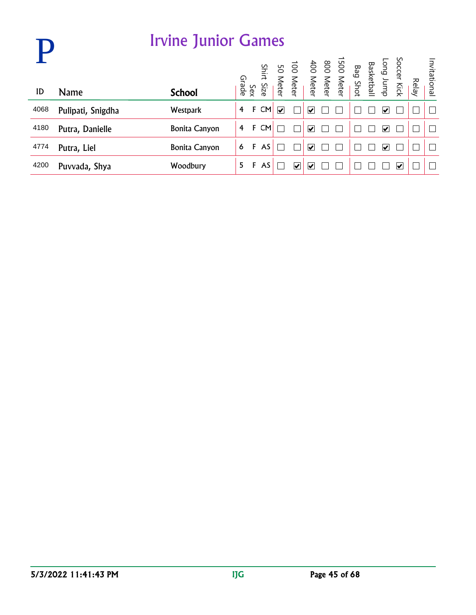|      |                   | <b>Irvine Junior Games</b> |       |     |           |                         |                                 |   |                                                                                                                                    |  |   |                      |       |              |
|------|-------------------|----------------------------|-------|-----|-----------|-------------------------|---------------------------------|---|------------------------------------------------------------------------------------------------------------------------------------|--|---|----------------------|-------|--------------|
|      |                   |                            | Grade |     | Shirt     |                         |                                 |   | Soccer Kick<br>Basketball<br>Bag Shot<br>Basketball<br>Basketball<br>Bor Meter<br>400 Meter<br>100 Meter<br>100 Meter<br>100 Meter |  |   |                      | Relay | Invitational |
| ID   | <b>Name</b>       | <b>School</b>              |       | Sex | Size      |                         |                                 |   |                                                                                                                                    |  |   |                      |       |              |
| 4068 | Pulipati, Snigdha | <b>Westpark</b>            | 4     | F   | CM        | $\overline{\mathbf{v}}$ |                                 | V |                                                                                                                                    |  | V |                      |       |              |
| 4180 | Putra, Danielle   | <b>Bonita Canyon</b>       | 4     | F   | <b>CM</b> |                         |                                 | V |                                                                                                                                    |  | び |                      |       |              |
| 4774 | Putra, Liel       | <b>Bonita Canyon</b>       | 6     | F   | AS        |                         |                                 | V |                                                                                                                                    |  | び |                      |       |              |
| 4200 | Puvvada, Shya     | Woodbury                   | 5     | F   | AS        |                         | $\overline{\blacktriangledown}$ | V |                                                                                                                                    |  |   | $\blacktriangledown$ |       |              |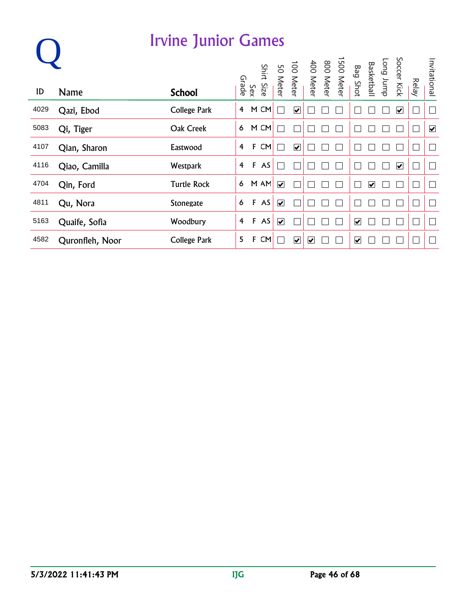|      |                 | <b>Irvine Junior Games</b> |   |              |      |                         |                         |   |                                                                                               |                         |                         |           |                              |              |                      |
|------|-----------------|----------------------------|---|--------------|------|-------------------------|-------------------------|---|-----------------------------------------------------------------------------------------------|-------------------------|-------------------------|-----------|------------------------------|--------------|----------------------|
|      |                 |                            |   |              |      |                         |                         |   | 1500 Meter<br>400 Meter<br>400 Meter<br>100 Meter<br>50 Meter<br>Sinit Size<br>Srade<br>Grade | <b>Bag Shot</b>         | <b>Basketball</b>       | Tong Jump | Soccer Kick                  | <b>Relay</b> | Invitational         |
| ID   | <b>Name</b>     | <b>School</b>              |   |              |      |                         |                         |   |                                                                                               |                         |                         |           |                              |              |                      |
| 4029 | Qazi, Ebod      | College Park               | 4 |              | M CM |                         | $\overline{\mathbf{v}}$ |   |                                                                                               |                         |                         |           | $\boxed{\blacktriangledown}$ |              | Ξ                    |
| 5083 | Qi, Tiger       | Oak Creek                  | 6 |              | M CM |                         |                         |   |                                                                                               |                         |                         |           |                              |              | $\blacktriangledown$ |
| 4107 | Qian, Sharon    | Eastwood                   | 4 | F            | CM   |                         | $\overline{\mathbf{v}}$ |   |                                                                                               |                         |                         |           |                              |              |                      |
| 4116 | Qiao, Camilla   | Westpark                   | 4 | $\mathbf{F}$ | AS   |                         |                         |   |                                                                                               |                         |                         |           | $\overline{\mathbf{v}}$      |              |                      |
| 4704 | Qin, Ford       | <b>Turtle Rock</b>         | 6 |              | M AM | $\overline{\mathbf{v}}$ |                         |   |                                                                                               |                         | $\overline{\mathbf{v}}$ |           |                              |              |                      |
| 4811 | Qu, Nora        | <b>Stonegate</b>           | 6 | $\mathbf{F}$ | AS   | $\overline{\mathbf{v}}$ |                         |   |                                                                                               |                         |                         |           |                              |              | Τ                    |
| 5163 | Quaife, Sofia   | Woodbury                   | 4 |              | F AS | $\overline{\mathbf{v}}$ |                         |   |                                                                                               | $\overline{\mathbf{v}}$ |                         |           |                              |              |                      |
| 4582 | Quronfleh, Noor | <b>College Park</b>        | 5 | F            | CM   |                         | $\blacktriangledown$    | V |                                                                                               | $\overline{\mathbf{v}}$ |                         |           |                              |              |                      |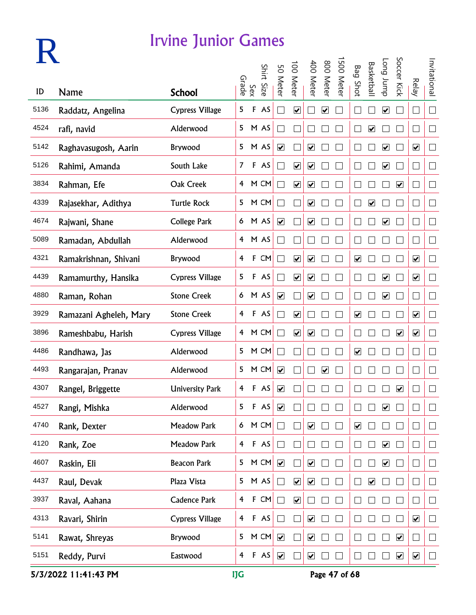

|      |                        |                        |                         |              | Shirt | 50 Meter                     | 100 Meter                    | 400 Meter                    | 008                          | 500 Meter | <b>Bag Shot</b>              | <b>Basketbal</b>             | dunr buo                     | Soccer Kick             |                              | Invitational   |
|------|------------------------|------------------------|-------------------------|--------------|-------|------------------------------|------------------------------|------------------------------|------------------------------|-----------|------------------------------|------------------------------|------------------------------|-------------------------|------------------------------|----------------|
| ID   | Name                   | <b>School</b>          |                         | Sex<br>Grade | Size. |                              |                              |                              | <b>Meter</b>                 |           |                              |                              |                              |                         | Relay                        |                |
| 5136 | Raddatz, Angelina      | <b>Cypress Village</b> | 5                       | F            | AS    | $\mathcal{L}$                | $\overline{\mathbf{v}}$      |                              | ☑                            |           |                              |                              | $\overline{\mathbf{v}}$      |                         | $\mathbf{L}$                 | $\Box$         |
| 4524 | rafi, navid            | Alderwood              | 5                       |              | M AS  |                              |                              |                              |                              |           |                              | $\boxed{\blacktriangledown}$ |                              |                         | $\mathbf{r}$                 | $\mathbb{R}^n$ |
| 5142 | Raghavasugosh, Aarin   | <b>Brywood</b>         | 5                       |              | M AS  | $\overline{\mathbf{v}}$      |                              | $\boxed{\blacktriangledown}$ |                              |           |                              |                              | $\overline{\mathbf{v}}$      |                         | $\blacktriangledown$         | $\Box$         |
| 5126 | Rahimi, Amanda         | South Lake             | $\overline{7}$          |              | F AS  |                              | $\boxed{\blacktriangledown}$ | $\boxed{\blacktriangledown}$ |                              |           |                              |                              | $\overline{\mathbf{v}}$      |                         | $\mathsf{L}$                 | $\Box$         |
| 3834 | Rahman, Efe            | Oak Creek              | 4                       |              | M CM  |                              | $\overline{\mathbf{v}}$      | $\boxed{\blacktriangledown}$ |                              |           |                              |                              |                              | $\overline{\mathbf{v}}$ | L                            | $\Box$         |
| 4339 | Rajasekhar, Adithya    | <b>Turtle Rock</b>     | 5                       |              | M CM  |                              |                              | $\overline{\mathbf{v}}$      |                              |           | $\mathbf{L}$                 | $\boxed{\blacktriangledown}$ |                              |                         | ⊔                            | $\Box$         |
| 4674 | Rajwani, Shane         | <b>College Park</b>    | 6                       |              | M AS  | $\overline{\mathbf{v}}$      |                              | $\overline{\mathbf{v}}$      |                              |           |                              |                              | $\overline{\mathbf{v}}$      |                         | $\vert \ \ \vert$            | $\Box$         |
| 5089 | Ramadan, Abdullah      | Alderwood              | $\overline{4}$          |              | M AS  |                              |                              |                              |                              |           |                              |                              |                              |                         | $\overline{\phantom{a}}$     | $\Box$         |
| 4321 | Ramakrishnan, Shivani  | Brywood                | 4                       | F            | CM    |                              | $\overline{\mathbf{v}}$      | $\overline{\mathbf{v}}$      |                              |           | $\boxed{\blacktriangledown}$ |                              |                              |                         | $\blacktriangledown$         | $\Box$         |
| 4439 | Ramamurthy, Hansika    | <b>Cypress Village</b> | 5                       | F            | AS    |                              | $\overline{\mathbf{v}}$      | $\boxed{\blacktriangledown}$ |                              |           |                              |                              | $\overline{\mathbf{v}}$      |                         | $\overline{\mathbf{v}}$      | $\Box$         |
| 4880 | Raman, Rohan           | <b>Stone Creek</b>     | 6                       |              | M AS  | $\overline{\mathbf{v}}$      |                              | $\overline{\mathbf{v}}$      |                              |           |                              |                              | $\overline{\mathbf{v}}$      |                         | $\vert \ \ \vert$            | $\Box$         |
| 3929 | Ramazani Agheleh, Mary | <b>Stone Creek</b>     | 4                       |              | F AS  |                              | $\overline{\mathbf{v}}$      |                              |                              |           | $\overline{\mathbf{v}}$      |                              |                              |                         | $\boxed{\blacktriangledown}$ | П              |
| 3896 | Rameshbabu, Harish     | <b>Cypress Village</b> | 4                       |              | M CM  |                              | $\overline{\mathbf{v}}$      | $\blacktriangledown$         |                              |           |                              |                              |                              | $\blacktriangledown$    | $\blacktriangledown$         | M              |
| 4486 | Randhawa, Jas          | Alderwood              | 5                       |              | M CM  |                              |                              |                              |                              |           | $\blacktriangledown$         |                              |                              |                         | $\vert \ \ \vert$            | $\Box$         |
| 4493 | Rangarajan, Pranav     | Alderwood              | 5                       |              | M CM  | $\overline{\mathbf{v}}$      |                              |                              | $\boxed{\blacktriangledown}$ |           |                              |                              |                              |                         | $\mathbf{L}$                 | $\Box$         |
| 4307 | Rangel, Briggette      | <b>University Park</b> | 4                       |              | F AS  | $\overline{\mathbf{v}}$      |                              |                              |                              |           |                              |                              |                              | $\blacktriangledown$    |                              | $\Box$         |
| 4527 | Rangi, Mishka          | Alderwood              | 5                       | F            | AS    | $\boxed{\blacktriangledown}$ |                              |                              |                              |           |                              |                              | $\overline{\mathbf{v}}$      |                         |                              | $\Box$         |
| 4740 | Rank, Dexter           | <b>Meadow Park</b>     | 6                       |              | M CM  | $\Box$                       |                              | $\blacktriangledown$         |                              |           | $\blacktriangledown$         |                              |                              |                         |                              | $\Box$         |
| 4120 | Rank, Zoe              | <b>Meadow Park</b>     | $\overline{4}$          |              | F AS  | $\Box$                       |                              |                              |                              |           |                              |                              | $\blacktriangledown$         |                         | $\Box$                       | $\Box$         |
| 4607 | Raskin, Eli            | <b>Beacon Park</b>     | 5                       |              | M CM  |                              |                              | $\overline{\mathbf{v}}$      |                              |           | $\Box$                       |                              | $\boxed{\blacktriangledown}$ |                         | $\Box$                       | $\Box$         |
| 4437 | Raul, Devak            | Plaza Vista            | 5                       |              | M AS  | $\Box$                       | $\overline{\mathbf{v}}$      | $\boxed{\blacktriangledown}$ |                              |           | $\Box$                       | $\boxed{\blacktriangledown}$ |                              |                         | $\Box$                       | $\Box$         |
| 3937 | Raval, Aahana          | <b>Cadence Park</b>    | $\overline{\mathbf{4}}$ |              | F CM  | $\Box$                       | $\overline{\mathbf{v}}$      |                              |                              |           |                              |                              |                              |                         | $\mathcal{L}_{\mathcal{A}}$  | $\Box$         |
| 4313 | Ravari, Shirin         | <b>Cypress Village</b> | $\overline{\mathbf{r}}$ |              | F AS  | $\Box$                       |                              | $\boxed{\blacktriangledown}$ |                              |           |                              |                              |                              |                         | $\blacktriangledown$         | $\Box$         |
| 5141 | Rawat, Shreyas         | Brywood                | 5                       |              | M CM  | $\blacktriangledown$         |                              | $\blacktriangledown$         |                              |           |                              |                              |                              | $\blacktriangledown$    | Г                            | $\Box$         |
| 5151 | Reddy, Purvi           | Eastwood               | 4                       |              | F AS  | $\blacktriangledown$         |                              | $\boxed{\blacktriangledown}$ |                              |           | $\Box$                       |                              |                              | $\blacktriangledown$    | $\blacktriangledown$         | $\Box$         |

5/3/2022 11:41:43 PM IJG Page 47 of 68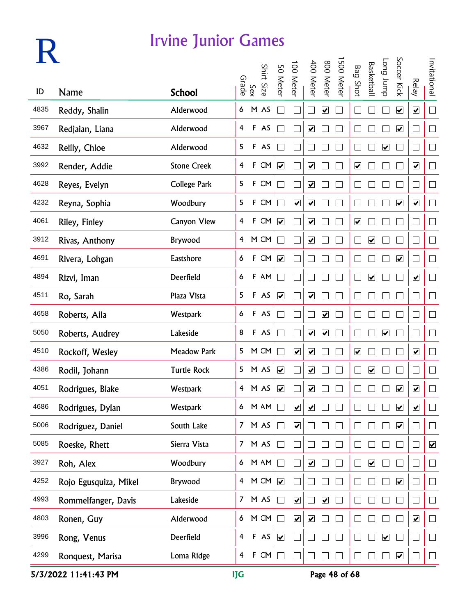

|      |                       |                     |                         |              | Shirt Size | 50 Meter                     | 100 Meter                    | 400 Meter                    | 800 Meter                    | 500 Meter | <b>Bag Shot</b>              | <b>Basketbal</b>        | <b>Long</b> bunp        | Soccer Kick                  |                              | Invitational             |
|------|-----------------------|---------------------|-------------------------|--------------|------------|------------------------------|------------------------------|------------------------------|------------------------------|-----------|------------------------------|-------------------------|-------------------------|------------------------------|------------------------------|--------------------------|
| ID   | <b>Name</b>           | <b>School</b>       |                         | Sex<br>Grade |            |                              |                              |                              |                              |           |                              |                         |                         |                              | <b>Relay</b>                 |                          |
| 4835 | Reddy, Shalin         | Alderwood           | 6                       |              | M AS       |                              |                              |                              | $\overline{\mathbf{v}}$      |           |                              |                         |                         | $\overline{\mathbf{v}}$      | $\overline{\mathbf{v}}$      | $\Box$                   |
| 3967 | Redjaian, Liana       | Alderwood           | 4                       |              | F AS       |                              |                              | $\blacktriangledown$         |                              |           |                              |                         |                         | $\blacktriangledown$         | $\vert \ \ \vert$            | $\Box$                   |
| 4632 | Reilly, Chloe         | Alderwood           | 5                       |              | F AS       |                              |                              |                              |                              |           |                              |                         | $\overline{\mathbf{v}}$ |                              | $\Box$                       | $\Box$                   |
| 3992 | Render, Addie         | <b>Stone Creek</b>  | 4                       | $\mathsf F$  | CM         | $\blacktriangledown$         |                              | $\blacktriangledown$         |                              |           | $\boxed{\blacktriangledown}$ |                         |                         |                              | $\blacktriangledown$         | $\Box$                   |
| 4628 | Reyes, Evelyn         | <b>College Park</b> | 5                       | $\mathsf F$  | CM         |                              |                              | $\overline{\mathbf{v}}$      |                              |           |                              |                         |                         |                              | $\Box$                       | $\Box$                   |
| 4232 | Reyna, Sophia         | Woodbury            | 5                       |              | F CM       |                              | $\boxed{\blacktriangledown}$ | $\boxed{\blacktriangledown}$ |                              |           |                              |                         |                         | $\overline{\mathbf{v}}$      | $\overline{\mathbf{v}}$      | $\Box$                   |
| 4061 | Riley, Finley         | <b>Canyon View</b>  | $\overline{\mathbf{f}}$ | $\mathsf F$  | CM         | $\blacktriangledown$         |                              | $\blacktriangledown$         |                              |           | $\overline{\mathbf{v}}$      |                         |                         |                              | $\mathcal{L}_{\mathcal{A}}$  | $\Box$                   |
| 3912 | Rivas, Anthony        | Brywood             | $\overline{4}$          |              | M CM       | $\Box$                       |                              | $\blacktriangledown$         |                              |           |                              | $\overline{\mathbf{v}}$ |                         |                              | $\mathcal{L}_{\mathcal{A}}$  | $\Box$                   |
| 4691 | Rivera, Lohgan        | Eastshore           | 6                       | $\mathsf F$  | CM         | $\overline{\mathbf{v}}$      |                              |                              |                              |           |                              |                         |                         | $\blacktriangledown$         | $\Box$                       | $\Box$                   |
| 4894 | Rizvi, Iman           | Deerfield           | 6                       |              | F AM       | $\mathcal{L}_{\mathcal{A}}$  |                              |                              |                              |           | $\Box$                       | $\overline{\mathbf{v}}$ |                         |                              | $\boxed{\blacktriangledown}$ | $\Box$                   |
| 4511 | Ro, Sarah             | Plaza Vista         | 5                       |              | F AS       | $\boxed{\blacktriangledown}$ |                              | $\blacktriangledown$         |                              |           |                              |                         |                         |                              | $\Box$                       | $\Box$                   |
| 4658 | Roberts, Aila         | Westpark            | 6                       |              | F AS       | $\sim$                       |                              |                              | $\blacktriangledown$         |           |                              |                         |                         |                              | $\overline{\phantom{a}}$     | $\Box$                   |
| 5050 | Roberts, Audrey       | Lakeside            | 8                       |              | F AS       | $\Box$                       |                              | $\blacktriangledown$         | $\blacktriangledown$         |           |                              |                         | $\blacktriangledown$    |                              | L                            | $\Box$                   |
| 4510 | Rockoff, Wesley       | <b>Meadow Park</b>  | 5                       |              | M CM       | П                            | $\blacktriangledown$         | $\blacktriangledown$         |                              |           | $\blacktriangledown$         |                         |                         |                              | $\blacktriangledown$         | $\Box$                   |
| 4386 | Rodil, Johann         | <b>Turtle Rock</b>  |                         |              | 5 M AS     | $\overline{\mathbf{v}}$      |                              | $\blacktriangledown$         |                              |           | $\Box$                       | $\overline{\mathbf{v}}$ |                         |                              | $\Box$                       | $\Box$                   |
| 4051 | Rodrigues, Blake      | Westpark            |                         |              | 4 M AS     | $\overline{\mathbf{v}}$      |                              | $\overline{\mathbf{v}}$      |                              |           |                              |                         |                         | $\blacktriangledown$         | $\overline{\mathbf{v}}$      | $\Box$                   |
| 4686 | Rodrigues, Dylan      | Westpark            | 6                       |              | M AM       |                              | $\overline{\mathbf{v}}$      | $\boxed{\blacktriangledown}$ |                              |           |                              |                         |                         | $\boxed{\blacktriangledown}$ | $\overline{\mathbf{v}}$      | $\overline{\phantom{a}}$ |
| 5006 | Rodriguez, Daniel     | South Lake          | 7 <sup>7</sup>          |              | MAS        | $\Box$                       | $\blacktriangledown$         |                              |                              |           |                              |                         |                         | $\blacktriangledown$         |                              | $\Box$                   |
| 5085 | Roeske, Rhett         | Sierra Vista        | 7 <sup>7</sup>          |              | M AS       | $\Box$                       |                              |                              |                              |           |                              |                         |                         |                              |                              | $\blacktriangledown$     |
| 3927 | Roh, Alex             | Woodbury            | $\epsilon$              |              | M AM       | $\Box$                       |                              | $\overline{\mathbf{v}}$      |                              |           |                              | $\overline{\mathbf{v}}$ |                         |                              | Г                            | $\Box$                   |
| 4252 | Rojo Egusquiza, Mikel | Brywood             | $\overline{4}$          |              | M CM       | $\overline{\mathbf{v}}$      |                              |                              |                              |           |                              |                         |                         | $\overline{\mathbf{v}}$      | $\Box$                       | $\Box$                   |
| 4993 | Rommelfanger, Davis   | Lakeside            | 7 <sup>7</sup>          |              | M AS       | $\Box$                       | $\overline{\mathbf{v}}$      |                              | $\boxed{\blacktriangledown}$ |           |                              |                         |                         |                              |                              | $\Box$                   |
| 4803 | Ronen, Guy            | Alderwood           | 6                       |              | M CM       | $\Box$                       | $\blacktriangledown$         | $\blacktriangledown$         |                              |           |                              |                         |                         |                              | $\blacktriangledown$         | $\Box$                   |
| 3996 | Rong, Venus           | Deerfield           | 4                       |              | $F$ AS     | $\blacktriangledown$         |                              |                              |                              |           |                              |                         | $\blacktriangledown$    |                              | $\mathbf{r}$                 | $\Box$                   |
| 4299 | Ronquest, Marisa      | Loma Ridge          | $\overline{\mathbf{f}}$ |              | F CM       | $\Box$                       |                              |                              |                              |           |                              |                         |                         | $\blacktriangledown$         |                              | $\Box$                   |

5/3/2022 11:41:43 PM IJG Page 48 of 68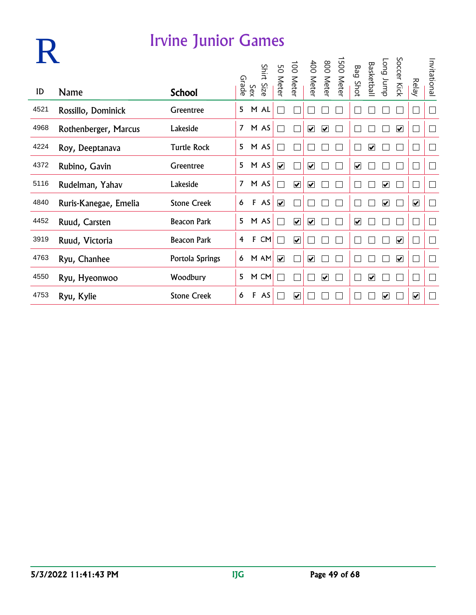|      |                       |                    | Grade          |              | Shirt | 9G<br><b>Meter</b>      | $\overline{5}$<br><b>Meter</b> | 400<br><b>Meter</b>          | 008<br><b>Meter</b>     | <b>500</b><br><b>Meter</b> | Bag<br>Shot | <b>Basketball</b>       | Long Jump               | Soccer Kick             | <b>Relay</b>                    | Invitational             |
|------|-----------------------|--------------------|----------------|--------------|-------|-------------------------|--------------------------------|------------------------------|-------------------------|----------------------------|-------------|-------------------------|-------------------------|-------------------------|---------------------------------|--------------------------|
| ID   | <b>Name</b>           | <b>School</b>      |                | Sex          | Size  |                         |                                |                              |                         |                            |             |                         |                         |                         |                                 |                          |
| 4521 | Rossillo, Dominick    | Greentree          | 5              |              | M AL  |                         |                                |                              |                         |                            |             |                         |                         |                         |                                 |                          |
| 4968 | Rothenberger, Marcus  | Lakeside           | 7              |              | M AS  |                         |                                | ☑                            | $\overline{\mathbf{v}}$ |                            |             |                         |                         | $\blacktriangledown$    |                                 |                          |
| 4224 | Roy, Deeptanava       | <b>Turtle Rock</b> | 5              |              | M AS  |                         |                                |                              |                         |                            |             | $\overline{\mathbf{v}}$ |                         |                         |                                 |                          |
| 4372 | Rubino, Gavin         | Greentree          | 5              |              | M AS  | $\overline{\mathbf{v}}$ |                                | $\overline{\mathbf{v}}$      |                         |                            | ☑           |                         |                         |                         |                                 |                          |
| 5116 | Rudelman, Yahav       | Lakeside           | $\overline{7}$ |              | M AS  |                         | $\overline{\mathbf{v}}$        | ☑                            |                         |                            |             |                         | ☑                       |                         |                                 |                          |
| 4840 | Ruris-Kanegae, Emelia | <b>Stone Creek</b> | 6              | F            | AS    | $\overline{\mathbf{v}}$ |                                |                              |                         |                            |             |                         | $\overline{\mathbf{v}}$ |                         | $\overline{\mathbf{v}}$         | $\overline{\phantom{a}}$ |
| 4452 | Ruud, Carsten         | <b>Beacon Park</b> | 5              |              | M AS  |                         | $\overline{\mathbf{v}}$        | $\overline{\mathbf{v}}$      |                         |                            | ⊻           |                         |                         |                         |                                 |                          |
| 3919 | Ruud, Victoria        | <b>Beacon Park</b> | 4              | $\mathbf{F}$ | CM    |                         | $\overline{\mathbf{v}}$        |                              |                         |                            |             |                         |                         | $\blacktriangledown$    |                                 |                          |
| 4763 | Ryu, Chanhee          | Portola Springs    | 6              |              | M AM  | $\overline{\mathbf{v}}$ |                                | $\boxed{\blacktriangledown}$ |                         |                            |             |                         |                         | $\overline{\mathbf{v}}$ |                                 | $\overline{\phantom{a}}$ |
| 4550 | Ryu, Hyeonwoo         | Woodbury           | 5              |              | M CM  |                         |                                |                              | ☑                       |                            |             | ☑                       |                         |                         |                                 |                          |
| 4753 | Ryu, Kylie            | <b>Stone Creek</b> | 6              | $\mathbf{F}$ | AS    |                         | $\overline{\mathbf{v}}$        |                              |                         |                            |             |                         | ⊽                       |                         | $\overline{\blacktriangledown}$ |                          |

**R**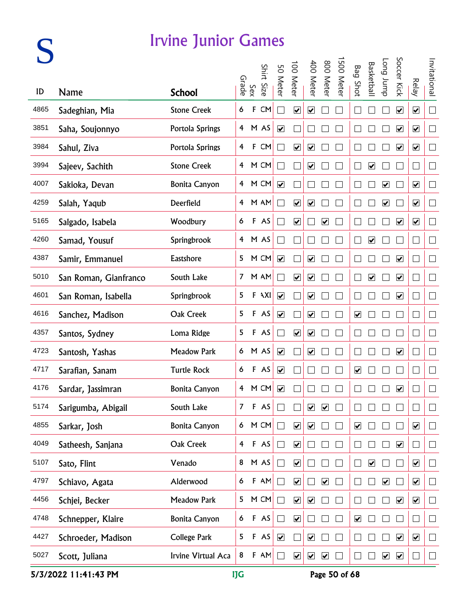|      |                       | <b>Irvine Junior Games</b> |                         |              |                |                         |                              |                              |                         |          |                              |                         |                         |                         |                              |               |
|------|-----------------------|----------------------------|-------------------------|--------------|----------------|-------------------------|------------------------------|------------------------------|-------------------------|----------|------------------------------|-------------------------|-------------------------|-------------------------|------------------------------|---------------|
|      |                       |                            |                         | Sex<br>Grade | Shirt Size     | 50 Meter                | 100 Meter                    | 400 Meter                    | 800 Meter               | 500 Mete | <b>Bag Shot</b>              | Basketbal               | dunr buo                | Soccer Kick             | <b>Relay</b>                 | Invitational  |
| ID   | <b>Name</b>           | <b>School</b>              |                         |              |                |                         |                              |                              |                         |          |                              |                         |                         |                         |                              |               |
| 4865 | Sadeghian, Mia        | <b>Stone Creek</b>         | 6                       | F            | CM             | Π                       | $\overline{\mathbf{v}}$      | $\boxed{\blacktriangledown}$ |                         |          |                              |                         |                         | $\overline{\mathbf{v}}$ | $\overline{\mathbf{v}}$      | $\Box$        |
| 3851 | Saha, Soujonnyo       | Portola Springs            |                         |              | 4 M AS         | $\blacktriangledown$    |                              |                              |                         |          |                              |                         |                         | $\blacktriangledown$    | $\blacktriangledown$         | $\Box$        |
| 3984 | Sahul, Ziva           | Portola Springs            | $\overline{\mathbf{4}}$ |              | F CM           | $\Box$                  | $\blacktriangledown$         | $\blacktriangledown$         |                         |          |                              |                         |                         | $\blacktriangledown$    | $\blacktriangledown$         | $\Box$        |
| 3994 | Sajeev, Sachith       | <b>Stone Creek</b>         |                         |              | 4 M CM         | $\Box$                  |                              | $\overline{\mathbf{v}}$      |                         |          |                              | $\blacktriangledown$    |                         |                         | $\Box$                       | $\Box$        |
| 4007 | Sakioka, Devan        | <b>Bonita Canyon</b>       |                         |              | 4 M CM         | $\overline{\mathbf{v}}$ |                              |                              |                         |          |                              |                         | $\overline{\mathbf{v}}$ |                         | $\overline{\mathbf{v}}$      | $\Box$        |
| 4259 | Salah, Yaqub          | Deerfield                  |                         |              | 4 M AM         | T.                      | $\overline{\mathbf{v}}$      | $\boxed{\blacktriangledown}$ |                         |          |                              |                         | $\overline{\mathbf{v}}$ |                         | $\overline{\mathbf{v}}$      | $\Box$        |
| 5165 | Salgado, Isabela      | Woodbury                   | 6                       |              | F AS           | $\Box$                  | $\blacktriangledown$         |                              | $\overline{\mathbf{v}}$ |          |                              |                         |                         | $\overline{\mathbf{v}}$ | $\overline{\mathbf{v}}$      | $\Box$        |
| 4260 | Samad, Yousuf         | Springbrook                |                         |              | 4 M AS         | $\Box$                  |                              |                              |                         |          |                              | $\blacktriangledown$    |                         |                         | $\sim$                       | $\Box$        |
| 4387 | Samir, Emmanuel       | Eastshore                  |                         |              | 5 M CM         | $\blacktriangledown$    |                              | $\blacktriangledown$         |                         |          |                              |                         |                         | $\blacktriangledown$    | $\vert \ \ \vert$            | $\Box$        |
| 5010 | San Roman, Gianfranco | South Lake                 |                         |              | 7 M AM         | $\mathcal{L}$           | $\boxed{\blacktriangledown}$ | $\boxed{\blacktriangledown}$ |                         |          | $\Box$                       | $\overline{\mathbf{v}}$ |                         | $\overline{\mathbf{v}}$ | $\Box$                       | $\Box$        |
| 4601 | San Roman, Isabella   | Springbrook                | 5                       |              | $F \lambda XI$ | $\overline{\mathbf{v}}$ |                              | $\overline{\mathbf{v}}$      |                         |          |                              |                         |                         | $\overline{\mathbf{v}}$ | $\Box$                       | $\Box$        |
| 4616 | Sanchez, Madison      | Oak Creek                  | 5                       |              | F AS           | $\blacktriangledown$    |                              | $\blacktriangledown$         |                         |          | $\boxed{\blacktriangledown}$ |                         |                         |                         | $\mathbf{r}$                 | $\Box$        |
| 4357 | Santos, Sydney        | Loma Ridge                 | 5                       |              | F AS           | $\Box$                  | $\blacktriangledown$         | $\blacktriangledown$         |                         |          |                              |                         |                         |                         |                              | $\mathcal{L}$ |
| 4723 | Santosh, Yashas       | <b>Meadow Park</b>         |                         |              | 6 M AS         | $\blacktriangledown$    |                              | $\blacktriangledown$         |                         |          |                              |                         |                         | $\blacktriangledown$    |                              | $\Box$        |
| 4717 | Sarafian, Sanam       | <b>Turtle Rock</b>         | 6                       |              | F AS           | $\overline{\mathbf{v}}$ |                              |                              |                         |          | $\overline{\mathbf{v}}$      |                         |                         |                         |                              | $\Box$        |
| 4176 | Sardar, Jassimran     | <b>Bonita Canyon</b>       | 4                       |              | M CM           | $\blacktriangledown$    |                              |                              |                         |          |                              |                         |                         | ☑                       |                              |               |
| 5174 | Sarigumba, Abigail    | South Lake                 | $\overline{7}$          |              | $F$ AS         | $\mathbf{L}$            |                              | $\overline{\mathbf{v}}$      | $\overline{\mathbf{v}}$ |          |                              |                         |                         |                         | $\mathbf{r}$                 | $\Box$        |
| 4855 | Sarkar, Josh          | <b>Bonita Canyon</b>       | $\mathbf{6}$            |              | M CM           | $\Box$                  | $\overline{\mathbf{v}}$      | $\overline{\mathbf{v}}$      |                         |          | $\boxed{\blacktriangledown}$ |                         |                         |                         | $\blacktriangledown$         | $\Box$        |
| 4049 | Satheesh, Sanjana     | Oak Creek                  | $\overline{4}$          |              | F AS           | $\Box$                  | $\overline{\mathbf{v}}$      |                              |                         |          |                              |                         |                         | $\blacktriangledown$    |                              | $\Box$        |
| 5107 | Sato, Flint           | Venado                     | 8                       |              | M AS           | $\Box$                  | $\boxed{\blacktriangledown}$ |                              |                         |          |                              | $\overline{\mathbf{v}}$ |                         |                         | $\boxed{\blacktriangledown}$ | $\Box$        |
| 4797 | Schiavo, Agata        | Alderwood                  | 6                       | F            | AN             | $\Box$                  | $\overline{\mathbf{v}}$      |                              | $\overline{\mathbf{v}}$ |          |                              |                         | $\overline{\mathbf{v}}$ |                         | $\boxed{\blacktriangledown}$ | $\Box$        |
| 4456 | Schjei, Becker        | <b>Meadow Park</b>         | 5                       |              | M CM           | $\Box$                  | $\overline{\mathbf{v}}$      | $\overline{\mathbf{v}}$      |                         |          |                              |                         |                         | $\overline{\mathbf{v}}$ | $\overline{\mathbf{v}}$      | $\Box$        |
| 4748 | Schnepper, Klaire     | <b>Bonita Canyon</b>       | 6                       |              | F AS           | П                       | $\overline{\mathbf{v}}$      |                              |                         |          | $\blacktriangledown$         |                         |                         |                         | $\vert \ \ \vert$            | $\mathcal{L}$ |
| 4427 | Schroeder, Madison    | <b>College Park</b>        | 5                       |              | F AS           | $\blacktriangledown$    |                              | $\overline{\mathbf{v}}$      |                         |          |                              |                         |                         | $\blacktriangledown$    | $\blacktriangledown$         | $\Box$        |
| 5027 | Scott, Juliana        | Irvine Virtual Aca         | 8                       |              | $F$ AM         | $\Box$                  | $\overline{\mathbf{v}}$      | $\blacktriangledown$         | $\blacktriangledown$    |          |                              |                         | $\overline{\mathbf{v}}$ | $\overline{\mathbf{v}}$ |                              | $\Box$        |

5/3/2022 11:41:43 PM IJG Page 50 of 68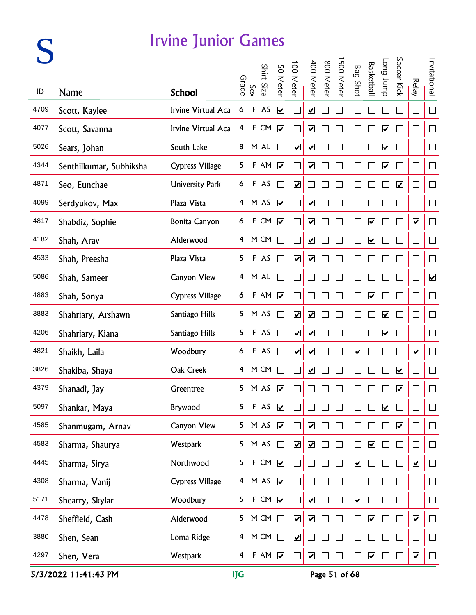# **S**

#### Irvine Junior Games

|      |                         |                        |                |             | Shirt  |                              |                         |                              |           | 500 Mete |                         |                              | dunr buo                | Soccer Kick          |                              |                      |
|------|-------------------------|------------------------|----------------|-------------|--------|------------------------------|-------------------------|------------------------------|-----------|----------|-------------------------|------------------------------|-------------------------|----------------------|------------------------------|----------------------|
| ID   | Name                    | <b>School</b>          | Grade          | Sex         | Size   | 50 Meter                     | 00 Mete                 | 400 Mete                     | 800 Meter |          | <b>Bag Shot</b>         | Basketbal                    |                         |                      | <b>Relay</b>                 | Invitational         |
| 4709 | Scott, Kaylee           | Irvine Virtual Aca     | 6              | $\mathsf F$ | AS     | $\overline{\mathbf{v}}$      |                         | $\overline{\mathbf{v}}$      |           |          |                         |                              |                         |                      | $\mathcal{L}_{\mathcal{A}}$  | $\Box$               |
| 4077 | Scott, Savanna          | Irvine Virtual Aca     | 4              |             | F CM   | $\blacktriangledown$         |                         | $\blacktriangledown$         |           |          |                         |                              | $\blacktriangledown$    |                      | $\overline{\phantom{0}}$     | $\Box$               |
| 5026 | Sears, Johan            | South Lake             | 8              |             | M AL   | $\overline{\phantom{0}}$     | $\blacktriangledown$    | $\blacktriangledown$         |           |          |                         |                              | $\overline{\mathbf{v}}$ |                      | J.                           | $\Box$               |
| 4344 | Senthilkumar, Subhiksha | <b>Cypress Village</b> | 5              |             | F AM   | $\blacktriangledown$         |                         | $\blacktriangledown$         |           |          |                         |                              | $\blacktriangledown$    |                      | $\mathcal{A}$                | $\Box$               |
| 4871 | Seo, Eunchae            | <b>University Park</b> | 6              |             | F AS   |                              | $\overline{\mathbf{v}}$ |                              |           |          |                         |                              |                         | $\blacktriangledown$ | $\overline{\phantom{a}}$     | $\Box$               |
| 4099 | Serdyukov, Max          | Plaza Vista            |                |             | 4 M AS | $\boxed{\blacktriangledown}$ |                         | $\overline{\mathbf{v}}$      |           |          |                         |                              |                         |                      | $\mathcal{L}_{\mathcal{A}}$  | $\Box$               |
| 4817 | Shabdiz, Sophie         | <b>Bonita Canyon</b>   | 6              |             | F CM   | $\overline{\mathbf{v}}$      |                         | $\blacktriangledown$         |           |          |                         | $\blacktriangledown$         |                         |                      | $\overline{\mathbf{v}}$      | $\Box$               |
| 4182 | Shah, Arav              | Alderwood              |                |             | 4 M CM | $\Box$                       |                         | $\blacktriangledown$         |           |          |                         | $\blacktriangledown$         |                         |                      | $\overline{\phantom{0}}$     | $\Box$               |
| 4533 | Shah, Preesha           | Plaza Vista            | 5              |             | F AS   | $\Box$                       | $\blacktriangledown$    | $\blacktriangledown$         |           |          |                         |                              |                         |                      | $\Box$                       | $\Box$               |
| 5086 | Shah, Sameer            | <b>Canyon View</b>     |                |             | 4 M AL | $\Box$                       |                         |                              |           |          |                         |                              |                         |                      | $\Box$                       | $\blacktriangledown$ |
| 4883 | Shah, Sonya             | <b>Cypress Village</b> | 6              |             | F AM   | $\overline{\mathbf{v}}$      |                         |                              |           |          |                         | $\overline{\mathbf{v}}$      |                         |                      | $\Box$                       | $\Box$               |
| 3883 | Shahriary, Arshawn      | Santiago Hills         | 5              |             | M AS   | $\overline{\phantom{a}}$     | $\overline{\mathbf{v}}$ | $\overline{\mathbf{v}}$      |           |          |                         |                              | $\overline{\mathbf{v}}$ |                      | $\Box$                       | $\Box$               |
| 4206 | Shahriary, Kiana        | Santiago Hills         | 5              |             | F AS   | П                            | $\blacktriangledown$    | $\blacktriangledown$         |           |          |                         |                              | $\blacktriangledown$    |                      | $\sim$                       | $\Box$               |
| 4821 | Shaikh, Laila           | Woodbury               | 6              |             | F AS   | П                            | $\overline{\mathbf{v}}$ | $\blacktriangledown$         |           |          | $\blacktriangledown$    |                              |                         |                      | $\blacktriangledown$         | $\Box$               |
| 3826 | Shakiba, Shaya          | Oak Creek              |                |             | 4 M CM | П                            |                         | $\boxed{\blacktriangledown}$ |           |          |                         |                              |                         | $\blacktriangledown$ | П                            | $\Box$               |
| 4379 | Shanadi, Jay            | Greentree              |                |             | 5 M AS | $\overline{\mathbf{v}}$      |                         |                              |           |          |                         |                              |                         | $\blacktriangledown$ |                              | $\Box$               |
| 5097 | Shankar, Maya           | Brywood                | 5              | $\mathsf F$ | AS     | $\blacktriangledown$         |                         |                              |           |          |                         |                              | $\overline{\mathbf{v}}$ |                      |                              | $\mathbf{L}$         |
| 4585 | Shanmugam, Arnav        | Canyon View            | 5              |             | M AS   | $\blacktriangledown$         |                         | $\blacktriangledown$         |           |          |                         |                              |                         | $\blacktriangledown$ |                              | $\Box$               |
| 4583 | Sharma, Shaurya         | Westpark               | 5              |             | M AS   | $\Box$                       | $\overline{\mathbf{v}}$ | $\overline{\mathbf{v}}$      |           |          |                         | $\blacktriangledown$         |                         |                      |                              | $\Box$               |
| 4445 | Sharma, Sirya           | Northwood              | 5              |             | F CM   | $\overline{\mathbf{v}}$      |                         |                              |           |          | $\overline{\mathbf{v}}$ |                              |                         |                      | $\boxed{\blacktriangledown}$ | $\Box$               |
| 4308 | Sharma, Vanij           | <b>Cypress Village</b> |                |             | 4 M AS | $\overline{\mathbf{v}}$      |                         |                              |           |          |                         |                              |                         |                      |                              | $\Box$               |
| 5171 | Shearry, Skylar         | Woodbury               | 5              |             | F CM   | $\overline{\mathbf{v}}$      |                         | $\blacktriangledown$         |           |          | $\overline{\mathbf{v}}$ |                              |                         |                      |                              | $\Box$               |
| 4478 | Sheffield, Cash         | Alderwood              | 5              |             | M CM   | П                            | $\overline{\mathbf{v}}$ | $\blacktriangledown$         |           |          |                         | $\blacktriangledown$         |                         |                      | $\overline{\mathbf{v}}$      | П                    |
| 3880 | Shen, Sean              | Loma Ridge             | $\overline{4}$ |             | M CM   | П                            | $\overline{\mathbf{v}}$ |                              |           |          |                         |                              |                         |                      |                              | $\mathbb{R}^n$       |
| 4297 | Shen, Vera              | Westpark               | $\overline{4}$ |             | $F$ AM | $\blacktriangledown$         |                         | $\blacktriangledown$         |           |          |                         | $\boxed{\blacktriangledown}$ |                         |                      | $\overline{\mathbf{v}}$      |                      |

5/3/2022 11:41:43 PM IJG Page 51 of 68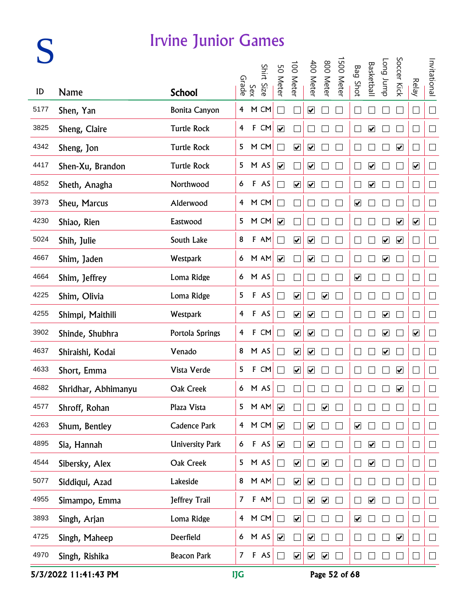|      |                     | <b>Irvine Junior Games</b> |                         |              |            |                             |                                 |                              |                              |           |                              |                              |                              |                         |                             |                          |
|------|---------------------|----------------------------|-------------------------|--------------|------------|-----------------------------|---------------------------------|------------------------------|------------------------------|-----------|------------------------------|------------------------------|------------------------------|-------------------------|-----------------------------|--------------------------|
|      |                     |                            |                         | Sex<br>Srade | Shirt Size | 50 Meter                    | 100 Meter                       | 400 Meter                    | 800 Meter                    | 500 Meter | <b>Bag Shot</b>              | <b>Basketball</b>            | dunr buo                     | Soccer Kick             | <b>Relay</b>                | Invitational             |
| ID   | <b>Name</b>         | <b>School</b>              |                         |              |            |                             |                                 |                              |                              |           |                              |                              |                              |                         |                             |                          |
| 5177 | Shen, Yan           | <b>Bonita Canyon</b>       | $\overline{4}$          |              | M CM       |                             |                                 | $\overline{\mathbf{v}}$      |                              |           |                              |                              |                              |                         | $\Box$                      | $\Box$                   |
| 3825 | Sheng, Claire       | <b>Turtle Rock</b>         | $\overline{\mathbf{f}}$ |              | F CM       | $\blacktriangledown$        |                                 |                              |                              |           | $\Box$                       | $\blacktriangledown$         |                              |                         | $\mathcal{L}_{\mathcal{A}}$ | $\Box$                   |
| 4342 | Sheng, Jon          | <b>Turtle Rock</b>         | 5                       |              | M CM       | $\Box$                      | $\blacktriangledown$            | $\blacktriangledown$         |                              |           |                              |                              |                              | $\blacktriangledown$    | $\Box$                      | $\Box$                   |
| 4417 | Shen-Xu, Brandon    | <b>Turtle Rock</b>         |                         |              | 5 M AS     | $\blacktriangledown$        |                                 | $\overline{\mathbf{v}}$      |                              |           | $\Box$                       | $\blacktriangledown$         |                              |                         | $\blacktriangledown$        | $\Box$                   |
| 4852 | Sheth, Anagha       | Northwood                  | 6                       |              | F AS       | $\Box$                      | $\overline{\mathbf{v}}$         | $\boxed{\blacktriangledown}$ |                              |           |                              | $\overline{\mathbf{v}}$      |                              |                         | $\Box$                      | $\Box$                   |
| 3973 | Sheu, Marcus        | Alderwood                  |                         |              | 4 M CM     | $\Box$                      |                                 |                              |                              |           | $\overline{\mathbf{v}}$      |                              |                              |                         | $\Box$                      | $\Box$                   |
| 4230 | Shiao, Rien         | Eastwood                   | 5                       |              | M CM       | $\blacktriangledown$        |                                 |                              |                              |           |                              |                              |                              | $\overline{\mathbf{v}}$ | $\overline{\mathbf{v}}$     | $\Box$                   |
| 5024 | Shih, Julie         | South Lake                 | 8                       |              | F AM       | $\mathcal{L}_{\mathcal{A}}$ | $\blacktriangledown$            | $\blacktriangledown$         |                              |           |                              |                              | $\blacktriangledown$         | $\blacktriangledown$    | H                           | $\Box$                   |
| 4667 | Shim, Jaden         | Westpark                   |                         |              | 6 M AM     | $\blacktriangledown$        |                                 | $\blacktriangledown$         |                              |           | L                            |                              | $\overline{\mathbf{v}}$      |                         | $\Box$                      | $\Box$                   |
| 4664 | Shim, Jeffrey       | Loma Ridge                 |                         |              | 6 M AS     | $\Box$                      |                                 |                              |                              |           | $\boxed{\blacktriangledown}$ |                              |                              |                         | $\Box$                      | $\Box$                   |
| 4225 | Shim, Olivia        | Loma Ridge                 | 5                       |              | F AS       | $\Box$                      | $\overline{\mathbf{v}}$         |                              | $\overline{\mathbf{v}}$      |           |                              |                              |                              |                         | $\Box$                      | $\Box$                   |
| 4255 | Shimpi, Maithili    | Westpark                   | 4                       |              | F AS       | $\Box$                      | $\overline{\mathbf{v}}$         | $\boxed{\blacktriangledown}$ |                              |           |                              |                              | $\boxed{\blacktriangledown}$ |                         | $\Box$                      | $\Box$                   |
| 3902 | Shinde, Shubhra     | Portola Springs            | 4                       |              | F CM       | $\Box$                      | $\blacktriangledown$            | $\blacktriangledown$         |                              |           |                              |                              | $\blacktriangledown$         |                         | $\blacktriangledown$        | $\Box$                   |
| 4637 | Shiraishi, Kodai    | Venado                     | 8                       |              | M AS       | $\mathbf{L}$                | $\blacktriangledown$            | $\blacktriangledown$         |                              |           |                              |                              | $\overline{\mathbf{v}}$      |                         | L.                          | $\Box$                   |
| 4633 | Short, Emma         | Vista Verde                | 5                       |              | F CM       |                             | $\overline{\mathbf{v}}$         | $\boxed{\blacktriangledown}$ |                              |           |                              |                              |                              | ☑                       |                             | $\Box$                   |
| 4682 | Shridhar, Abhimanyu | Oak Creek                  | 6                       |              | M AS       |                             |                                 |                              |                              |           |                              |                              |                              | ☑                       |                             |                          |
| 4577 | Shroff, Rohan       | Plaza Vista                | 5                       |              | $M$ AM     | $\blacktriangledown$        |                                 |                              | $\overline{\mathbf{v}}$      |           |                              |                              |                              |                         | $\mathbf{r}$                | $\Box$                   |
| 4263 | Shum, Bentley       | Cadence Park               | $\overline{4}$          |              | M CM       | $\blacktriangledown$        |                                 | $\blacktriangledown$         |                              |           | $\boxed{\blacktriangledown}$ |                              |                              |                         |                             | $\Box$                   |
| 4895 | Sia, Hannah         | <b>University Park</b>     | 6                       |              | F AS       | $\blacktriangledown$        |                                 | $\blacktriangledown$         |                              |           |                              | $\blacktriangledown$         |                              |                         | $\vert \ \ \vert$           | $\Box$                   |
| 4544 | Sibersky, Alex      | Oak Creek                  | 5                       |              | M AS       | $\Box$                      | $\overline{\blacktriangledown}$ |                              | $\boxed{\blacktriangledown}$ |           |                              | $\overline{\mathbf{v}}$      |                              |                         | $\Box$                      | $\Box$                   |
| 5077 | Siddiqui, Azad      | Lakeside                   | 8                       |              | M AM       | $\Box$                      | $\overline{\mathbf{v}}$         | $\boxed{\blacktriangledown}$ |                              |           |                              |                              |                              |                         | ⊔                           | $\Box$                   |
| 4955 | Simampo, Emma       | Jeffrey Trail              | $\mathcal{I}$           |              | $F$ AM     | $\Box$                      |                                 | $\blacktriangledown$         | $\blacktriangledown$         |           |                              | $\boxed{\blacktriangledown}$ |                              |                         | $\vert \ \ \vert$           | $\overline{\phantom{a}}$ |
| 3893 | Singh, Arjan        | Loma Ridge                 | $\overline{4}$          |              | M CM       | $\Box$                      | $\overline{\mathbf{v}}$         |                              |                              |           | $\blacktriangledown$         |                              |                              |                         | $\mathbf{r}$                | $\mathcal{L}$            |
| 4725 | Singh, Maheep       | Deerfield                  | 6 <sup>1</sup>          |              | M AS       | $\blacktriangledown$        |                                 | $\overline{\mathbf{v}}$      |                              |           |                              |                              |                              | $\blacktriangledown$    | $\vert \ \ \vert$           | $\Box$                   |
| 4970 | Singh, Rishika      | <b>Beacon Park</b>         | $\mathbf{7}$            |              | F AS       | $\Box$                      | $\overline{\mathbf{v}}$         | $\blacktriangledown$         | $\blacktriangledown$         |           |                              |                              |                              |                         | ⊔                           | $\Box$                   |

5/3/2022 11:41:43 PM IJG Page 52 of 68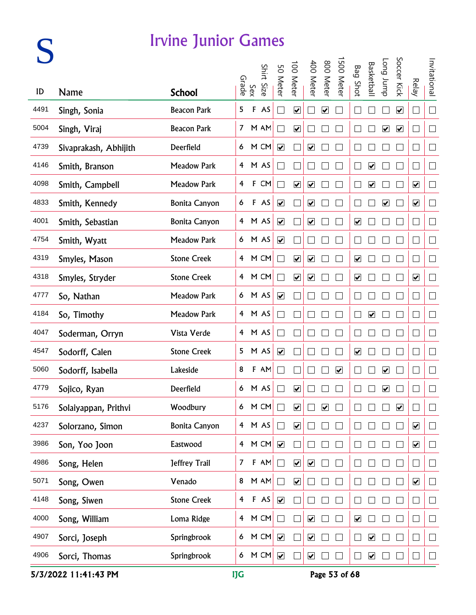|      |                       | <b>Irvine Junior Games</b> |                         |              |                    |                              |                                 |                              |                              |           |                              |                         |                         |                         |                              |                          |
|------|-----------------------|----------------------------|-------------------------|--------------|--------------------|------------------------------|---------------------------------|------------------------------|------------------------------|-----------|------------------------------|-------------------------|-------------------------|-------------------------|------------------------------|--------------------------|
|      |                       |                            |                         | Sex<br>Grade | Shirt Size         | 50 Meter                     | 100 Meter                       | 400 Meter                    | 800 Meter                    | 500 Meter | <b>Bag Shot</b>              | Basketball              | dunr buo                | Soccer Kick             | <b>Relay</b>                 | Invitational             |
| ID   | <b>Name</b>           | <b>School</b>              |                         |              |                    |                              |                                 |                              |                              |           |                              |                         |                         |                         |                              |                          |
| 4491 | Singh, Sonia          | <b>Beacon Park</b>         | 5                       | F            | AS                 | $\mathcal{L}_{\mathcal{A}}$  | $\boxed{\blacktriangledown}$    |                              | $\boxed{\blacktriangledown}$ |           |                              |                         |                         | $\overline{\mathbf{v}}$ | $\Box$                       | $\Box$                   |
| 5004 | Singh, Viraj          | <b>Beacon Park</b>         |                         |              | 7 M AM             | $\Box$                       | $\blacktriangledown$            |                              |                              |           | $\Box$                       |                         | $\overline{\mathbf{v}}$ | $\blacktriangledown$    | П                            | $\Box$                   |
| 4739 | Sivaprakash, Abhijith | Deerfield                  |                         |              | 6 M CM             | $\blacktriangledown$         |                                 | $\blacktriangledown$         |                              |           |                              |                         |                         |                         | $\Box$                       | $\Box$                   |
| 4146 | Smith, Branson        | <b>Meadow Park</b>         |                         |              | 4 M AS             | $\Box$                       |                                 |                              |                              |           | $\Box$                       | $\blacktriangledown$    |                         |                         | $\Box$                       | $\Box$                   |
| 4098 | Smith, Campbell       | <b>Meadow Park</b>         | $\overline{\mathbf{f}}$ |              | $F$ CM             | $\Box$                       | $\overline{\mathbf{v}}$         | $\boxed{\blacktriangledown}$ |                              |           | $\Box$                       | $\overline{\mathbf{v}}$ |                         |                         | $\overline{\mathbf{v}}$      | $\Box$                   |
| 4833 | Smith, Kennedy        | <b>Bonita Canyon</b>       | 6                       |              | F AS               | $\boxed{\blacktriangledown}$ |                                 | $\overline{\mathbf{v}}$      |                              |           | $\Box$                       |                         | $\overline{\mathbf{v}}$ |                         | $\overline{\mathbf{v}}$      | $\Box$                   |
| 4001 | Smith, Sebastian      | <b>Bonita Canyon</b>       |                         |              | 4 M AS             | $\blacktriangledown$         |                                 | $\blacktriangledown$         |                              |           | $\boxed{\blacktriangledown}$ |                         |                         |                         | $\Box$                       | $\Box$                   |
| 4754 | Smith, Wyatt          | <b>Meadow Park</b>         |                         |              | 6 M AS             | $\blacktriangledown$         |                                 |                              |                              |           |                              |                         |                         |                         | $\Box$                       | $\Box$                   |
| 4319 | Smyles, Mason         | <b>Stone Creek</b>         |                         |              | 4 M CM             | $\Box$                       | $\overline{\mathbf{v}}$         | $\blacktriangledown$         |                              |           | $\blacktriangledown$         |                         |                         |                         | $\Box$                       | $\Box$                   |
| 4318 | Smyles, Stryder       | <b>Stone Creek</b>         |                         |              | 4 M CM             | $\Box$                       | $\overline{\blacktriangledown}$ | $\boxed{\blacktriangledown}$ |                              |           | $\boxed{\blacktriangledown}$ |                         |                         |                         | $\boxed{\blacktriangledown}$ | $\Box$                   |
| 4777 | So, Nathan            | <b>Meadow Park</b>         |                         |              | 6 M AS             | $\blacktriangledown$         |                                 |                              |                              |           |                              |                         |                         |                         | $\Box$                       | $\Box$                   |
| 4184 | So, Timothy           | Meadow Park                |                         |              | 4 M AS             | $\Box$                       |                                 |                              |                              |           | L                            | $\blacktriangledown$    |                         |                         | $\Box$                       | $\Box$                   |
| 4047 | Soderman, Orryn       | Vista Verde                |                         |              | 4 M AS             | П                            |                                 |                              |                              |           |                              |                         |                         |                         | $\mathbf{r}$                 | $\Box$                   |
| 4547 | Sodorff, Calen        | <b>Stone Creek</b>         | 5                       |              | M AS               | $\blacktriangledown$         |                                 |                              |                              |           | $\blacktriangledown$         |                         |                         |                         | └                            | $\Box$                   |
| 5060 | Sodorff, Isabella     | Lakeside                   | 8                       |              | F AM               |                              |                                 |                              |                              | ☑         |                              |                         | ☑                       |                         |                              | $\Box$                   |
| 4779 | Sojico, Ryan          | Deerfield                  | 6                       |              | M AS               | L                            | ☑                               |                              |                              |           |                              |                         | ☑                       |                         |                              |                          |
| 5176 | Solaiyappan, Prithvi  | Woodbury                   | 6 <sup>1</sup>          |              | M CM               | $\Box$                       | $\overline{\mathbf{v}}$         |                              | $\overline{\mathbf{v}}$      |           |                              |                         |                         | $\overline{\mathbf{v}}$ |                              | $\Box$                   |
| 4237 | Solorzano, Simon      | <b>Bonita Canyon</b>       | $\overline{4}$          |              | M AS               | $\Box$                       | $\blacktriangledown$            |                              |                              |           |                              |                         |                         |                         | $\blacktriangledown$         | $\Box$                   |
| 3986 | Son, Yoo Joon         | Eastwood                   | $\overline{4}$          |              | M CM               |                              |                                 |                              |                              |           |                              |                         |                         |                         | $\blacktriangledown$         | $\Box$                   |
| 4986 | Song, Helen           | Jeffrey Trail              | $\overline{7}$          |              | $F$ AM             | $\Box$                       | $\overline{\mathbf{v}}$         | $\boxed{\blacktriangledown}$ |                              |           |                              |                         |                         |                         | $\vert \ \ \vert$            | $\Box$                   |
| 5071 | Song, Owen            | Venado                     | 8                       |              | M AM               | $\Box$                       | $\overline{\mathbf{v}}$         |                              |                              |           |                              |                         |                         |                         | $\overline{\mathbf{v}}$      | $\Box$                   |
| 4148 | Song, Siwen           | <b>Stone Creek</b>         | $\overline{\mathbf{4}}$ |              | F AS               | $\overline{\mathbf{v}}$      |                                 |                              |                              |           |                              |                         |                         |                         | $\Box$                       | $\overline{\phantom{a}}$ |
| 4000 | Song, William         | Loma Ridge                 | $\overline{4}$          |              | M CM               | $\Box$                       |                                 | $\overline{\mathbf{v}}$      |                              |           | $\blacktriangledown$         |                         |                         |                         | $\vert \ \ \vert$            | $\mathcal{L}$            |
| 4907 | Sorci, Joseph         | Springbrook                | 6                       |              | M CM               | $\blacktriangledown$         |                                 | $\overline{\mathbf{v}}$      |                              |           |                              | $\blacktriangledown$    |                         |                         | $\Box$                       | $\Box$                   |
| 4906 | Sorci, Thomas         | Springbrook                |                         |              | 6 M CM $\boxed{v}$ |                              |                                 | $\blacktriangledown$         |                              |           |                              | $\blacktriangledown$    |                         |                         | ⊔                            | $\Box$                   |

5/3/2022 11:41:43 PM IJG Page 53 of 68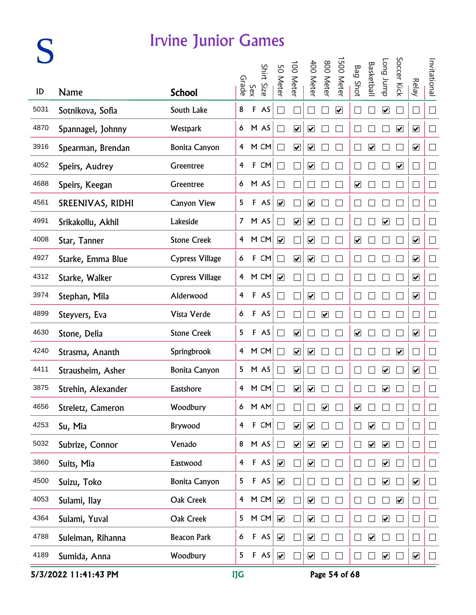|      |                    | <b>Irvine Junior Games</b> |                |              |            |                              |                         |                              |                         |                         |                              |                      |                              |                         |                              |              |
|------|--------------------|----------------------------|----------------|--------------|------------|------------------------------|-------------------------|------------------------------|-------------------------|-------------------------|------------------------------|----------------------|------------------------------|-------------------------|------------------------------|--------------|
|      |                    |                            |                | Sex<br>Grade | Shirt Size | 50 Meter                     | 100 Meter               | 400 Meter                    | 800 Meter               | 500 Meter               | <b>Bag Shot</b>              | <b>Basketbal</b>     | dunr buo                     | Soccer Kick             | <b>Relay</b>                 | Invitational |
| ID   | <b>Name</b>        | <b>School</b>              |                |              |            |                              |                         |                              |                         |                         |                              |                      |                              |                         |                              |              |
| 5031 | Sotnikova, Sofia   | South Lake                 | 8              |              | F AS       |                              |                         |                              |                         | $\overline{\mathbf{v}}$ |                              |                      | $\boxed{\blacktriangledown}$ |                         | $\mathcal{L}_{\mathcal{A}}$  | $\Box$       |
| 4870 | Spannagel, Johnny  | Westpark                   |                |              | 6 M AS     | $\Box$                       | $\blacktriangledown$    | $\blacktriangledown$         |                         |                         |                              |                      |                              | $\blacktriangledown$    | $\blacktriangledown$         | $\Box$       |
| 3916 | Spearman, Brendan  | <b>Bonita Canyon</b>       |                |              | 4 M CM     | $\Box$                       | $\blacktriangledown$    | $\blacktriangledown$         |                         |                         | $\Box$                       | $\blacktriangledown$ |                              |                         | $\blacktriangledown$         | $\Box$       |
| 4052 | Speirs, Audrey     | Greentree                  | $\overline{4}$ |              | F CM       | $\Box$                       |                         | $\overline{\mathbf{v}}$      |                         |                         |                              |                      |                              | $\blacktriangledown$    | $\Box$                       | $\Box$       |
| 4688 | Speirs, Keegan     | Greentree                  |                |              | 6 M AS     | $\Box$                       |                         |                              |                         |                         | $\overline{\mathbf{v}}$      |                      |                              |                         | $\Box$                       | $\Box$       |
| 4561 | SREENIVAS, RIDHI   | <b>Canyon View</b>         | 5              |              | F AS       | $\boxed{\blacktriangledown}$ |                         | $\blacktriangledown$         |                         |                         |                              |                      |                              |                         | $\mathcal{L}_{\mathcal{A}}$  | $\Box$       |
| 4991 | Srikakollu, Akhil  | Lakeside                   |                |              | 7 M AS     | $\overline{\phantom{0}}$     | $\blacktriangledown$    | $\overline{\mathbf{v}}$      |                         |                         |                              |                      | $\overline{\mathbf{v}}$      |                         | $\mathbb{R}^n$               | $\Box$       |
| 4008 | Star, Tanner       | <b>Stone Creek</b>         |                |              | 4 M CM     | $\blacktriangledown$         |                         | $\blacktriangledown$         |                         |                         | $\overline{\mathbf{v}}$      |                      |                              |                         | $\blacktriangledown$         | $\Box$       |
| 4927 | Starke, Emma Blue  | <b>Cypress Village</b>     | 6              |              | F CM       | $\Box$                       | $\overline{\mathbf{v}}$ | $\overline{\mathbf{v}}$      |                         |                         |                              |                      |                              |                         | $\overline{\mathbf{v}}$      | $\Box$       |
| 4312 | Starke, Walker     | <b>Cypress Village</b>     |                |              | 4 M CM     | $\overline{\mathbf{v}}$      |                         |                              |                         |                         | $\Box$                       |                      |                              |                         | $\boxed{\blacktriangledown}$ | $\Box$       |
| 3974 | Stephan, Mila      | Alderwood                  | $\overline{4}$ |              | F AS       | $\Box$                       |                         | $\boxed{\blacktriangledown}$ |                         |                         |                              |                      |                              |                         | $\blacktriangledown$         | $\Box$       |
| 4899 | Steyvers, Eva      | Vista Verde                | 6              |              | F AS       | $\Box$                       |                         |                              | $\blacktriangledown$    |                         |                              |                      |                              |                         | П                            | $\Box$       |
| 4630 | Stone, Delia       | <b>Stone Creek</b>         | 5              |              | F AS       | $\Box$                       | $\blacktriangledown$    |                              |                         |                         | $\boxed{\blacktriangledown}$ |                      |                              |                         | $\blacktriangledown$         | $\Box$       |
| 4240 | Strasma, Ananth    | Springbrook                | $\overline{4}$ |              | M CM       | $\mathbf{L}$                 | $\overline{\mathbf{v}}$ | $\blacktriangledown$         |                         |                         |                              |                      |                              | $\blacktriangledown$    |                              | $\Box$       |
| 4411 | Strausheim, Asher  | <b>Bonita Canyon</b>       |                |              | 5 M AS     |                              | $\overline{\mathbf{v}}$ |                              |                         |                         |                              |                      | $\overline{\mathbf{v}}$      |                         | ☑                            | $\Box$       |
| 3875 | Strehin, Alexander | Eastshore                  | 4              |              | M CM       | L                            | ☑                       | ☑                            |                         |                         |                              |                      | ☑                            |                         |                              |              |
| 4656 | Streletz, Cameron  | Woodbury                   | 6              |              | M AM       | $\Box$                       |                         |                              | $\overline{\mathbf{v}}$ |                         | $\boxed{\blacktriangledown}$ |                      |                              |                         | $\mathbf{r}$                 | $\Box$       |
| 4253 | Su, Mia            | Brywood                    | $\overline{4}$ |              | F CM       | $\Box$                       | $\blacktriangledown$    | $\blacktriangledown$         |                         |                         |                              | $\blacktriangledown$ |                              |                         | $\mathcal{A}$                | $\Box$       |
| 5032 | Subrize, Connor    | Venado                     | 8              |              | M AS       | $\Box$                       | $\blacktriangledown$    | $\blacktriangledown$         | $\blacktriangledown$    |                         | $\mathbf{L}$                 | $\blacktriangledown$ | $\blacktriangledown$         |                         | $\mathcal{A}$                | $\Box$       |
| 3860 | Suits, Mia         | Eastwood                   | $\overline{4}$ |              | $F$ AS     | $\blacktriangledown$         |                         | $\blacktriangledown$         |                         |                         |                              |                      | $\blacktriangledown$         |                         | $\vert \ \ \vert$            | $\Box$       |
| 4500 | Suizu, Toko        | <b>Bonita Canyon</b>       | 5              |              | F AS       | $\boxed{\blacktriangledown}$ |                         |                              |                         |                         |                              |                      | $\overline{\mathbf{v}}$      |                         | $\boxed{\blacktriangledown}$ | $\Box$       |
| 4053 | Sulami, Ilay       | Oak Creek                  | $\overline{4}$ |              | M CM       | $\blacktriangledown$         |                         | $\blacktriangledown$         |                         |                         |                              |                      |                              | $\overline{\mathbf{v}}$ | $\vert \ \ \vert$            | $\Box$       |
| 4364 | Sulami, Yuval      | Oak Creek                  | 5              |              | M CM       | $\blacktriangledown$         |                         | $\blacktriangledown$         |                         |                         |                              |                      | $\blacktriangledown$         |                         | $\Box$                       | $\Box$       |
| 4788 | Suleiman, Rihanna  | <b>Beacon Park</b>         | 6              |              | F AS       | $\blacktriangledown$         |                         | $\blacktriangledown$         |                         |                         | $\mathbb{L}$                 | $\blacktriangledown$ |                              |                         | $\Box$                       | $\Box$       |
| 4189 | Sumida, Anna       | Woodbury                   | 5              |              | F AS       | $\blacktriangledown$         | $\Box$                  | $\blacktriangledown$         |                         |                         |                              |                      | $\boxed{\blacktriangledown}$ |                         | $\overline{\mathbf{v}}$      | $\Box$       |

5/3/2022 11:41:43 PM IJG Page 54 of 68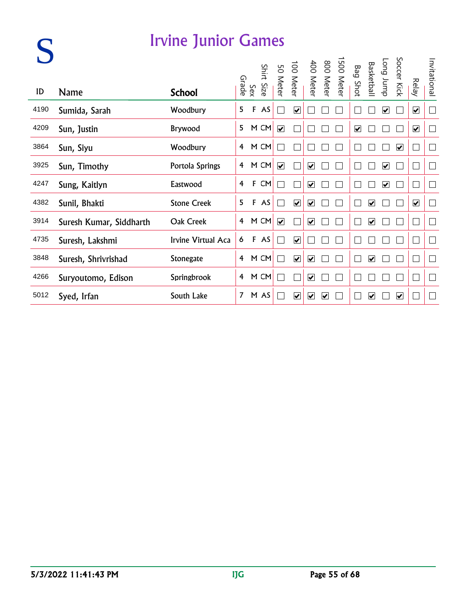|      |                         | <b>Irvine Junior Games</b> |                |     |            |                         |                         |                                                 |   |            |                         |                         |                         |                         |                         |                          |
|------|-------------------------|----------------------------|----------------|-----|------------|-------------------------|-------------------------|-------------------------------------------------|---|------------|-------------------------|-------------------------|-------------------------|-------------------------|-------------------------|--------------------------|
| ID   | <b>Name</b>             | <b>School</b>              | Grade          | Sex | Shirt Size |                         |                         | 800 Meter<br>400 Meter<br>100 Meter<br>50 Meter |   | 1500 Meter | <b>Bag Shot</b>         | Basketball              | dunr buo                | Soccer Kick             | <b>Relay</b>            | Invitational             |
| 4190 | Sumida, Sarah           | Woodbury                   | 5              | F   | AS         |                         | $\overline{\mathbf{v}}$ |                                                 |   |            |                         |                         | $\overline{\mathbf{v}}$ |                         | $\overline{\mathbf{v}}$ | $\mathbb{R}$             |
| 4209 | Sun, Justin             | Brywood                    | 5              |     | M CM       | $\overline{\mathbf{v}}$ |                         |                                                 |   |            | $\overline{\mathbf{v}}$ |                         |                         |                         | $\overline{\mathbf{v}}$ | $\overline{\phantom{a}}$ |
| 3864 | Sun, Siyu               | Woodbury                   | 4              |     | M CM       |                         |                         |                                                 |   |            |                         |                         |                         | $\overline{\mathbf{v}}$ |                         |                          |
| 3925 | Sun, Timothy            | Portola Springs            | 4              |     | M CM       | $\overline{\mathbf{v}}$ |                         | ☑                                               |   |            |                         |                         | $\overline{\mathbf{v}}$ |                         | $\Box$                  | $\Box$                   |
| 4247 | Sung, Kaitlyn           | Eastwood                   | 4              | F   | CM         |                         |                         | $\overline{\mathbf{v}}$                         |   |            |                         |                         | $\blacktriangledown$    |                         | $\Box$                  | $\Box$                   |
| 4382 | Sunil, Bhakti           | <b>Stone Creek</b>         | 5              | F   | AS         |                         | $\overline{\mathbf{v}}$ | $\overline{\mathbf{v}}$                         |   |            |                         | $\overline{\mathbf{v}}$ |                         |                         | $\overline{\mathbf{v}}$ | Г                        |
| 3914 | Suresh Kumar, Siddharth | Oak Creek                  | 4              |     | M CM       | $\overline{\mathbf{v}}$ |                         | $\overline{\mathbf{v}}$                         |   |            |                         | ⊽                       |                         |                         | L                       | $\Box$                   |
| 4735 | Suresh, Lakshmi         | Irvine Virtual Aca         | 6              | F   | AS         |                         | $\overline{\mathbf{v}}$ |                                                 |   |            |                         |                         |                         |                         | I.                      |                          |
| 3848 | Suresh, Shrivrishad     | Stonegate                  | 4              |     | M CM       |                         | $\overline{\mathbf{v}}$ | $\overline{\mathbf{v}}$                         |   |            |                         | $\overline{\mathbf{v}}$ |                         |                         | L                       | $\Box$                   |
| 4266 | Suryoutomo, Edison      | Springbrook                | 4              |     | M CM       |                         |                         | ☑                                               |   |            |                         |                         |                         |                         |                         | $\Box$                   |
| 5012 | Syed, Irfan             | South Lake                 | $\overline{7}$ |     | M AS       |                         | $\overline{\mathbf{v}}$ | $\overline{\mathbf{v}}$                         | V |            |                         | $\overline{\mathbf{v}}$ |                         | ☑                       |                         |                          |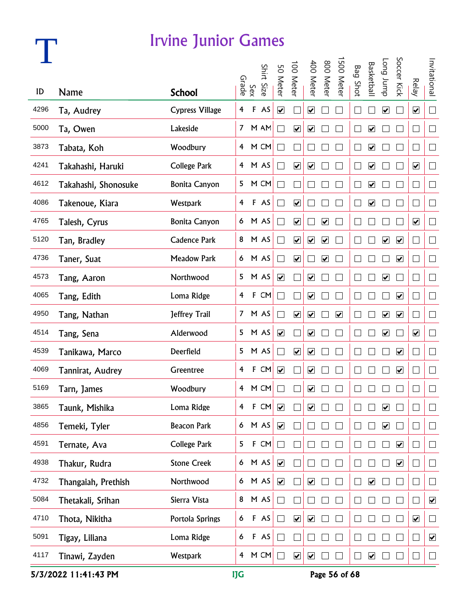## **T**

#### Irvine Junior Games

|      |                      |                        |                         |              | Shirt Size | 50 Meter                     | 100 Meter                    | 400 Meter                    | 800 Meter               | 500 Meter               | <b>Bag Shot</b> | <b>Basketbal</b>             | dunr buo                     | Soccer Kick             |                             | Invitational             |
|------|----------------------|------------------------|-------------------------|--------------|------------|------------------------------|------------------------------|------------------------------|-------------------------|-------------------------|-----------------|------------------------------|------------------------------|-------------------------|-----------------------------|--------------------------|
| ID   | <b>Name</b>          | <b>School</b>          | Grade                   | Sex          |            |                              |                              |                              |                         |                         |                 |                              |                              |                         | <b>Relay</b>                |                          |
| 4296 | Ta, Audrey           | <b>Cypress Village</b> | $\overline{\mathbf{4}}$ | $\mathsf F$  | AS         | $\overline{\mathbf{v}}$      |                              | $\boxed{\blacktriangledown}$ |                         |                         |                 |                              | $\boxed{\blacktriangledown}$ |                         | $\overline{\mathbf{v}}$     | $\Box$                   |
| 5000 | Ta, Owen             | Lakeside               |                         |              | 7 M AM     | $\mathcal{L}$                | $\blacktriangledown$         | $\blacktriangledown$         |                         |                         |                 | $\overline{\mathbf{v}}$      |                              |                         | $\Box$                      | $\Box$                   |
| 3873 | Tabata, Koh          | Woodbury               |                         |              | 4 M CM     | $\overline{\phantom{0}}$     |                              | n.                           |                         |                         |                 | $\overline{\mathbf{v}}$      |                              |                         | $\Box$                      | $\Box$                   |
| 4241 | Takahashi, Haruki    | <b>College Park</b>    |                         |              | 4 M AS     | $\mathbb{R}^2$               | $\blacktriangledown$         | $\blacktriangledown$         |                         |                         |                 | $\blacktriangledown$         |                              |                         | $\blacktriangledown$        | $\Box$                   |
| 4612 | Takahashi, Shonosuke | <b>Bonita Canyon</b>   | 5                       |              | M CM       | $\mathbb{R}^2$               |                              | H                            |                         |                         |                 | $\boxed{\blacktriangledown}$ |                              |                         | $\Box$                      | $\Box$                   |
| 4086 | Takenoue, Kiara      | Westpark               | $\overline{4}$          |              | F AS       | $\blacksquare$               | $\boxed{\blacktriangledown}$ |                              |                         |                         |                 | $\overline{\mathbf{v}}$      |                              |                         | $\overline{\phantom{a}}$    | $\Box$                   |
| 4765 | Talesh, Cyrus        | <b>Bonita Canyon</b>   |                         |              | 6 M AS     | $\overline{\phantom{a}}$     | $\overline{\mathbf{v}}$      | $\Box$                       | $\overline{\mathbf{v}}$ |                         |                 |                              |                              |                         | $\blacktriangledown$        | $\Box$                   |
| 5120 | Tan, Bradley         | <b>Cadence Park</b>    |                         |              | 8 M AS     | ٦                            | $\overline{\mathbf{v}}$      | $\blacktriangledown$         | $\overline{\mathbf{v}}$ |                         | I.              |                              | $\blacktriangledown$         | $\blacktriangledown$    | $\Box$                      | $\Box$                   |
| 4736 | Taner, Suat          | <b>Meadow Park</b>     |                         |              | 6 M AS     | $\blacksquare$               | $\blacktriangledown$         | П                            | $\overline{\mathbf{v}}$ |                         |                 |                              |                              | $\blacktriangledown$    | $\Box$                      | $\Box$                   |
| 4573 | Tang, Aaron          | Northwood              |                         |              | 5 M AS     | $\boxed{\blacktriangledown}$ |                              | $\blacktriangledown$         |                         |                         | $\mathbf{L}$    |                              | $\boxed{\blacktriangledown}$ |                         | $\Box$                      | $\Box$                   |
| 4065 | Tang, Edith          | Loma Ridge             | 4                       | $\mathbf{F}$ | CM         | $\blacksquare$               |                              | $\blacktriangledown$         |                         |                         |                 |                              |                              | $\overline{\mathbf{v}}$ | $\Box$                      | $\Box$                   |
| 4950 | Tang, Nathan         | Jeffrey Trail          |                         |              | 7 M AS     | $\blacksquare$               | $\overline{\mathbf{v}}$      | $\blacktriangledown$         |                         | $\overline{\mathbf{v}}$ |                 |                              | $\blacktriangledown$         | $\overline{\mathbf{v}}$ | $\mathcal{L}_{\mathcal{A}}$ | $\Box$                   |
| 4514 | Tang, Sena           | Alderwood              |                         |              | 5 M AS     | $\overline{\mathbf{v}}$      |                              | $\blacktriangledown$         |                         |                         |                 |                              | $\blacktriangledown$         |                         | $\blacktriangledown$        | $\Box$                   |
| 4539 | Tanikawa, Marco      | Deerfield              |                         |              | 5 M AS     |                              | $\overline{\mathbf{v}}$      | $\blacktriangledown$         |                         |                         |                 |                              |                              | $\blacktriangledown$    | $\mathbf{L}$                | $\Box$                   |
| 4069 | Tannirat, Audrey     | Greentree              | 4                       |              | F CM       | $\blacktriangledown$         |                              | $\boxed{\blacktriangledown}$ |                         |                         |                 |                              |                              | ☑                       | $\Box$                      | $\overline{\phantom{a}}$ |
| 5169 | Tarn, James          | Woodbury               |                         |              | 4 M CM     |                              |                              | ☑                            |                         |                         |                 |                              |                              |                         | $\Box$                      | $\Box$                   |
| 3865 | Taunk, Mishika       | Loma Ridge             | 4                       | $\mathbf{F}$ | CM         | $\blacktriangledown$         |                              | ☑                            |                         |                         |                 |                              | ☑                            |                         |                             |                          |
| 4856 | Temeki, Tyler        | <b>Beacon Park</b>     | 6                       |              | M AS       | $\blacktriangledown$         |                              |                              |                         |                         |                 |                              | $\blacktriangledown$         |                         | $\Box$                      | $\mathcal{L}$            |
| 4591 | Ternate, Ava         | College Park           | 5                       | F            | CM         | $\overline{\phantom{0}}$     |                              |                              |                         |                         |                 |                              |                              | $\blacktriangledown$    | $\mathbf{L}$                | $\Box$                   |
| 4938 | Thakur, Rudra        | <b>Stone Creek</b>     | 6                       |              | M AS       | $\blacktriangledown$         |                              |                              |                         |                         |                 |                              |                              | $\blacktriangledown$    | $\Box$                      | $\Box$                   |
| 4732 | Thangaiah, Prethish  | Northwood              | 6                       |              | M AS       | $\blacktriangledown$         |                              | $\overline{\mathbf{v}}$      |                         |                         |                 | $\overline{\mathbf{v}}$      |                              |                         | $\Box$                      | ⊔                        |
| 5084 | Thetakali, Srihan    | Sierra Vista           | 8                       |              | M AS       | $\Box$                       |                              |                              |                         |                         |                 |                              |                              |                         | ∟                           | $\blacktriangledown$     |
| 4710 | Thota, Nikitha       | Portola Springs        | 6                       |              | F AS       | $\Box$                       | $\blacktriangledown$         | $\boxed{\blacktriangledown}$ |                         |                         |                 |                              |                              |                         | $\blacktriangledown$        | $\vert$                  |
| 5091 | Tigay, Liliana       | Loma Ridge             | 6                       |              | F AS       | $\blacksquare$               |                              |                              |                         |                         |                 |                              |                              |                         | $\Box$                      | $\blacktriangledown$     |
| 4117 | Tinawi, Zayden       | Westpark               | $\overline{4}$          |              | M CM       |                              | $\blacktriangledown$         | $\boxed{\checkmark}$         |                         |                         |                 | $\overline{\mathbf{v}}$      |                              |                         | $\Box$                      | $\Box$                   |

5/3/2022 11:41:43 PM IJG Page 56 of 68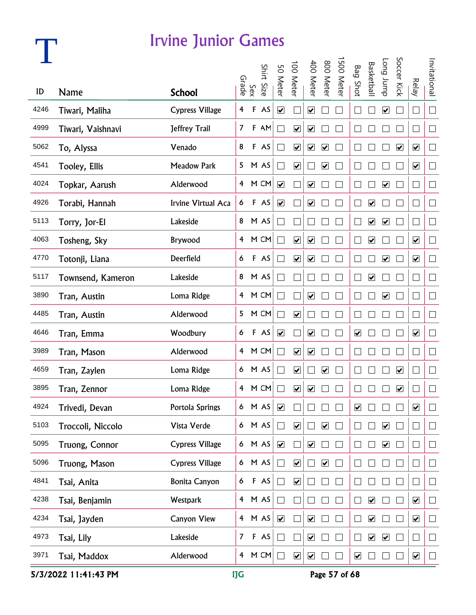## **T**

#### Irvine Junior Games

|      |                   |                        |                         |             | Shirt  | 50 Meter                | 00 Meter                | 400 Meter               | 800 Meter                    | 500 Meter    | <b>Bag Shot</b>              | <b>Basketbal</b>             | dunr buo                     | Soccer Kick          |                              | Invitational             |
|------|-------------------|------------------------|-------------------------|-------------|--------|-------------------------|-------------------------|-------------------------|------------------------------|--------------|------------------------------|------------------------------|------------------------------|----------------------|------------------------------|--------------------------|
| ID   | <b>Name</b>       | <b>School</b>          | Grade                   | Sex         | Size   |                         |                         |                         |                              |              |                              |                              |                              |                      | <b>Relay</b>                 |                          |
| 4246 | Tiwari, Maliha    | <b>Cypress Village</b> | $\overline{\mathbf{4}}$ | $\mathsf F$ | AS     | $\overline{\mathbf{v}}$ |                         | $\overline{\mathbf{v}}$ |                              |              |                              |                              | $\boxed{\blacktriangledown}$ |                      | $\Box$                       | $\Box$                   |
| 4999 | Tiwari, Vaishnavi | Jeffrey Trail          | $\overline{7}$          |             | F AM   |                         | $\blacktriangledown$    | $\overline{\mathbf{v}}$ |                              |              |                              |                              |                              |                      | $\Box$                       | $\Box$                   |
| 5062 | To, Alyssa        | Venado                 | 8                       |             | F AS   |                         | $\blacktriangledown$    | $\overline{\mathbf{v}}$ | $\blacktriangledown$         |              |                              |                              |                              | $\blacktriangledown$ | $\blacktriangledown$         | $\Box$                   |
| 4541 | Tooley, Ellis     | <b>Meadow Park</b>     | 5 <sub>1</sub>          |             | M AS   |                         | $\blacktriangledown$    |                         | $\blacktriangledown$         |              |                              |                              |                              |                      | $\blacktriangledown$         | $\Box$                   |
| 4024 | Topkar, Aarush    | Alderwood              |                         |             | 4 M CM | $\overline{\mathbf{v}}$ |                         | $\overline{\mathbf{v}}$ |                              |              |                              |                              | $\overline{\mathbf{v}}$      |                      | $\Box$                       | $\Box$                   |
| 4926 | Torabi, Hannah    | Irvine Virtual Aca     | 6                       |             | F AS   | $\overline{\mathbf{v}}$ |                         | $\overline{\mathbf{v}}$ |                              |              |                              | $\blacktriangledown$         |                              |                      | $\overline{\phantom{a}}$     | $\Box$                   |
| 5113 | Torry, Jor-El     | Lakeside               |                         |             | 8 M AS |                         |                         |                         |                              |              |                              | $\blacktriangledown$         | $\blacktriangledown$         |                      | $\Box$                       | $\Box$                   |
| 4063 | Tosheng, Sky      | Brywood                | 4                       |             | M CM   | T.                      | $\blacktriangledown$    | $\overline{\mathbf{v}}$ |                              |              |                              | $\blacktriangledown$         |                              |                      | $\blacktriangledown$         | $\Box$                   |
| 4770 | Totonji, Liana    | Deerfield              | 6                       |             | F AS   |                         | $\overline{\mathbf{v}}$ | $\overline{\mathbf{v}}$ |                              |              |                              |                              | $\blacktriangledown$         |                      | $\blacktriangledown$         | $\Box$                   |
| 5117 | Townsend, Kameron | Lakeside               | 8                       |             | M AS   |                         |                         |                         |                              | L            |                              | $\overline{\mathbf{v}}$      |                              |                      | $\Box$                       | $\Box$                   |
| 3890 | Tran, Austin      | Loma Ridge             | 4                       |             | M CM   |                         |                         | $\overline{\mathbf{v}}$ |                              |              |                              |                              | $\overline{\mathbf{v}}$      |                      | $\Box$                       | $\Box$                   |
| 4485 | Tran, Austin      | Alderwood              | 5                       |             | M CM   |                         | $\blacktriangledown$    |                         |                              |              |                              |                              |                              |                      | $\Box$                       | $\Box$                   |
| 4646 | Tran, Emma        | Woodbury               | 6                       |             | F AS   | $\blacktriangledown$    |                         | $\blacktriangleright$   |                              |              | $\boxed{\blacktriangledown}$ |                              |                              |                      | $\blacktriangledown$         | $\Box$                   |
| 3989 | Tran, Mason       | Alderwood              | 4                       |             | M CM   |                         | $\overline{\mathbf{v}}$ | $\overline{\mathbf{v}}$ |                              |              |                              |                              |                              |                      | $\Box$                       | $\Box$                   |
| 4659 | Tran, Zaylen      | Loma Ridge             | 6                       |             | M AS   |                         | ☑                       |                         | $\boxed{\blacktriangledown}$ |              |                              |                              |                              | ☑                    | $\Box$                       | $\overline{\phantom{a}}$ |
| 3895 | Tran, Zennor      | Loma Ridge             | $\overline{4}$          |             | M CM   |                         | ☑                       | ☑                       |                              |              |                              |                              |                              | ☑                    | I.                           | $\Box$                   |
| 4924 | Trivedi, Devan    | Portola Springs        | 6                       |             | M AS   | $\blacktriangledown$    |                         |                         |                              |              | ☑                            |                              |                              |                      | $\boxed{\blacktriangledown}$ | $\mathbb{R}$             |
| 5103 | Troccoli, Niccolo | Vista Verde            | 6 <sup>1</sup>          |             | M AS   | П                       | $\blacktriangledown$    |                         | $\blacktriangledown$         |              |                              |                              | $\blacktriangledown$         |                      | $\Box$                       | $\Box$                   |
| 5095 | Truong, Connor    | <b>Cypress Village</b> | 6                       |             | M AS   | $\blacktriangledown$    |                         | $\blacktriangledown$    |                              |              |                              |                              | $\blacktriangledown$         |                      | $\Box$                       | $\Box$                   |
| 5096 | Truong, Mason     | Cypress Village        | 6                       |             | M AS   | $\Box$                  | $\overline{\mathbf{v}}$ |                         | $\blacktriangledown$         | $\mathbf{L}$ |                              |                              |                              |                      | $\Box$                       | $\Box$                   |
| 4841 | Tsai, Anita       | Bonita Canyon          | 6                       |             | F AS   | $\Box$                  | $\overline{\mathbf{v}}$ |                         |                              |              |                              |                              |                              |                      | $\Box$                       | $\Box$                   |
| 4238 | Tsai, Benjamin    | Westpark               | $\overline{4}$          |             | M AS   | $\Box$                  |                         |                         |                              |              |                              | $\boxed{\blacktriangledown}$ |                              |                      | $\overline{\mathbf{v}}$      | $\Box$                   |
| 4234 | Tsai, Jayden      | Canyon View            | $\overline{4}$          |             | M AS   | $\blacktriangledown$    |                         | $\blacktriangledown$    |                              |              |                              | $\boxed{\checkmark}$         |                              |                      | $\blacktriangledown$         | $\vert$                  |
| 4973 | Tsai, Lily        | Lakeside               | $\overline{7}$          |             | F AS   | m.                      |                         | $\blacktriangledown$    |                              |              |                              | $\blacktriangledown$         | $\blacktriangledown$         |                      | $\Box$                       | $\Box$                   |
| 3971 | Tsai, Maddox      | Alderwood              | $\overline{4}$          |             | M CM   | $\Box$                  | $\blacktriangledown$    | $\overline{\mathbf{v}}$ |                              |              | $\overline{\mathbf{v}}$      |                              |                              |                      | $\overline{\mathbf{v}}$      | $\Box$                   |

5/3/2022 11:41:43 PM IJG Page 57 of 68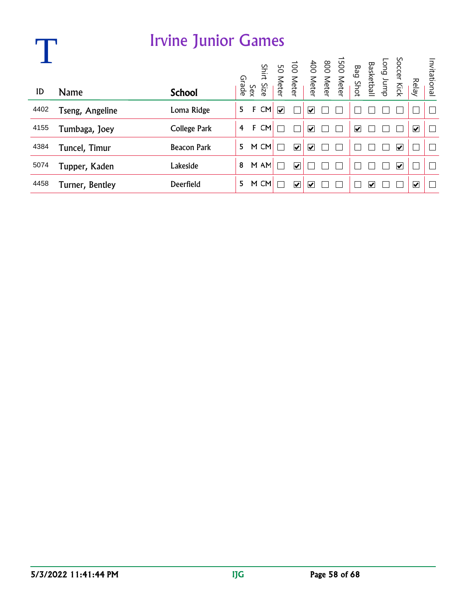|      |                 | <b>Irvine Junior Games</b> |   |              |           |                         |                         |                         |                                                                                                  |                                 |   |                         |                         |              |
|------|-----------------|----------------------------|---|--------------|-----------|-------------------------|-------------------------|-------------------------|--------------------------------------------------------------------------------------------------|---------------------------------|---|-------------------------|-------------------------|--------------|
|      |                 |                            |   | Sex<br>Grade | Shirt     |                         |                         |                         | Long Jump<br>Basketball<br>Bag Shot<br>Bag Shot<br>SO Meter<br>100 Meter<br>30 Meter<br>SO Meter |                                 |   | Soccer Kick             |                         | Invitational |
| ID   | <b>Name</b>     | <b>School</b>              |   |              | Size      |                         |                         |                         |                                                                                                  |                                 |   |                         | Relay                   |              |
| 4402 | Tseng, Angeline | Loma Ridge                 | 5 | F            | CM        | $\overline{\mathbf{v}}$ |                         | $\overline{\mathbf{v}}$ |                                                                                                  |                                 |   |                         |                         |              |
| 4155 | Tumbaga, Joey   | College Park               | 4 | F            | <b>CM</b> |                         |                         | $\blacktriangledown$    |                                                                                                  | $\overline{\blacktriangledown}$ |   |                         | $\overline{\mathbf{v}}$ | $\Box$       |
| 4384 | Tuncel, Timur   | <b>Beacon Park</b>         | 5 |              | M CM      |                         | $\overline{\mathbf{v}}$ | $\blacktriangledown$    |                                                                                                  |                                 |   | $\overline{\mathbf{v}}$ |                         |              |
| 5074 | Tupper, Kaden   | Lakeside                   | 8 |              | M AM      |                         | ⊽                       |                         |                                                                                                  |                                 |   | ⊽                       |                         |              |
| 4458 | Turner, Bentley | Deerfield                  | 5 |              | M CM      |                         | $\overline{\mathbf{v}}$ | V                       |                                                                                                  |                                 | V |                         | ☑                       |              |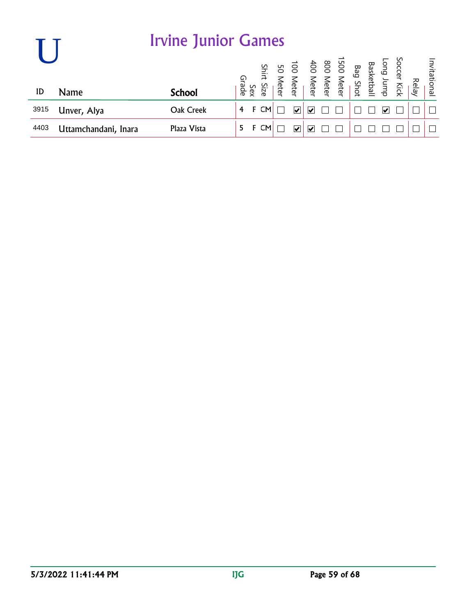|      |                      | <b>Irvine Junior Games</b> |       |     |            |                                                                                                                    |                         |  |  |  |       |              |
|------|----------------------|----------------------------|-------|-----|------------|--------------------------------------------------------------------------------------------------------------------|-------------------------|--|--|--|-------|--------------|
| ID   | <b>Name</b>          | <b>School</b>              | Grade | Sex | Shirt Size | Soccer Kick<br>Basketball<br>Bag Shot<br>Basketball<br>Basketball<br>Bo Meter<br>100 Meter<br>50 Meter<br>50 Meter |                         |  |  |  | Relay | Invitational |
| 3915 | Unver, Alya          | Oak Creek                  | 4     | F   | <b>CM</b>  | $\overline{\mathbf{v}}$                                                                                            | $\overline{\mathsf{v}}$ |  |  |  |       |              |
| 4403 | Uttamchandani, Inara | Plaza Vista                | 5.    |     | CM         | V                                                                                                                  | ₩                       |  |  |  |       |              |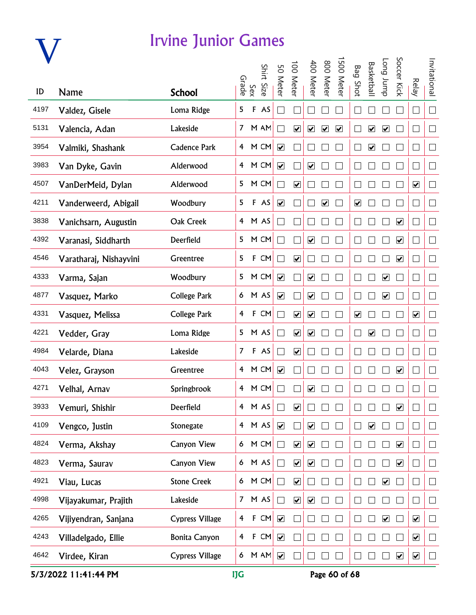

|      |                        |                        |                |              | Shirt  | 50 Meter                     | 00 Mete                      | 400 Mete                     | 800 Meter            | 500 Mete             | <b>Bag Shot</b>              | Basketbal            | Long Jump                    | Soccer Kick          |                             | Invitational             |
|------|------------------------|------------------------|----------------|--------------|--------|------------------------------|------------------------------|------------------------------|----------------------|----------------------|------------------------------|----------------------|------------------------------|----------------------|-----------------------------|--------------------------|
| ID   | <b>Name</b>            | <b>School</b>          | Grade          | Sex          | Size   |                              |                              |                              |                      |                      |                              |                      |                              |                      | <b>Relay</b>                |                          |
| 4197 | Valdez, Gisele         | Loma Ridge             | 5              | $\mathsf F$  | AS     | $\Box$                       |                              |                              |                      |                      |                              |                      |                              |                      | $\mathcal{L}_{\mathcal{A}}$ | $\Box$                   |
| 5131 | Valencia, Adan         | Lakeside               | 7 <sup>7</sup> |              | M AM   |                              | $\boxed{\blacktriangledown}$ | $\blacktriangledown$         | $\blacktriangledown$ | $\blacktriangledown$ |                              | $\blacktriangledown$ | $\blacktriangledown$         |                      | $\overline{\phantom{0}}$    | $\Box$                   |
| 3954 | Valmiki, Shashank      | <b>Cadence Park</b>    | $\overline{4}$ |              | M CM   | $\blacktriangledown$         |                              |                              |                      |                      |                              | $\blacktriangledown$ |                              |                      | J.                          | $\Box$                   |
| 3983 | Van Dyke, Gavin        | Alderwood              | $\overline{4}$ |              | M CM   | $\blacktriangledown$         |                              | $\blacktriangledown$         |                      |                      |                              |                      |                              |                      | $\mathcal{A}$               | $\Box$                   |
| 4507 | VanDerMeid, Dylan      | Alderwood              | 5              |              | M CM   | $\Box$                       | $\boxed{\blacktriangledown}$ |                              |                      |                      |                              |                      |                              |                      | $\overline{\mathbf{v}}$     | $\Box$                   |
| 4211 | Vanderweerd, Abigail   | Woodbury               | 5              |              | F AS   | $\boxed{\blacktriangledown}$ |                              |                              | $\blacktriangledown$ |                      | $\overline{\mathbf{v}}$      |                      |                              |                      | $\mathcal{A}$               | $\Box$                   |
| 3838 | Vanichsarn, Augustin   | Oak Creek              |                |              | 4 M AS | $\Box$                       |                              |                              |                      |                      |                              |                      |                              | $\blacktriangledown$ |                             | $\Box$                   |
| 4392 | Varanasi, Siddharth    | Deerfield              | 5              |              | M CM   | $\Box$                       |                              | $\blacktriangledown$         |                      |                      |                              |                      |                              | $\blacktriangledown$ | $\overline{\phantom{0}}$    | $\Box$                   |
| 4546 | Varatharaj, Nishayvini | Greentree              | 5              |              | F CM   | $\Box$                       | $\blacktriangledown$         |                              |                      |                      |                              |                      |                              | $\blacktriangledown$ | $\overline{\phantom{a}}$    | $\Box$                   |
| 4333 | Varma, Sajan           | Woodbury               | 5              |              | M CM   | $\overline{\mathbf{v}}$      |                              | $\overline{\mathbf{v}}$      |                      |                      |                              |                      | $\overline{\mathbf{v}}$      |                      | $\Box$                      | $\Box$                   |
| 4877 | Vasquez, Marko         | <b>College Park</b>    | 6              |              | M AS   | $\boxed{\blacktriangledown}$ |                              | $\overline{\mathbf{v}}$      |                      |                      |                              |                      | $\boxed{\blacktriangledown}$ |                      | П                           | $\Box$                   |
| 4331 | Vasquez, Melissa       | <b>College Park</b>    | $\overline{4}$ | $\mathbf{F}$ | CM     | $\Box$                       | $\overline{\mathbf{v}}$      | $\blacktriangledown$         |                      |                      | $\boxed{\blacktriangledown}$ |                      |                              |                      | $\blacktriangledown$        | $\Box$                   |
| 4221 | Vedder, Gray           | Loma Ridge             | 5 <sub>5</sub> |              | M AS   | П                            | $\overline{\mathbf{v}}$      | $\blacktriangledown$         |                      |                      |                              | $\blacktriangledown$ |                              |                      | $\sim$                      | $\Box$                   |
| 4984 | Velarde, Diana         | Lakeside               | 7 <sup>7</sup> |              | F AS   | П                            | $\blacktriangledown$         |                              |                      |                      |                              |                      |                              |                      | $\Box$                      | $\Box$                   |
| 4043 | Velez, Grayson         | Greentree              |                |              | 4 M CM | $\overline{\mathbf{v}}$      |                              |                              |                      |                      |                              |                      |                              | $\blacktriangledown$ | П                           | $\Box$                   |
| 4271 | Velhal, Arnav          | Springbrook            |                |              | 4 M CM |                              |                              | $\boxed{\blacktriangledown}$ |                      |                      |                              |                      |                              |                      |                             | $\Box$                   |
| 3933 | Vemuri, Shishir        | Deerfield              | $\overline{4}$ |              | M AS   |                              | $\boxed{\blacktriangledown}$ |                              |                      |                      |                              |                      |                              | $\blacktriangledown$ |                             | $\mathbf{L}$             |
| 4109 | Vengco, Justin         | Stonegate              |                |              | 4 M AS | $\overline{\mathbf{v}}$      |                              | $\blacktriangledown$         |                      |                      |                              | $\blacktriangledown$ |                              |                      |                             | $\Box$                   |
| 4824 | Verma, Akshay          | Canyon View            | 6 <sup>1</sup> |              | M CM   | $\Box$                       | $\overline{\mathbf{v}}$      | $\blacktriangledown$         |                      |                      |                              |                      |                              | $\blacktriangledown$ |                             | $\Box$                   |
| 4823 | Verma, Saurav          | Canyon View            | $\epsilon$     |              | M AS   | $\Box$                       | $\overline{\mathbf{v}}$      | $\boxed{\blacktriangledown}$ |                      |                      |                              |                      |                              | $\blacktriangledown$ | - 1                         | $\Box$                   |
| 4921 | Viau, Lucas            | <b>Stone Creek</b>     | 6              |              | M CM   | $\Box$                       | $\overline{\mathbf{v}}$      |                              |                      |                      |                              |                      | $\boxed{\blacktriangledown}$ |                      |                             | $\Box$                   |
| 4998 | Vijayakumar, Prajith   | Lakeside               | 7 <sup>7</sup> |              | M AS   | П                            | $\overline{\mathbf{v}}$      | $\blacktriangledown$         |                      |                      |                              |                      |                              |                      |                             | $\Box$                   |
| 4265 | Vijiyendran, Sanjana   | <b>Cypress Village</b> | 4              |              | F CM   | $\blacktriangledown$         |                              |                              |                      |                      |                              |                      | $\blacktriangledown$         |                      | $\overline{\mathbf{v}}$     | П                        |
| 4243 | Villadelgado, Ellie    | <b>Bonita Canyon</b>   | 4              |              | $F$ CM | $\blacktriangledown$         |                              |                              |                      |                      |                              |                      |                              |                      | $\blacktriangledown$        | H                        |
| 4642 | Virdee, Kiran          | Cypress Village        |                |              | 6 M AM | $\blacktriangledown$         |                              |                              |                      |                      |                              |                      |                              | $\blacktriangledown$ | $\overline{\mathbf{v}}$     | $\overline{\phantom{a}}$ |

5/3/2022 11:41:44 PM **IJG** Page 60 of 68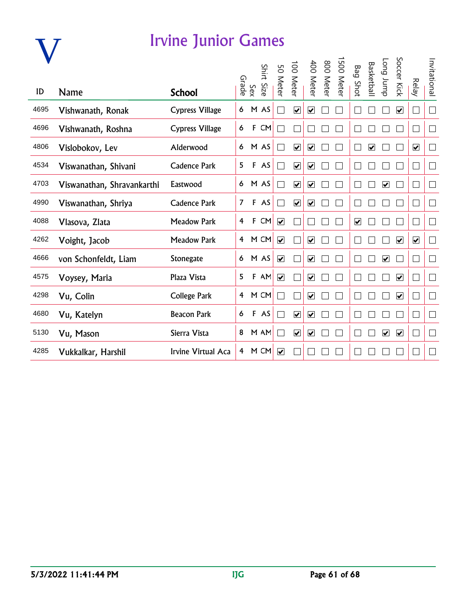### **V**

#### Irvine Junior Games

| ID   | Name                       | <b>School</b>          | Grade          | Sex         | Shirt<br>Size | 50 Meter                | $\overline{001}$<br><b>Meter</b> | 400 Meter                    | 008<br>Meter | ∸<br>005<br><b>Meter</b> | Bag<br>I Shot           | <b>Basketball</b>       | dunr buo                     | Soccer Kick             | <b>Relay</b>            | Invitational |
|------|----------------------------|------------------------|----------------|-------------|---------------|-------------------------|----------------------------------|------------------------------|--------------|--------------------------|-------------------------|-------------------------|------------------------------|-------------------------|-------------------------|--------------|
| 4695 | Vishwanath, Ronak          | <b>Cypress Village</b> | 6              |             | M AS          |                         | $\overline{\mathbf{v}}$          | $\boxed{\blacktriangledown}$ |              |                          |                         |                         |                              | $\overline{\mathbf{v}}$ |                         | Τ            |
| 4696 | Vishwanath, Roshna         | <b>Cypress Village</b> | 6              | $\mathsf F$ | ${\sf CM}$    |                         |                                  |                              |              |                          |                         |                         |                              |                         |                         |              |
| 4806 | Vislobokov, Lev            | Alderwood              | 6              |             | M AS          |                         | $\overline{\mathbf{v}}$          | $\overline{\mathbf{v}}$      |              |                          |                         | $\overline{\mathbf{v}}$ |                              |                         | $\overline{\mathbf{v}}$ | $\Box$       |
| 4534 | Viswanathan, Shivani       | <b>Cadence Park</b>    | 5              |             | F AS          | $\mathcal{L}$           | $\overline{\mathbf{v}}$          | $\overline{\mathbf{v}}$      |              |                          |                         |                         |                              |                         | $\Box$                  |              |
| 4703 | Viswanathan, Shravankarthi | Eastwood               | 6              |             | M AS          |                         | $\overline{\mathbf{v}}$          | $\boxed{\blacktriangledown}$ |              |                          |                         |                         | $\boxed{\blacktriangledown}$ |                         |                         |              |
| 4990 | Viswanathan, Shriya        | <b>Cadence Park</b>    | $\overline{7}$ |             | F AS          |                         | $\overline{\mathbf{v}}$          | $\boxed{\blacktriangledown}$ |              |                          |                         |                         |                              |                         |                         |              |
| 4088 | Vlasova, Zlata             | <b>Meadow Park</b>     | $\overline{4}$ |             | F CM          | $\blacktriangledown$    |                                  |                              |              |                          | $\overline{\mathbf{v}}$ |                         |                              |                         |                         | Ξ            |
| 4262 | Voight, Jacob              | <b>Meadow Park</b>     | 4              |             | M CM          | $\overline{\mathbf{v}}$ |                                  | $\overline{\mathbf{v}}$      |              |                          |                         |                         |                              | $\overline{\mathbf{v}}$ | $\overline{\mathbf{v}}$ |              |
| 4666 | von Schonfeldt, Liam       | Stonegate              | 6              |             | M AS          | $\overline{\mathbf{v}}$ |                                  | $\overline{\mathbf{v}}$      |              |                          |                         |                         | $\overline{\mathbf{v}}$      |                         | L                       |              |
| 4575 | Voysey, Maria              | Plaza Vista            | 5              |             | $F$ AM        | $\overline{\mathbf{v}}$ |                                  | $\overline{\mathbf{v}}$      |              |                          |                         |                         |                              | $\overline{\mathbf{v}}$ | $\mathbf{L}$            |              |
| 4298 | Vu, Colin                  | <b>College Park</b>    | 4              |             | M CM          |                         |                                  | $\overline{\mathbf{v}}$      |              |                          |                         |                         |                              | $\overline{\mathbf{v}}$ |                         |              |
| 4680 | Vu, Katelyn                | <b>Beacon Park</b>     | 6              |             | F AS          |                         | $\overline{\mathbf{v}}$          | $\boxed{\blacktriangledown}$ |              |                          |                         |                         |                              |                         |                         |              |
| 5130 | Vu, Mason                  | Sierra Vista           | 8              |             | M AM          |                         | $\overline{\mathbf{v}}$          | $\overline{\mathbf{v}}$      |              |                          |                         |                         | $\overline{\mathbf{v}}$      | $\blacktriangledown$    | Г                       | Ξ            |
| 4285 | Vukkalkar, Harshil         | Irvine Virtual Aca     | $\overline{4}$ |             | M CM          | $\overline{\mathbf{v}}$ |                                  |                              |              |                          |                         |                         |                              |                         |                         |              |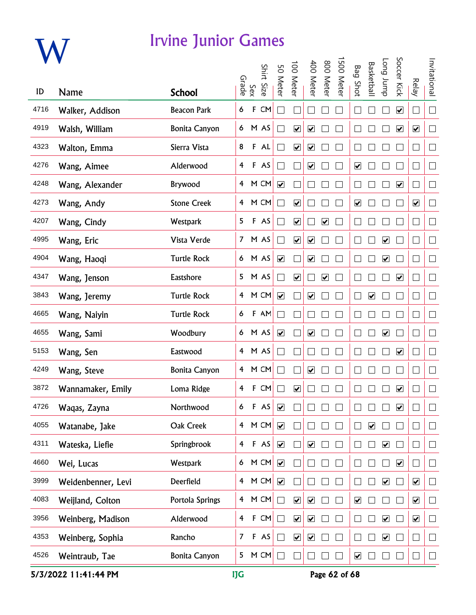

|      |                    |                      |                |              | Shirt |                              | 100 Meter                    | 400 Meter                    | 008                          | 500 Meter |                              | <b>Basketbal</b>             | dunr buo                     | Soccer Kick             |                              | Invitational |
|------|--------------------|----------------------|----------------|--------------|-------|------------------------------|------------------------------|------------------------------|------------------------------|-----------|------------------------------|------------------------------|------------------------------|-------------------------|------------------------------|--------------|
| ID   | <b>Name</b>        | <b>School</b>        | Grade          | Sex          | Size  | 50 Meter                     |                              |                              | Meter                        |           | <b>Bag Shot</b>              |                              |                              |                         | <b>Relay</b>                 |              |
| 4716 | Walker, Addison    | <b>Beacon Park</b>   | 6              | F            | CM    | $\mathcal{L}$                |                              |                              |                              |           |                              |                              |                              | $\overline{\mathbf{v}}$ | $\Box$                       | $\Box$       |
| 4919 | Walsh, William     | <b>Bonita Canyon</b> | 6              |              | M AS  |                              | $\blacktriangledown$         | $\boxed{\blacktriangledown}$ |                              |           |                              |                              |                              | $\blacktriangledown$    | $\blacktriangledown$         | $\Box$       |
| 4323 | Walton, Emma       | Sierra Vista         | 8              |              | F AL  | $\mathcal{L}$                | $\blacktriangledown$         | $\blacktriangledown$         |                              |           |                              |                              |                              |                         | $\Box$                       | $\Box$       |
| 4276 | Wang, Aimee        | Alderwood            | 4              |              | F AS  |                              |                              | $\boxed{\blacktriangledown}$ |                              |           | $\blacktriangledown$         |                              |                              |                         | $\overline{\phantom{a}}$     | $\Box$       |
| 4248 | Wang, Alexander    | Brywood              | 4              |              | M CM  | ☑                            |                              |                              |                              |           |                              |                              |                              | $\overline{\mathbf{v}}$ | $\Box$                       | $\Box$       |
| 4273 | Wang, Andy         | <b>Stone Creek</b>   | 4              |              | M CM  | $\mathcal{L}$                | $\boxed{\blacktriangledown}$ |                              |                              |           | $\blacktriangledown$         |                              |                              |                         | $\blacktriangledown$         | $\Box$       |
| 4207 | Wang, Cindy        | Westpark             | 5              |              | F AS  |                              | $\blacktriangledown$         |                              | $\boxed{\blacktriangledown}$ |           |                              |                              |                              |                         | $\Box$                       | $\Box$       |
| 4995 | Wang, Eric         | Vista Verde          | $\overline{7}$ |              | M AS  |                              | $\blacktriangledown$         | $\blacktriangledown$         |                              |           |                              |                              | $\blacktriangledown$         |                         | $\Box$                       | $\Box$       |
| 4904 | Wang, Haoqi        | <b>Turtle Rock</b>   | 6              |              | M AS  | $\blacktriangledown$         |                              | $\blacktriangledown$         |                              |           |                              |                              | $\blacktriangledown$         |                         | $\Box$                       | $\Box$       |
| 4347 | Wang, Jenson       | Eastshore            | 5              |              | M AS  |                              | $\overline{\mathbf{v}}$      |                              | $\boxed{\blacktriangledown}$ |           |                              |                              |                              | $\overline{\mathbf{v}}$ | $\Box$                       | $\Box$       |
| 3843 | Wang, Jeremy       | <b>Turtle Rock</b>   | 4              |              | M CM  | $\overline{\mathbf{v}}$      |                              | $\boxed{\blacktriangledown}$ |                              |           |                              | $\boxed{\blacktriangledown}$ |                              |                         | $\Box$                       | $\Box$       |
| 4665 | Wang, Naiyin       | <b>Turtle Rock</b>   | 6              |              | F AM  |                              |                              |                              |                              |           |                              |                              |                              |                         | $\Box$                       | $\Box$       |
| 4655 | Wang, Sami         | Woodbury             | 6              |              | M AS  | $\overline{\mathbf{v}}$      |                              | $\blacktriangledown$         |                              |           |                              |                              | $\overline{\mathbf{v}}$      |                         | $\Box$                       | $\Box$       |
| 5153 | Wang, Sen          | Eastwood             | $\overline{4}$ |              | M AS  |                              |                              |                              |                              |           |                              |                              |                              | $\blacktriangledown$    | $\Box$                       | $\Box$       |
| 4249 | Wang, Steve        | <b>Bonita Canyon</b> | 4              |              | M CM  |                              |                              | $\boxed{\blacktriangledown}$ |                              |           |                              |                              |                              |                         | $\Box$                       | $\Box$       |
| 3872 | Wannamaker, Emily  | Loma Ridge           | 4              | F            | CM    |                              | ☑                            |                              |                              |           |                              |                              |                              | ☑                       | $\Box$                       | $\Box$       |
| 4726 | Wagas, Zayna       | Northwood            | 6              | F            | AS    | $\blacktriangledown$         |                              |                              |                              |           |                              |                              |                              | $\blacktriangledown$    |                              | $\Box$       |
| 4055 | Watanabe, Jake     | Oak Creek            | $\overline{4}$ |              | M CM  | $\blacktriangledown$         |                              |                              |                              |           |                              | $\blacktriangledown$         |                              |                         | $\mathcal{L}_{\mathcal{A}}$  | $\Box$       |
| 4311 | Wateska, Liefie    | Springbrook          | $\overline{4}$ |              | F AS  | $\blacktriangledown$         |                              | $\blacktriangledown$         |                              |           |                              |                              | $\blacktriangledown$         |                         | $\Box$                       | $\Box$       |
| 4660 | Wei, Lucas         | Westpark             | 6              |              | M CM  | $\boxed{\blacktriangledown}$ |                              |                              |                              | $\Box$    |                              |                              |                              | $\overline{\mathbf{v}}$ | $\overline{\phantom{a}}$     | $\Box$       |
| 3999 | Weidenbenner, Levi | Deerfield            | $\overline{4}$ |              | M CM  | $\boxed{\blacktriangledown}$ |                              |                              |                              | $\Box$    |                              |                              | $\boxed{\blacktriangledown}$ |                         | $\boxed{\blacktriangledown}$ | $\Box$       |
| 4083 | Weijland, Colton   | Portola Springs      | $\overline{4}$ |              | M CM  | $\Box$                       | $\overline{\mathbf{v}}$      | $\boxed{\blacktriangledown}$ |                              | $\Box$    | $\boxed{\blacktriangledown}$ |                              |                              |                         | $\overline{\mathbf{v}}$      | $\Box$       |
| 3956 | Weinberg, Madison  | Alderwood            | $\overline{4}$ | $\mathbf{F}$ | CM    | $\Box$                       | $\blacktriangledown$         | $\boxed{\blacktriangledown}$ |                              |           |                              |                              | $\overline{\mathbf{v}}$      |                         | $\blacktriangledown$         | $\Box$       |
| 4353 | Weinberg, Sophia   | Rancho               | $\overline{7}$ |              | F AS  | П                            | $\blacktriangledown$         | $\overline{\mathbf{v}}$      |                              | П         |                              |                              | $\blacktriangledown$         |                         | $\Box$                       | $\Box$       |
| 4526 | Weintraub, Tae     | <b>Bonita Canyon</b> | 5              |              | M CM  | $\Box$                       |                              | $\mathcal{L}$                |                              | П         | $\blacktriangledown$         |                              | $\mathbf{L}$                 |                         | $\Box$                       | $\Box$       |

5/3/2022 11:41:44 PM **IJG** Page 62 of 68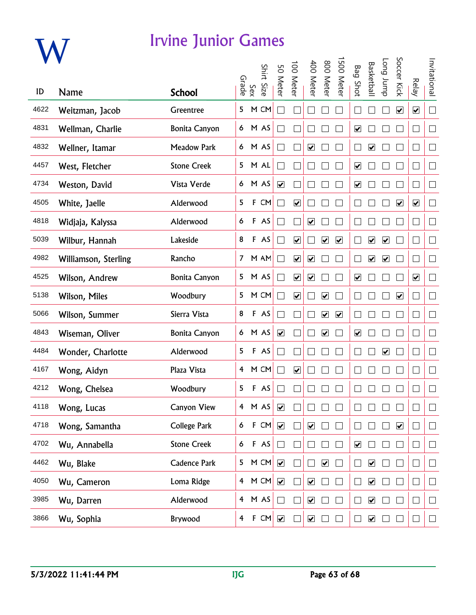

|      |                      |                      |                         |     | Shirt Size | 50 Meter                     | 00 Meter                | 400 Meter                    | 800 Meter                    | 500 Meter               | <b>Bag Shot</b>         | Basketbal               | dunr buo             | Soccer Kick             |                         | Invitational             |
|------|----------------------|----------------------|-------------------------|-----|------------|------------------------------|-------------------------|------------------------------|------------------------------|-------------------------|-------------------------|-------------------------|----------------------|-------------------------|-------------------------|--------------------------|
| ID   | Name                 | <b>School</b>        | Grade                   | Sex |            |                              |                         |                              |                              |                         |                         |                         |                      |                         | <b>Relay</b>            |                          |
| 4622 | Weitzman, Jacob      | Greentree            | 5                       |     | M CM       |                              |                         |                              |                              |                         |                         |                         |                      | $\overline{\mathbf{v}}$ | $\blacktriangledown$    | $\Box$                   |
| 4831 | Wellman, Charlie     | <b>Bonita Canyon</b> | 6                       |     | M AS       |                              |                         |                              |                              |                         | $\blacktriangledown$    |                         |                      |                         | $\Box$                  | $\Box$                   |
| 4832 | Wellner, Itamar      | <b>Meadow Park</b>   | 6                       |     | M AS       |                              |                         | $\overline{\mathbf{v}}$      |                              |                         |                         | $\overline{\mathbf{v}}$ |                      |                         | $\Box$                  | $\Box$                   |
| 4457 | West, Fletcher       | <b>Stone Creek</b>   | 5                       |     | M AL       |                              |                         |                              |                              |                         | $\overline{\mathbf{v}}$ |                         |                      |                         | $\Box$                  | $\Box$                   |
| 4734 | Weston, David        | Vista Verde          | 6                       |     | M AS       | $\blacktriangledown$         |                         |                              |                              |                         | $\overline{\mathbf{v}}$ |                         |                      |                         | $\Box$                  | $\Box$                   |
| 4505 | White, Jaelle        | Alderwood            | 5                       |     | F CM       |                              | $\overline{\mathbf{v}}$ |                              |                              |                         |                         |                         |                      | $\blacktriangledown$    | $\overline{\mathbf{v}}$ | $\Box$                   |
| 4818 | Widjaja, Kalyssa     | Alderwood            | 6                       |     | F AS       |                              |                         | $\overline{\mathbf{v}}$      |                              |                         |                         |                         |                      |                         | $\Box$                  | $\Box$                   |
| 5039 | Wilbur, Hannah       | Lakeside             | 8                       |     | F AS       |                              | $\blacktriangledown$    |                              | $\blacktriangledown$         | $\overline{\mathbf{v}}$ |                         | $\blacktriangledown$    | $\blacktriangledown$ |                         | $\Box$                  | $\Box$                   |
| 4982 | Williamson, Sterling | Rancho               | 7                       |     | M AM       |                              | $\blacktriangledown$    | $\overline{\mathbf{v}}$      |                              |                         |                         | $\blacktriangledown$    | $\blacktriangledown$ |                         | $\Box$                  | $\Box$                   |
| 4525 | Wilson, Andrew       | <b>Bonita Canyon</b> | 5                       |     | M AS       |                              | $\overline{\mathbf{v}}$ | $\boxed{\blacktriangledown}$ |                              |                         | $\overline{\mathbf{v}}$ |                         |                      |                         | $\overline{\mathbf{v}}$ | $\Box$                   |
| 5138 | Wilson, Miles        | Woodbury             | 5                       |     | M CM       |                              | $\overline{\mathbf{v}}$ |                              | $\overline{\mathbf{v}}$      |                         |                         |                         |                      | $\blacktriangledown$    | $\Box$                  | $\Box$                   |
| 5066 | Wilson, Summer       | Sierra Vista         | 8                       |     | F AS       | $\overline{\phantom{0}}$     |                         |                              | $\boxed{\blacktriangledown}$ | $\blacktriangledown$    |                         |                         |                      |                         | $\Box$                  | $\Box$                   |
| 4843 | Wiseman, Oliver      | <b>Bonita Canyon</b> | 6                       |     | M AS       | $\blacktriangledown$         |                         |                              | $\blacktriangledown$         |                         | $\overline{\mathbf{v}}$ |                         |                      |                         | $\Box$                  | $\overline{\phantom{a}}$ |
| 4484 | Wonder, Charlotte    | Alderwood            | 5                       |     | F AS       |                              |                         |                              |                              |                         |                         |                         | $\blacktriangledown$ |                         | $\Box$                  | $\Box$                   |
| 4167 | Wong, Aidyn          | Plaza Vista          | 4                       |     | M CM       |                              | $\boxed{\checkmark}$    |                              |                              |                         |                         |                         |                      |                         | $\Box$                  | $\Box$                   |
| 4212 | Wong, Chelsea        | Woodbury             | 5                       |     | F AS       |                              |                         |                              |                              |                         |                         |                         |                      |                         | $\Box$                  | $\Box$                   |
| 4118 | Wong, Lucas          | Canyon View          | 4                       |     | M AS       | $\blacktriangledown$         |                         |                              |                              |                         |                         |                         |                      |                         |                         |                          |
| 4718 | Wong, Samantha       | <b>College Park</b>  | 6                       |     | F CM       | $\blacktriangledown$         |                         | $\blacktriangledown$         |                              |                         |                         |                         |                      | $\blacktriangledown$    | $\Box$                  | $\Box$                   |
| 4702 | Wu, Annabella        | <b>Stone Creek</b>   | 6                       |     | F AS       | $\Box$                       |                         |                              |                              |                         | $\overline{\mathbf{v}}$ |                         |                      |                         | $\Box$                  | $\Box$                   |
| 4462 | Wu, Blake            | Cadence Park         | 5                       |     | M CM       | $\blacktriangledown$         |                         |                              | $\overline{\mathbf{v}}$      |                         |                         | $\overline{\mathbf{v}}$ |                      |                         | $\Box$                  | $\Box$                   |
| 4050 | Wu, Cameron          | Loma Ridge           | $\overline{4}$          |     | M CM       | $\boxed{\blacktriangledown}$ |                         | $\boxed{\blacktriangledown}$ |                              |                         |                         | $\overline{\mathbf{v}}$ |                      |                         | $\Box$                  | $\Box$                   |
| 3985 | Wu, Darren           | Alderwood            | $\overline{4}$          |     | M AS       | $\mathsf{L}$                 |                         | $\boxed{\blacktriangledown}$ |                              |                         |                         | $\blacktriangledown$    |                      |                         | $\Box$                  | $\Box$                   |
| 3866 | Wu, Sophia           | Brywood              | $\overline{\mathbf{4}}$ |     | F CM       | $\blacktriangledown$         |                         | $\blacktriangledown$         |                              |                         |                         | $\blacktriangledown$    |                      |                         | $\Box$                  | $\vert \ \ \vert$        |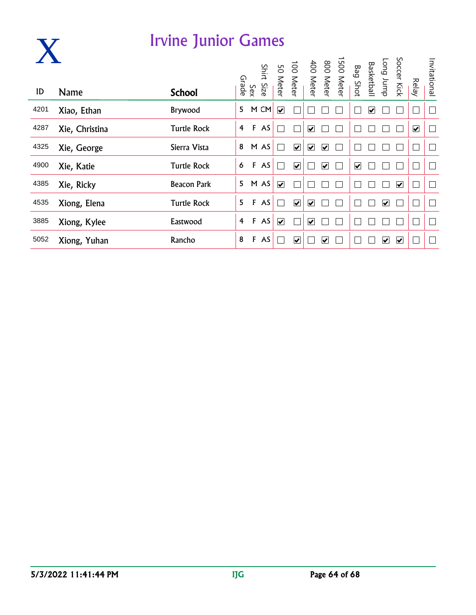|      |                | <b>Irvine Junior Games</b> |                |              |      |                         |                         |                         |                         |                                                                                     |                         |                         |                         |                              |                         |              |
|------|----------------|----------------------------|----------------|--------------|------|-------------------------|-------------------------|-------------------------|-------------------------|-------------------------------------------------------------------------------------|-------------------------|-------------------------|-------------------------|------------------------------|-------------------------|--------------|
| ID   | <b>Name</b>    | <b>School</b>              |                |              |      |                         |                         |                         |                         | 1500 Meter<br>800 Meter<br>400 Meter<br>100 Meter<br>Sinirt Size<br>Sirade<br>Grade | Bag Shot                |                         | Long Jump<br>Basketball | Soccer Kick                  | <b>Relay</b>            | Invitational |
| 4201 | Xiao, Ethan    | Brywood                    | 5              |              | M CM | $\overline{\mathbf{v}}$ |                         |                         |                         |                                                                                     |                         | $\overline{\mathbf{v}}$ |                         |                              |                         |              |
| 4287 | Xie, Christina | <b>Turtle Rock</b>         | $\overline{4}$ | $\mathbf{F}$ | AS   |                         |                         | $\blacktriangledown$    |                         |                                                                                     |                         |                         |                         |                              | $\overline{\mathbf{v}}$ |              |
| 4325 | Xie, George    | Sierra Vista               | 8              |              | M AS |                         | $\overline{\mathbf{v}}$ | $\overline{\mathbf{v}}$ | $\overline{\mathbf{v}}$ |                                                                                     |                         |                         |                         |                              |                         |              |
| 4900 | Xie, Katie     | <b>Turtle Rock</b>         | 6              | F            | AS   |                         | $\blacktriangledown$    |                         | $\overline{\mathbf{v}}$ |                                                                                     | $\overline{\mathbf{v}}$ |                         |                         |                              |                         |              |
| 4385 | Xie, Ricky     | <b>Beacon Park</b>         | 5              |              | M AS | $\overline{\mathbf{v}}$ |                         |                         |                         |                                                                                     |                         |                         |                         | $\boxed{\blacktriangledown}$ |                         |              |
| 4535 | Xiong, Elena   | <b>Turtle Rock</b>         | 5              | F            | AS   |                         | $\overline{\mathbf{v}}$ | $\blacktriangledown$    |                         |                                                                                     |                         |                         | $\blacktriangledown$    |                              |                         |              |
| 3885 | Xiong, Kylee   | Eastwood                   | 4              | $\mathbf{F}$ | AS   | $\blacktriangledown$    |                         | $\overline{\mathbf{v}}$ |                         |                                                                                     |                         |                         |                         |                              |                         |              |
| 5052 | Xiong, Yuhan   | Rancho                     | 8              | F            | AS   |                         | $\blacktriangledown$    |                         | ⊽                       |                                                                                     |                         |                         | ⊻                       | $\overline{\mathbf{v}}$      |                         |              |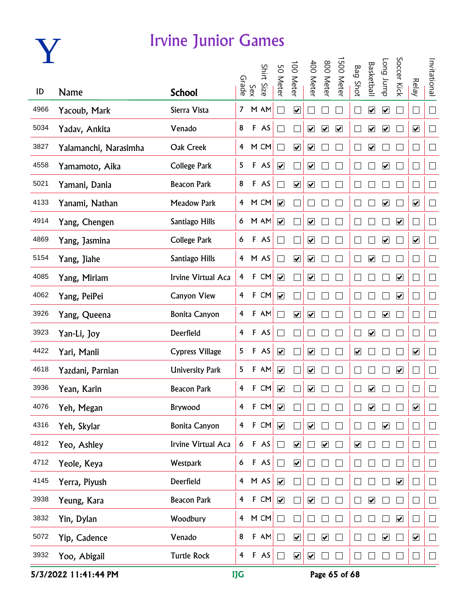

|      |                       |                        |                |              | Shirt Size | 50 Meter                     | 100 Meter                    | 400 Meter                    | 800 Meter             | 500 Meter            | <b>Bag Shot</b>         | <b>Basketbal</b>             | dunr buo                     | Soccer Kick             |                             | Invitational             |
|------|-----------------------|------------------------|----------------|--------------|------------|------------------------------|------------------------------|------------------------------|-----------------------|----------------------|-------------------------|------------------------------|------------------------------|-------------------------|-----------------------------|--------------------------|
| ID   | <b>Name</b>           | <b>School</b>          |                | Sex<br>Grade |            |                              |                              |                              |                       |                      |                         |                              |                              |                         | <b>Relay</b>                |                          |
| 4966 | Yacoub, Mark          | Sierra Vista           | $\mathcal{I}$  |              | M AM       | $\overline{\phantom{0}}$     | $\boxed{\blacktriangledown}$ |                              |                       |                      | ∟                       | $\overline{\mathbf{v}}$      | $\blacktriangledown$         |                         | $\Box$                      | $\Box$                   |
| 5034 | Yadav, Ankita         | Venado                 | 8              |              | F AS       |                              |                              | $\overline{\mathbf{v}}$      | $\blacktriangleright$ | $\blacktriangledown$ |                         | $\blacktriangledown$         | $\blacktriangledown$         |                         | $\blacktriangledown$        | $\Box$                   |
| 3827 | Yalamanchi, Narasimha | Oak Creek              | $\overline{4}$ |              | M CM       |                              | $\blacktriangledown$         | $\blacktriangledown$         |                       |                      |                         | $\blacktriangledown$         |                              |                         | $\mathcal{L}_{\mathcal{A}}$ | $\Box$                   |
| 4558 | Yamamoto, Aika        | <b>College Park</b>    | 5              |              | F AS       | $\overline{\mathbf{v}}$      |                              | $\boxed{\blacktriangledown}$ |                       |                      |                         |                              | $\overline{\mathbf{v}}$      |                         | $\Box$                      | $\Box$                   |
| 5021 | Yamani, Dania         | <b>Beacon Park</b>     | 8              |              | F AS       |                              | $\boxed{\blacktriangledown}$ | $\boxed{\blacktriangledown}$ |                       |                      |                         |                              |                              |                         | $\Box$                      | $\Box$                   |
| 4133 | Yanami, Nathan        | <b>Meadow Park</b>     |                |              | 4 M CM     | $\overline{\mathbf{v}}$      |                              | П                            |                       |                      |                         |                              | $\overline{\mathbf{v}}$      |                         | $\overline{\mathbf{v}}$     | $\Box$                   |
| 4914 | Yang, Chengen         | Santiago Hills         | 6              |              | M AM       | $\blacktriangledown$         |                              | $\blacktriangledown$         |                       |                      |                         |                              |                              | $\blacktriangledown$    | $\Box$                      | $\overline{\phantom{a}}$ |
| 4869 | Yang, Jasmina         | <b>College Park</b>    | 6              |              | F AS       |                              |                              | $\blacktriangledown$         |                       |                      |                         |                              | $\blacktriangledown$         |                         | $\overline{\mathbf{v}}$     | $\Box$                   |
| 5154 | Yang, Jiahe           | Santiago Hills         |                |              | 4 M AS     | $\blacksquare$               | $\blacktriangledown$         | $\blacktriangledown$         |                       |                      |                         | $\overline{\mathbf{v}}$      |                              |                         | $\Box$                      | $\Box$                   |
| 4085 | Yang, Miriam          | Irvine Virtual Aca     | $\overline{4}$ |              | F CM       | $\boxed{\blacktriangledown}$ |                              | $\blacktriangledown$         |                       |                      |                         |                              |                              | $\overline{\mathbf{v}}$ | $\Box$                      | $\Box$                   |
| 4062 | Yang, PeiPei          | <b>Canyon View</b>     | $\overline{4}$ |              | F CM       | $\boxed{\blacktriangledown}$ |                              |                              |                       |                      |                         |                              |                              | $\overline{\mathbf{v}}$ | $\Box$                      | $\Box$                   |
| 3926 | Yang, Queena          | <b>Bonita Canyon</b>   | 4              |              | F AM       | $\mathcal{L}$                | $\overline{\mathbf{v}}$      | $\overline{\mathbf{v}}$      |                       |                      |                         |                              | $\boxed{\blacktriangledown}$ |                         | $\Box$                      | $\Box$                   |
| 3923 | Yan-Li, Joy           | Deerfield              | $\overline{4}$ |              | F AS       | ⊣                            |                              | n.                           |                       |                      |                         | $\blacktriangledown$         |                              |                         | $\Box$                      | $\Box$                   |
| 4422 | Yari, Manli           | <b>Cypress Village</b> | 5              |              | F AS       | $\overline{\mathbf{v}}$      |                              | $\blacktriangledown$         |                       |                      | $\blacktriangledown$    |                              |                              |                         | $\blacktriangledown$        | $\Box$                   |
| 4618 | Yazdani, Parnian      | <b>University Park</b> | 5              |              | F AM       | $\overline{\mathbf{v}}$      |                              | $\boxed{\blacktriangledown}$ |                       |                      |                         |                              |                              | $\overline{\mathbf{v}}$ | $\Box$                      | $\Box$                   |
| 3936 | Yean, Karin           | <b>Beacon Park</b>     | 4              | $\mathbf{F}$ | CM         | $\overline{\mathbf{v}}$      |                              | $\boxed{\blacktriangledown}$ |                       |                      |                         | $\overline{\mathbf{v}}$      |                              |                         | $\Box$                      | $\Box$                   |
| 4076 | Yeh, Megan            | Brywood                | 4              | F            | CM         | $\blacktriangledown$         |                              |                              |                       |                      |                         | $\boxed{\blacktriangledown}$ |                              |                         | $\blacktriangledown$        |                          |
| 4316 | Yeh, Skylar           | <b>Bonita Canyon</b>   | $\overline{4}$ |              | $F$ CM     | $\overline{\mathbf{v}}$      |                              | $\blacktriangledown$         |                       |                      |                         |                              | $\blacktriangledown$         |                         | $\Box$                      | $\mathbb{R}^n$           |
| 4812 | Yeo, Ashley           | Irvine Virtual Aca     | 6              |              | F AS       | $\Box$                       | $\blacktriangledown$         |                              | $\blacktriangledown$  |                      | $\overline{\mathbf{v}}$ |                              |                              |                         | $\Box$                      | $\Box$                   |
| 4712 | Yeole, Keya           | Westpark               | 6              |              | F AS       | $\Box$                       | $\boxed{\blacktriangledown}$ |                              |                       |                      |                         |                              |                              |                         | $\Box$                      | $\sqcup$                 |
| 4145 | Yerra, Piyush         | Deerfield              |                |              | 4 M AS     | $\overline{\mathbf{v}}$      |                              |                              |                       |                      |                         |                              |                              | $\overline{\mathbf{v}}$ | $\Box$                      | $\Box$                   |
| 3938 | Yeung, Kara           | <b>Beacon Park</b>     | $\overline{4}$ |              | F CM       | $\overline{\mathbf{v}}$      |                              | $\blacktriangledown$         |                       |                      |                         | $\overline{\mathbf{v}}$      |                              |                         | $\Box$                      | $\Box$                   |
| 3832 | Yin, Dylan            | Woodbury               | $\overline{4}$ |              | M CM       |                              |                              |                              |                       |                      |                         |                              |                              | $\overline{\mathbf{v}}$ | $\overline{\phantom{a}}$    | $\Box$                   |
| 5072 | Yip, Cadence          | Venado                 | 8              | F            | AM         |                              | $\overline{\mathbf{v}}$      |                              | $\blacktriangledown$  |                      |                         |                              | $\blacktriangledown$         |                         | $\blacktriangledown$        | $\mathbf{L}$             |
| 3932 | Yoo, Abigail          | <b>Turtle Rock</b>     | $\overline{4}$ |              | F AS       |                              | $\blacktriangledown$         | $\overline{\mathbf{v}}$      |                       |                      |                         |                              |                              |                         | $\mathbb{L}$                |                          |

5/3/2022 11:41:44 PM IJG Page 65 of 68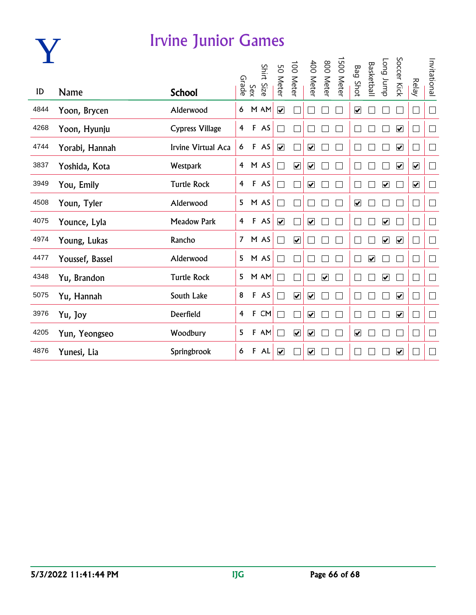

| ID   | <b>Name</b>     | <b>School</b>          | Grade          | Sex         | Shirt<br>Size | 50 Meter                 | $\overrightarrow{00}$<br>Meter | 400<br><b>Meter</b>     | 008<br><b>Meter</b>     | ∸<br>0051<br><b>Meter</b> | <b>Bag Shot</b>         | <b>Basketbal</b>        | dunr buo                | Soccer Kick                  | <b>Relay</b>                | Invitational |
|------|-----------------|------------------------|----------------|-------------|---------------|--------------------------|--------------------------------|-------------------------|-------------------------|---------------------------|-------------------------|-------------------------|-------------------------|------------------------------|-----------------------------|--------------|
|      |                 |                        |                |             |               |                          |                                |                         |                         |                           |                         |                         |                         |                              |                             |              |
| 4844 | Yoon, Brycen    | Alderwood              | 6              |             | M AM          | $\overline{\mathbf{v}}$  |                                |                         |                         |                           | $\overline{\mathbf{v}}$ |                         |                         |                              | $\mathcal{L}_{\mathcal{A}}$ | $\Box$       |
| 4268 | Yoon, Hyunju    | <b>Cypress Village</b> | 4              |             | F AS          |                          |                                |                         |                         |                           |                         |                         |                         | $\overline{\mathbf{v}}$      | $\Box$                      | $\Box$       |
| 4744 | Yorabi, Hannah  | Irvine Virtual Aca     | 6              |             | F AS          | $\overline{\mathbf{v}}$  |                                | $\overline{\mathbf{v}}$ |                         |                           |                         |                         |                         | $\overline{\mathbf{v}}$      | $\vert \ \ \vert$           | $\Box$       |
| 3837 | Yoshida, Kota   | Westpark               | $\overline{4}$ |             | M AS          |                          | $\overline{\mathbf{v}}$        | $\overline{\mathbf{v}}$ |                         |                           |                         |                         |                         | $\overline{\mathbf{v}}$      | $\overline{\mathbf{v}}$     | $\Box$       |
| 3949 | You, Emily      | <b>Turtle Rock</b>     | 4              |             | F AS          |                          |                                | $\overline{\mathbf{v}}$ |                         |                           |                         |                         | $\overline{\mathbf{v}}$ |                              | $\blacktriangledown$        | $\Box$       |
| 4508 | Youn, Tyler     | Alderwood              | 5              |             | M AS          |                          |                                |                         |                         | I.                        | $\overline{\mathbf{v}}$ |                         |                         |                              | ⊔                           | $\Box$       |
| 4075 | Younce, Lyla    | <b>Meadow Park</b>     | $\overline{4}$ |             | F AS          | $\overline{\mathbf{v}}$  |                                | $\overline{\mathbf{v}}$ |                         |                           |                         |                         | $\overline{\mathbf{v}}$ |                              | $\Box$                      | $\Box$       |
| 4974 | Young, Lukas    | Rancho                 | $\overline{7}$ |             | M AS          | $\overline{\phantom{0}}$ | $\overline{\mathbf{v}}$        |                         |                         | L                         |                         |                         | $\blacktriangledown$    | $\blacktriangledown$         | $\Box$                      | $\Box$       |
| 4477 | Youssef, Bassel | Alderwood              | 5              |             | M AS          |                          |                                |                         |                         | L                         |                         | $\overline{\mathbf{v}}$ |                         |                              | $\Box$                      | $\Box$       |
| 4348 | Yu, Brandon     | <b>Turtle Rock</b>     | 5              |             | M AM          |                          |                                |                         | $\overline{\mathbf{v}}$ |                           |                         |                         | $\overline{\mathbf{v}}$ |                              | $\overline{\phantom{a}}$    | $\Box$       |
| 5075 | Yu, Hannah      | South Lake             | 8              | $\mathsf F$ | AS            |                          | $\overline{\mathbf{v}}$        | $\overline{\mathbf{v}}$ |                         |                           |                         |                         |                         | ☑                            | $\overline{\phantom{0}}$    | $\Box$       |
| 3976 | Yu, Joy         | Deerfield              | 4              | F           | CM            |                          |                                | $\overline{\mathbf{v}}$ |                         | L                         |                         |                         |                         | $\boxed{\blacktriangledown}$ | П                           | $\Box$       |
| 4205 | Yun, Yeongseo   | Woodbury               | 5              | F           | AM            |                          | $\overline{\mathbf{v}}$        | $\overline{\mathbf{v}}$ |                         | L.                        | $\overline{\mathbf{v}}$ |                         |                         |                              | H                           | $\Box$       |
| 4876 | Yunesi, Lia     | Springbrook            | 6              | F           | <b>AL</b>     | $\overline{\mathbf{v}}$  |                                | ⊻                       |                         |                           |                         |                         |                         | $\overline{\mathbf{v}}$      | ×.                          | $\vert$      |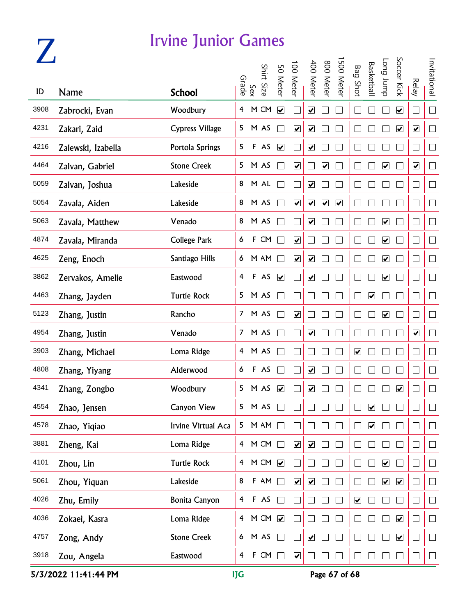### **Z**

#### Irvine Junior Games

|      |                    |                        |                |              |            |                              | 100 Meter                    | 400 Meter                    | 800 Meter                    | 500 Meter               |                      | <b>Basketbal</b>             | Long Jump                    | Soccer Kick                  |                      | Invitational             |
|------|--------------------|------------------------|----------------|--------------|------------|------------------------------|------------------------------|------------------------------|------------------------------|-------------------------|----------------------|------------------------------|------------------------------|------------------------------|----------------------|--------------------------|
| ID   | Name               | <b>School</b>          |                | Sex<br>Grade | Shirt Size | 50 Meter                     |                              |                              |                              |                         | <b>Bag Shot</b>      |                              |                              |                              | <b>Relay</b>         |                          |
| 3908 | Zabrocki, Evan     | Woodbury               | 4              |              | M CM       | $\boxed{\blacktriangledown}$ |                              | ☑                            |                              |                         |                      |                              |                              | $\boxed{\blacktriangledown}$ | $\Box$               | $\Box$                   |
| 4231 | Zakari, Zaid       | <b>Cypress Village</b> | 5              |              | M AS       |                              | $\boxed{\blacktriangledown}$ | $\blacktriangledown$         |                              |                         |                      |                              |                              | $\boxed{\blacktriangledown}$ | $\blacktriangledown$ | $\Box$                   |
| 4216 | Zalewski, Izabella | Portola Springs        | 5              |              | F AS       | $\blacktriangledown$         |                              | $\blacktriangledown$         |                              |                         |                      |                              |                              |                              | $\Box$               | $\Box$                   |
| 4464 | Zalvan, Gabriel    | <b>Stone Creek</b>     | 5              |              | M AS       | $\blacksquare$               | $\blacktriangledown$         |                              | $\boxed{\blacktriangledown}$ |                         |                      |                              | $\boxed{\blacktriangledown}$ |                              | $\blacktriangledown$ | $\Box$                   |
| 5059 | Zalvan, Joshua     | Lakeside               | 8              |              | M AL       | $\blacksquare$               |                              | $\boxed{\blacktriangledown}$ |                              |                         |                      |                              |                              |                              | $\Box$               | $\Box$                   |
| 5054 | Zavala, Aiden      | Lakeside               | 8              |              | M AS       | $\blacksquare$               | $\boxed{\blacktriangledown}$ | $\overline{\mathbf{v}}$      | $\overline{\mathbf{v}}$      | $\overline{\mathbf{v}}$ |                      |                              |                              |                              | $\Box$               | $\Box$                   |
| 5063 | Zavala, Matthew    | Venado                 | 8              |              | M AS       | $\blacksquare$               |                              | $\boxed{\blacktriangledown}$ |                              |                         |                      |                              | $\blacktriangledown$         |                              | $\Box$               | $\overline{\phantom{a}}$ |
| 4874 | Zavala, Miranda    | <b>College Park</b>    | 6              | $\mathsf F$  | CM         | $\blacksquare$               | $\blacktriangledown$         |                              |                              |                         |                      |                              | $\blacktriangledown$         |                              | $\Box$               | $\mathcal{L}$            |
| 4625 | Zeng, Enoch        | Santiago Hills         | 6              |              | M AM       | $\blacksquare$               | $\blacktriangledown$         | $\blacktriangledown$         |                              |                         |                      |                              | $\blacktriangledown$         |                              | $\Box$               | $\Box$                   |
| 3862 | Zervakos, Amelie   | Eastwood               | 4              |              | F AS       | $\boxed{\blacktriangledown}$ |                              | $\overline{\mathbf{v}}$      |                              |                         |                      |                              | $\blacktriangleright$        | $\blacksquare$               | $\Box$               | $\Box$                   |
| 4463 | Zhang, Jayden      | <b>Turtle Rock</b>     | 5              |              | M AS       | $\blacksquare$               |                              |                              |                              |                         |                      | $\boxed{\blacktriangledown}$ |                              |                              | $\Box$               | $\Box$                   |
| 5123 | Zhang, Justin      | Rancho                 | 7 <sup>7</sup> |              | M AS       |                              | $\boxed{\blacktriangledown}$ |                              |                              |                         |                      |                              | $\boxed{\blacktriangledown}$ |                              | $\Box$               | $\Box$                   |
| 4954 | Zhang, Justin      | Venado                 | 7 <sup>7</sup> |              | M AS       |                              |                              | $\blacktriangledown$         |                              |                         |                      |                              |                              |                              | $\blacktriangledown$ | $\Box$                   |
| 3903 | Zhang, Michael     | Loma Ridge             | 4              |              | M AS       |                              |                              |                              |                              |                         | $\boxed{\checkmark}$ |                              |                              |                              | $\Box$               | $\Box$                   |
| 4808 | Zhang, Yiyang      | Alderwood              | 6              |              | F AS       |                              |                              | ☑                            |                              |                         |                      |                              |                              |                              | $\Box$               | $\sqcup$                 |
| 4341 | Zhang, Zongbo      | Woodbury               | 5              |              | M AS       | $\overline{\mathbf{v}}$      |                              | ☑                            |                              |                         |                      |                              |                              | $\boxed{\blacktriangledown}$ | $\Box$               | $\Box$                   |
| 4554 | Zhao, Jensen       | <b>Canyon View</b>     | 5              |              | M AS       |                              |                              |                              |                              |                         |                      | $\boxed{\blacktriangledown}$ |                              |                              |                      |                          |
| 4578 | Zhao, Yigiao       | Irvine Virtual Aca     | 5              |              | M AM       |                              |                              |                              |                              |                         |                      | $\blacktriangledown$         |                              |                              | $\Box$               | $\Box$                   |
| 3881 | Zheng, Kai         | Loma Ridge             |                |              | 4 M CM     | ٦                            | $\blacktriangledown$         | $\blacktriangledown$         |                              |                         |                      |                              |                              |                              | $\Box$               | $\Box$                   |
| 4101 | Zhou, Lin          | <b>Turtle Rock</b>     |                |              | 4 M CM     | $\overline{\mathbf{v}}$      |                              |                              |                              |                         |                      |                              | $\blacktriangledown$         |                              | $\Box$               | $\Box$                   |
| 5061 | Zhou, Yiquan       | Lakeside               | 8              |              | F AM       | ┐                            | $\boxed{\blacktriangledown}$ | $\boxed{\blacktriangledown}$ |                              |                         |                      |                              | $\boxed{\blacktriangledown}$ | $\blacktriangledown$         | $\Box$               | $\Box$                   |
| 4026 | Zhu, Emily         | <b>Bonita Canyon</b>   | $\overline{4}$ |              | F AS       | $\Box$                       |                              |                              |                              |                         | $\blacktriangledown$ |                              |                              |                              | $\Box$               | $\Box$                   |
| 4036 | Zokaei, Kasra      | Loma Ridge             |                |              | 4 M CM     | $\blacktriangledown$         |                              |                              |                              |                         |                      |                              |                              | $\blacktriangledown$         | $\Box$               | $\mathcal{L}$            |
| 4757 | Zong, Andy         | <b>Stone Creek</b>     |                |              | 6 M AS     | $\Box$                       |                              | $\blacktriangledown$         |                              |                         |                      |                              |                              | $\blacktriangledown$         | $\Box$               | $\Box$                   |
| 3918 | Zou, Angela        | Eastwood               | $\overline{4}$ |              | F CM       | $\Box$                       | $\overline{\mathbf{v}}$      | $\Box$                       |                              |                         |                      |                              |                              |                              | $\Box$               | $\Box$                   |

5/3/2022 11:41:44 PM **IJG** Page 67 of 68